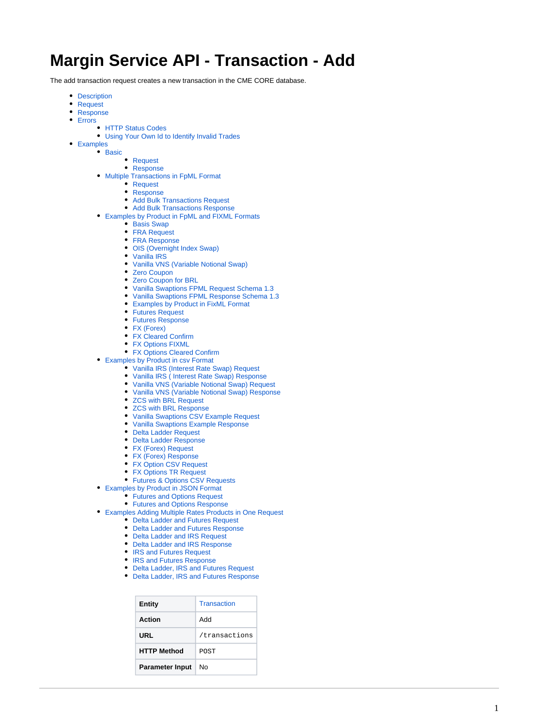# **Margin Service API - Transaction - Add**

The add transaction request creates a new transaction in the CME CORE database.

- [Description](#page-1-0)
- [Request](#page-1-1)
- [Response](#page-1-2)
- [Errors](#page-1-3)
	- **[HTTP Status Codes](#page-1-4)**
	- [Using Your Own Id to Identify Invalid Trades](#page-1-5)
- [Examples](#page-6-0)
	- $\bullet$  [Basic](#page-6-1)
		- [Request](#page-6-2)
		- [Response](#page-6-3)
	- [Multiple Transactions in FpML Format](#page-6-4)
		- [Request](#page-6-5)
		- [Response](#page-7-0)
		- [Add Bulk Transactions Request](#page-7-1)
		- [Add Bulk Transactions Response](#page-8-0)
	- [Examples by Product in FpML and FIXML Formats](#page-9-0)
		- [Basis Swap](#page-9-1)
		- **[FRA Request](#page-12-0)**
		- [FRA Response](#page-13-0)
		- [OIS \(Overnight Index Swap\)](#page-14-0)
		- [Vanilla IRS](#page-16-0)
		- [Vanilla VNS \(Variable Notional Swap\)](#page-18-0)
		- [Zero Coupon](#page-21-0)
		- [Zero Coupon for BRL](#page-23-0)
		- [Vanilla Swaptions FPML Request Schema 1.3](#page-27-0)
		- [Vanilla Swaptions FPML Response Schema 1.3](#page-36-0)
		- [Examples by Product in FixML Format](#page-37-0)
		- [Futures Request](#page-37-1)
		- [Futures Response](#page-37-2)
		- [FX \(Forex\)](#page-38-0)
		- [FX Cleared Confirm](#page-38-1)
		- [FX Options FIXML](#page-39-0)
		- [FX Options Cleared Confirm](#page-40-0)
	- [Examples by Product in csv Format](#page-41-0)
		- [Vanilla IRS \(Interest Rate Swap\) Request](#page-41-1)
		- [Vanilla IRS \( Interest Rate Swap\) Response](#page-42-0)
		- [Vanilla VNS \(Variable Notional Swap\) Request](#page-57-0)
		- [Vanilla VNS \(Variable Notional Swap\) Response](#page-58-0)
		- [ZCS with BRL Request](#page-61-0)
		- [ZCS with BRL Response](#page-62-0)
		- [Vanilla Swaptions CSV Example Request](#page-63-0)
		- [Vanilla Swaptions Example Response](#page-63-1)
		- [Delta Ladder Request](#page-66-0)
		- [Delta Ladder Response](#page-67-0)
		- [FX \(Forex\) Request](#page-67-1)
		- [FX \(Forex\) Response](#page-67-2)
		- [FX Option CSV Request](#page-68-0)
		- [FX Options TR Request](#page-68-1)
		- [Futures & Options CSV Requests](#page-69-0)
	- [Examples by Product in JSON Format](#page-70-0)
		- [Futures and Options Request](#page-70-1)
		- [Futures and Options Response](#page-71-0)
	- [Examples Adding Multiple Rates Products in One Request](#page-72-0)
		- [Delta Ladder and Futures Request](#page-72-1)
			- [Delta Ladder and Futures Response](#page-72-2)
			- [Delta Ladder and IRS Request](#page-73-0)
			- [Delta Ladder and IRS Response](#page-74-0)
			- [IRS and Futures Request](#page-75-0)
			- [IRS and Futures Response](#page-76-0)
			- [Delta Ladder, IRS and Futures Request](#page-78-0)
			- [Delta Ladder, IRS and Futures Response](#page-78-1)

| <b>Entity</b>          | Transaction   |
|------------------------|---------------|
| Action                 | hhA           |
| URL                    | /transactions |
| <b>HTTP Method</b>     | <b>POST</b>   |
| <b>Parameter Input</b> | N٥            |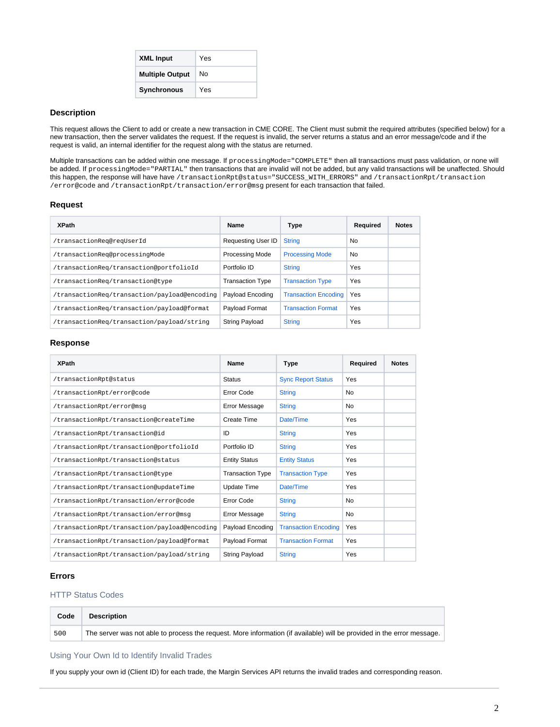| <b>XML Input</b>       | Yes |
|------------------------|-----|
| <b>Multiple Output</b> | N٥  |
| <b>Synchronous</b>     | Yes |

# <span id="page-1-0"></span>**Description**

This request allows the Client to add or create a new transaction in CME CORE. The Client must submit the required attributes (specified below) for a new transaction, then the server validates the request. If the request is invalid, the server returns a status and an error message/code and if the request is valid, an internal identifier for the request along with the status are returned.

Multiple transactions can be added within one message. If processingMode="COMPLETE" then all transactions must pass validation, or none will be added. If processingMode="PARTIAL" then transactions that are invalid will not be added, but any valid transactions will be unaffected. Should this happen, the response will have have /transactionRpt@status="SUCCESS\_WITH\_ERRORS" and /transactionRpt/transaction /error@code and /transactionRpt/transaction/error@msg present for each transaction that failed.

## <span id="page-1-1"></span>**Request**

| <b>XPath</b>                                 | Name                      | Type                        | Required | <b>Notes</b> |
|----------------------------------------------|---------------------------|-----------------------------|----------|--------------|
| /transactionReq@reqUserId                    | <b>Requesting User ID</b> | <b>String</b>               | No       |              |
| /transactionReq@processinqMode               | <b>Processing Mode</b>    | <b>Processing Mode</b>      | No.      |              |
| /transactionReg/transaction@portfolioId      | Portfolio ID              | <b>String</b>               | Yes      |              |
| /transactionReq/transaction@type             | <b>Transaction Type</b>   | <b>Transaction Type</b>     | Yes      |              |
| /transactionReg/transaction/payload@encoding | Payload Encoding          | <b>Transaction Encoding</b> | Yes      |              |
| /transactionReq/transaction/payload@format   | <b>Pavload Format</b>     | <b>Transaction Format</b>   | Yes      |              |
| /transactionReg/transaction/payload/string   | <b>String Payload</b>     | <b>String</b>               | Yes      |              |

## <span id="page-1-2"></span>**Response**

| <b>XPath</b>                                 | Name                    | Type                        | Required       | <b>Notes</b> |
|----------------------------------------------|-------------------------|-----------------------------|----------------|--------------|
| /transactionRpt@status                       | <b>Status</b>           | <b>Sync Report Status</b>   | Yes            |              |
| /transactionRpt/error@code                   | Error Code              | <b>String</b>               | N <sub>0</sub> |              |
| /transactionRpt/error@msq                    | Error Message           | <b>String</b>               | No             |              |
| /transactionRpt/transaction@createTime       | Create Time             | Date/Time                   | Yes            |              |
| /transactionRpt/transaction@id               | ID                      | <b>String</b>               | Yes            |              |
| /transactionRpt/transaction@portfolioId      | Portfolio ID            | <b>String</b>               | Yes            |              |
| /transactionRpt/transaction@status           | <b>Entity Status</b>    | <b>Entity Status</b>        | Yes            |              |
| /transactionRpt/transaction@type             | <b>Transaction Type</b> | <b>Transaction Type</b>     | Yes            |              |
| /transactionRpt/transaction@updateTime       | <b>Update Time</b>      | Date/Time                   | Yes            |              |
| /transactionRpt/transaction/error@code       | Error Code              | <b>String</b>               | No             |              |
| /transactionRpt/transaction/error@msq        | Error Message           | <b>String</b>               | No             |              |
| /transactionRpt/transaction/payload@encoding | Payload Encoding        | <b>Transaction Encoding</b> | Yes            |              |
| /transactionRpt/transaction/payload@format   | Payload Format          | <b>Transaction Format</b>   | Yes            |              |
| /transactionRpt/transaction/payload/string   | String Payload          | <b>String</b>               | Yes            |              |

# <span id="page-1-3"></span>**Errors**

## <span id="page-1-4"></span>HTTP Status Codes

| Code | <b>Description</b>                                                                                                     |  |
|------|------------------------------------------------------------------------------------------------------------------------|--|
| 500  | The server was not able to process the request. More information (if available) will be provided in the error message. |  |

<span id="page-1-5"></span>Using Your Own Id to Identify Invalid Trades

If you supply your own id (Client ID) for each trade, the Margin Services API returns the invalid trades and corresponding reason.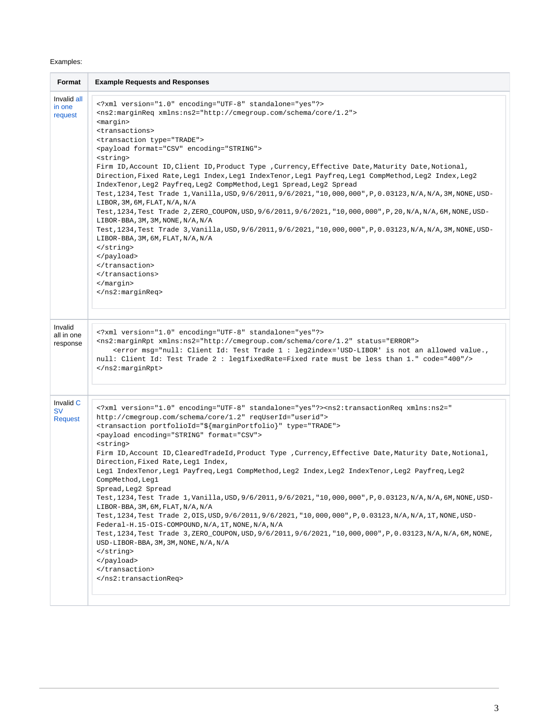# Examples:

| Format                                   | <b>Example Requests and Responses</b>                                                                                                                                                                                                                                                                                                                                                                                                                                                                                                                                                                                                                                                                                                                                                                                                                                                                                                                                                                                                                                                                                                                                                        |
|------------------------------------------|----------------------------------------------------------------------------------------------------------------------------------------------------------------------------------------------------------------------------------------------------------------------------------------------------------------------------------------------------------------------------------------------------------------------------------------------------------------------------------------------------------------------------------------------------------------------------------------------------------------------------------------------------------------------------------------------------------------------------------------------------------------------------------------------------------------------------------------------------------------------------------------------------------------------------------------------------------------------------------------------------------------------------------------------------------------------------------------------------------------------------------------------------------------------------------------------|
| Invalid all<br>in one<br>request         | xml version="1.0" encoding="UTF-8" standalone="yes"?<br><ns2:marginreq xmlns:ns2="http://cmegroup.com/schema/core/1.2"><br/><margin><br/><transactions><br/><transaction type="TRADE"><br/><payload encoding="STRING" format="CSV"><br/><string><br/>Firm ID, Account ID, Client ID, Product Type , Currency, Effective Date, Maturity Date, Notional,<br/>Direction, Fixed Rate, Leg1 Index, Leg1 IndexTenor, Leg1 Payfreq, Leg1 CompMethod, Leg2 Index, Leg2<br/>IndexTenor, Leg2 Payfreq, Leg2 CompMethod, Leg1 Spread, Leg2 Spread<br/>Test, 1234, Test Trade 1, Vanilla, USD, 9/6/2011, 9/6/2021, "10, 000, 000", P, 0.03123, N/A, N/A, 3M, NONE, USD-<br/>LIBOR, 3M, 6M, FLAT, N/A, N/A<br/>Test, 1234, Test Trade 2, ZERO_COUPON, USD, 9/6/2011, 9/6/2021, "10, 000, 000", P, 20, N/A, N/A, 6M, NONE, USD-<br/>LIBOR-BBA, 3M, 3M, NONE, N/A, N/A<br/>Test, 1234, Test Trade 3, Vanilla, USD, 9/6/2011, 9/6/2021, "10, 000, 000", P, 0.03123, N/A, N/A, 3M, NONE, USD-<br/>LIBOR-BBA, 3M, 6M, FLAT, N/A, N/A<br/></string><br/></payload><br/></transaction><br/></transactions><br/></margin><br/></ns2:marginreq>                                                                    |
| Invalid<br>all in one<br>response        | xml version="1.0" encoding="UTF-8" standalone="yes"?<br><ns2:marginrpt status="ERROR" xmlns:ns2="http://cmegroup.com/schema/core/1.2"><br/><error code="400" msg="null: Client Id: Test Trade 1: leg2index='USD-LIBOR' is not an allowed value.,&lt;br&gt;null: Client Id: Test Trade 2 : leg1fixedRate=Fixed rate must be less than 1."></error><br/></ns2:marginrpt>                                                                                                                                                                                                                                                                                                                                                                                                                                                                                                                                                                                                                                                                                                                                                                                                                       |
| Invalid C<br><b>SV</b><br><b>Request</b> | xml version="1.0" encoding="UTF-8" standalone="yes"? <ns2:transactionreq requserid="userid" xmlns:ns2="&lt;br&gt;http://cmegroup.com/schema/core/1.2"><br/><transaction portfolioid="\${marginPortfolio}" type="TRADE"><br/><payload encoding="STRING" format="CSV"><br/><string><br/>Firm ID, Account ID, ClearedTradeId, Product Type, Currency, Effective Date, Maturity Date, Notional,<br/>Direction, Fixed Rate, Leg1 Index,<br/>Leg1 IndexTenor, Leg1 Payfreq, Leg1 CompMethod, Leg2 Index, Leg2 IndexTenor, Leg2 Payfreq, Leg2<br/>CompMethod, Leg1<br/>Spread, Leg2 Spread<br/>Test, 1234, Test Trade 1, Vanilla, USD, 9/6/2011, 9/6/2021, "10, 000, 000", P, 0.03123, N/A, N/A, 6M, NONE, USD-<br/>LIBOR-BBA, 3M, 6M, FLAT, N/A, N/A<br/>Test, 1234, Test Trade 2, OIS, USD, 9/6/2011, 9/6/2021, "10, 000, 000", P, 0.03123, N/A, N/A, 1T, NONE, USD-<br/>Federal-H.15-OIS-COMPOUND, N/A, 1T, NONE, N/A, N/A<br/>Test, 1234, Test Trade 3, ZERO_COUPON, USD, 9/6/2011, 9/6/2021, "10, 000, 000", P, 0.03123, N/A, N/A, 6M, NONE,<br/>USD-LIBOR-BBA, 3M, 3M, NONE, N/A, N/A<br/><math>\langle</math>string&gt;<br/></string></payload><br/></transaction><br/></ns2:transactionreq> |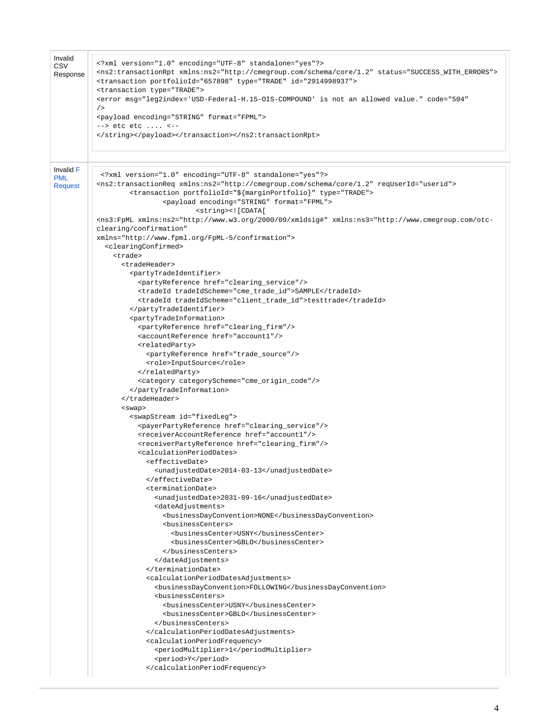| Invalid<br><b>CSV</b><br>Response  | xml version="1.0" encoding="UTF-8" standalone="yes"?<br><ns2:transactionrpt status="SUCCESS_WITH_ERRORS" xmlns:ns2="http://cmegroup.com/schema/core/1.2"><br/><transaction id="2914998937" portfolioid="657898" type="TRADE"><br/><transaction type="TRADE"><br/><error <br="" code="504" msg="leg2index='USD-Federal-H.15-OIS-COMPOUND' is not an allowed value.">/<br/><payload encoding="STRING" format="FPML"><br/>--&gt; etc etc  &lt;--<br/></payload></error></transaction></transaction></ns2:transactionrpt>                                                                                                                                                              |
|------------------------------------|------------------------------------------------------------------------------------------------------------------------------------------------------------------------------------------------------------------------------------------------------------------------------------------------------------------------------------------------------------------------------------------------------------------------------------------------------------------------------------------------------------------------------------------------------------------------------------------------------------------------------------------------------------------------------------|
|                                    |                                                                                                                                                                                                                                                                                                                                                                                                                                                                                                                                                                                                                                                                                    |
| Invalid F<br><b>PML</b><br>Request | xml version="1.0" encoding="UTF-8" standalone="yes"?<br><ns2:transactionreq requserid="userid" xmlns:ns2="http://cmegroup.com/schema/core/1.2"><br/><transaction portfolioid="\${marginPortfolio}" type="TRADE"><br/><payload encoding="STRING" format="FPML"><br/><string>&lt;![CDATA[&lt;br&gt;<ns3:fpml <br="" xmlns:ns2="http://www.w3.org/2000/09/xmldsig#" xmlns:ns3="http://www.cmegroup.com/otc-&lt;/th&gt;&lt;/tr&gt;&lt;tr&gt;&lt;th&gt;&lt;/th&gt;&lt;th&gt;clearing/confirmation">xmlns="http://www.fpml.org/FpML-5/confirmation"&gt;<br/><clearingconfirmed><br/><trade></trade></clearingconfirmed></ns3:fpml></string></payload></transaction></ns2:transactionreq> |
|                                    | <tradeheader><br/><partytradeidentifier><br/><partyreference href="clearing service"></partyreference><br/><tradeid tradeidscheme="cme trade id">SAMPLE</tradeid><br/><tradeid tradeidscheme="client_trade_id">testtrade</tradeid></partytradeidentifier></tradeheader>                                                                                                                                                                                                                                                                                                                                                                                                            |
|                                    | <br><partytradeinformation><br/><partyreference href="clearing_firm"></partyreference><br/><accountreference href="account1"></accountreference></partytradeinformation>                                                                                                                                                                                                                                                                                                                                                                                                                                                                                                           |
|                                    | <relatedparty><br/><partyreference href="trade_source"></partyreference><br/><role>InputSource</role><br/></relatedparty>                                                                                                                                                                                                                                                                                                                                                                                                                                                                                                                                                          |
|                                    | <category categoryscheme="cme_origin_code"></category><br><br><br>$<$ swap $>$                                                                                                                                                                                                                                                                                                                                                                                                                                                                                                                                                                                                     |
|                                    | <swapstream id="fixedLeg"><br/><payerpartyreference href="clearing_service"></payerpartyreference><br/><receiveraccountreference href="account1"></receiveraccountreference></swapstream>                                                                                                                                                                                                                                                                                                                                                                                                                                                                                          |
|                                    | <receiverpartyreference href="clearing_firm"></receiverpartyreference><br><calculationperioddates><br/><effectivedate></effectivedate></calculationperioddates>                                                                                                                                                                                                                                                                                                                                                                                                                                                                                                                    |
|                                    | <unadjusteddate>2014-03-13</unadjusteddate><br><br><terminationdate><br/><unadjusteddate>2031-09-16</unadjusteddate></terminationdate>                                                                                                                                                                                                                                                                                                                                                                                                                                                                                                                                             |
|                                    | <dateadjustments><br/><businessdayconvention>NONE</businessdayconvention><br/><businesscenters><br/><businesscenter>USNY</businesscenter></businesscenters></dateadjustments>                                                                                                                                                                                                                                                                                                                                                                                                                                                                                                      |
|                                    | <businesscenter>GBLO</businesscenter><br><br><br>                                                                                                                                                                                                                                                                                                                                                                                                                                                                                                                                                                                                                                  |
|                                    | <calculationperioddatesadjustments><br/><businessdayconvention>FOLLOWING</businessdayconvention><br/><businesscenters><br/><businesscenter>USNY</businesscenter></businesscenters></calculationperioddatesadjustments>                                                                                                                                                                                                                                                                                                                                                                                                                                                             |
|                                    | <businesscenter>GBLO</businesscenter><br><br>                                                                                                                                                                                                                                                                                                                                                                                                                                                                                                                                                                                                                                      |
|                                    | <calculationperiodfrequency><br/><periodmultiplier>1</periodmultiplier><br/><period>Y</period><br/></calculationperiodfrequency>                                                                                                                                                                                                                                                                                                                                                                                                                                                                                                                                                   |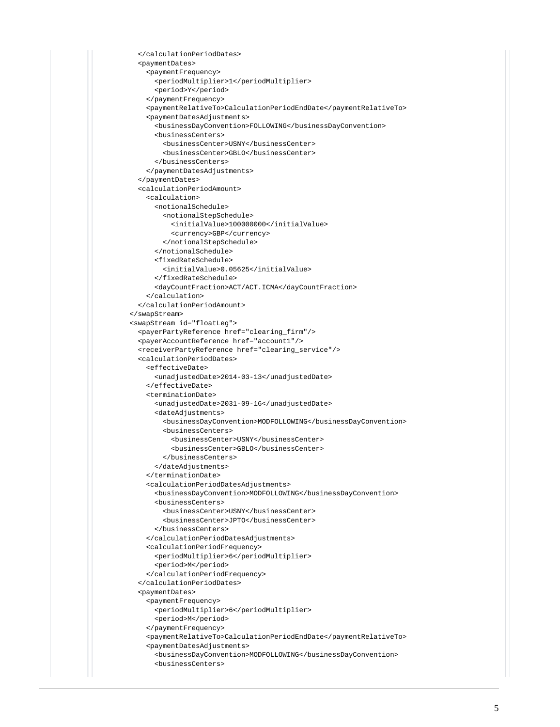```
 </calculationPeriodDates>
   <paymentDates>
     <paymentFrequency>
       <periodMultiplier>1</periodMultiplier>
       <period>Y</period>
     </paymentFrequency>
     <paymentRelativeTo>CalculationPeriodEndDate</paymentRelativeTo>
     <paymentDatesAdjustments>
       <businessDayConvention>FOLLOWING</businessDayConvention>
       <businessCenters>
         <businessCenter>USNY</businessCenter>
         <businessCenter>GBLO</businessCenter>
       </businessCenters>
     </paymentDatesAdjustments>
   </paymentDates>
   <calculationPeriodAmount>
     <calculation>
       <notionalSchedule>
         <notionalStepSchedule>
           <initialValue>100000000</initialValue>
           <currency>GBP</currency>
         </notionalStepSchedule>
       </notionalSchedule>
       <fixedRateSchedule>
         <initialValue>0.05625</initialValue>
       </fixedRateSchedule>
       <dayCountFraction>ACT/ACT.ICMA</dayCountFraction>
     </calculation>
   </calculationPeriodAmount>
 </swapStream>
 <swapStream id="floatLeg">
   <payerPartyReference href="clearing_firm"/>
   <payerAccountReference href="account1"/>
   <receiverPartyReference href="clearing_service"/>
   <calculationPeriodDates>
     <effectiveDate>
       <unadjustedDate>2014-03-13</unadjustedDate>
     </effectiveDate>
     <terminationDate>
       <unadjustedDate>2031-09-16</unadjustedDate>
       <dateAdjustments>
         <businessDayConvention>MODFOLLOWING</businessDayConvention>
         <businessCenters>
           <businessCenter>USNY</businessCenter>
           <businessCenter>GBLO</businessCenter>
         </businessCenters>
       </dateAdjustments>
     </terminationDate>
     <calculationPeriodDatesAdjustments>
       <businessDayConvention>MODFOLLOWING</businessDayConvention>
       <businessCenters>
         <businessCenter>USNY</businessCenter>
         <businessCenter>JPTO</businessCenter>
       </businessCenters>
     </calculationPeriodDatesAdjustments>
     <calculationPeriodFrequency>
       <periodMultiplier>6</periodMultiplier>
       <period>M</period>
     </calculationPeriodFrequency>
   </calculationPeriodDates>
   <paymentDates>
     <paymentFrequency>
       <periodMultiplier>6</periodMultiplier>
       <period>M</period>
     </paymentFrequency>
     <paymentRelativeTo>CalculationPeriodEndDate</paymentRelativeTo>
     <paymentDatesAdjustments>
       <businessDayConvention>MODFOLLOWING</businessDayConvention>
       <businessCenters>
```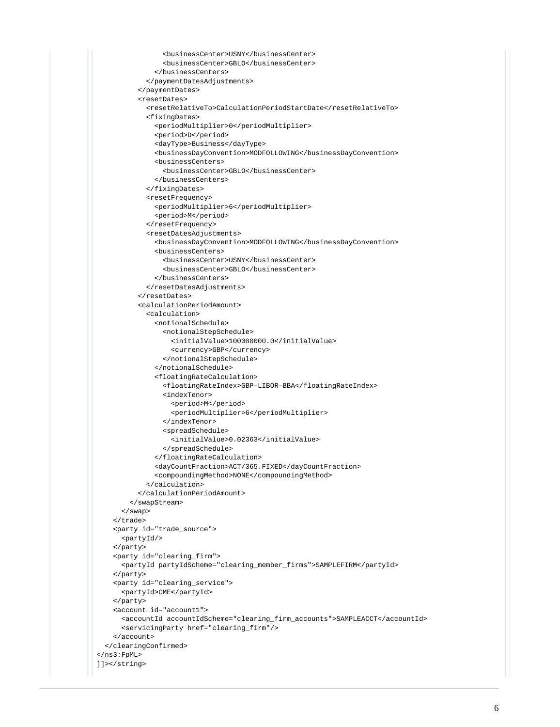```
 <businessCenter>USNY</businessCenter>
                 <businessCenter>GBLO</businessCenter>
               </businessCenters>
             </paymentDatesAdjustments>
           </paymentDates>
           <resetDates>
             <resetRelativeTo>CalculationPeriodStartDate</resetRelativeTo>
             <fixingDates>
               <periodMultiplier>0</periodMultiplier>
                <period>D</period>
               <dayType>Business</dayType>
               <businessDayConvention>MODFOLLOWING</businessDayConvention>
               <businessCenters>
                 <businessCenter>GBLO</businessCenter>
               </businessCenters>
             </fixingDates>
             <resetFrequency>
               <periodMultiplier>6</periodMultiplier>
               <period>M</period>
             </resetFrequency>
             <resetDatesAdjustments>
               <businessDayConvention>MODFOLLOWING</businessDayConvention>
               <businessCenters>
                 <businessCenter>USNY</businessCenter>
                 <businessCenter>GBLO</businessCenter>
               </businessCenters>
             </resetDatesAdjustments>
           </resetDates>
           <calculationPeriodAmount>
             <calculation>
               <notionalSchedule>
                 <notionalStepSchedule>
                   <initialValue>100000000.0</initialValue>
                   <currency>GBP</currency>
                 </notionalStepSchedule>
               </notionalSchedule>
               <floatingRateCalculation>
                 <floatingRateIndex>GBP-LIBOR-BBA</floatingRateIndex>
                 <indexTenor>
                   <period>M</period>
                    <periodMultiplier>6</periodMultiplier>
                 </indexTenor>
                 <spreadSchedule>
                   <initialValue>0.02363</initialValue>
                 </spreadSchedule>
               </floatingRateCalculation>
               <dayCountFraction>ACT/365.FIXED</dayCountFraction>
               <compoundingMethod>NONE</compoundingMethod>
             </calculation>
           </calculationPeriodAmount>
         </swapStream>
       </swap>
     </trade>
     <party id="trade_source">
       <partyId/>
     </party>
     <party id="clearing_firm">
      <partyId partyIdScheme="clearing_member_firms">SAMPLEFIRM</partyId>
     </party>
     <party id="clearing_service">
       <partyId>CME</partyId>
     </party>
    <account id="account1">
      <accountId accountIdScheme="clearing_firm_accounts">SAMPLEACCT</accountId>
       <servicingParty href="clearing_firm"/>
    </account>
  </clearingConfirmed>
</ns3:FpML>
]]></string>
```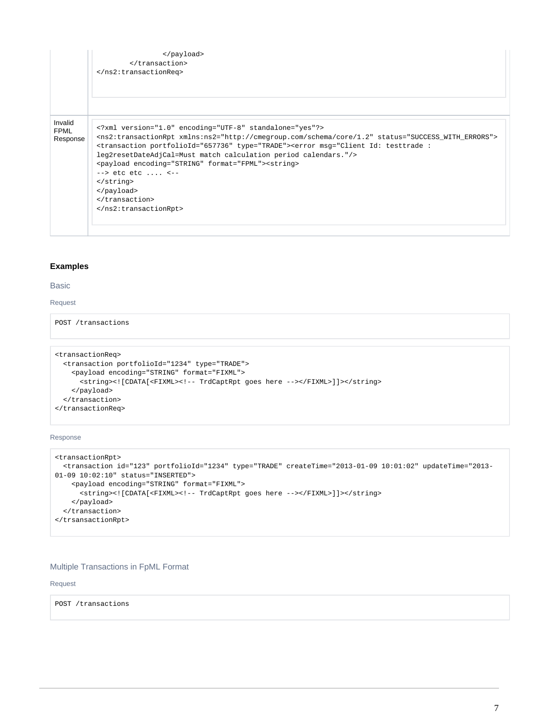|                                    | <br><br>                                                                                                                                                                                                                                                                                                                                                                                                                                                                                                                                       |
|------------------------------------|------------------------------------------------------------------------------------------------------------------------------------------------------------------------------------------------------------------------------------------------------------------------------------------------------------------------------------------------------------------------------------------------------------------------------------------------------------------------------------------------------------------------------------------------|
| Invalid<br><b>FPML</b><br>Response | xml version="1.0" encoding="UTF-8" standalone="yes"?<br><ns2:transactionrpt status="SUCCESS_WITH_ERRORS" xmlns:ns2="http://cmegroup.com/schema/core/1.2"><br/><transaction portfolioid="657736" type="TRADE"><error msg="Client Id: testtrade :&lt;br&gt;leg2resetDateAdjCal=Must match calculation period calendars."></error><br/><payload encoding="STRING" format="FPML"><string><br/><math>\leftarrow</math> &gt; etc etc  &lt;--<br/><math>\langle</math>string&gt;<br/></string></payload><br/></transaction><br/></ns2:transactionrpt> |

## <span id="page-6-0"></span>**Examples**

## <span id="page-6-1"></span>Basic

#### <span id="page-6-2"></span>Request

POST /transactions

```
<transactionReq>
  <transaction portfolioId="1234" type="TRADE">
     <payload encoding="STRING" format="FIXML">
      <string><![CDATA[<FIXML><!-- TrdCaptRpt goes here --></FIXML>]]></string>
     </payload>
   </transaction>
</transactionReq>
```
<span id="page-6-3"></span>Response

```
<transactionRpt>
  <transaction id="123" portfolioId="1234" type="TRADE" createTime="2013-01-09 10:01:02" updateTime="2013-
01-09 10:02:10" status="INSERTED">
    <payload encoding="STRING" format="FIXML">
      -<br>string><![CDATA[<FIXML><!-- TrdCaptRpt goes here --></FIXML>]]></string>
    </payload>
  </transaction>
</trsansactionRpt>
```
# <span id="page-6-4"></span>Multiple Transactions in FpML Format

#### <span id="page-6-5"></span>Request

POST /transactions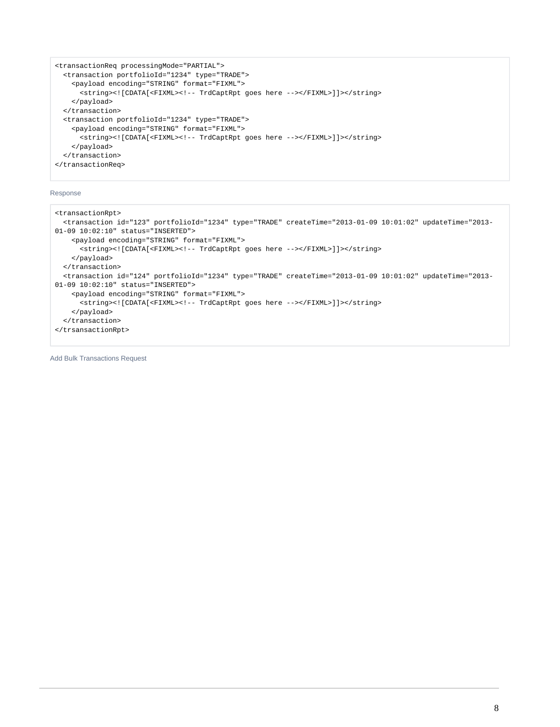```
<transactionReq processingMode="PARTIAL">
   <transaction portfolioId="1234" type="TRADE">
     <payload encoding="STRING" format="FIXML">
      <string><![CDATA[<FIXML><!-- TrdCaptRpt goes here --></FIXML>]]></string>
     </payload>
   </transaction>
   <transaction portfolioId="1234" type="TRADE">
     <payload encoding="STRING" format="FIXML">
      <string><![CDATA[<FIXML><!-- TrdCaptRpt goes here --></FIXML>]]></string>
     </payload>
   </transaction> 
</transactionReq>
```
#### <span id="page-7-0"></span>Response

```
<transactionRpt>
   <transaction id="123" portfolioId="1234" type="TRADE" createTime="2013-01-09 10:01:02" updateTime="2013-
01-09 10:02:10" status="INSERTED">
     <payload encoding="STRING" format="FIXML">
       <string><![CDATA[<FIXML><!-- TrdCaptRpt goes here --></FIXML>]]></string>
     </payload>
   </transaction>
   <transaction id="124" portfolioId="1234" type="TRADE" createTime="2013-01-09 10:01:02" updateTime="2013-
01-09 10:02:10" status="INSERTED">
     <payload encoding="STRING" format="FIXML">
       <string><![CDATA[<FIXML><!-- TrdCaptRpt goes here --></FIXML>]]></string>
     </payload>
   </transaction> 
</trsansactionRpt>
```
<span id="page-7-1"></span>Add Bulk Transactions Request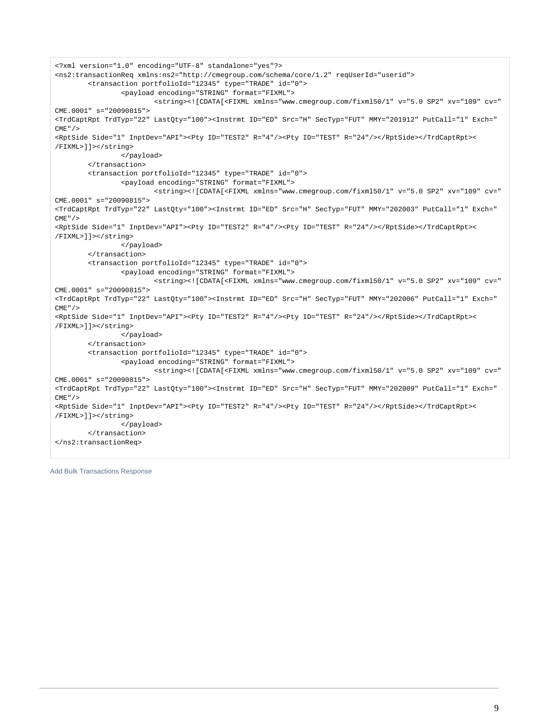```
<?xml version="1.0" encoding="UTF-8" standalone="yes"?>
<ns2:transactionReq xmlns:ns2="http://cmegroup.com/schema/core/1.2" reqUserId="userid">
         <transaction portfolioId="12345" type="TRADE" id="0">
                 <payload encoding="STRING" format="FIXML">
                         <string><![CDATA[<FIXML xmlns="www.cmegroup.com/fixml50/1" v="5.0 SP2" xv="109" cv="
CME.0001" s="20090815">
<TrdCaptRpt TrdTyp="22" LastQty="100"><Instrmt ID="ED" Src="H" SecTyp="FUT" MMY="201912" PutCall="1" Exch="
CME"/>
<RptSide Side="1" InptDev="API"><Pty ID="TEST2" R="4"/><Pty ID="TEST" R="24"/></RptSide></TrdCaptRpt><
/FIXML>]]></string>
                 </payload>
         </transaction>
         <transaction portfolioId="12345" type="TRADE" id="0">
                 <payload encoding="STRING" format="FIXML">
                         <string><![CDATA[<FIXML xmlns="www.cmegroup.com/fixml50/1" v="5.0 SP2" xv="109" cv="
CME.0001" s="20090815">
<TrdCaptRpt TrdTyp="22" LastQty="100"><Instrmt ID="ED" Src="H" SecTyp="FUT" MMY="202003" PutCall="1" Exch="
CME" / >
<RptSide Side="1" InptDev="API"><Pty ID="TEST2" R="4"/><Pty ID="TEST" R="24"/></RptSide></TrdCaptRpt><
/FIXML>]]></string>
                 </payload>
         </transaction>
         <transaction portfolioId="12345" type="TRADE" id="0">
                 <payload encoding="STRING" format="FIXML">
                         <string><![CDATA[<FIXML xmlns="www.cmegroup.com/fixml50/1" v="5.0 SP2" xv="109" cv="
CME.0001" s="20090815">
<TrdCaptRpt TrdTyp="22" LastQty="100"><Instrmt ID="ED" Src="H" SecTyp="FUT" MMY="202006" PutCall="1" Exch="
CME" / >
<RptSide Side="1" InptDev="API"><Pty ID="TEST2" R="4"/><Pty ID="TEST" R="24"/></RptSide></TrdCaptRpt><
/FIXML>]]></string>
                 </payload>
         </transaction>
         <transaction portfolioId="12345" type="TRADE" id="0">
                 <payload encoding="STRING" format="FIXML">
                         <string><![CDATA[<FIXML xmlns="www.cmegroup.com/fixml50/1" v="5.0 SP2" xv="109" cv="
CME.0001" s="20090815">
<TrdCaptRpt TrdTyp="22" LastQty="100"><Instrmt ID="ED" Src="H" SecTyp="FUT" MMY="202009" PutCall="1" Exch="
CME"/>
<RptSide Side="1" InptDev="API"><Pty ID="TEST2" R="4"/><Pty ID="TEST" R="24"/></RptSide></TrdCaptRpt><
/FIXML>]]></string>
                 </payload>
         </transaction>
</ns2:transactionReq>
```
<span id="page-8-0"></span>Add Bulk Transactions Response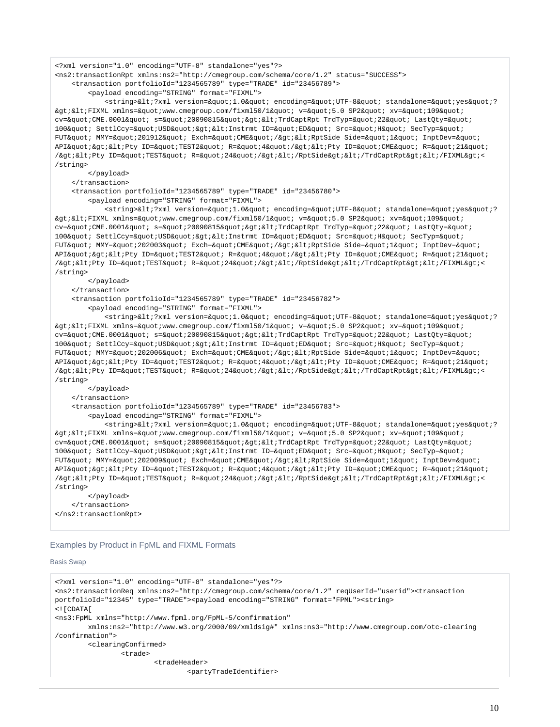<?xml version="1.0" encoding="UTF-8" standalone="yes"?>

<ns2:transactionRpt xmlns:ns2="http://cmegroup.com/schema/core/1.2" status="SUCCESS">

<transaction portfolioId="1234565789" type="TRADE" id="23456789">

<payload encoding="STRING" format="FIXML">

<string>&lt;?xml version=&quot;1.0&quot; encoding=&quot;UTF-8&quot; standalone=&quot;yes&quot;?  $\texttt{kg}$ t; <FIXML xmlns=&quot;www.cmegroup.com/fixml50/1&quot; v=&quot;5.0 SP2&quot; xv=&quot;109&quot; cv="CME.0001" s="20090815"><TrdCaptRpt TrdTyp=&quot;22&quot; LastQty=&quot; 100" SettlCcy="USD"&qt;<Instrmt ID=&quot;ED&quot; Src=&quot;H&quot; SecTyp=&quot; FUT" MMY="201912" Exch="CME"/><RptSide Side=&quot;1&quot; InptDev=&quot;  $\verb+API@quot:@gt:@lt:PEy ID={\&quad} \verb+Quot:TEST2@quot: R={\":4@quot:}/\verb+Aguot:@lt:PEy ID={\":CE@uot: R={\":21@quot:}}$ /kgt;<Pty ID=&quot;TEST&quot; R=&quot;24&quot;/&qt;&lt;/RptSide&qt;&lt;/TrdCaptRpt&qt;&lt;/FIXML&qt;< /string>

</payload>

</transaction>

<transaction portfolioId="1234565789" type="TRADE" id="23456780">

<payload encoding="STRING" format="FIXML">

<string>&lt;?xml version=&quot;1.0&quot; encoding=&quot;UTF-8&quot; standalone=&quot;yes&quot;?  $\sqrt{\text{kg}}$ i $\sqrt{\text{k}}$  xmlns= $\text{kg}$ uot; www.cmegroup.com/fixml50/1 $\text{kg}$ uot; v= $\text{kg}$ uot;5.0 SP2 $\text{kg}$ uot; xv= $\text{kg}$ uot;109 $\text{kg}$ uot; cv="CME.0001" s="20090815"><TrdCaptRpt TrdTyp=&quot;22&quot; LastQty=&quot; 100" SettlCcy="USD"><Instrmt ID=&quot;ED&quot; Src=&quot;H&quot; SecTyp=&quot; FUT" MMY="202003" Exch="CME"/&qt;<RptSide Side=&quot;1&quot; InptDev=&quot; API" > < Pty ID=&quot; TEST2&quot; R=&quot; 4&quot; / &gt; &lt; Pty ID=&quot; CME&quot; R=&quot; 21&quot; //bgti&ltiPty ID=&quot:TEST" R=&quot:24&quot:/&gti</RptSide&gt:&lt;/TrdCaptRpt&gt:&lt;/FIXML&gt:< /string>

</payload>

</transaction>

<transaction portfolioId="1234565789" type="TRADE" id="23456782">

<payload encoding="STRING" format="FIXML">

<string>&lt;?xml version=&quot;1.0&quot; encoding=&quot;UTF-8&quot; standalone=&quot;yes&quot;?  $\texttt{kg}$ t; < FIXML xmlns=&quot; www.cmegroup.com/fixml50/1&quot; v=&quot; 5.0 SP2&quot; xv=&quot; 109&quot; cv="CME.0001" s="20090815"&qt;<TrdCaptRpt TrdTyp=&quot;22&quot; LastOty=&quot; 100" SettlCcy="USD"><Instrmt ID=&quot;ED&quot; Src=&quot;H&quot; SecTyp=&quot; FUT" MMY="202006" Exch="CME"/><RptSide Side=&quot;1&quot; InptDev=&quot; API"&qt;<Pty ID=&quot;TEST2&quot; R=&quot;4&quot;/&qt;&lt;Pty ID=&quot;CME&quot; R=&quot;21&quot; /kgt:&lt:Pty ID=&quot:TEST&quot: R=&quot:24&quot:/&gt:&lt:/RptSide&gt:&lt:/TrdCaptRpt&gt:&lt:/FIXML&gt:< /string>

```
 </payload>
```
</transaction>

<transaction portfolioId="1234565789" type="TRADE" id="23456783">

<payload encoding="STRING" format="FIXML">

<string>&lt;?xml version=&quot;1.0&quot; encoding=&quot;UTF-8&quot; standalone=&quot;yes&quot;?  $\alpha$ qt;  $\alpha$ lt; FIXML xmlns= $\alpha$ quot; www.cmegroup.com/fixml50/1 $\alpha$ quot; v= $\alpha$ quot;5.0 SP2 $\alpha$ quot; xv= $\alpha$ quot;109 $\alpha$ quot; cv="CME.0001" s="20090815"><TrdCaptRpt TrdTyp=&quot;22&quot; LastQty=&quot; 100" SettlCcy="USD"&qt;<Instrmt ID=&quot;ED&quot; Src=&quot;H&quot; SecTyp=&quot; FUT" MMY=" 202009" Exch=" CME" / > < RptSide Side=&quot; l&quot; InptDev=&quot; API" > < Pty ID=&quot; TEST2&quot; R=&quot; 4&quot; / &gt; &lt; Pty ID=&quot; CME&quot; R=&quot; 21&quot; /bati&lt:Pty ID="TEST" R="24"/&qt;</RptSide&qt;&lt;/TrdCaptRpt&qt;&lt;/FIXML&qt;< /string>

 </payload> </transaction> </ns2:transactionRpt>

## <span id="page-9-0"></span>Examples by Product in FpML and FIXML Formats

```
Basis Swap
```

```
<?xml version="1.0" encoding="UTF-8" standalone="yes"?>
<ns2:transactionReq xmlns:ns2="http://cmegroup.com/schema/core/1.2" reqUserId="userid"><transaction 
portfolioId="12345" type="TRADE"><payload encoding="STRING" format="FPML"><string>
<![CDATA[
<ns3:FpML xmlns="http://www.fpml.org/FpML-5/confirmation"
         xmlns:ns2="http://www.w3.org/2000/09/xmldsig#" xmlns:ns3="http://www.cmegroup.com/otc-clearing
/confirmation">
         <clearingConfirmed>
                 <trade>
                         <tradeHeader>
                                 <partyTradeIdentifier>
```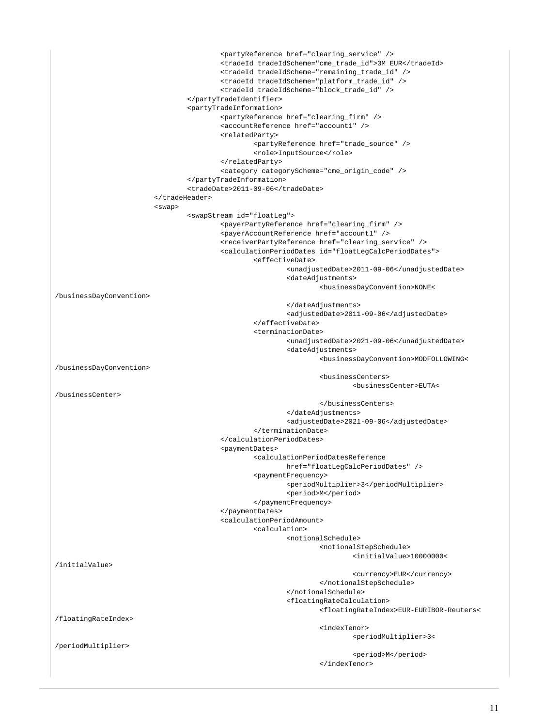```
 <partyReference href="clearing_service" />
                                           <tradeId tradeIdScheme="cme_trade_id">3M EUR</tradeId>
                                           <tradeId tradeIdScheme="remaining_trade_id" />
                                           <tradeId tradeIdScheme="platform_trade_id" />
                                           <tradeId tradeIdScheme="block_trade_id" />
                                  </partyTradeIdentifier>
                                  <partyTradeInformation>
                                           <partyReference href="clearing_firm" />
                                           <accountReference href="account1" />
                                           <relatedParty>
                                                   <partyReference href="trade_source" />
                                                   <role>InputSource</role>
                                           </relatedParty>
                                           <category categoryScheme="cme_origin_code" />
                                  </partyTradeInformation>
                                  <tradeDate>2011-09-06</tradeDate>
                          </tradeHeader>
                          <swap>
                                  <swapStream id="floatLeg">
                                           <payerPartyReference href="clearing_firm" />
                                           <payerAccountReference href="account1" />
                                           <receiverPartyReference href="clearing_service" />
                                           <calculationPeriodDates id="floatLegCalcPeriodDates">
                                                   <effectiveDate>
                                                            <unadjustedDate>2011-09-06</unadjustedDate>
                                                           <dateAdjustments>
                                                                    <businessDayConvention>NONE<
/businessDayConvention>
                                                           </dateAdjustments>
                                                           <adjustedDate>2011-09-06</adjustedDate>
                                                   </effectiveDate>
                                                   <terminationDate>
                                                           <unadjustedDate>2021-09-06</unadjustedDate>
                                                           <dateAdjustments>
                                                                    <businessDayConvention>MODFOLLOWING<
/businessDayConvention>
                                                                    <businessCenters>
                                                                            <businessCenter>EUTA<
/businessCenter>
                                                                    </businessCenters>
                                                            </dateAdjustments>
                                                            <adjustedDate>2021-09-06</adjustedDate>
                                                   </terminationDate>
                                           </calculationPeriodDates>
                                           <paymentDates>
                                                   <calculationPeriodDatesReference
                                                           href="floatLegCalcPeriodDates" />
                                                   <paymentFrequency>
                                                           <periodMultiplier>3</periodMultiplier>
                                                           <period>M</period>
                                                   </paymentFrequency>
                                           </paymentDates>
                                           <calculationPeriodAmount>
                                                   <calculation>
                                                            <notionalSchedule>
                                                                    <notionalStepSchedule>
                                                                             <initialValue>10000000<
/initialValue>
                                                                            <currency>EUR</currency>
                                                                    </notionalStepSchedule>
                                                            </notionalSchedule>
                                                            <floatingRateCalculation>
                                                                    <floatingRateIndex>EUR-EURIBOR-Reuters<
/floatingRateIndex>
                                                                    <indexTenor>
                                                                             <periodMultiplier>3<
/periodMultiplier>
                                                                             <period>M</period>
                                                                    </indexTenor>
```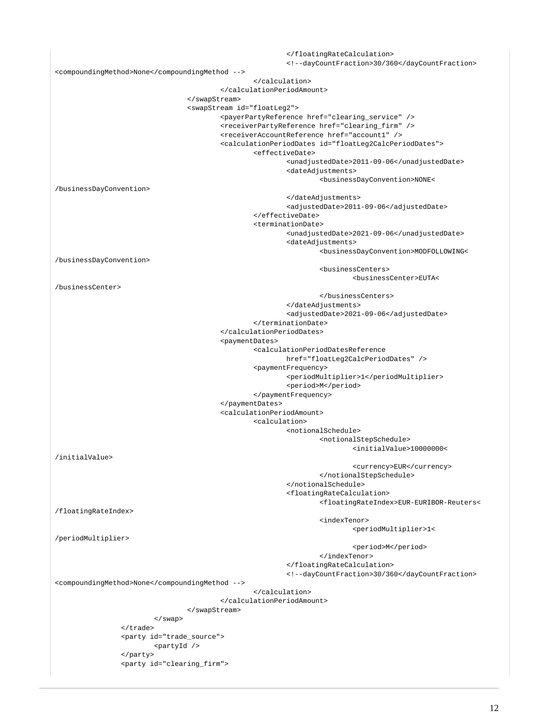</floatingRateCalculation> <!--dayCountFraction>30/360</dayCountFraction> <compoundingMethod>None</compoundingMethod --> </calculation> </calculationPeriodAmount> </swapStream> <swapStream id="floatLeg2"> <payerPartyReference href="clearing\_service" /> <receiverPartyReference href="clearing\_firm" /> <receiverAccountReference href="account1" /> <calculationPeriodDates id="floatLeg2CalcPeriodDates"> <effectiveDate> <unadjustedDate>2011-09-06</unadjustedDate> <dateAdjustments> <businessDayConvention>NONE< /businessDayConvention> </dateAdjustments> <adjustedDate>2011-09-06</adjustedDate> </effectiveDate> <terminationDate> <unadjustedDate>2021-09-06</unadjustedDate> <dateAdjustments> <businessDayConvention>MODFOLLOWING< /businessDayConvention> <businessCenters> <businessCenter>EUTA< /businessCenter> </businessCenters> </dateAdjustments> <adjustedDate>2021-09-06</adjustedDate> </terminationDate> </calculationPeriodDates> <paymentDates> <calculationPeriodDatesReference href="floatLeg2CalcPeriodDates" /> <paymentFrequency> <periodMultiplier>1</periodMultiplier> <period>M</period> </paymentFrequency> </paymentDates> <calculationPeriodAmount> <calculation> <notionalSchedule> <notionalStepSchedule> <initialValue>10000000< /initialValue> <currency>EUR</currency> </notionalStepSchedule> </notionalSchedule> <floatingRateCalculation> <floatingRateIndex>EUR-EURIBOR-Reuters< /floatingRateIndex> <indexTenor> <periodMultiplier>1< /periodMultiplier> <period>M</period> </indexTenor> </floatingRateCalculation> <!--dayCountFraction>30/360</dayCountFraction> <compoundingMethod>None</compoundingMethod --> </calculation> </calculationPeriodAmount> </swapStream> </swap> </trade> <party id="trade\_source"> <partyId /> </party> <party id="clearing\_firm">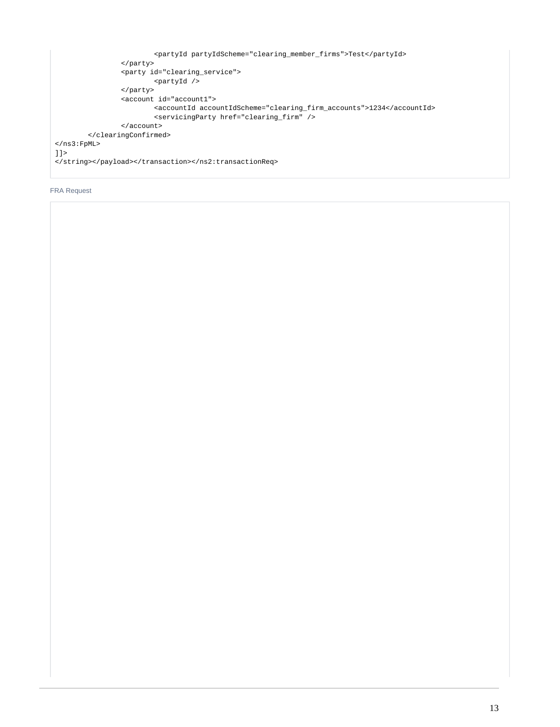```
 <partyId partyIdScheme="clearing_member_firms">Test</partyId>
                 </party>
                 <party id="clearing_service">
                         <partyId />
                 </party>
                 <account id="account1">
                         <accountId accountIdScheme="clearing_firm_accounts">1234</accountId>
                         <servicingParty href="clearing_firm" />
                 </account>
         </clearingConfirmed>
</ns3:FpML>
]]>
</string></payload></transaction></ns2:transactionReq>
```
## <span id="page-12-0"></span>FRA Request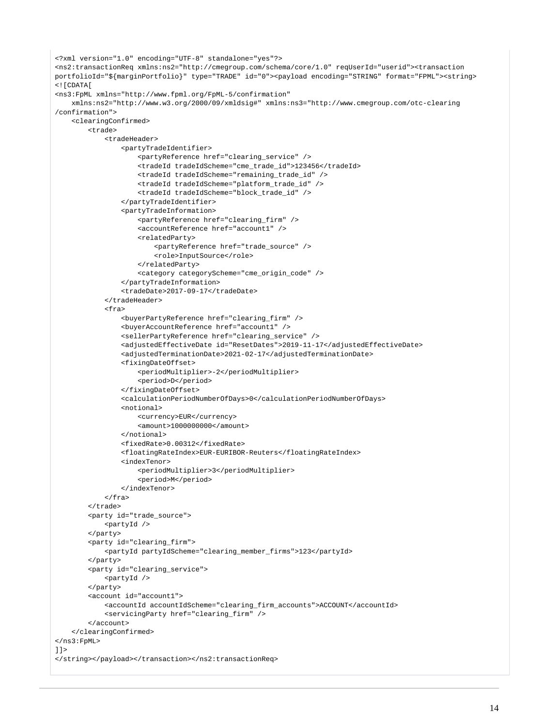```
<?xml version="1.0" encoding="UTF-8" standalone="yes"?>
<ns2:transactionReq xmlns:ns2="http://cmegroup.com/schema/core/1.0" reqUserId="userid"><transaction 
portfolioId="${marginPortfolio}" type="TRADE" id="0"><payload encoding="STRING" format="FPML"><string>
<![CDATA[
<ns3:FpML xmlns="http://www.fpml.org/FpML-5/confirmation"
     xmlns:ns2="http://www.w3.org/2000/09/xmldsig#" xmlns:ns3="http://www.cmegroup.com/otc-clearing
/confirmation">
     <clearingConfirmed>
         <trade>
             <tradeHeader>
                  <partyTradeIdentifier>
                      <partyReference href="clearing_service" />
                      <tradeId tradeIdScheme="cme_trade_id">123456</tradeId>
                      <tradeId tradeIdScheme="remaining_trade_id" />
                      <tradeId tradeIdScheme="platform_trade_id" />
                      <tradeId tradeIdScheme="block_trade_id" />
                  </partyTradeIdentifier>
                  <partyTradeInformation>
                      <partyReference href="clearing_firm" />
                      <accountReference href="account1" />
                      <relatedParty>
                          <partyReference href="trade_source" />
                          <role>InputSource</role>
                      </relatedParty>
                      <category categoryScheme="cme_origin_code" />
                  </partyTradeInformation>
                  <tradeDate>2017-09-17</tradeDate>
             </tradeHeader>
             <fra>
                  <buyerPartyReference href="clearing_firm" />
                  <buyerAccountReference href="account1" />
                  <sellerPartyReference href="clearing_service" />
                  <adjustedEffectiveDate id="ResetDates">2019-11-17</adjustedEffectiveDate>
                  <adjustedTerminationDate>2021-02-17</adjustedTerminationDate>
                  <fixingDateOffset>
                      <periodMultiplier>-2</periodMultiplier>
                      <period>D</period>
                  </fixingDateOffset>
                  <calculationPeriodNumberOfDays>0</calculationPeriodNumberOfDays> 
                  <notional>
                      <currency>EUR</currency>
                      <amount>1000000000</amount>
                  </notional>
                  <fixedRate>0.00312</fixedRate>
                  <floatingRateIndex>EUR-EURIBOR-Reuters</floatingRateIndex>
                  <indexTenor>
                      <periodMultiplier>3</periodMultiplier>
                      <period>M</period>
                  </indexTenor>
            \langlefra>
         </trade>
         <party id="trade_source">
             <partyId />
         </party>
         <party id="clearing_firm">
             <partyId partyIdScheme="clearing_member_firms">123</partyId>
         </party>
         <party id="clearing_service">
             <partyId />
         </party>
         <account id="account1">
             <accountId accountIdScheme="clearing_firm_accounts">ACCOUNT</accountId>
             <servicingParty href="clearing_firm" />
         </account>
     </clearingConfirmed>
</ns3:FpML>
11<sub>2</sub></string></payload></transaction></ns2:transactionReq>
```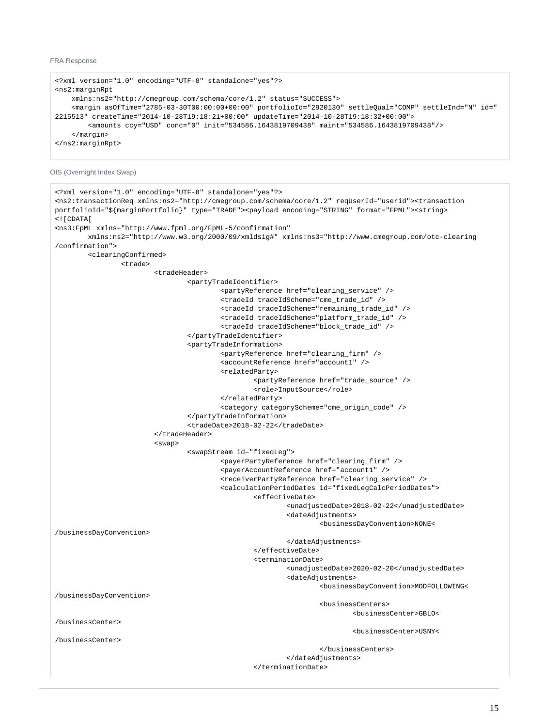### FRA Response

```
<?xml version="1.0" encoding="UTF-8" standalone="yes"?>
<ns2:marginRpt
     xmlns:ns2="http://cmegroup.com/schema/core/1.2" status="SUCCESS">
     <margin asOfTime="2785-03-30T00:00:00+00:00" portfolioId="2920130" settleQual="COMP" settleInd="N" id="
2215513" createTime="2014-10-28T19:18:21+00:00" updateTime="2014-10-28T19:18:32+00:00">
         <amounts ccy="USD" conc="0" init="534586.1643819709438" maint="534586.1643819709438"/>
     </margin>
</ns2:marginRpt>
```
<span id="page-14-0"></span>OIS (Overnight Index Swap)

```
<?xml version="1.0" encoding="UTF-8" standalone="yes"?>
<ns2:transactionReq xmlns:ns2="http://cmegroup.com/schema/core/1.2" reqUserId="userid"><transaction 
portfolioId="${marginPortfolio}" type="TRADE"><payload encoding="STRING" format="FPML"><string>
<![CDATA[
<ns3:FpML xmlns="http://www.fpml.org/FpML-5/confirmation"
         xmlns:ns2="http://www.w3.org/2000/09/xmldsig#" xmlns:ns3="http://www.cmegroup.com/otc-clearing
/confirmation">
         <clearingConfirmed>
                 <trade>
                          <tradeHeader>
                                  <partyTradeIdentifier>
                                           <partyReference href="clearing_service" />
                                           <tradeId tradeIdScheme="cme_trade_id" />
                                           <tradeId tradeIdScheme="remaining_trade_id" />
                                           <tradeId tradeIdScheme="platform_trade_id" />
                                           <tradeId tradeIdScheme="block_trade_id" />
                                  </partyTradeIdentifier>
                                  <partyTradeInformation>
                                           <partyReference href="clearing_firm" />
                                           <accountReference href="account1" />
                                           <relatedParty>
                                                   <partyReference href="trade_source" />
                                                   <role>InputSource</role>
                                           </relatedParty>
                                           <category categoryScheme="cme_origin_code" />
                                  </partyTradeInformation>
                                  <tradeDate>2018-02-22</tradeDate>
                          </tradeHeader>
                          <swap>
                                  <swapStream id="fixedLeg">
                                           <payerPartyReference href="clearing_firm" />
                                           <payerAccountReference href="account1" />
                                           <receiverPartyReference href="clearing_service" />
                                           <calculationPeriodDates id="fixedLegCalcPeriodDates">
                                                   <effectiveDate>
                                                           <unadjustedDate>2018-02-22</unadjustedDate>
                                                           <dateAdjustments>
                                                                    <businessDayConvention>NONE<
/businessDayConvention>
                                                           </dateAdjustments>
                                                   </effectiveDate>
                                                   <terminationDate>
                                                           <unadjustedDate>2020-02-20</unadjustedDate>
                                                           <dateAdjustments>
                                                                    <businessDayConvention>MODFOLLOWING<
/businessDayConvention>
                                                                    <businessCenters>
                                                                            <businessCenter>GBLO<
/businessCenter>
                                                                            <businessCenter>USNY<
/businessCenter>
                                                                    </businessCenters>
                                                           </dateAdjustments>
                                                   </terminationDate>
```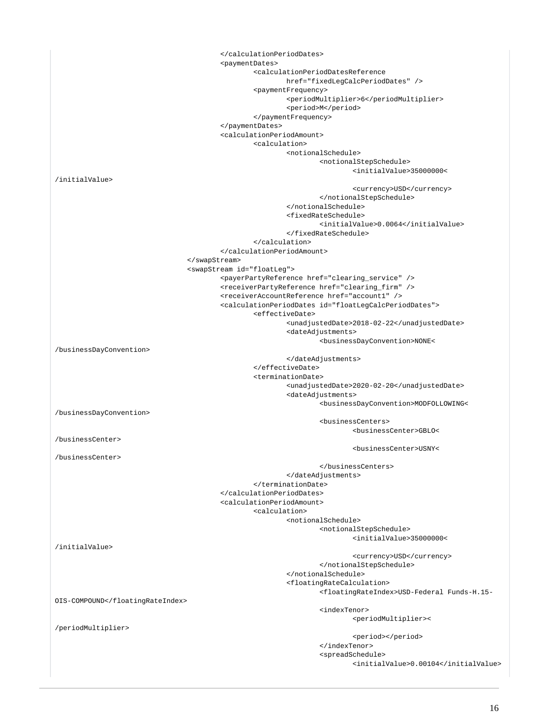</calculationPeriodDates> <paymentDates> <calculationPeriodDatesReference href="fixedLegCalcPeriodDates" /> <paymentFrequency> <periodMultiplier>6</periodMultiplier> <period>M</period> </paymentFrequency> </paymentDates> <calculationPeriodAmount> <calculation> <notionalSchedule> <notionalStepSchedule> <initialValue>35000000< /initialValue> <currency>USD</currency> </notionalStepSchedule> </notionalSchedule> <fixedRateSchedule> <initialValue>0.0064</initialValue> </fixedRateSchedule> </calculation> </calculationPeriodAmount> </swapStream> <swapStream id="floatLeg"> <payerPartyReference href="clearing\_service" /> <receiverPartyReference href="clearing\_firm" /> <receiverAccountReference href="account1" /> <calculationPeriodDates id="floatLegCalcPeriodDates"> <effectiveDate> <unadjustedDate>2018-02-22</unadjustedDate> <dateAdjustments> <businessDayConvention>NONE< /businessDayConvention> </dateAdjustments> </effectiveDate> <terminationDate> <unadjustedDate>2020-02-20</unadjustedDate> <dateAdjustments> <businessDayConvention>MODFOLLOWING< /businessDayConvention> <businessCenters> <businessCenter>GBLO< /businessCenter> <businessCenter>USNY< /businessCenter> </businessCenters> </dateAdjustments> </terminationDate> </calculationPeriodDates> <calculationPeriodAmount> <calculation> <notionalSchedule> <notionalStepSchedule> <initialValue>35000000< /initialValue> <currency>USD</currency> </notionalStepSchedule> </notionalSchedule> <floatingRateCalculation> <floatingRateIndex>USD-Federal Funds-H.15- OIS-COMPOUND</floatingRateIndex>  $\sim$  indexTenor> $\sim$  <periodMultiplier>< /periodMultiplier> <period></period> </indexTenor> <spreadSchedule> <initialValue>0.00104</initialValue>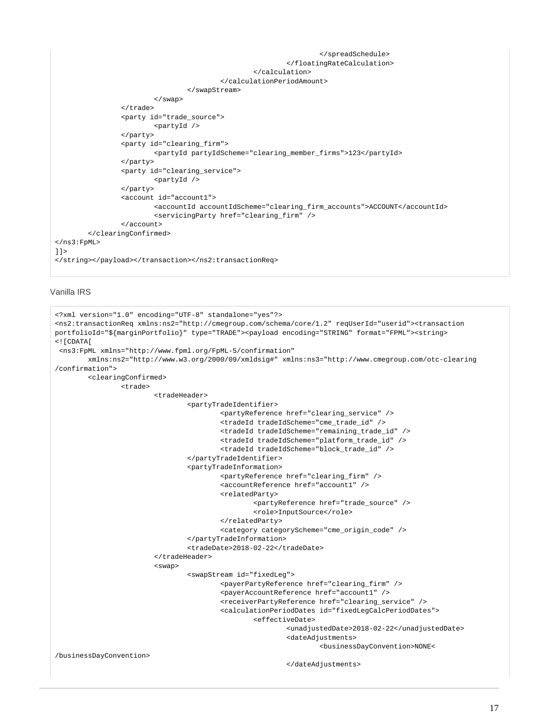```
 </spreadSchedule>
                                                             </floatingRateCalculation>
                                                    </calculation>
                                            </calculationPeriodAmount>
                                   </swapStream>
                          </swap>
                  </trade>
                  <party id="trade_source">
                          <partyId />
                  </party>
                  <party id="clearing_firm">
                          <partyId partyIdScheme="clearing_member_firms">123</partyId>
                  </party>
                  <party id="clearing_service">
                          <partyId />
                  </party>
                  <account id="account1">
                          <accountId accountIdScheme="clearing_firm_accounts">ACCOUNT</accountId>
                          <servicingParty href="clearing_firm" />
                  </account>
         </clearingConfirmed>
</ns3:FpML>
]]>
</string></payload></transaction></ns2:transactionReq>
```

```
Vanilla IRS
```

```
<?xml version="1.0" encoding="UTF-8" standalone="yes"?>
<ns2:transactionReq xmlns:ns2="http://cmegroup.com/schema/core/1.2" reqUserId="userid"><transaction 
portfolioId="${marginPortfolio}" type="TRADE"><payload encoding="STRING" format="FPML"><string>
<![CDATA[
  <ns3:FpML xmlns="http://www.fpml.org/FpML-5/confirmation"
         xmlns:ns2="http://www.w3.org/2000/09/xmldsig#" xmlns:ns3="http://www.cmegroup.com/otc-clearing
/confirmation">
         <clearingConfirmed>
                 <trade>
                          <tradeHeader>
                                  <partyTradeIdentifier>
                                          <partyReference href="clearing_service" />
                                          <tradeId tradeIdScheme="cme_trade_id" />
                                           <tradeId tradeIdScheme="remaining_trade_id" />
                                          <tradeId tradeIdScheme="platform_trade_id" />
                                          <tradeId tradeIdScheme="block_trade_id" />
                                  </partyTradeIdentifier>
                                  <partyTradeInformation>
                                          <partyReference href="clearing_firm" />
                                           <accountReference href="account1" />
                                           <relatedParty>
                                                   <partyReference href="trade_source" />
                                                   <role>InputSource</role>
                                          </relatedParty>
                                          <category categoryScheme="cme_origin_code" />
                                  </partyTradeInformation>
                                  <tradeDate>2018-02-22</tradeDate>
                          </tradeHeader>
                          <swap>
                                  <swapStream id="fixedLeg">
                                          <payerPartyReference href="clearing_firm" />
                                          <payerAccountReference href="account1" />
                                           <receiverPartyReference href="clearing_service" />
                                           <calculationPeriodDates id="fixedLegCalcPeriodDates">
                                                   <effectiveDate>
                                                           <unadjustedDate>2018-02-22</unadjustedDate>
                                                           <dateAdjustments>
                                                                   <businessDayConvention>NONE<
/businessDayConvention>
                                                           </dateAdjustments>
```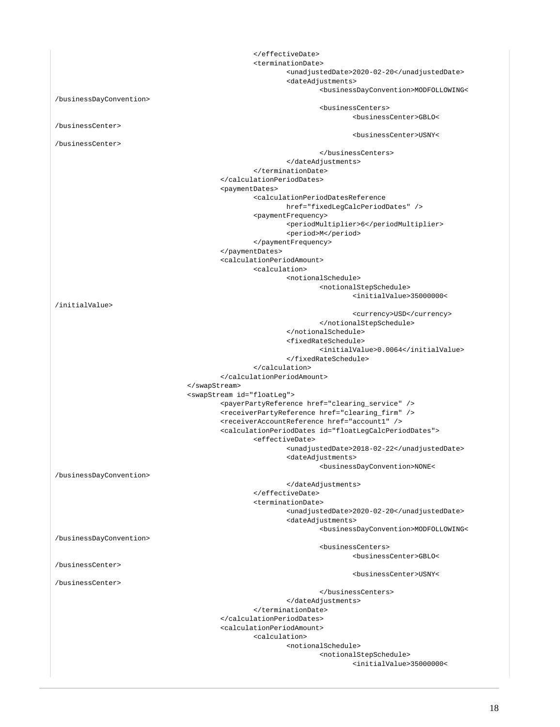</effectiveDate> <terminationDate> <unadjustedDate>2020-02-20</unadjustedDate> <dateAdjustments> <businessDayConvention>MODFOLLOWING< /businessDayConvention> <businessCenters> <businessCenter>GBLO< /businessCenter> <businessCenter>USNY< /businessCenter> </businessCenters> </dateAdjustments> </terminationDate> </calculationPeriodDates> <paymentDates> <calculationPeriodDatesReference href="fixedLegCalcPeriodDates" /> <paymentFrequency> <periodMultiplier>6</periodMultiplier> <period>M</period> </paymentFrequency> </paymentDates> <calculationPeriodAmount> <calculation> <notionalSchedule> <notionalStepSchedule> <initialValue>35000000< /initialValue> <currency>USD</currency> </notionalStepSchedule> </notionalSchedule> <fixedRateSchedule> <initialValue>0.0064</initialValue> </fixedRateSchedule> </calculation> </calculationPeriodAmount> </swapStream> <swapStream id="floatLeg"> <payerPartyReference href="clearing\_service" /> <receiverPartyReference href="clearing\_firm" /> <receiverAccountReference href="account1" /> <calculationPeriodDates id="floatLegCalcPeriodDates"> <effectiveDate> <unadjustedDate>2018-02-22</unadjustedDate> <dateAdjustments> <businessDayConvention>NONE< /businessDayConvention> </dateAdjustments> </effectiveDate> <terminationDate> <unadjustedDate>2020-02-20</unadjustedDate> <dateAdjustments> <businessDayConvention>MODFOLLOWING< /businessDayConvention> <businessCenters> <businessCenter>GBLO< /businessCenter> <businessCenter>USNY< /businessCenter> </businessCenters> </dateAdjustments> </terminationDate> </calculationPeriodDates> <calculationPeriodAmount> <calculation> <notionalSchedule> <notionalStepSchedule> <initialValue>35000000<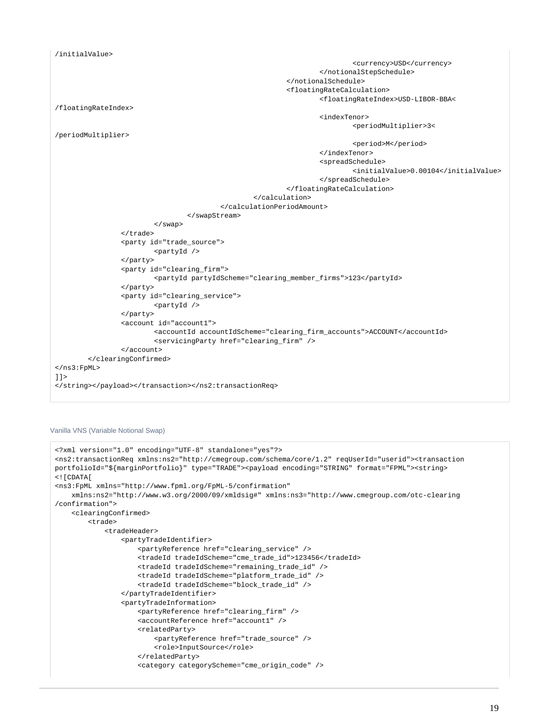```
/initialValue>
                                                                             <currency>USD</currency>
                                                                     </notionalStepSchedule>
                                                            </notionalSchedule>
                                                            <floatingRateCalculation>
                                                                     <floatingRateIndex>USD-LIBOR-BBA<
/floatingRateIndex>
                                                                     <indexTenor>
                                                                             <periodMultiplier>3<
/periodMultiplier>
                                                                             <period>M</period>
                                                                     </indexTenor>
                                                                     <spreadSchedule>
                                                                             <initialValue>0.00104</initialValue>
                                                                     </spreadSchedule>
                                                            </floatingRateCalculation>
                                                    </calculation>
                                           </calculationPeriodAmount>
                                   </swapStream>
                          </swap>
                  </trade>
                  <party id="trade_source">
                          <partyId />
                  </party>
                  <party id="clearing_firm">
                          <partyId partyIdScheme="clearing_member_firms">123</partyId>
                  </party>
                  <party id="clearing_service">
                          <partyId />
                  </party>
                  <account id="account1">
                          <accountId accountIdScheme="clearing_firm_accounts">ACCOUNT</accountId>
                          <servicingParty href="clearing_firm" />
                  </account>
         </clearingConfirmed>
</ns3:FpML>
]]>
</string></payload></transaction></ns2:transactionReq>
```
#### <span id="page-18-0"></span>Vanilla VNS (Variable Notional Swap)

```
<?xml version="1.0" encoding="UTF-8" standalone="yes"?>
<ns2:transactionReq xmlns:ns2="http://cmegroup.com/schema/core/1.2" reqUserId="userid"><transaction 
portfolioId="${marginPortfolio}" type="TRADE"><payload encoding="STRING" format="FPML"><string>
\leq! [CDATA[
<ns3:FpML xmlns="http://www.fpml.org/FpML-5/confirmation"
    xmlns:ns2="http://www.w3.org/2000/09/xmldsig#" xmlns:ns3="http://www.cmegroup.com/otc-clearing
/confirmation">
     <clearingConfirmed>
         <trade>
             <tradeHeader>
                 <partyTradeIdentifier>
                     <partyReference href="clearing_service" />
                     <tradeId tradeIdScheme="cme_trade_id">123456</tradeId>
                     <tradeId tradeIdScheme="remaining_trade_id" />
                     <tradeId tradeIdScheme="platform_trade_id" />
                     <tradeId tradeIdScheme="block_trade_id" />
                 </partyTradeIdentifier>
                 <partyTradeInformation>
                     <partyReference href="clearing_firm" />
                     <accountReference href="account1" />
                     <relatedParty>
                         <partyReference href="trade_source" />
                          <role>InputSource</role>
                     </relatedParty>
                     <category categoryScheme="cme_origin_code" />
```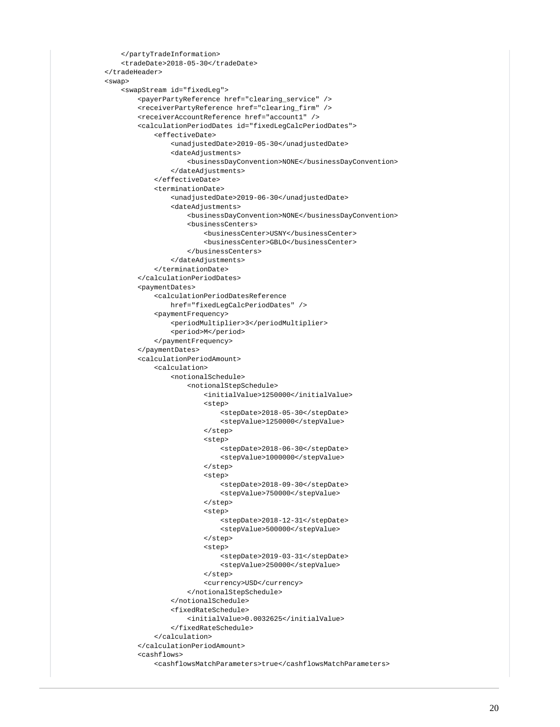```
 </partyTradeInformation>
                 <tradeDate>2018-05-30</tradeDate>
             </tradeHeader>
             <swap>
                 <swapStream id="fixedLeg">
                     <payerPartyReference href="clearing_service" />
                     <receiverPartyReference href="clearing_firm" />
                     <receiverAccountReference href="account1" />
                     <calculationPeriodDates id="fixedLegCalcPeriodDates">
                         <effectiveDate>
                             <unadjustedDate>2019-05-30</unadjustedDate>
                              <dateAdjustments>
                                  <businessDayConvention>NONE</businessDayConvention>
                              </dateAdjustments>
                         </effectiveDate>
                         <terminationDate>
                             <unadjustedDate>2019-06-30</unadjustedDate>
                              <dateAdjustments>
                                  <businessDayConvention>NONE</businessDayConvention>
                                  <businessCenters>
                                      <businessCenter>USNY</businessCenter>
                                      <businessCenter>GBLO</businessCenter>
                                  </businessCenters>
                             </dateAdjustments>
                         </terminationDate>
                     </calculationPeriodDates>
                     <paymentDates>
                         <calculationPeriodDatesReference
                             href="fixedLegCalcPeriodDates" />
                         <paymentFrequency>
                             <periodMultiplier>3</periodMultiplier>
                             <period>M</period>
                          </paymentFrequency>
                     </paymentDates>
                     <calculationPeriodAmount>
                         <calculation>
                             <notionalSchedule>
                                  <notionalStepSchedule>
                                      <initialValue>1250000</initialValue>
                                      <step>
                                          <stepDate>2018-05-30</stepDate>
                                          <stepValue>1250000</stepValue>
                                      </step>
<step>
                                          <stepDate>2018-06-30</stepDate>
                                          <stepValue>1000000</stepValue>
                                      </step>
                                      <step>
                                          <stepDate>2018-09-30</stepDate>
                                          <stepValue>750000</stepValue>
                                      </step>
                                      <step>
                                          <stepDate>2018-12-31</stepDate>
                                          <stepValue>500000</stepValue>
                                      </step>
                                      <step>
                                          <stepDate>2019-03-31</stepDate>
                                          <stepValue>250000</stepValue>
                                      </step>
                                      <currency>USD</currency>
                                  </notionalStepSchedule>
                              </notionalSchedule>
                              <fixedRateSchedule>
                                  <initialValue>0.0032625</initialValue>
                              </fixedRateSchedule>
                          </calculation>
                     </calculationPeriodAmount>
                     <cashflows>
                         <cashflowsMatchParameters>true</cashflowsMatchParameters>
```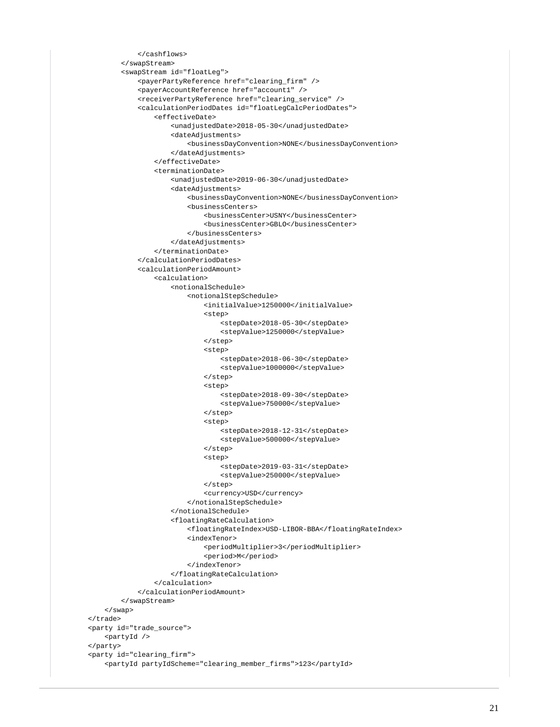```
 </cashflows>
         </swapStream>
         <swapStream id="floatLeg">
             <payerPartyReference href="clearing_firm" />
             <payerAccountReference href="account1" />
             <receiverPartyReference href="clearing_service" />
             <calculationPeriodDates id="floatLegCalcPeriodDates">
                  <effectiveDate>
                      <unadjustedDate>2018-05-30</unadjustedDate>
                      <dateAdjustments>
                          <businessDayConvention>NONE</businessDayConvention>
                      </dateAdjustments>
                  </effectiveDate>
                  <terminationDate>
                      <unadjustedDate>2019-06-30</unadjustedDate>
                      <dateAdjustments>
                          <businessDayConvention>NONE</businessDayConvention>
                          <businessCenters>
                              <businessCenter>USNY</businessCenter>
                              <businessCenter>GBLO</businessCenter>
                          </businessCenters>
                      </dateAdjustments>
                  </terminationDate>
              </calculationPeriodDates>
              <calculationPeriodAmount>
                  <calculation>
                      <notionalSchedule>
                          <notionalStepSchedule>
                              <initialValue>1250000</initialValue>
                              <step>
                                   <stepDate>2018-05-30</stepDate>
                                   <stepValue>1250000</stepValue>
                              </step>
                              <step>
                                   <stepDate>2018-06-30</stepDate>
                                   <stepValue>1000000</stepValue>
                              </step>
                              <step>
                                   <stepDate>2018-09-30</stepDate>
                                   <stepValue>750000</stepValue>
                              </step>
                              <step>
                                   <stepDate>2018-12-31</stepDate>
                                   <stepValue>500000</stepValue>
                              </step>
                              <step>
                                   <stepDate>2019-03-31</stepDate>
                                   <stepValue>250000</stepValue>
                              </step>
                              <currency>USD</currency>
                          </notionalStepSchedule>
                      </notionalSchedule>
                      <floatingRateCalculation>
                          <floatingRateIndex>USD-LIBOR-BBA</floatingRateIndex>
                          <indexTenor>
                              <periodMultiplier>3</periodMultiplier>
                              <period>M</period>
                          </indexTenor>
                      </floatingRateCalculation>
                  </calculation>
             </calculationPeriodAmount>
         </swapStream>
     </swap>
 </trade>
 <party id="trade_source">
     <partyId />
 </party>
 <party id="clearing_firm">
     <partyId partyIdScheme="clearing_member_firms">123</partyId>
```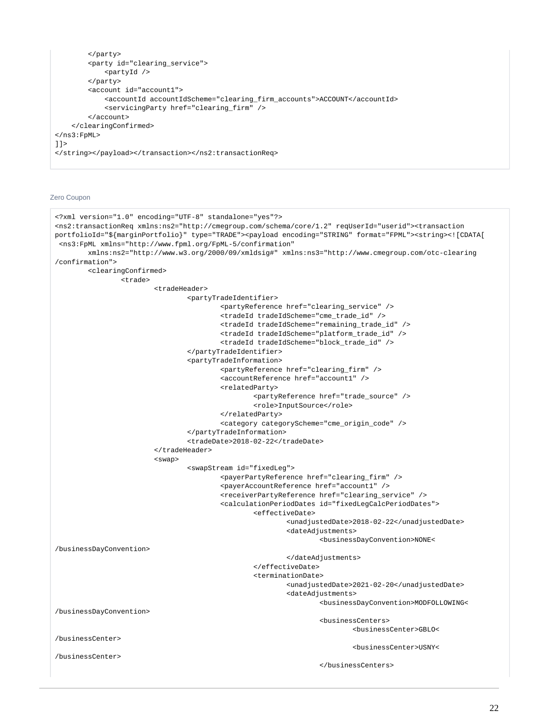```
 </party>
         <party id="clearing_service">
              <partyId />
        \epsilon/narty>
         <account id="account1">
              <accountId accountIdScheme="clearing_firm_accounts">ACCOUNT</accountId>
              <servicingParty href="clearing_firm" />
         </account>
     </clearingConfirmed>
</ns3:FpML>
]]>
</string></payload></transaction></ns2:transactionReq>
```
## <span id="page-21-0"></span>Zero Coupon

```
<?xml version="1.0" encoding="UTF-8" standalone="yes"?>
<ns2:transactionReq xmlns:ns2="http://cmegroup.com/schema/core/1.2" reqUserId="userid"><transaction 
portfolioId="${marginPortfolio}" type="TRADE"><payload encoding="STRING" format="FPML"><string><![CDATA[
  <ns3:FpML xmlns="http://www.fpml.org/FpML-5/confirmation"
         xmlns:ns2="http://www.w3.org/2000/09/xmldsig#" xmlns:ns3="http://www.cmegroup.com/otc-clearing
/confirmation">
         <clearingConfirmed>
                 <trade>
                          <tradeHeader>
                                  <partyTradeIdentifier>
                                          <partyReference href="clearing_service" />
                                          <tradeId tradeIdScheme="cme_trade_id" />
                                          <tradeId tradeIdScheme="remaining_trade_id" />
                                           <tradeId tradeIdScheme="platform_trade_id" />
                                           <tradeId tradeIdScheme="block_trade_id" />
                                  </partyTradeIdentifier>
                                  <partyTradeInformation>
                                          <partyReference href="clearing_firm" />
                                           <accountReference href="account1" />
                                           <relatedParty>
                                                   <partyReference href="trade_source" />
                                                  <role>InputSource</role>
                                          </relatedParty>
                                          <category categoryScheme="cme_origin_code" />
                                  </partyTradeInformation>
                                  <tradeDate>2018-02-22</tradeDate>
                          </tradeHeader>
                          <swap>
                                  <swapStream id="fixedLeg">
                                          <payerPartyReference href="clearing_firm" />
                                          <payerAccountReference href="account1" />
                                           <receiverPartyReference href="clearing_service" />
                                           <calculationPeriodDates id="fixedLegCalcPeriodDates">
                                                   <effectiveDate>
                                                           <unadjustedDate>2018-02-22</unadjustedDate>
                                                           <dateAdjustments>
                                                                    <businessDayConvention>NONE<
/businessDayConvention>
                                                           </dateAdjustments>
                                                   </effectiveDate>
                                                   <terminationDate>
                                                           <unadjustedDate>2021-02-20</unadjustedDate>
                                                           <dateAdjustments>
                                                                    <businessDayConvention>MODFOLLOWING<
/businessDayConvention>
                                                                    <businessCenters>
                                                                            <businessCenter>GBLO<
/businessCenter>
                                                                            <businessCenter>USNY<
/businessCenter>
                                                                    </businessCenters>
```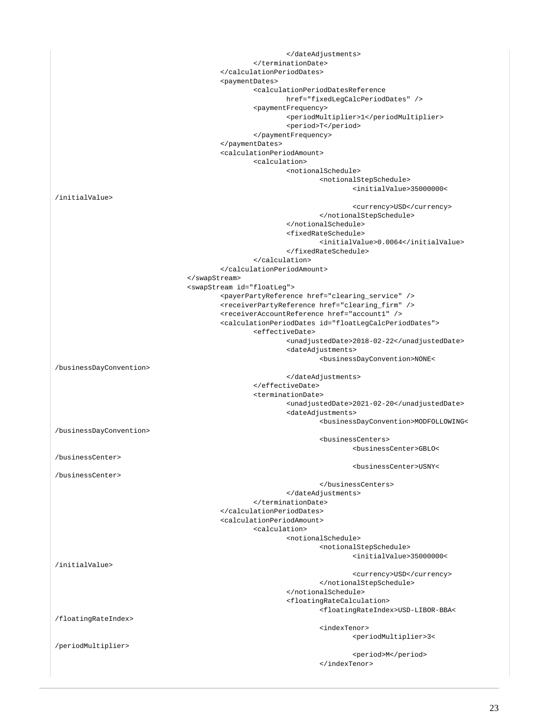| <paymentdates></paymentdates>                           |                                                                                                               |
|---------------------------------------------------------|---------------------------------------------------------------------------------------------------------------|
|                                                         | <calculationperioddatesreference<br>href="fixedLeqCalcPeriodDates" /&gt;</calculationperioddatesreference<br> |
|                                                         | <paymentfrequency></paymentfrequency>                                                                         |
|                                                         | <periodmultiplier>1</periodmultiplier>                                                                        |
|                                                         | <period>T</period>                                                                                            |
|                                                         |                                                                                                               |
|                                                         |                                                                                                               |
| <calculationperiodamount></calculationperiodamount>     |                                                                                                               |
| <calculation></calculation>                             |                                                                                                               |
|                                                         | <notionalschedule></notionalschedule>                                                                         |
|                                                         | <notionalstepschedule></notionalstepschedule>                                                                 |
| /initialValue>                                          | <initialvalue>35000000&lt;</initialvalue>                                                                     |
|                                                         | <currency>USD</currency>                                                                                      |
|                                                         |                                                                                                               |
|                                                         |                                                                                                               |
|                                                         | <fixedrateschedule></fixedrateschedule>                                                                       |
|                                                         | <initialvalue>0.0064</initialvalue>                                                                           |
|                                                         |                                                                                                               |
|                                                         |                                                                                                               |
|                                                         |                                                                                                               |
|                                                         |                                                                                                               |
| <swapstream id="floatLeg"></swapstream>                 | <payerpartyreference href="clearing_service"></payerpartyreference>                                           |
|                                                         | <receiverpartyreference href="clearing_firm"></receiverpartyreference>                                        |
|                                                         | <receiveraccountreference href="account1"></receiveraccountreference>                                         |
|                                                         | <calculationperioddates id="floatLegCalcPeriodDates"></calculationperioddates>                                |
|                                                         | <effectivedate></effectivedate>                                                                               |
|                                                         | <unadjusteddate>2018-02-22</unadjusteddate>                                                                   |
|                                                         | <dateadjustments></dateadjustments>                                                                           |
|                                                         | <businessdayconvention>NONE&lt;</businessdayconvention>                                                       |
| /businessDayConvention>                                 |                                                                                                               |
|                                                         |                                                                                                               |
|                                                         | <br><terminationdate></terminationdate>                                                                       |
|                                                         |                                                                                                               |
|                                                         |                                                                                                               |
|                                                         | <unadjusteddate>2021-02-20</unadjusteddate>                                                                   |
|                                                         | <dateadjustments></dateadjustments>                                                                           |
| /businessDayConvention>                                 | <businessdayconvention>MODFOLLOWING&lt;</businessdayconvention>                                               |
|                                                         | <businesscenters></businesscenters>                                                                           |
|                                                         | <businesscenter>GBLO&lt;</businesscenter>                                                                     |
| /businessCenter>                                        |                                                                                                               |
|                                                         | <businesscenter>USNY&lt;</businesscenter>                                                                     |
| /businessCenter>                                        |                                                                                                               |
|                                                         |                                                                                                               |
|                                                         |                                                                                                               |
|                                                         |                                                                                                               |
| <br><calculationperiodamount></calculationperiodamount> |                                                                                                               |
| <calculation></calculation>                             |                                                                                                               |
|                                                         | <notionalschedule></notionalschedule>                                                                         |
|                                                         | <notionalstepschedule></notionalstepschedule>                                                                 |
|                                                         | <initialvalue>35000000&lt;</initialvalue>                                                                     |
| /initialValue>                                          |                                                                                                               |
|                                                         | <currency>USD</currency>                                                                                      |
|                                                         |                                                                                                               |
|                                                         |                                                                                                               |
|                                                         | <floatingratecalculation></floatingratecalculation>                                                           |
|                                                         | <floatingrateindex>USD-LIBOR-BBA&lt;</floatingrateindex>                                                      |
| /floatingRateIndex>                                     | <indextenor></indextenor>                                                                                     |
|                                                         | <periodmultiplier>3&lt;</periodmultiplier>                                                                    |
| /periodMultiplier>                                      |                                                                                                               |
|                                                         | <period>M</period><br>                                                                                        |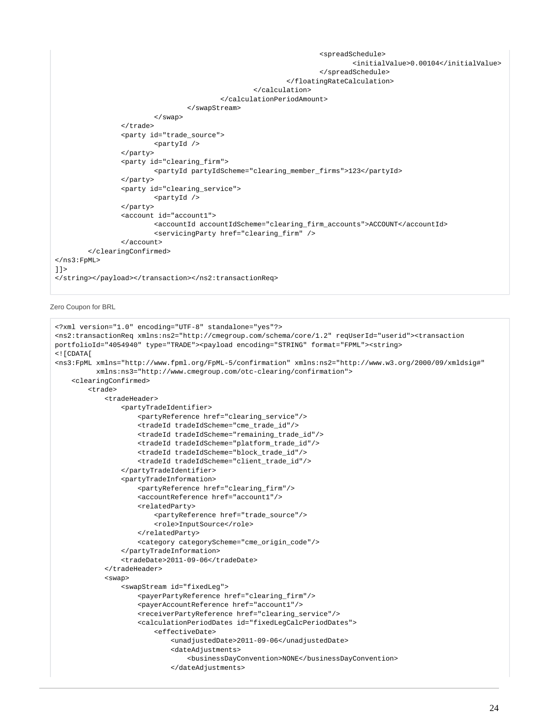```
 <spreadSchedule>
                                                                              <initialValue>0.00104</initialValue>
                                                                     </spreadSchedule>
                                                            </floatingRateCalculation>
                                                    </calculation>
                                            </calculationPeriodAmount>
                                   </swapStream>
                          </swap>
                  </trade>
                  <party id="trade_source">
                          <partyId />
                  </party>
                  <party id="clearing_firm">
                          <partyId partyIdScheme="clearing_member_firms">123</partyId>
                  </party>
                  <party id="clearing_service">
                          <partyId />
                  </party>
                  <account id="account1">
                          <accountId accountIdScheme="clearing_firm_accounts">ACCOUNT</accountId>
                          <servicingParty href="clearing_firm" />
                  </account>
         </clearingConfirmed>
</ns3:FpML>
]]>
</string></payload></transaction></ns2:transactionReq>
```

```
Zero Coupon for BRL
```

```
<?xml version="1.0" encoding="UTF-8" standalone="yes"?>
<ns2:transactionReq xmlns:ns2="http://cmegroup.com/schema/core/1.2" reqUserId="userid"><transaction 
portfolioId="4054940" type="TRADE"><payload encoding="STRING" format="FPML"><string>
<![CDATA[
<ns3:FpML xmlns="http://www.fpml.org/FpML-5/confirmation" xmlns:ns2="http://www.w3.org/2000/09/xmldsig#"
           xmlns:ns3="http://www.cmegroup.com/otc-clearing/confirmation">
     <clearingConfirmed>
         <trade>
             <tradeHeader>
                 <partyTradeIdentifier>
                     <partyReference href="clearing_service"/>
                      <tradeId tradeIdScheme="cme_trade_id"/>
                     <tradeId tradeIdScheme="remaining_trade_id"/>
                     <tradeId tradeIdScheme="platform_trade_id"/>
                     <tradeId tradeIdScheme="block_trade_id"/>
                      <tradeId tradeIdScheme="client_trade_id"/>
                 </partyTradeIdentifier>
                  <partyTradeInformation>
                      <partyReference href="clearing_firm"/>
                      <accountReference href="account1"/>
                      <relatedParty>
                         <partyReference href="trade_source"/>
                          <role>InputSource</role>
                     </relatedParty>
                      <category categoryScheme="cme_origin_code"/>
                 </partyTradeInformation>
                  <tradeDate>2011-09-06</tradeDate>
             </tradeHeader>
             <swap>
                 <swapStream id="fixedLeg">
                      <payerPartyReference href="clearing_firm"/>
                      <payerAccountReference href="account1"/>
                     <receiverPartyReference href="clearing_service"/>
                     <calculationPeriodDates id="fixedLegCalcPeriodDates">
                          <effectiveDate>
                              <unadjustedDate>2011-09-06</unadjustedDate>
                              <dateAdjustments>
                                  <businessDayConvention>NONE</businessDayConvention>
                              </dateAdjustments>
```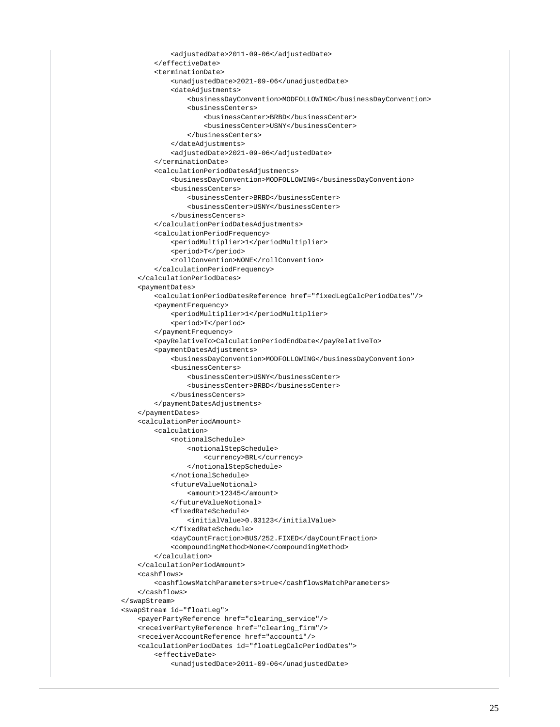```
 <adjustedDate>2011-09-06</adjustedDate>
         </effectiveDate>
         <terminationDate>
             <unadjustedDate>2021-09-06</unadjustedDate>
             <dateAdjustments>
                 <businessDayConvention>MODFOLLOWING</businessDayConvention>
                 <businessCenters>
                     <businessCenter>BRBD</businessCenter>
                      <businessCenter>USNY</businessCenter>
                 </businessCenters>
             </dateAdjustments>
             <adjustedDate>2021-09-06</adjustedDate>
         </terminationDate>
         <calculationPeriodDatesAdjustments>
             <businessDayConvention>MODFOLLOWING</businessDayConvention>
             <businessCenters>
                 <businessCenter>BRBD</businessCenter>
                 <businessCenter>USNY</businessCenter>
             </businessCenters>
         </calculationPeriodDatesAdjustments>
         <calculationPeriodFrequency>
             <periodMultiplier>1</periodMultiplier>
             <period>T</period>
             <rollConvention>NONE</rollConvention>
         </calculationPeriodFrequency>
     </calculationPeriodDates>
     <paymentDates>
         <calculationPeriodDatesReference href="fixedLegCalcPeriodDates"/>
         <paymentFrequency>
             <periodMultiplier>1</periodMultiplier>
             <period>T</period>
         </paymentFrequency>
         <payRelativeTo>CalculationPeriodEndDate</payRelativeTo>
         <paymentDatesAdjustments>
             <businessDayConvention>MODFOLLOWING</businessDayConvention>
             <businessCenters>
                 <businessCenter>USNY</businessCenter>
                 <businessCenter>BRBD</businessCenter>
             </businessCenters>
         </paymentDatesAdjustments>
     </paymentDates>
     <calculationPeriodAmount>
         <calculation>
             <notionalSchedule>
                 <notionalStepSchedule>
                     <currency>BRL</currency>
                 </notionalStepSchedule>
             </notionalSchedule>
             <futureValueNotional>
                 <amount>12345</amount>
             </futureValueNotional>
             <fixedRateSchedule>
                 <initialValue>0.03123</initialValue>
             </fixedRateSchedule>
             <dayCountFraction>BUS/252.FIXED</dayCountFraction>
             <compoundingMethod>None</compoundingMethod>
         </calculation>
     </calculationPeriodAmount>
     <cashflows>
         <cashflowsMatchParameters>true</cashflowsMatchParameters>
     </cashflows>
 </swapStream>
 <swapStream id="floatLeg">
    <payerPartyReference href="clearing_service"/>
     <receiverPartyReference href="clearing_firm"/>
    <receiverAccountReference href="account1"/>
     <calculationPeriodDates id="floatLegCalcPeriodDates">
         <effectiveDate>
             <unadjustedDate>2011-09-06</unadjustedDate>
```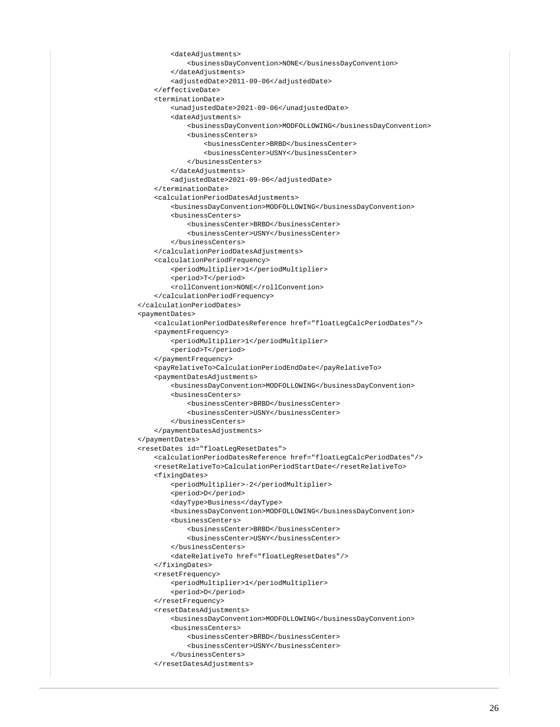```
 <dateAdjustments>
             <businessDayConvention>NONE</businessDayConvention>
         </dateAdjustments>
         <adjustedDate>2011-09-06</adjustedDate>
     </effectiveDate>
     <terminationDate>
         <unadjustedDate>2021-09-06</unadjustedDate>
         <dateAdjustments>
             <businessDayConvention>MODFOLLOWING</businessDayConvention>
             <businessCenters>
                 <businessCenter>BRBD</businessCenter>
                 <businessCenter>USNY</businessCenter>
             </businessCenters>
         </dateAdjustments>
         <adjustedDate>2021-09-06</adjustedDate>
     </terminationDate>
     <calculationPeriodDatesAdjustments>
         <businessDayConvention>MODFOLLOWING</businessDayConvention>
         <businessCenters>
             <businessCenter>BRBD</businessCenter>
             <businessCenter>USNY</businessCenter>
         </businessCenters>
     </calculationPeriodDatesAdjustments>
     <calculationPeriodFrequency>
         <periodMultiplier>1</periodMultiplier>
         <period>T</period>
         <rollConvention>NONE</rollConvention>
     </calculationPeriodFrequency>
 </calculationPeriodDates>
 <paymentDates>
     <calculationPeriodDatesReference href="floatLegCalcPeriodDates"/>
     <paymentFrequency>
         <periodMultiplier>1</periodMultiplier>
         <period>T</period>
     </paymentFrequency>
     <payRelativeTo>CalculationPeriodEndDate</payRelativeTo>
     <paymentDatesAdjustments>
         <businessDayConvention>MODFOLLOWING</businessDayConvention>
         <businessCenters>
             <businessCenter>BRBD</businessCenter>
             <businessCenter>USNY</businessCenter>
         </businessCenters>
     </paymentDatesAdjustments>
 </paymentDates>
 <resetDates id="floatLegResetDates">
    <calculationPeriodDatesReference href="floatLegCalcPeriodDates"/>
     <resetRelativeTo>CalculationPeriodStartDate</resetRelativeTo>
     <fixingDates>
         <periodMultiplier>-2</periodMultiplier>
         <period>D</period>
         <dayType>Business</dayType>
         <businessDayConvention>MODFOLLOWING</businessDayConvention>
         <businessCenters>
             <businessCenter>BRBD</businessCenter>
             <businessCenter>USNY</businessCenter>
         </businessCenters>
         <dateRelativeTo href="floatLegResetDates"/>
     </fixingDates>
     <resetFrequency>
         <periodMultiplier>1</periodMultiplier>
         <period>D</period>
     </resetFrequency>
     <resetDatesAdjustments>
         <businessDayConvention>MODFOLLOWING</businessDayConvention>
         <businessCenters>
             <businessCenter>BRBD</businessCenter>
             <businessCenter>USNY</businessCenter>
         </businessCenters>
     </resetDatesAdjustments>
```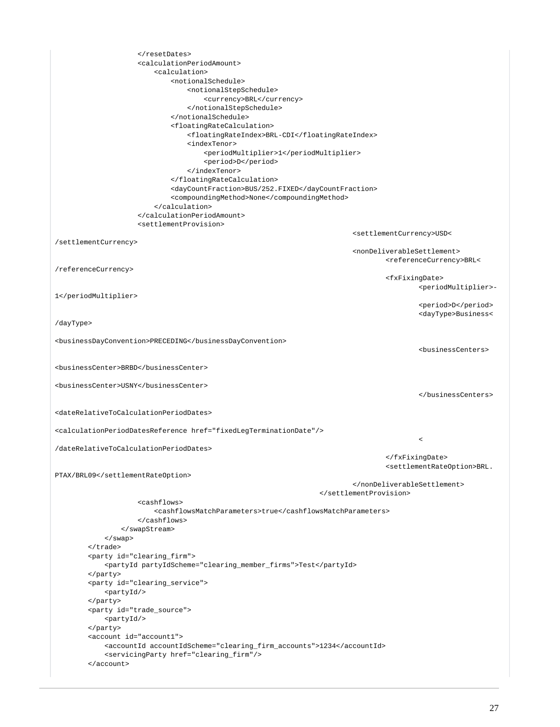```
 </resetDates>
                      <calculationPeriodAmount>
                          <calculation>
                              <notionalSchedule>
                                   <notionalStepSchedule>
                                       <currency>BRL</currency>
                                   </notionalStepSchedule>
                              </notionalSchedule>
                               <floatingRateCalculation>
                                   <floatingRateIndex>BRL-CDI</floatingRateIndex>
                                   <indexTenor>
                                       <periodMultiplier>1</periodMultiplier>
                                       <period>D</period>
                                   </indexTenor>
                               </floatingRateCalculation>
                              <dayCountFraction>BUS/252.FIXED</dayCountFraction>
                              <compoundingMethod>None</compoundingMethod>
                          </calculation>
                      </calculationPeriodAmount>
                      <settlementProvision>
                                                                             <settlementCurrency>USD<
/settlementCurrency>
                                                                              <nonDeliverableSettlement>
                                                                                      <referenceCurrency>BRL<
/referenceCurrency>
                                                                                      <fxFixingDate>
                                                                                               <periodMultiplier>-
1</periodMultiplier>
                                                                                               <period>D</period>
                                                                                               <dayType>Business<
/dayType>
<businessDayConvention>PRECEDING</businessDayConvention>
                                                                                               <businessCenters>
<businessCenter>BRBD</businessCenter>
<businessCenter>USNY</businessCenter>
                                                                                               </businessCenters>
<dateRelativeToCalculationPeriodDates>
<calculationPeriodDatesReference href="fixedLegTerminationDate"/>
the contract of the contract of the contract of the contract of the contract of the contract of the contract of
/dateRelativeToCalculationPeriodDates>
                                                                                      </fxFixingDate>
                                                                                      <settlementRateOption>BRL.
PTAX/BRL09</settlementRateOption>
                                                                             </nonDeliverableSettlement>
                                                                     </settlementProvision>
                      <cashflows>
                          <cashflowsMatchParameters>true</cashflowsMatchParameters>
                      </cashflows>
                  </swapStream>
             </swap>
         </trade>
         <party id="clearing_firm">
             <partyId partyIdScheme="clearing_member_firms">Test</partyId>
         </party>
         <party id="clearing_service">
             <partyId/>
         </party>
         <party id="trade_source">
             <partyId/>
         </party>
         <account id="account1">
             <accountId accountIdScheme="clearing_firm_accounts">1234</accountId>
             <servicingParty href="clearing_firm"/>
         </account>
```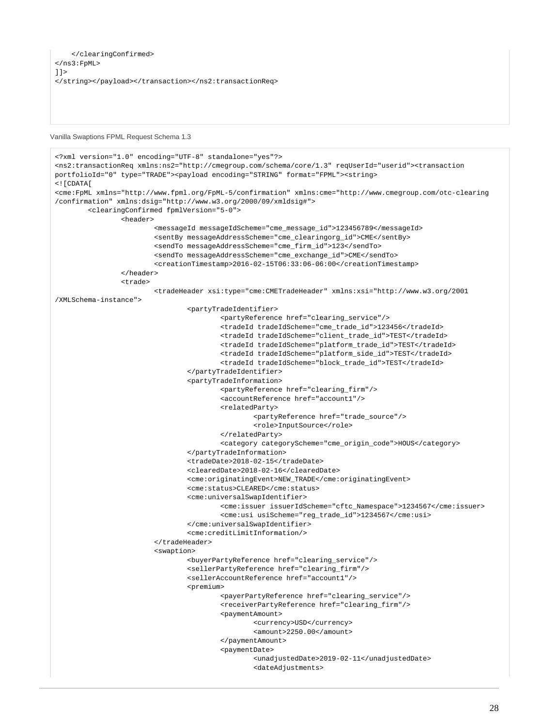```
 </clearingConfirmed>
</ns3:FpML>
|]>
</string></payload></transaction></ns2:transactionReq>
```
<span id="page-27-0"></span>Vanilla Swaptions FPML Request Schema 1.3

```
<?xml version="1.0" encoding="UTF-8" standalone="yes"?>
<ns2:transactionReq xmlns:ns2="http://cmegroup.com/schema/core/1.3" reqUserId="userid"><transaction 
portfolioId="0" type="TRADE"><payload encoding="STRING" format="FPML"><string>
<![CDATA[
<cme:FpML xmlns="http://www.fpml.org/FpML-5/confirmation" xmlns:cme="http://www.cmegroup.com/otc-clearing
/confirmation" xmlns:dsig="http://www.w3.org/2000/09/xmldsig#">
         <clearingConfirmed fpmlVersion="5-0">
                 <header>
                          <messageId messageIdScheme="cme_message_id">123456789</messageId>
                          <sentBy messageAddressScheme="cme_clearingorg_id">CME</sentBy>
                          <sendTo messageAddressScheme="cme_firm_id">123</sendTo>
                          <sendTo messageAddressScheme="cme_exchange_id">CME</sendTo>
                          <creationTimestamp>2016-02-15T06:33:06-06:00</creationTimestamp>
                 </header>
                 <trade>
                          <tradeHeader xsi:type="cme:CMETradeHeader" xmlns:xsi="http://www.w3.org/2001
/XMLSchema-instance">
                                  <partyTradeIdentifier>
                                          <partyReference href="clearing_service"/>
                                          <tradeId tradeIdScheme="cme_trade_id">123456</tradeId>
                                          <tradeId tradeIdScheme="client_trade_id">TEST</tradeId>
                                          <tradeId tradeIdScheme="platform_trade_id">TEST</tradeId>
                                          <tradeId tradeIdScheme="platform_side_id">TEST</tradeId>
                                          <tradeId tradeIdScheme="block_trade_id">TEST</tradeId>
                                  </partyTradeIdentifier>
                                  <partyTradeInformation>
                                          <partyReference href="clearing_firm"/>
                                          <accountReference href="account1"/>
                                          <relatedParty>
                                                   <partyReference href="trade_source"/>
                                                  <role>InputSource</role>
                                          </relatedParty>
                                          <category categoryScheme="cme_origin_code">HOUS</category>
                                  </partyTradeInformation>
                                  <tradeDate>2018-02-15</tradeDate>
                                  <clearedDate>2018-02-16</clearedDate>
                                  <cme:originatingEvent>NEW_TRADE</cme:originatingEvent>
                                  <cme:status>CLEARED</cme:status>
                                  <cme:universalSwapIdentifier>
                                          <cme:issuer issuerIdScheme="cftc_Namespace">1234567</cme:issuer>
                                          <cme:usi usiScheme="reg_trade_id">1234567</cme:usi>
                                  </cme:universalSwapIdentifier>
                                  <cme:creditLimitInformation/>
                          </tradeHeader>
                          <swaption>
                                  <buyerPartyReference href="clearing_service"/>
                                  <sellerPartyReference href="clearing_firm"/>
                                  <sellerAccountReference href="account1"/>
                                  <premium>
                                          <payerPartyReference href="clearing_service"/>
                                          <receiverPartyReference href="clearing_firm"/>
                                          <paymentAmount>
                                                  <currency>USD</currency>
                                                  <amount>2250.00</amount>
                                          </paymentAmount>
                                          <paymentDate>
                                                   <unadjustedDate>2019-02-11</unadjustedDate>
                                                   <dateAdjustments>
```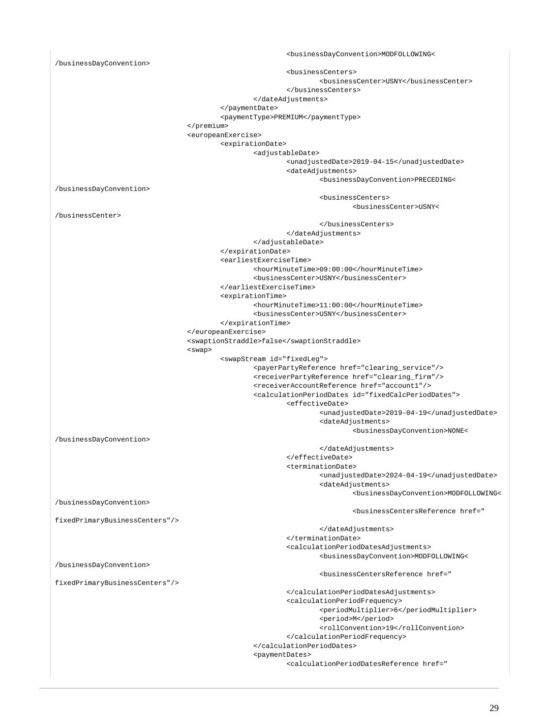<businessDayConvention>MODFOLLOWING< /businessDayConvention> <businessCenters> <businessCenter>USNY</businessCenter> </businessCenters> </dateAdjustments> </paymentDate> <paymentType>PREMIUM</paymentType> </premium> <europeanExercise> <expirationDate> <adjustableDate> <unadjustedDate>2019-04-15</unadjustedDate> <dateAdjustments> <businessDayConvention>PRECEDING< /businessDayConvention> <businessCenters> <businessCenter>USNY< /businessCenter> </businessCenters> </dateAdjustments> </adjustableDate> </expirationDate> <earliestExerciseTime> <hourMinuteTime>09:00:00</hourMinuteTime> <businessCenter>USNY</businessCenter> </earliestExerciseTime> <expirationTime> <hourMinuteTime>11:00:00</hourMinuteTime> <businessCenter>USNY</businessCenter> </expirationTime> </europeanExercise> <swaptionStraddle>false</swaptionStraddle> <swap> <swapStream id="fixedLeg"> <payerPartyReference href="clearing\_service"/> <receiverPartyReference href="clearing\_firm"/> <receiverAccountReference href="account1"/> <calculationPeriodDates id="fixedCalcPeriodDates"> <effectiveDate> <unadjustedDate>2019-04-19</unadjustedDate> <dateAdjustments> <businessDayConvention>NONE< /businessDayConvention> </dateAdjustments> </effectiveDate> <terminationDate> <unadjustedDate>2024-04-19</unadjustedDate> <dateAdjustments> <businessDayConvention>MODFOLLOWING< /businessDayConvention> <businessCentersReference href=" fixedPrimaryBusinessCenters"/> </dateAdjustments> </terminationDate> <calculationPeriodDatesAdjustments> <businessDayConvention>MODFOLLOWING< /businessDayConvention> <businessCentersReference href=" fixedPrimaryBusinessCenters"/> </calculationPeriodDatesAdjustments> <calculationPeriodFrequency> <periodMultiplier>6</periodMultiplier> <period>M</period> <rollConvention>19</rollConvention> </calculationPeriodFrequency> </calculationPeriodDates> <paymentDates> <calculationPeriodDatesReference href="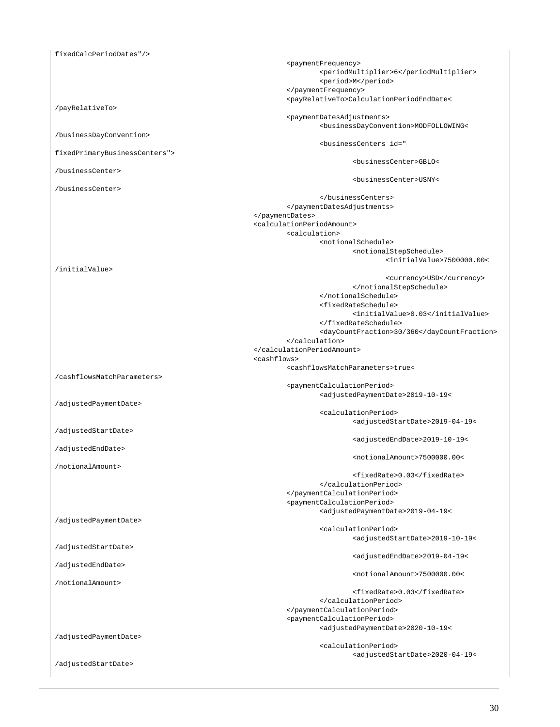fixedCalcPeriodDates"/> <paymentFrequency> <periodMultiplier>6</periodMultiplier> <period>M</period> </paymentFrequency> <payRelativeTo>CalculationPeriodEndDate< /payRelativeTo> <paymentDatesAdjustments> <businessDayConvention>MODFOLLOWING< /businessDayConvention> <businessCenters id=" fixedPrimaryBusinessCenters"> <businessCenter>GBLO< /businessCenter> <businessCenter>USNY< /businessCenter> </businessCenters> </paymentDatesAdjustments> </paymentDates> <calculationPeriodAmount> <calculation> <notionalSchedule> <notionalStepSchedule> <initialValue>7500000.00< /initialValue> <currency>USD</currency> </notionalStepSchedule> </notionalSchedule> <fixedRateSchedule> <initialValue>0.03</initialValue> </fixedRateSchedule> <dayCountFraction>30/360</dayCountFraction> </calculation> </calculationPeriodAmount> <cashflows> <cashflowsMatchParameters>true< /cashflowsMatchParameters> <paymentCalculationPeriod> <adjustedPaymentDate>2019-10-19< /adjustedPaymentDate> <calculationPeriod> <adjustedStartDate>2019-04-19< /adjustedStartDate> <adjustedEndDate>2019-10-19< /adjustedEndDate> <notionalAmount>7500000.00< /notionalAmount> <fixedRate>0.03</fixedRate> </calculationPeriod> </paymentCalculationPeriod> <paymentCalculationPeriod> <adjustedPaymentDate>2019-04-19< /adjustedPaymentDate> <calculationPeriod> <adjustedStartDate>2019-10-19< /adjustedStartDate> <adjustedEndDate>2019-04-19< /adjustedEndDate> <notionalAmount>7500000.00< /notionalAmount> <fixedRate>0.03</fixedRate> </calculationPeriod> </paymentCalculationPeriod> <paymentCalculationPeriod> <adjustedPaymentDate>2020-10-19< /adjustedPaymentDate> <calculationPeriod> <adjustedStartDate>2020-04-19< /adjustedStartDate>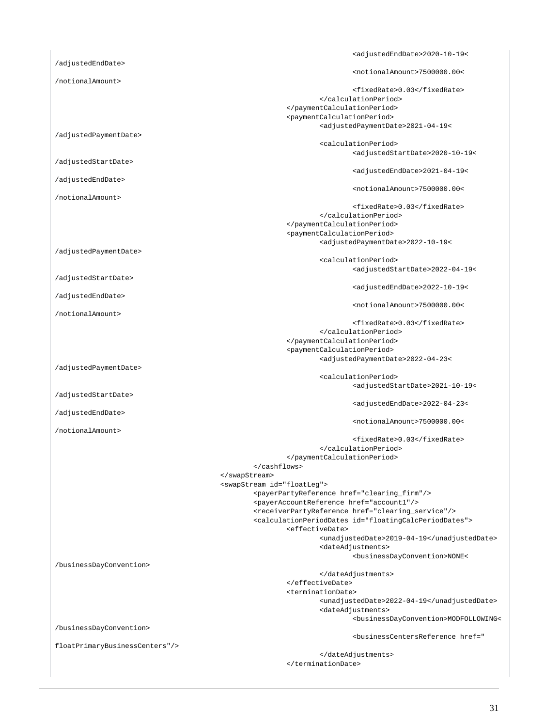<adjustedEndDate>2020-10-19< /adjustedEndDate> <notionalAmount>7500000.00< /notionalAmount> <fixedRate>0.03</fixedRate> </calculationPeriod> </paymentCalculationPeriod> <paymentCalculationPeriod> <adjustedPaymentDate>2021-04-19< /adjustedPaymentDate> <calculationPeriod> <adjustedStartDate>2020-10-19< /adjustedStartDate> <adjustedEndDate>2021-04-19< /adjustedEndDate> <notionalAmount>7500000.00< /notionalAmount> <fixedRate>0.03</fixedRate> </calculationPeriod> </paymentCalculationPeriod> <paymentCalculationPeriod> <adjustedPaymentDate>2022-10-19< /adjustedPaymentDate> <calculationPeriod> <adjustedStartDate>2022-04-19< /adjustedStartDate> <adjustedEndDate>2022-10-19< /adjustedEndDate> <notionalAmount>7500000.00< /notionalAmount> <fixedRate>0.03</fixedRate> </calculationPeriod> </paymentCalculationPeriod> <paymentCalculationPeriod> <adjustedPaymentDate>2022-04-23< /adjustedPaymentDate> <calculationPeriod> <adjustedStartDate>2021-10-19< /adjustedStartDate> <adjustedEndDate>2022-04-23< /adjustedEndDate> <notionalAmount>7500000.00< /notionalAmount> <fixedRate>0.03</fixedRate> </calculationPeriod> </paymentCalculationPeriod> </cashflows> </swapStream> <swapStream id="floatLeg"> <payerPartyReference href="clearing\_firm"/> <payerAccountReference href="account1"/> <receiverPartyReference href="clearing\_service"/> <calculationPeriodDates id="floatingCalcPeriodDates"> <effectiveDate> <unadjustedDate>2019-04-19</unadjustedDate> <dateAdjustments> <businessDayConvention>NONE< /businessDayConvention> </dateAdjustments> </effectiveDate> <terminationDate> <unadjustedDate>2022-04-19</unadjustedDate> <dateAdjustments> <businessDayConvention>MODFOLLOWING< /businessDayConvention> <businessCentersReference href=" floatPrimaryBusinessCenters"/> </dateAdjustments> </terminationDate>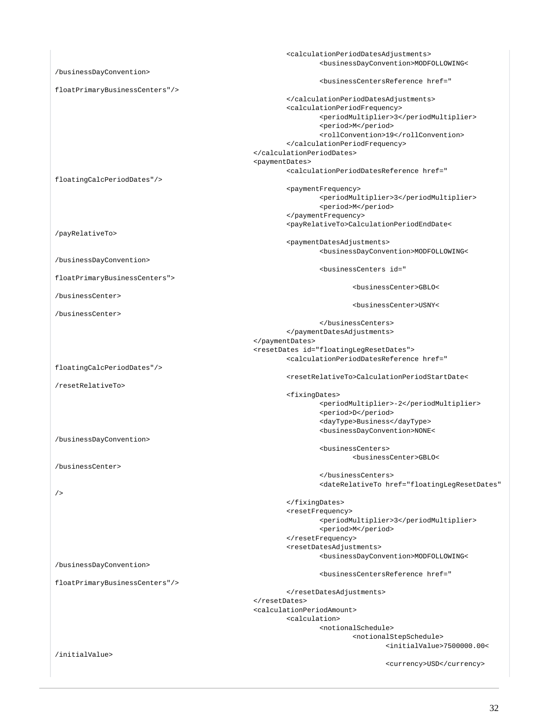|                         | <calculationperioddatesadjustments></calculationperioddatesadjustments>                                                                                                       |  |
|-------------------------|-------------------------------------------------------------------------------------------------------------------------------------------------------------------------------|--|
|                         | <businessdayconvention>MODFOLLOWING&lt;</businessdayconvention>                                                                                                               |  |
| /businessDayConvention> |                                                                                                                                                                               |  |
|                         | <businesscentersreference href="&lt;/td&gt;&lt;/tr&gt;&lt;tr&gt;&lt;td&gt;floatPrimaryBusinessCenters"></businesscentersreference>                                            |  |
|                         |                                                                                                                                                                               |  |
|                         | <calculationperiodfrequency></calculationperiodfrequency>                                                                                                                     |  |
|                         | <periodmultiplier>3</periodmultiplier>                                                                                                                                        |  |
|                         | <period>M</period>                                                                                                                                                            |  |
|                         | <rollconvention>19</rollconvention>                                                                                                                                           |  |
|                         |                                                                                                                                                                               |  |
|                         |                                                                                                                                                                               |  |
|                         |                                                                                                                                                                               |  |
|                         | <paymentdates></paymentdates>                                                                                                                                                 |  |
|                         | <calculationperioddatesreference href="&lt;/td&gt;&lt;/tr&gt;&lt;tr&gt;&lt;td&gt;floatingCalcPeriodDates"></calculationperioddatesreference>                                  |  |
|                         | <paymentfrequency></paymentfrequency>                                                                                                                                         |  |
|                         | <periodmultiplier>3</periodmultiplier>                                                                                                                                        |  |
|                         | <period>M</period>                                                                                                                                                            |  |
|                         |                                                                                                                                                                               |  |
|                         | <payrelativeto>CalculationPeriodEndDate&lt;</payrelativeto>                                                                                                                   |  |
| /payRelativeTo>         |                                                                                                                                                                               |  |
|                         | <paymentdatesadjustments></paymentdatesadjustments>                                                                                                                           |  |
|                         | <businessdayconvention>MODFOLLOWING&lt;</businessdayconvention>                                                                                                               |  |
| /businessDayConvention> |                                                                                                                                                                               |  |
|                         | <businesscenters id="&lt;/td&gt;&lt;/tr&gt;&lt;tr&gt;&lt;td&gt;&lt;/td&gt;&lt;td&gt;&lt;/td&gt;&lt;/tr&gt;&lt;tr&gt;&lt;td&gt;floatPrimaryBusinessCenters"></businesscenters> |  |
|                         | <businesscenter>GBLO&lt;</businesscenter>                                                                                                                                     |  |
| /businessCenter>        |                                                                                                                                                                               |  |
|                         | <businesscenter>USNY&lt;</businesscenter>                                                                                                                                     |  |
| /businessCenter>        |                                                                                                                                                                               |  |
|                         |                                                                                                                                                                               |  |
|                         |                                                                                                                                                                               |  |
|                         |                                                                                                                                                                               |  |
|                         | <resetdates id="floatingLegResetDates"></resetdates>                                                                                                                          |  |
|                         | <calculationperioddatesreference href="&lt;/td&gt;&lt;/tr&gt;&lt;tr&gt;&lt;td&gt;floatingCalcPeriodDates"></calculationperioddatesreference>                                  |  |
|                         | <resetrelativeto>CalculationPeriodStartDate&lt;</resetrelativeto>                                                                                                             |  |
| /resetRelativeTo>       |                                                                                                                                                                               |  |
|                         | <fixingdates></fixingdates>                                                                                                                                                   |  |
|                         | <periodmultiplier>-2</periodmultiplier>                                                                                                                                       |  |
|                         |                                                                                                                                                                               |  |
|                         | <period>D</period>                                                                                                                                                            |  |
|                         | <daytype>Business</daytype>                                                                                                                                                   |  |
|                         | <businessdayconvention>NONE&lt;</businessdayconvention>                                                                                                                       |  |
| /businessDayConvention> |                                                                                                                                                                               |  |
|                         | <businesscenters></businesscenters>                                                                                                                                           |  |
|                         | <businesscenter>GBLO&lt;</businesscenter>                                                                                                                                     |  |
| /businessCenter>        |                                                                                                                                                                               |  |
|                         |                                                                                                                                                                               |  |
|                         | <daterelativeto <="" href="floatingLegResetDates" td=""></daterelativeto>                                                                                                     |  |
| /                       |                                                                                                                                                                               |  |
|                         |                                                                                                                                                                               |  |
|                         | <resetfrequency></resetfrequency>                                                                                                                                             |  |
|                         | <periodmultiplier>3</periodmultiplier>                                                                                                                                        |  |
|                         |                                                                                                                                                                               |  |
|                         | <period>M</period>                                                                                                                                                            |  |
|                         |                                                                                                                                                                               |  |
|                         | <resetdatesadjustments></resetdatesadjustments>                                                                                                                               |  |
|                         | <businessdayconvention>MODFOLLOWING&lt;</businessdayconvention>                                                                                                               |  |
| /businessDayConvention> |                                                                                                                                                                               |  |
|                         | <businesscentersreference href="&lt;/td&gt;&lt;/tr&gt;&lt;tr&gt;&lt;td&gt;floatPrimaryBusinessCenters"></businesscentersreference>                                            |  |
|                         |                                                                                                                                                                               |  |
|                         |                                                                                                                                                                               |  |
|                         | <calculationperiodamount></calculationperiodamount>                                                                                                                           |  |
|                         | <calculation></calculation>                                                                                                                                                   |  |
|                         | <notionalschedule></notionalschedule>                                                                                                                                         |  |
|                         | <notionalstepschedule></notionalstepschedule>                                                                                                                                 |  |
|                         | <initialvalue>7500000.00&lt;</initialvalue>                                                                                                                                   |  |
| /initialValue>          |                                                                                                                                                                               |  |
|                         | <currency>USD</currency>                                                                                                                                                      |  |
|                         |                                                                                                                                                                               |  |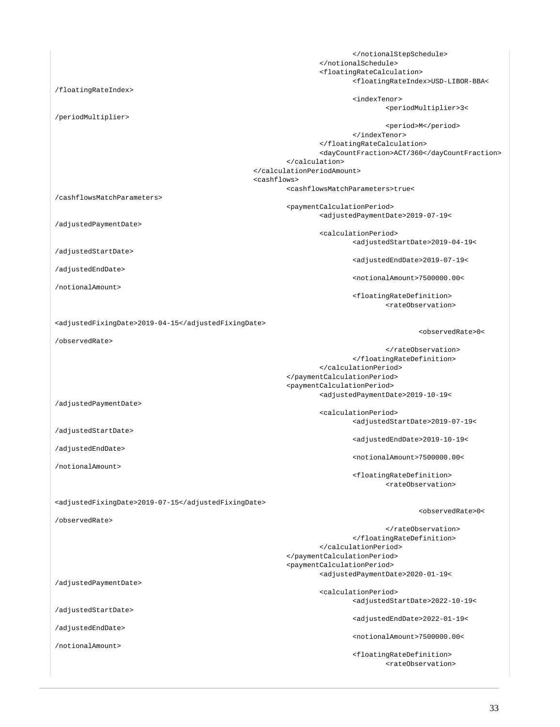</notionalStepSchedule> </notionalSchedule> <floatingRateCalculation> <floatingRateIndex>USD-LIBOR-BBA< /floatingRateIndex> <indexTenor> <periodMultiplier>3< /periodMultiplier> <period>M</period> </indexTenor> </floatingRateCalculation> <dayCountFraction>ACT/360</dayCountFraction> </calculation> </calculationPeriodAmount> <cashflows> <cashflowsMatchParameters>true< /cashflowsMatchParameters> <paymentCalculationPeriod> <adjustedPaymentDate>2019-07-19< /adjustedPaymentDate> <calculationPeriod> <adjustedStartDate>2019-04-19< /adjustedStartDate> <adjustedEndDate>2019-07-19< /adjustedEndDate> <notionalAmount>7500000.00< /notionalAmount> <floatingRateDefinition> <rateObservation> <adjustedFixingDate>2019-04-15</adjustedFixingDate> <observedRate>0< /observedRate> </rateObservation> </floatingRateDefinition> </calculationPeriod> </paymentCalculationPeriod> <paymentCalculationPeriod> <adjustedPaymentDate>2019-10-19< /adjustedPaymentDate> <calculationPeriod> <adjustedStartDate>2019-07-19< /adjustedStartDate> <adjustedEndDate>2019-10-19< /adjustedEndDate> <notionalAmount>7500000.00< /notionalAmount> <floatingRateDefinition> <rateObservation> <adjustedFixingDate>2019-07-15</adjustedFixingDate> <observedRate>0< /observedRate> </rateObservation> </floatingRateDefinition> </calculationPeriod> </paymentCalculationPeriod> <paymentCalculationPeriod> <adjustedPaymentDate>2020-01-19< /adjustedPaymentDate> <calculationPeriod> <adjustedStartDate>2022-10-19< /adjustedStartDate> <adjustedEndDate>2022-01-19< /adjustedEndDate> <notionalAmount>7500000.00< /notionalAmount> <floatingRateDefinition> <rateObservation>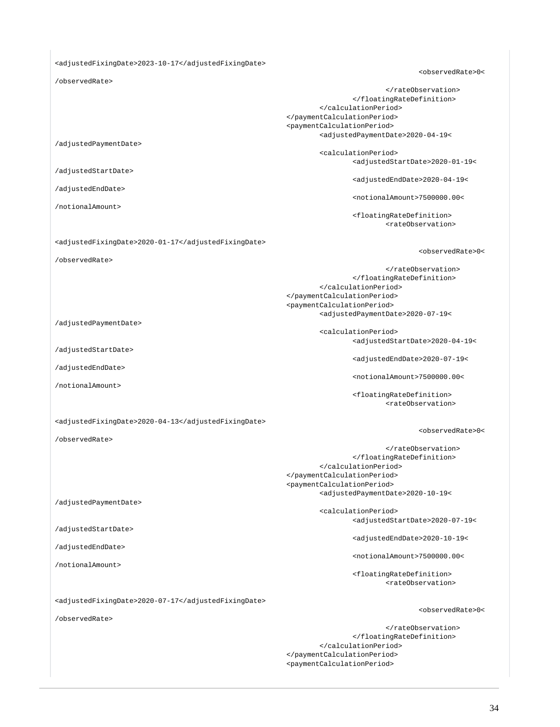<adjustedFixingDate>2023-10-17</adjustedFixingDate>

<observedRate>0<

 </rateObservation> </floatingRateDefinition> </calculationPeriod> </paymentCalculationPeriod> <paymentCalculationPeriod> <adjustedPaymentDate>2020-04-19<

<calculationPeriod>

 $<$ observedRate>0< $\le$ 

/adjustedPaymentDate>

/observedRate>

/adjustedStartDate>

/adjustedEndDate>

/notionalAmount>

<adjustedFixingDate>2020-01-17</adjustedFixingDate>

/observedRate>

 </rateObservation> </floatingRateDefinition> </calculationPeriod> </paymentCalculationPeriod> <paymentCalculationPeriod>

/adjustedPaymentDate>

/adjustedStartDate>

/adjustedEndDate>

/notionalAmount>

<adjustedPaymentDate>2020-07-19<

 <calculationPeriod> <adjustedStartDate>2020-04-19<

<adjustedEndDate>2020-07-19<

<adjustedStartDate>2020-01-19<

<adjustedEndDate>2020-04-19<

<notionalAmount>7500000.00<

<rateObservation>

<floatingRateDefinition>

<notionalAmount>7500000.00<

 <floatingRateDefinition> <rateObservation>

<adjustedFixingDate>2020-04-13</adjustedFixingDate>

/observedRate>

 </rateObservation> </floatingRateDefinition> </calculationPeriod> </paymentCalculationPeriod> <paymentCalculationPeriod> <adjustedPaymentDate>2020-10-19<

/adjustedPaymentDate>

/adjustedStartDate>

/adjustedEndDate>

/notionalAmount>

<adjustedFixingDate>2020-07-17</adjustedFixingDate>

/observedRate>

 <calculationPeriod> <adjustedStartDate>2020-07-19<

<adjustedEndDate>2020-10-19<

<notionalAmount>7500000.00<

 <floatingRateDefinition> <rateObservation>

 $<$ observedRate>0< $\le$ 

<observedRate>0<

 </rateObservation> </floatingRateDefinition> </calculationPeriod> </paymentCalculationPeriod> <paymentCalculationPeriod>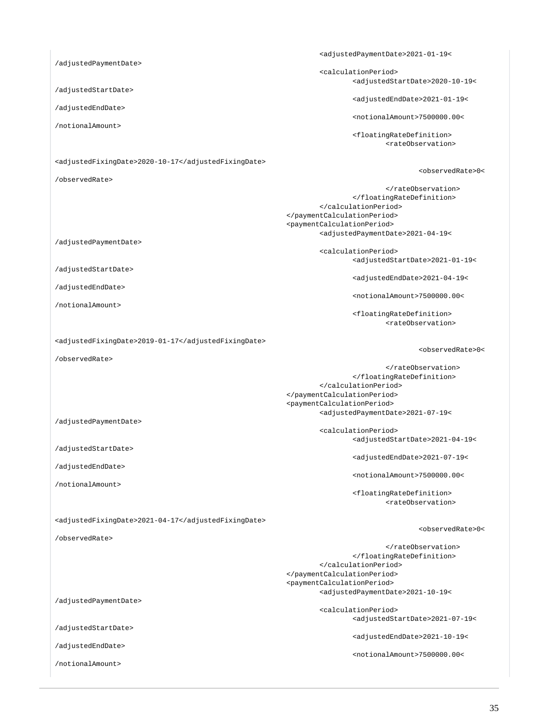<adjustedPaymentDate>2021-01-19< /adjustedPaymentDate> <calculationPeriod> <adjustedStartDate>2020-10-19< /adjustedStartDate> <adjustedEndDate>2021-01-19< /adjustedEndDate> <notionalAmount>7500000.00< /notionalAmount>

> <floatingRateDefinition> <rateObservation>

> </floatingRateDefinition>

<adjustedPaymentDate>2021-04-19<

</calculationPeriod>

<calculationPeriod>

 </paymentCalculationPeriod> <paymentCalculationPeriod>

</rateObservation>

<adjustedStartDate>2021-01-19<

<adjustedEndDate>2021-04-19<

<notionalAmount>7500000.00<

<rateObservation>

<adjustedStartDate>2021-04-19<

<adjustedEndDate>2021-07-19<

<notionalAmount>7500000.00<

<rateObservation>

<floatingRateDefinition>

<floatingRateDefinition>

<observedRate>0<

<observedRate>0<

<adjustedFixingDate>2020-10-17</adjustedFixingDate>

/observedRate>

/adjustedPaymentDate>

/adjustedStartDate>

/adjustedEndDate>

/notionalAmount>

<adjustedFixingDate>2019-01-17</adjustedFixingDate>

/observedRate>

 </rateObservation> </floatingRateDefinition> </calculationPeriod> </paymentCalculationPeriod> <paymentCalculationPeriod> <adjustedPaymentDate>2021-07-19<

<calculationPeriod>

/adjustedPaymentDate>

/adjustedStartDate>

/adjustedEndDate>

/notionalAmount>

/observedRate>

<adjustedFixingDate>2021-04-17</adjustedFixingDate>

<observedRate>0<

 </rateObservation> </floatingRateDefinition> </calculationPeriod> </paymentCalculationPeriod> <paymentCalculationPeriod>

/adjustedPaymentDate>

/adjustedStartDate>

/adjustedEndDate>

/notionalAmount>

<adjustedPaymentDate>2021-10-19<

 <calculationPeriod> <adjustedStartDate>2021-07-19<

<adjustedEndDate>2021-10-19<

<notionalAmount>7500000.00<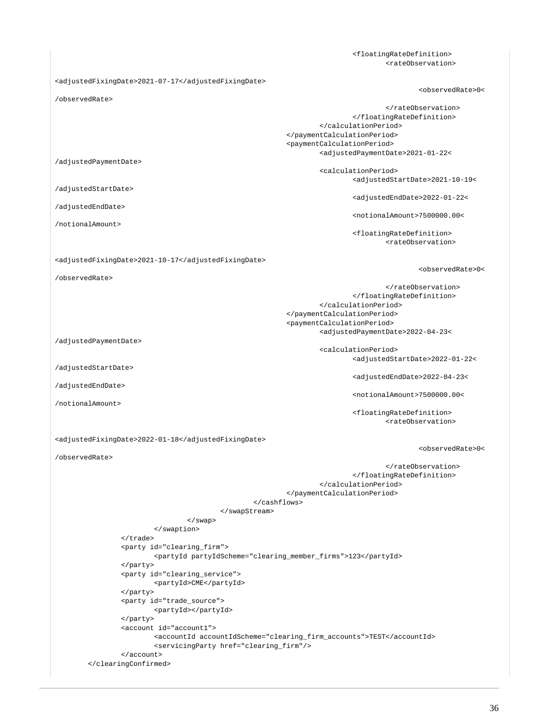<floatingRateDefinition> <rateObservation> <adjustedFixingDate>2021-07-17</adjustedFixingDate> <observedRate>0< /observedRate> </rateObservation> </floatingRateDefinition> </calculationPeriod> </paymentCalculationPeriod> <paymentCalculationPeriod> <adjustedPaymentDate>2021-01-22< /adjustedPaymentDate> <calculationPeriod> <adjustedStartDate>2021-10-19< /adjustedStartDate> <adjustedEndDate>2022-01-22< /adjustedEndDate> <notionalAmount>7500000.00< /notionalAmount> <floatingRateDefinition> <rateObservation> <adjustedFixingDate>2021-10-17</adjustedFixingDate> <observedRate>0< /observedRate> </rateObservation> </floatingRateDefinition> </calculationPeriod> </paymentCalculationPeriod> <paymentCalculationPeriod> <adjustedPaymentDate>2022-04-23< /adjustedPaymentDate> <calculationPeriod> <adjustedStartDate>2022-01-22< /adjustedStartDate> <adjustedEndDate>2022-04-23< /adjustedEndDate> <notionalAmount>7500000.00< /notionalAmount> <floatingRateDefinition> <rateObservation> <adjustedFixingDate>2022-01-18</adjustedFixingDate> <observedRate>0< /observedRate> </rateObservation> </floatingRateDefinition> </calculationPeriod> </paymentCalculationPeriod> </cashflows> </swapStream> </swap> </swaption> </trade> <party id="clearing\_firm"> <partyId partyIdScheme="clearing\_member\_firms">123</partyId> </party> <party id="clearing\_service"> <partyId>CME</partyId> </party> <party id="trade\_source"> <partyId></partyId> </party> <account id="account1"> <accountId accountIdScheme="clearing\_firm\_accounts">TEST</accountId> <servicingParty href="clearing\_firm"/> </account> </clearingConfirmed>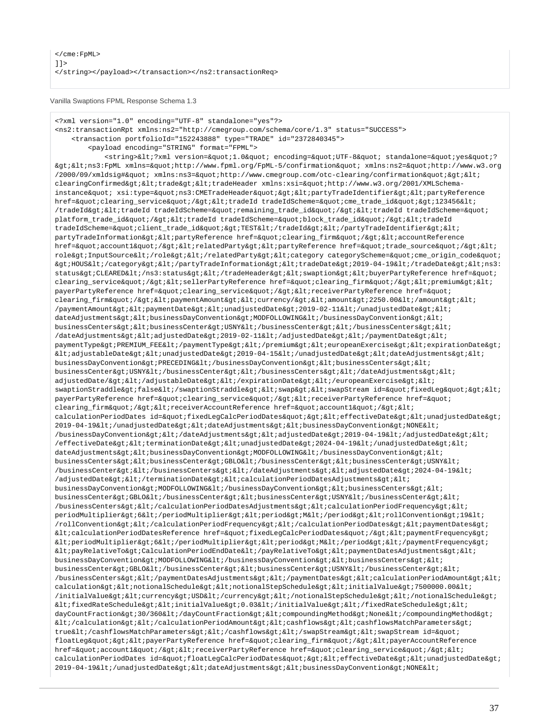Vanilla Swaptions FPML Response Schema 1.3

<?xml version="1.0" encoding="UTF-8" standalone="yes"?> <ns2:transactionRpt xmlns:ns2="http://cmegroup.com/schema/core/1.3" status="SUCCESS"> <transaction portfolioId="152243888" type="TRADE" id="2372840345"> <payload encoding="STRING" format="FPML"> <string>&lt;?xml version=&quot;1.0&quot; encoding=&quot;UTF-8&quot; standalone=&quot;yes&quot;?  $\>$ i $\<$ i $\<$ ins3:FpML xmlns= $\<$ quot;http://www.fpml.org/FpML-5/confirmation $\<$ quot; xmlns:ns2= $\<$ quot;http://www.w3.org /2000/09/xmldsig#" xmlns:ns3="http://www.cmegroup.com/otc-clearing/confirmation">< clearingConfirmed><trade&gt;&lt;tradeHeader xmlns:xsi=&quot;http://www.w3.org/2001/XMLSchemainstance" xsi:type="ns3:CMETradeHeader"><partyTradeIdentifier&gt;&lt;partyReference href="clearing\_service"/><tradeId tradeIdScheme=&quot;cme\_trade\_id&quot;&gt;123456&lt; /tradeId><tradeId tradeIdScheme=&quot;remaining\_trade\_id&quot;/&gt;&lt;tradeId tradeIdScheme=&quot; platform\_trade\_id"/><tradeId tradeIdScheme=&quot;block\_trade\_id&quot;/&gt;&lt;tradeId tradeIdScheme="client\_trade\_id"&qt;TEST</tradeId&qt;&lt;/partyTradeIdentifier&qt;&lt; partyTradeInformation><partyReference href=&quot;clearing\_firm&quot;/&gt;&lt;accountReference href="account1"/><relatedParty&gt;&lt;partyReference href=&quot;trade\_source&quot;/&gt;&lt; role>InputSource</role&gt;&lt;/relatedParty&gt;&lt;category categoryScheme=&quot;cme\_origin\_code&quot;  $k$ qt;HOUS</category&qt;&lt;/partyTradeInformation&qt;&lt;tradeDate&qt;2019-04-19&lt;/tradeDate&qt;&lt;ns3: status>CLEARED</ns3:status&gt;&lt;/tradeHeader&gt;&lt;swaption&gt;&lt;buyerPartyReference href=&quot; clearing\_service"/><sellerPartyReference href=&quot;clearing\_firm&quot;/&gt;&lt;premium&gt;&lt; payerPartyReference href="clearing\_service"/><receiverPartyReference href=&quot; clearing\_firm"/><paymentAmount&gt;&lt;currency/&gt;&lt;amount&gt;2250.00&lt;/amount&gt;&lt; /paymentAmount><paymentDate&gt;&lt;unadjustedDate&gt;2019-02-11&lt;/unadjustedDate&gt;&lt; dateAdjustments><businessDayConvention&gt;MODFOLLOWING&lt;/businessDayConvention&qt;&lt; businessCenters><businessCenter&gt;USNY&lt;/businessCenter&gt;&lt;/businessCenters&gt;&lt;  $\sqrt{3}$ dateAdjustments><adjustedDate&gt;2019-02-11&lt;/adjustedDate&gt;&lt;/paymentDate&gt;&lt; paymentType>PREMIUM\_FEE</paymentType&gt;&lt;/premium&gt;&lt;europeanExercise&gt;&lt;expirationDate&gt;  $klt$ iadjustableDate&qt;  $klt$ iunadjustedDate&qt; 2019-04-15< /unadjustedDate&qt; &lt; dateAdjustments&qt; &lt; businessDayConvention&qt;PRECEDING</businessDayConvention&qt;&lt;businessCenters&qt;&lt; businessCenter>USNY</businessCenter&gt;&lt;/businessCenters&gt;&lt;/dateAdjustments&gt;&lt; adjustedDate/&qt; </adjustableDate&qt; &lt;/expirationDate&qt; &lt;/europeanExercise&qt; &lt; swaptionStraddle>false</swaptionStraddle&gt;&lt;swap&gt;&lt;swapStream id=&quot;fixedLeg&quot;&gt;&lt; payerPartyReference href="clearing\_service"/><receiverPartyReference href=&quot; clearing\_firm"/><receiverAccountReference href=&quot;account1&quot;/&gt;&lt; calculationPeriodDates id="fixedLegCalcPeriodDates"><effectiveDate&gt;&lt;unadjustedDate&gt; 2019-04-19</unadjustedDate&gt;&lt;dateAdjustments&gt;&lt;businessDayConvention&gt;NONE&lt;  $/b$ usinessDayConvention></dateAdjustments&gt;&lt;adjustedDate&gt;2019-04-19&lt;/adjustedDate&gt;&lt; /effectiveDate><terminationDate&gt;&lt;unadjustedDate&gt;2024-04-19&lt;/unadjustedDate&gt;&lt; dateAdjustments><businessDayConvention&gt;MODFOLLOWING&lt;/businessDayConvention&gt;&lt;  $\texttt{businessCenters}\texttt{Set}:\texttt{alt}:\texttt{businessCenters}\texttt{Set}:\texttt{GBLOL}:\texttt{/businessCenters}\texttt{Set}:\texttt{1Et}:\texttt{businessCenters}\texttt{Set}:\texttt{USNY}\texttt{alt}:\texttt{1Et}:\texttt{1H}\texttt{Set}:\texttt{1H}\texttt{Set}:\texttt{1H}\texttt{Set}:\texttt{1H}\texttt{Set}:\texttt{1H}\texttt{Set}:\texttt{1H}\texttt{Set}:\texttt{1H}\texttt{Set}:\texttt{1H}\texttt{Set}:\texttt{1H}\texttt{Set}:\texttt{1H}\texttt{Set}:\texttt{1H}\$ /businessCenter></businessCenters&gt;&lt;/dateAdjustments&gt;&lt;adjustedDate&gt;2024-04-19&lt;  $/$ adjustedDate></terminationDate&gt;&lt;calculationPeriodDatesAdjustments&gt;&lt; businessDayConvention>MODFOLLOWING</businessDayConvention&gt;&lt;businessCenters&gt;&lt; businessCenter&qt;GBLO</businessCenter&qt;&lt;businessCenter&qt;USNY&lt;/businessCenter&qt;&lt; /businessCenters></calculationPeriodDatesAdjustments&gt;&lt;calculationPeriodFrequency&gt;&lt; periodMultiplier>6</periodMultiplier&gt;&lt;period&gt;M&lt;/period&gt;&lt;rollConvention&gt;19&lt; /rollConvention></calculationPeriodFrequency&gt;&lt;/calculationPeriodDates&gt;&lt;paymentDates&gt;  $klti$ calculationPeriodDatesReference href="fixedLegCalcPeriodDates"/&qt;<paymentFrequency&qt;  $k$ lt; periodMultiplier> 6< /periodMultiplier&gt; &lt; period&gt; &lt; /period&gt; &lt; /paymentFrequency&gt; <payRelativeTo>CalculationPeriodEndDate</payRelativeTo><paymentDatesAdjustments>< businessDayConvention&qt;MODFOLLOWING</businessDayConvention&qt;&lt;businessCenters&qt;&lt; businessCenter&qt;GBLO</businessCenter&qt;&lt;businessCenter&qt;USNY&lt;/businessCenter&qt;&lt; /businessCenters></paymentDatesAdjustments&gt;&lt;/paymentDates&gt;&lt;calculationPeriodAmount&gt;&lt; calculation&qt;<notionalSchedule&gt;&lt;notionalStepSchedule&gt;&lt;initialValue&gt;7500000.00&lt;  $/$ initialValue><currency&gt;USD&lt;/currency&gt;&lt;/notionalStepSchedule&gt;&lt;/notionalSchedule&gt;  $klt$ ifixedRateSchedule> < initialValue&gt; 0.03&lt; /initialValue&gt; &lt; /fixedRateSchedule&gt; &lt; dayCountFraction>30/360</dayCountFraction&gt;&lt;compoundingMethod&gt;None&lt;/compoundingMethod&gt;  $klti /cal$ calculation&gt $iklti /cal$ calculationPeriodAmount&gt $iklti$ cashflows&gt $iklti$ cashflowsMatchParameters&gt $i$ true</cashflowsMatchParameters&gt;&lt;/cashflows&gt;&lt;/swapStream&gt;&lt;swapStream id=&quot; floatLeg" > < payerPartyReference href=&quot; clearing\_firm&quot; / &gt; &lt; payerAccountReference href="account1"/><receiverPartyReference href=&quot;clearing\_service&quot;/&gt;&lt; calculationPeriodDates id="floatLeqCalcPeriodDates"&qt;<effectiveDate&qt;&lt;unadjustedDate&qt;  $2019-04-19$ </unadjustedDate&gt;&lt;dateAdjustments&gt;&lt;businessDayConvention&gt;NONE&lt;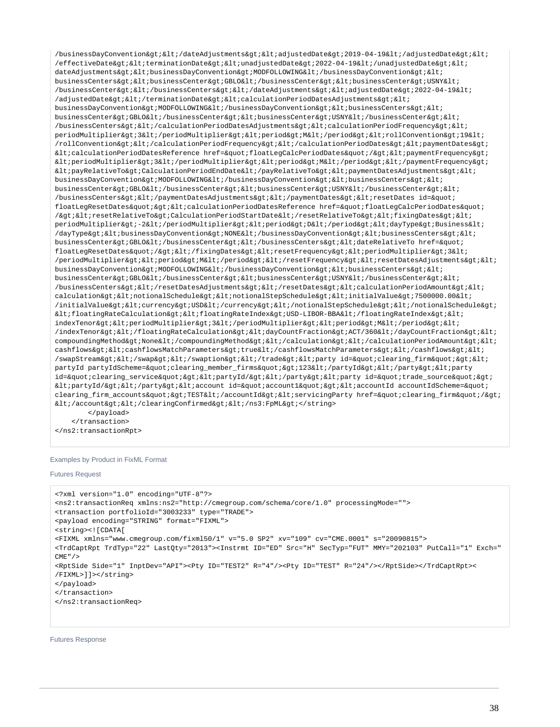/businessDayConvention></dateAdjustments&gt;&lt;adjustedDate&gt;2019-04-19&lt;/adjustedDate&gt;&lt; /effectiveDate&qt;<terminationDate&qt;&lt;unadjustedDate&qt;2022-04-19&lt;/unadjustedDate&qt;&lt; dateAdjustments&qt;<businessDayConvention&qt;MODFOLLOWING&lt;/businessDayConvention&qt;&lt; businessCenters><businessCenter&gt;GBLO&lt;/businessCenter&gt;&lt;businessCenter&gt;USNY&lt; /businessCenter></businessCenters&gt;&lt;/dateAdjustments&gt;&lt;adjustedDate&gt;2022-04-19&lt; /adjustedDate&qt;</terminationDate&qt;&lt;calculationPeriodDatesAdjustments&qt;&lt;  $\texttt{businessDayConvention\>i}~\texttt{MDFOLLOWING\<}i/\texttt{businessDayConvention\>}\texttt{%dlt;}i\texttt{@lts}$ businessCenter&qt;GBLO</businessCenter&qt;&lt;businessCenter&qt;USNY&lt;/businessCenter&qt;&lt; /businessCenters></calculationPeriodDatesAdjustments&gt;&lt;calculationPeriodFrequency&gt;&lt; periodMultiplier>3</periodMultiplier&gt;&lt;period&gt;M&lt;/period&gt;&lt;rollConvention&gt;19&lt; /rollConvention&qt;</calculationPeriodFrequency&qt;&lt;/calculationPeriodDates&qt;&lt;paymentDates&qt;  $klt$ icalculationPeriodDatesReference href="floatLeqCalcPeriodDates"/&qt;<paymentFrequency&qt;  $klt:periodMultiplier\>3klt:/periodMultiplier\>3klt:pperiodMultiplier\>4k:pperiod\>4klt:pperiod\>4klt:pperiod\>4klt:pperiod\>4klt:pperiod\>4klt:pperiod\>4klt:pperiod\>4klt:pperiod\>4klt:pperod\>4klt:pperod\>4klt:pperod\>4klt:pperod\>4klt:pperod\>4klt:pperod\>4klt:pperod\>4klt:pperod\>4klt:pperod$  $\verb|http://payRelativeTo>?Calculate a list of a list of the text to get a list of the text to get a list of the text to get a list of the text to get a list of the text to get a list of the text to get a list of the text to get a list of the text to get a list of the text to get a list of the text to get a list of the text to get a list of the text to get a list of the text to get a list of the text to get a list of the text to get a list of the text to get a list of the text to get a list of the text to get a list of the text to get a list of the text to get a list of the text to get a list of the text to get a list of the text to get a list of the text to get a list of the text to get a list of the text to get a list of the text to get a list of the text to get a list of the text to$ businessDayConvention&qt;MODFOLLOWING</businessDayConvention&qt;&lt;businessCenters&qt;&lt; businessCenter>GBLO</businessCenter&gt;&lt;businessCenter&gt;USNY&lt;/businessCenter&gt;&lt;  $/$ businessCenters> <  $/$ paymentDatesAdjustments> <  $/$ paymentDates> < resetDates id=&quot; floatLegResetDates"><calculationPeriodDatesReference href=&quot;floatLegCalcPeriodDates&quot; /&gti&ltiresetRelativeTo&gtiCalculationPeriodStartDate&lti/resetRelativeTo&gti&ltifixingDates&gti&lti periodMultiplier>-2</periodMultiplier&gt;&lt;period&gt;D&lt;/period&gt;&lt;dayType&gt;Business&lt; /dayType><businessDayConvention&gt;NONE&lt;/businessDayConvention&gt;&lt;businessCenters&gt;&lt; businessCenter&qt;GBLO</businessCenter&qt;&lt;/businessCenters&qt;&lt;dateRelativeTo href=&quot; floatLegResetDates"/></fixingDates&gt;&lt;resetFrequency&gt;&lt;periodMultiplier&gt;3&lt;  $/$ periodMultiplier><period&gt;M&lt;/period&gt;&lt;/resetFrequency&gt;&lt;resetDatesAdjustments&gt;&lt; businessDayConvention&qt;MODFOLLOWING</businessDayConvention&qt;&lt;businessCenters&qt;&lt; businessCenter&qt;GBLO</businessCenter&qt;&lt;businessCenter&qt;USNY&lt;/businessCenter&qt;&lt; /businessCenters></resetDatesAdjustments&gt;&lt;/resetDates&gt;&lt;calculationPeriodAmount&gt;&lt; calculation&qt;<notionalSchedule&qt;&lt;notionalStepSchedule&qt;&lt;initialValue&qt;7500000.00&lt; /initialValue><currency&gt;USD&lt;/currency&gt;&lt;/notionalStepSchedule&gt;&lt;/notionalSchedule&gt;  $klt$ ;floatingRateCalculation><floatingRateIndex&gt;USD-LIBOR-BBA&lt;/floatingRateIndex&gt;&lt; indexTenor&qt;<periodMultiplier&qt;3&lt;/periodDultiplier&qt;&lt;period&qt;M&lt;/period&qt;&lt;  $/$ indexTenor></floatingRateCalculation&gt;&lt;dayCountFraction&gt;ACT/360&lt;/dayCountFraction&gt;&lt; compoundingMethod>None</compoundingMethod&gt;&lt;/calculation&gt;&lt;/calculationPeriodAmount&gt;&lt; cashflows&qt;<cashflowsMatchParameters&qt;true&lt;/cashflowsMatchParameters&qt;&lt;/cashflows&qt;&lt; /swapStream&qt;</swap&qt;&lt;/swaption&qt;&lt;/trade&qt;&lt;party\_id=&quot;clearing\_firm&quot;&qt;&lt; partyId partyIdScheme="clearing member firms"&qt;123</partyId&qt;&lt;/party&qt;&lt;party id="clearing\_service"><partyId/&gt;&lt;/party&gt;&lt;party id=&quot;trade\_source&quot;&gt;  $\<1$ tipartyId/ $\ti $\<1$ i/party $\ti $\<1$ id= $\uotiaccount $1\uoti $\ti $\<1$ idscountId accountIdScheme= $\uoti$$$$$$ clearing\_firm\_accounts">TEST</accountId&gt;&lt;servicingParty href=&quot;clearing\_firm&quot;/&gt;  $<$ i/account></clearingConfirmed&gt;&lt;/ns3:FpML&gt;</string> </payload>

 </transaction> </ns2:transactionRpt>

### Examples by Product in FixML Format

#### Futures Request

```
<?xml version="1.0" encoding="UTF-8"?>
<ns2:transactionReq xmlns:ns2="http://cmegroup.com/schema/core/1.0" processingMode="">
<transaction portfolioId="3003233" type="TRADE">
<payload encoding="STRING" format="FIXML">
<string><![CDATA[
<FIXML xmlns="www.cmegroup.com/fixml50/1" v="5.0 SP2" xv="109" cv="CME.0001" s="20090815">
<TrdCaptRpt TrdTyp="22" LastQty="2013"><Instrmt ID="ED" Src="H" SecTyp="FUT" MMY="202103" PutCall="1" Exch="
CME"<RptSide Side="1" InptDev="API"><Pty ID="TEST2" R="4"/><Pty ID="TEST" R="24"/></RptSide></TrdCaptRpt><
/FIXML>]]></string>
</payload>
</transaction>
</ns2:transactionReq>
```
Futures Response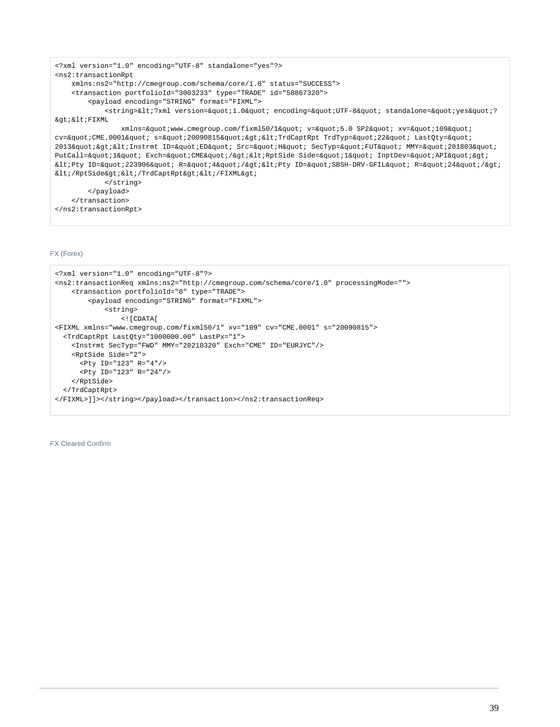```
<?xml version="1.0" encoding="UTF-8" standalone="yes"?>
<ns2:transactionRpt 
    xmlns:ns2="http://cmegroup.com/schema/core/1.0" status="SUCCESS">
    <transaction portfolioId="3003233" type="TRADE" id="58867320">
        <payload encoding="STRING" format="FIXML">
           <string>&lt;?xml version=&quot;1.0&quot; encoding=&quot;UTF-8&quot; standalone=&quot;yes&quot;?
&qt; < FIXML
              xmlns="www.cmegroup.com/fixml50/1" v="5.0 SP2" xv="109"
cv="CME.0001" s="20090815"><TrdCaptRpt TrdTyp=&quot;22&quot; LastQty=&quot;
2013"><Instrmt ID=&quot;ED&quot; Src=&quot;H&quot; SecTyp=&quot;FUT&quot; MMY=&quot;201803&quot;
PutCall="l" Exch="CME"/&qt;<RptSide Side=&quot;l&quot; InptDev=&quot;API&quot;&qt;
<Pty ID=&quot;223906&quot; R=&quot;4&quot;/&gt;&lt;Pty ID=&quot;SBSH-DRV-GFIL&quot; R=&quot;24&quot;/&gt;
<i/RptSide></TrdCaptRpt&gt;&lt;/FIXML&gt;
            </string>
        </payload>
    </transaction>
</ns2:transactionRpt>
```
# FX (Forex)

```
<?xml version="1.0" encoding="UTF-8"?>
<ns2:transactionReq xmlns:ns2="http://cmegroup.com/schema/core/1.0" processingMode="">
     <transaction portfolioId="0" type="TRADE">
         <payload encoding="STRING" format="FIXML">
             <string>
                 <![CDATA[
<FIXML xmlns="www.cmegroup.com/fixml50/1" xv="109" cv="CME.0001" s="20090815"> 
   <TrdCaptRpt LastQty="1000000.00" LastPx="1">
     <Instrmt SecTyp="FWD" MMY="20210320" Exch="CME" ID="EURJYC"/>
     <RptSide Side="2">
       <Pty ID="123" R="4"/> 
       <Pty ID="123" R="24"/>
     </RptSide>
   </TrdCaptRpt>
</FIXML>]]></string></payload></transaction></ns2:transactionReq>
```
FX Cleared Confirm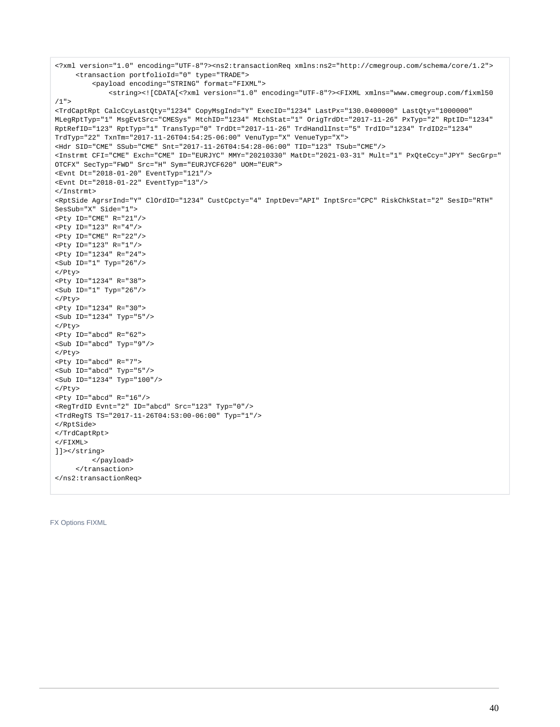```
<?xml version="1.0" encoding="UTF-8"?><ns2:transactionReq xmlns:ns2="http://cmegroup.com/schema/core/1.2">
      <transaction portfolioId="0" type="TRADE">
          <payload encoding="STRING" format="FIXML">
              <string><![CDATA[<?xml version="1.0" encoding="UTF-8"?><FIXML xmlns="www.cmegroup.com/fixml50
/1">
<TrdCaptRpt CalcCcyLastQty="1234" CopyMsgInd="Y" ExecID="1234" LastPx="130.0400000" LastQty="1000000" 
MLegRptTyp="1" MsgEvtSrc="CMESys" MtchID="1234" MtchStat="1" OrigTrdDt="2017-11-26" PxTyp="2" RptID="1234" 
RptRefID="123" RptTyp="1" TransTyp="0" TrdDt="2017-11-26" TrdHandlInst="5" TrdID="1234" TrdID2="1234" 
TrdTyp="22" TxnTm="2017-11-26T04:54:25-06:00" VenuTyp="X" VenueTyp="X">
<Hdr SID="CME" SSub="CME" Snt="2017-11-26T04:54:28-06:00" TID="123" TSub="CME"/>
<Instrmt CFI="CME" Exch="CME" ID="EURJYC" MMY="20210330" MatDt="2021-03-31" Mult="1" PxQteCcy="JPY" SecGrp="
OTCFX" SecTyp="FWD" Src="H" Sym="EURJYCF620" UOM="EUR">
<Evnt Dt="2018-01-20" EventTyp="121"/>
<Evnt Dt="2018-01-22" EventTyp="13"/>
</Instrmt>
<RptSide AgrsrInd="Y" ClOrdID="1234" CustCpcty="4" InptDev="API" InptSrc="CPC" RiskChkStat="2" SesID="RTH" 
SesSub="X" Side="1">
Pty ID="CME" R = "21"/>
<Pty ID="123" R="4"/>
<Pty ID="CME" R="22"/>
<Pty ID="123" R="1"/>
<Pty ID="1234" R="24">
<Sub ID="1" Typ="26"/>
</Pty>
<Pty ID="1234" R="38">
<Sub ID="1" Typ="26"/>
\epsilon/Ptys
<Pty ID="1234" R="30">
<Sub ID="1234" Typ="5"/>
</Pty>
<Pty ID="abcd" R="62">
<Sub ID="abcd" Typ="9"/>
</Pty>
<Pty ID="abcd" R="7">
<Sub ID="abcd" Typ="5"/>
<Sub ID="1234" Typ="100"/>
</Pty>
Pty ID="abcd" R = "16"/>
<RegTrdID Evnt="2" ID="abcd" Src="123" Typ="0"/>
<TrdRegTS TS="2017-11-26T04:53:00-06:00" Typ="1"/>
</RptSide>
</TrdCaptRpt>
\epsilon/FTXML>
]]></string>
          </payload>
      </transaction>
</ns2:transactionReq>
```
FX Options FIXML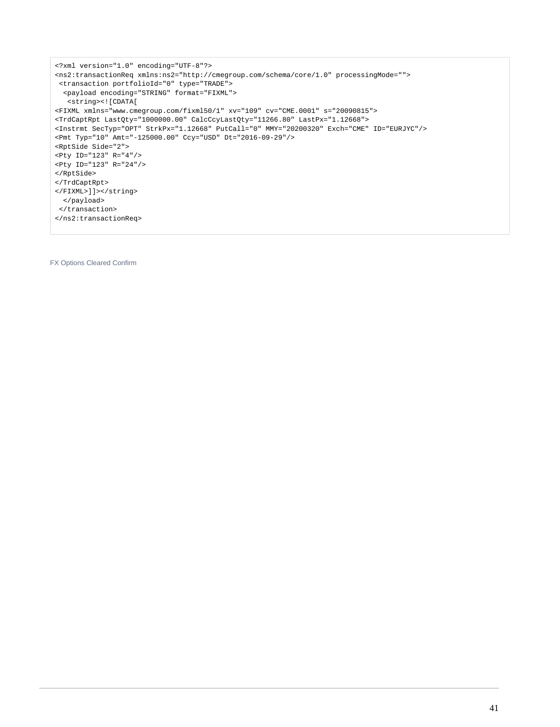```
<?xml version="1.0" encoding="UTF-8"?>
<ns2:transactionReq xmlns:ns2="http://cmegroup.com/schema/core/1.0" processingMode="">
 <transaction portfolioId="0" type="TRADE">
  <payload encoding="STRING" format="FIXML">
   <string><![CDATA[
<FIXML xmlns="www.cmegroup.com/fixml50/1" xv="109" cv="CME.0001" s="20090815"> 
<TrdCaptRpt LastQty="1000000.00" CalcCcyLastQty="11266.80" LastPx="1.12668">
<Instrmt SecTyp="OPT" StrkPx="1.12668" PutCall="0" MMY="20200320" Exch="CME" ID="EURJYC"/>
<Pmt Typ="10" Amt="-125000.00" Ccy="USD" Dt="2016-09-29"/>
<RptSide Side="2">
<Pty ID="123" R="4"/> 
<Pty ID="123" R="24"/>
</RptSide>
</TrdCaptRpt>
</FIXML>]]></string>
  </payload>
 </transaction>
</ns2:transactionReq>
```
FX Options Cleared Confirm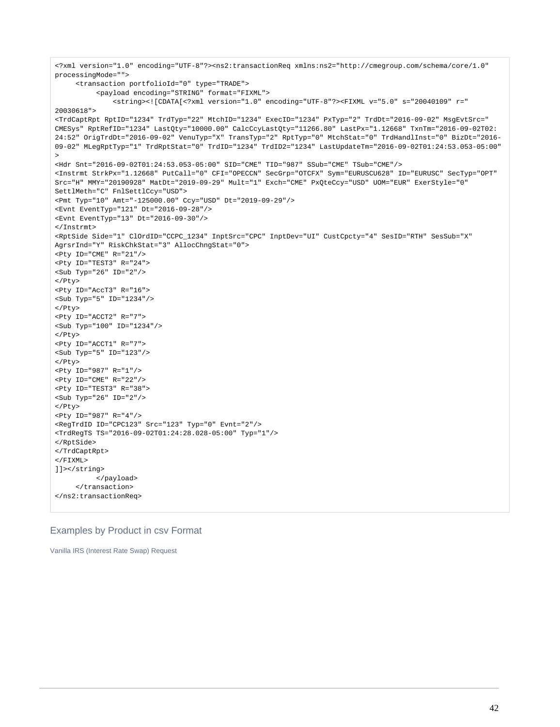```
<?xml version="1.0" encoding="UTF-8"?><ns2:transactionReq xmlns:ns2="http://cmegroup.com/schema/core/1.0" 
processingMode="">
      <transaction portfolioId="0" type="TRADE">
           <payload encoding="STRING" format="FIXML">
               <string><![CDATA[<?xml version="1.0" encoding="UTF-8"?><FIXML v="5.0" s="20040109" r="
20030618">
<TrdCaptRpt RptID="1234" TrdTyp="22" MtchID="1234" ExecID="1234" PxTyp="2" TrdDt="2016-09-02" MsgEvtSrc="
CMESys" RptRefID="1234" LastQty="10000.00" CalcCcyLastQty="11266.80" LastPx="1.12668" TxnTm="2016-09-02T02:
24:52" OrigTrdDt="2016-09-02" VenuTyp="X" TransTyp="2" RptTyp="0" MtchStat="0" TrdHandlInst="0" BizDt="2016-
09-02" MLegRptTyp="1" TrdRptStat="0" TrdID="1234" TrdID2="1234" LastUpdateTm="2016-09-02T01:24:53.053-05:00"
>
<Hdr Snt="2016-09-02T01:24:53.053-05:00" SID="CME" TID="987" SSub="CME" TSub="CME"/>
<Instrmt StrkPx="1.12668" PutCall="0" CFI="OPECCN" SecGrp="OTCFX" Sym="EURUSCU628" ID="EURUSC" SecTyp="OPT" 
Src="H" MMY="20190928" MatDt="2019-09-29" Mult="1" Exch="CME" PxQteCcy="USD" UOM="EUR" ExerStyle="0" 
SettlMeth="C" FnlSettlCcy="USD">
<Pmt Typ="10" Amt="-125000.00" Ccy="USD" Dt="2019-09-29"/>
<Evnt EventTyp="121" Dt="2016-09-28"/>
<Evnt EventTyp="13" Dt="2016-09-30"/>
</Instrmt>
<RptSide Side="1" ClOrdID="CCPC_1234" InptSrc="CPC" InptDev="UI" CustCpcty="4" SesID="RTH" SesSub="X" 
AgrsrInd="Y" RiskChkStat="3" AllocChngStat="0">
<Pty ID="CME" R="21"/>
<Pty ID="TEST3" R="24">
<Sub Typ="26" ID="2"/>
</Pty>
<Pty ID="AccT3" R="16">
<Sub Typ="5" ID="1234"/>
</Pty>
<Pty ID="ACCT2" R="7">
<Sub Typ="100" ID="1234"/>
</Pty>
<Pty ID="ACCT1" R="7">
<Sub Typ="5" ID="123"/>
</Pty>
<Pty ID="987" R="1"/>
<Pty ID="CME" R="22"/>
<Pty ID="TEST3" R="38">
<Sub Typ="26" ID="2"/>
</Pty>
<Pty ID="987" R="4"/>
<RegTrdID ID="CPC123" Src="123" Typ="0" Evnt="2"/>
<TrdRegTS TS="2016-09-02T01:24:28.028-05:00" Typ="1"/>
</RptSide>
</TrdCaptRpt>
</FIXML>
]]></string>
           </payload>
      </transaction>
</ns2:transactionReq>
```
# Examples by Product in csv Format

Vanilla IRS (Interest Rate Swap) Request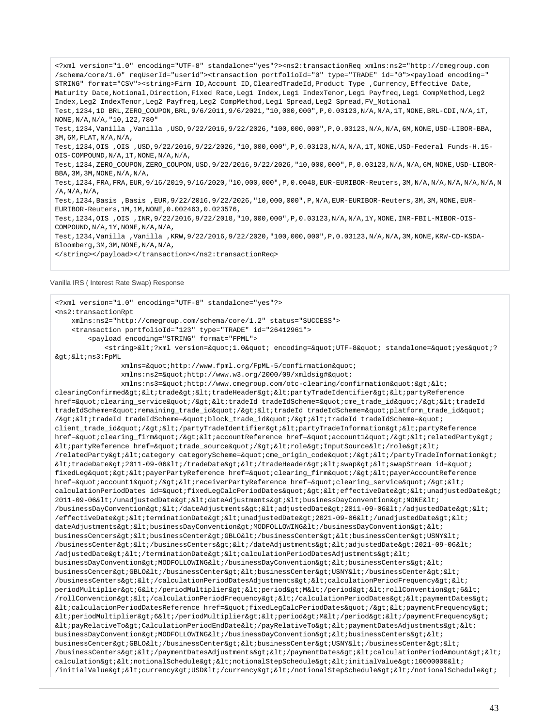<?xml version="1.0" encoding="UTF-8" standalone="yes"?><ns2:transactionReq xmlns:ns2="http://cmegroup.com /schema/core/1.0" reqUserId="userid"><transaction portfolioId="0" type="TRADE" id="0"><payload encoding=" STRING" format="CSV"><string>Firm ID,Account ID,ClearedTradeId,Product Type ,Currency,Effective Date, Maturity Date,Notional,Direction,Fixed Rate,Leg1 Index,Leg1 IndexTenor,Leg1 Payfreq,Leg1 CompMethod,Leg2 Index,Leg2 IndexTenor,Leg2 Payfreq,Leg2 CompMethod,Leg1 Spread,Leg2 Spread,FV\_Notional Test,1234,1D BRL,ZERO\_COUPON,BRL,9/6/2011,9/6/2021,"10,000,000",P,0.03123,N/A,N/A,1T,NONE,BRL-CDI,N/A,1T, NONE,N/A,N/A,"10,122,780" Test,1234,Vanilla ,Vanilla ,USD,9/22/2016,9/22/2026,"100,000,000",P,0.03123,N/A,N/A,6M,NONE,USD-LIBOR-BBA, 3M,6M,FLAT,N/A,N/A, Test,1234,OIS ,OIS ,USD,9/22/2016,9/22/2026,"10,000,000",P,0.03123,N/A,N/A,1T,NONE,USD-Federal Funds-H.15- OIS-COMPOUND,N/A,1T,NONE,N/A,N/A, Test,1234,ZERO\_COUPON,ZERO\_COUPON,USD,9/22/2016,9/22/2026,"10,000,000",P,0.03123,N/A,N/A,6M,NONE,USD-LIBOR-BBA, 3M, 3M, NONE, N/A, N/A Test,1234,FRA,FRA,EUR,9/16/2019,9/16/2020,"10,000,000",P,0.0048,EUR-EURIBOR-Reuters,3M,N/A,N/A,N/A,N/A,N/A,N  $/A$ ,  $N/A$ ,  $N/A$ , Test,1234,Basis ,Basis ,EUR,9/22/2016,9/22/2026,"10,000,000",P,N/A,EUR-EURIBOR-Reuters,3M,3M,NONE,EUR-EURIBOR-Reuters,1M,1M,NONE,0.002463,0.023576, Test,1234,OIS ,OIS ,INR,9/22/2016,9/22/2018,"10,000,000",P,0.03123,N/A,N/A,1Y,NONE,INR-FBIL-MIBOR-OIS-COMPOUND,N/A,1Y,NONE,N/A,N/A, Test,1234,Vanilla ,Vanilla ,KRW,9/22/2016,9/22/2020,"100,000,000",P,0.03123,N/A,N/A,3M,NONE,KRW-CD-KSDA-Bloomberg,3M,3M,NONE,N/A,N/A, </string></payload></transaction></ns2:transactionReq>

Vanilla IRS ( Interest Rate Swap) Response

<?xml version="1.0" encoding="UTF-8" standalone="yes"?> <ns2:transactionRpt xmlns:ns2="http://cmegroup.com/schema/core/1.2" status="SUCCESS"> <transaction portfolioId="123" type="TRADE" id="26412961"> <payload encoding="STRING" format="FPML"> <string>&lt;?xml version=&quot;1.0&quot; encoding=&quot;UTF-8&quot; standalone=&quot;yes&quot;?  $\sqrt{4}$  :  $\sqrt{1}$  :  $ns3:FPML$ xmlns="http://www.fpml.org/FpML-5/confirmation" xmlns:ns2="http://www.w3.org/2000/09/xmldsig#"  $xmlns:ns3=\"http://www.cmegroup.com/otc-clearing/confirmation\"&qt<;$ clearingConfirmed><trade&gt;&lt;tradeHeader&gt;&lt;partyTradeIdentifier&gt;&lt;partyReference href="clearing\_service"/><tradeId tradeIdScheme=&quot;cme\_trade\_id&quot;/&gt;&lt;tradeId tradeIdScheme="remaining\_trade\_id"/><tradeId tradeIdScheme=&quot;platform\_trade\_id&quot; /&qt;<tradeId tradeIdScheme=&quot;block trade\_id&quot;/&qt;&lt;tradeId tradeIdScheme=&quot; client\_trade\_id"/></partyTradeIdentifier&gt;&lt;partyTradeInformation&gt;&lt;partyReference href="clearing\_firm"/><accountReference href=&quot;account1&quot;/&gt;&lt;relatedParty&gt; <partyReference href=&quot;trade\_source&quot;/&qt;&lt;role&qt;InputSource&lt;/role&qt;&lt; /relatedParty><category categoryScheme=&quot;cme\_origin\_code&quot;/&gt;&lt;/partyTradeInformation&gt;  $klt: tradeDate\>2011-09-06klt://tradeDate\>klt://tradeHeader\>klt:swap\>klt:swap\>klt:swap\>1$ fixedLeg"&qt;<payerPartyReference href=&quot;clearing\_firm&quot;/&qt;&lt;payerAccountReference href="account1"/><receiverPartyReference href=&quot;clearing\_service&quot;/&gt;&lt; calculationPeriodDates id="fixedLegCalcPeriodDates"><effectiveDate&gt;&lt;unadjustedDate&gt; 2011-09-06</unadjustedDate&gt;&lt;dateAdjustments&gt;&lt;businessDayConvention&gt;NONE&lt; /businessDayConvention></dateAdjustments&gt;&lt;adjustedDate&gt;2011-09-06&lt;/adjustedDate&gt;&lt; /effectiveDate&qt;<terminationDate&qt;&lt;unadjustedDate&qt;2021-09-06&lt;/unadjustedDate&qt;&lt; dateAdjustments><businessDayConvention&gt;MODFOLLOWING&lt;/businessDayConvention&gt;&lt; businessCenters><businessCenter&gt;GBLO&lt;/businessCenter&gt;&lt;businessCenter&gt;USNY&lt; /businessCenter></businessCenters&gt;&lt;/dateAdjustments&gt;&lt;adjustedDate&gt;2021-09-06&lt;  $/$ adjustedDate></terminationDate&gt;&lt;calculationPeriodDatesAdjustments&gt;&lt; businessDayConvention&qt;MODFOLLOWING</businessDayConvention&qt;&lt;businessCenters&qt;&lt; businessCenter>GBLO</businessCenter&gt;&lt;businessCenter&gt;USNY&lt;/businessCenter&gt;&lt; /businessCenters></calculationPeriodDatesAdjustments&gt;&lt;calculationPeriodFrequency&gt;&lt; periodMultiplier>6</periodMultiplier&gt;&lt;period&gt;M&lt;/period&gt;&lt;rollConvention&gt;6&lt; /rollConvention&qt;</calculationPeriodFrequency&qt;&lt;/calculationPeriodDates&qt;&lt;paymentDates&qt;  $klt$ icalculationPeriodDatesReference href="fixedLegCalcPeriodDates"/><paymentFrequency&gt;  $k$ lt; periodMultiplier> 6< /periodMultiplier&gt; &lt; period&gt; &lt; /period&gt; &lt; /paymentFrequency&gt;  $k$ lt; payRelativeTo&qt; CalculationPeriodEndDate< /payRelativeTo&qt; &lt; paymentDatesAdjustments&qt; &lt; businessDayConvention>MODFOLLOWING</businessDayConvention&gt;&lt;businessCenters&gt;&lt; businessCenter>GBLO</businessCenter&gt;&lt;businessCenter&gt;USNY&lt;/businessCenter&gt;&lt; /businessCenters></paymentDatesAdjustments&gt;&lt;/paymentDates&gt;&lt;calculationPeriodAmount&gt;&lt; calculation><notionalSchedule&gt;&lt;notionalStepSchedule&gt;&lt;initialValue&gt;10000000&lt;  $/$ initialValue><currency&gt;USD&lt;/currency&gt;&lt;/notionalStepSchedule&gt;&lt;/notionalSchedule&gt;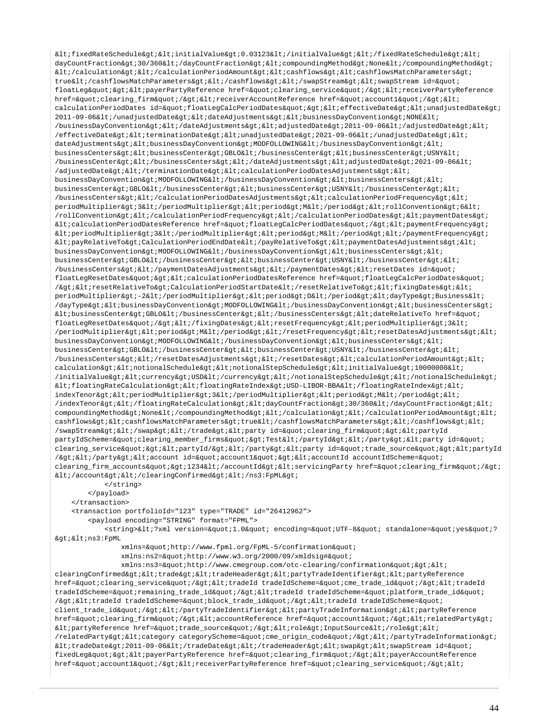$k$ lt;fixedRateSchedule><initialValue&gt;0.03123&lt;/initialValue&gt;&lt;/fixedRateSchedule&gt;&lt; dayCountFraction&qt;30/360</dayCountFraction&qt;&lt;compoundingMethod&qt;None&lt;/compoundingMethod&qt;  $klti/calc$ intion&qt; $klti/calc$ intionPeriodAmount&qt; $klti$ cashflows&qt; $klti$ cashflowsMatchParameters&qt; true</cashflowsMatchParameters&gt;&lt;/cashflows&gt;&lt;/swapStream&gt;&lt;swapStream id=&quot; floatLeg" &qt; < payerPartyReference href=&quot; clearing\_service&quot; / &qt; &lt; receiverPartyReference href="clearing\_firm"/><receiverAccountReference href=&quot;account1&quot;/&gt;&lt; calculationPeriodDates id="floatLegCalcPeriodDates"><effectiveDate&gt;&lt;unadjustedDate&gt;  $2011-09-06$ </unadjustedDate&qt;&lt;dateAdjustments&qt;&lt;businessDayConvention&qt;NONE&lt; /businessDayConvention></dateAdjustments&gt;&lt;adjustedDate&gt;2011-09-06&lt;/adjustedDate&gt;&lt; /effectiveDate><terminationDate&gt;&lt;unadjustedDate&gt;2021-09-06&lt;/unadjustedDate&gt;&lt; dateAdjustments&qt;<businessDayConvention&qt;MODFOLLOWING&lt;/businessDayConvention&qt;&lt; businessCenters&qt;<businessCenter&qt;GBLO&lt;/businessCenter&qt;&lt;businessCenter&qt;USNY&lt; /businessCenter></businessCenters&gt;&lt;/dateAdjustments&gt;&lt;adjustedDate&gt;2021-09-06&lt; /adjustedDate></terminationDate&gt;&lt;calculationPeriodDatesAdjustments&gt;&lt; businessDayConvention&qt;MODFOLLOWING</businessDayConvention&qt;&lt;businessCenters&qt;&lt;  $\texttt{businessCenter\>gt}:\texttt{GBD}\<1; \texttt{/businessCenter\>gt}:\texttt{gt}:\texttt{gt}:\texttt{gt}:\texttt{gt}:\texttt{gt}:\texttt{gt}:\texttt{gt}:\texttt{gt}:\texttt{gt}:\texttt{$  $/b$ usinessCenters></calculationPeriodDatesAdjustments&gt;&lt;calculationPeriodFrequency&gt;&lt; periodMultiplier>3</periodMultiplier&gt;&lt;period&gt;M&lt;/period&gt;&lt;rollConvention&gt;6&lt; /rollConvention></calculationPeriodFrequency&gt;&lt;/calculationPeriodDates&gt;&lt;paymentDates&gt;  $klt$ icalculationPeriodDatesReference href="floatLegCalcPeriodDates"/><paymentFrequency&gt;  $k$ lt; periodMultiplier $k$ gt; 3 $k$ lt; /periodMultiplier $k$ gt;  $k$ lt; period $k$ gt; M $k$ lt; /period $k$ gt;  $k$ lt; /paymentFrequency $k$ gt;  $\<1$ tipayRelativeTo&qtiCalculationPeriodEndDate&lti/payRelativeTo&qti&ltipaymentDatesAdjustments&qti&lti businessDayConvention>MODFOLLOWING</businessDayConvention&gt;&lt;businessCenters&gt;&lt; businessCenter>GBLO</businessCenter&gt;&lt;businessCenter&gt;USNY&lt;/businessCenter&gt;&lt; /businessCenters&qt; < /paymentDatesAdjustments&qt; &lt; /paymentDates&qt; &lt; resetDates id=&quot; floatLegResetDates"&qt;<calculationPeriodDatesReference href=&quot;floatLeqCalcPeriodDates&quot;  $\verb|Agt|: \verb|all|: \verb|resetRelativeTo\>GalculationPeriodStartDate@lt;|: \verb|resetRelativeTo\>G1: %$ periodMultiplier&qt;-2</periodMultiplier&qt;&lt;period&qt;D&lt;/period&qt;&lt;dayType&qt;Business&lt; /dayType><businessDayConvention&gt;MODFOLLOWING&lt;/businessDayConvention&gt;&lt;businessCenters&gt;  $\< \texttt{l} \texttt{t} \texttt{;}{\texttt{d} \texttt{t}} \texttt{;}{\texttt{q} \texttt{t}} \texttt{;}{\texttt{d} \texttt{t}} \texttt{;}{\texttt{d} \texttt{t}} \texttt{;}{\texttt{d} \texttt{t}} \texttt{;}{\texttt{d} \texttt{t}} \texttt{;}{\texttt{d} \texttt{t}} \texttt{;}{\texttt{d} \texttt{t}} \texttt{;}{\texttt{d} \texttt{t}} \texttt{;}{\texttt{d} \texttt{t}} \texttt{;}{\texttt{d} \texttt{t}} \texttt{;}{$ floatLegResetDates"/></fixingDates&gt;&lt;resetFrequency&gt;&lt;periodMultiplier&gt;3&lt;  $/$ periodMultiplier><period&gt;M&lt;/period&gt;&lt;/resetFrequency&gt;&lt;resetDatesAdjustments&gt;&lt; businessDayConvention>MODFOLLOWING</businessDayConvention&gt;&lt;businessCenters&gt;&lt; businessCenter>GBLO</businessCenter&gt;&lt;businessCenter&gt;USNY&lt;/businessCenter&gt;&lt; /businessCenters&qt;</resetDatesAdjustments&qt;&lt;/resetDates&qt;&lt;calculationPeriodAmount&qt;&lt; calculation&qt;<notionalSchedule&qt;&lt;notionalStepSchedule&qt;&lt;initialValue&qt;10000000&lt; /initialValue><currency&gt;USD&lt;/currency&gt;&lt;/notionalStepSchedule&gt;&lt;/notionalSchedule&gt;  $klt$ ;floatingRateCalculation&qt;<floatingRateIndex&qt;USD-LIBOR-BBA&lt;/floatingRateIndex&qt;&lt; indexTenor><periodMultiplier&gt;3&lt;/periodMultiplier&gt;&lt;period&gt;M&lt;/period&gt;&lt; /indexTenor></floatingRateCalculation&gt;&lt;dayCountFraction&gt;30/360&lt;/dayCountFraction&gt;&lt; compoundingMethod>None</compoundingMethod&gt;&lt;/calculation&gt;&lt;/calculationPeriodAmount&gt;&lt; cashflows><cashflowsMatchParameters&gt;true&lt;/cashflowsMatchParameters&gt;&lt;/cashflows&gt;&lt; /swapStream></swap&gt;&lt;/trade&gt;&lt;party id=&quot;clearing\_firm&quot;&gt;&lt;partyId partyIdScheme="clearing\_member\_firms">Test</partyId&gt;&lt;/party&gt;&lt;party id=&quot; clearing service"&qt;<partyId/&qt;&lt;/party&qt;&lt;party id=&quot;trade source&quot;&qt;&lt;partyId /></party&gt;&lt;account id=&quot;account1&quot;&gt;&lt;accountId accountIdScheme=&quot; clearing\_firm\_accounts">1234</accountId&gt;&lt;servicingParty href=&quot;clearing\_firm&quot;/&gt;  $dt$ ;/account&qt;</clearingConfirmed&qt;&lt;/ns3:FpML&qt; </string>

</payload>

</transaction>

<transaction portfolioId="123" type="TRADE" id="26412962">

<payload encoding="STRING" format="FPML">

<string>&lt;?xml version=&quot;1.0&quot; encoding=&quot;UTF-8&quot; standalone=&quot;ves&quot;?  $>$ i $<$ ins3:FpML

xmlns="http://www.fpml.org/FpML-5/confirmation"

xmlns:ns2="http://www.w3.org/2000/09/xmldsig#"

 $xmlns:ns3=\&$  and  $thtn://www.cmerroup.com/oto-clearing/confirmation"&at$ clearingConfirmed><trade&gt;&lt;tradeHeader&gt;&lt;partyTradeIdentifier&gt;&lt;partyReference href="clearing\_service"/><tradeId tradeIdScheme=&quot;cme\_trade\_id&quot;/&gt;&lt;tradeId tradeIdScheme="remaining\_trade\_id"/><tradeId tradeIdScheme=&quot;platform\_trade\_id&quot; /><tradeId tradeIdScheme=&quot;block\_trade\_id&quot;/&gt;&lt;tradeId tradeIdScheme=&quot; client\_trade\_id"/></partyTradeIdentifier&gt;&lt;partyTradeInformation&gt;&lt;partyReference href="clearing\_firm"/&qt;<accountReference href=&quot;account1&quot;/&qt;&lt;relatedParty&qt;  $\texttt{allipartyReference}$  href= $\texttt{kquot}$ ; trade\_source"/><role&qt;InputSource&lt;/role&qt;&lt; /relatedParty><category categoryScheme=&quot;cme\_origin\_code&quot;/&gt;&lt;/partyTradeInformation&gt;  $klt$ itradeDate>2011-09-06</tradeDate&gt;&lt;/tradeHeader&gt;&lt;swap&gt;&lt;swapStream id=&quot; fixedLeq"&qt;<payerPartyReference href=&quot;clearing firm&quot;/&qt;&lt;payerAccountReference href="account1"/><receiverPartyReference href=&quot;clearing\_service&quot;/&gt;&lt;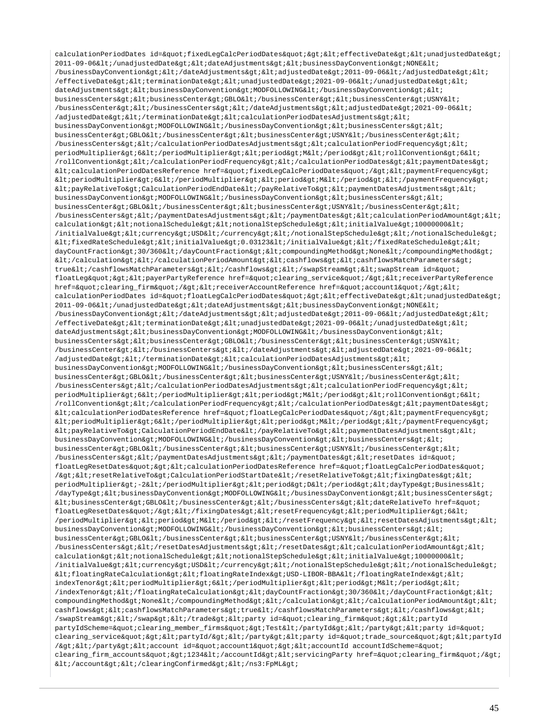calculationPeriodDates id="fixedLegCalcPeriodDates"&qt;<effectiveDate&qt;&lt;unadjustedDate&qt; 2011-09-06</unadjustedDate&qt;&lt;dateAdjustments&qt;&lt;businessDayConvention&qt;NONE&lt; /businessDayConvention&qt;</dateAdjustments&qt;&lt;adjustedDate&qt;2011-09-06&lt;/adjustedDate&qt;&lt; /effectiveDate> < terminationDate&gt; &lt; unadjustedDate&gt; 2021-09-06&lt; /unadjustedDate&gt; &lt; dateAdjustments><businessDayConvention&gt;MODFOLLOWING&lt;/businessDayConvention&gt;&lt; businessCenters><businessCenter>GBLO</businessCenter><businessCenter>USNY<  $/b$ usinessCenter></businessCenters&gt;&lt;/dateAdjustments&gt;&lt;adjustedDate&gt;2021-09-06&lt;  $/$ adjustedDate&qt;</terminationDate&qt;&lt;calculationPeriodDatesAdjustments&qt;&lt; businessDayConvention>MODFOLLOWING</businessDayConvention&gt;&lt;businessCenters&gt;&lt; businessCenter>GBLO</businessCenter&gt;&lt;businessCenter&gt;USNY&lt;/businessCenter&gt;&lt; /businessCenters&qt;</calculationPeriodDatesAdjustments&qt;&lt;calculationPeriodFrequency&qt;&lt; periodMultiplier&qt;6</periodMultiplier&qt;&lt;period&qt;M&lt;/period&qt;&lt;rollConvention&qt;6&lt; /rollConvention></calculationPeriodFrequency&gt;&lt;/calculationPeriodDates&gt;&lt;paymentDates&gt;  $klt$ icalculationPeriodDatesReference href="fixedLegCalcPeriodDates"/><paymentFrequency&gt;  $klt:periodMultiplierkgt:6klt: /periodMultiplierkgt:klt:/periodkqt:MKlt: /periodkgt:klt/partialkgt:klt/paymentFrequencykgt:0$  $klt:payRelationV$ CalculationPeriodEndDate</payRelativeTo&gt;&lt;paymentDatesAdjustments&gt;&lt;  $\texttt{businessDayConvention\>i}~\texttt{MDFOLLOWING\<}i/\texttt{businessDayConvention\>}\texttt{%dlt;}i\texttt{@lts}$ businessCenter&qt;GBLO</businessCenter&qt;&lt;businessCenter&qt;USNY&lt;/businessCenter&qt;&lt; /businessCenters></paymentDatesAdjustments&gt;&lt;/paymentDates&gt;&lt;calculationPeriodAmount&gt;&lt; calculation><notionalSchedule&gt;&lt;notionalStepSchedule&gt;&lt;initialValue&gt;10000000&lt; /initialValue><currency&gt;USD&lt;/currency&gt;&lt;/notionalStepSchedule&gt;&lt;/notionalSchedule&gt;  $k$ lt;fixedRateSchedule&qt;<initialValue&qt;0.03123&lt;/initialValue&qt;&lt;/fixedRateSchedule&qt;&lt; dayCountFraction>30/360</dayCountFraction&gt;&lt;compoundingMethod&gt;None&lt;/compoundingMethod&gt;  $\$ true</cashflowsMatchParameters&gt;&lt;/cashflows&gt;&lt;/swapStream&gt;&lt;swapStream id=&quot; floatLeg" > < payerPartyReference href=&quot; clearing\_service&quot; / &gt; &lt; receiverPartyReference href="clearing\_firm"/><receiverAccountReference href=&quot;account1&quot;/&gt;&lt; calculationPeriodDates id="floatLeqCalcPeriodDates"&qt;<effectiveDate&qt;&lt;unadjustedDate&qt; 2011-09-06</unadjustedDate&gt;&lt;dateAdjustments&gt;&lt;businessDayConvention&gt;NONE&lt;  $/b$ usinessDayConvention></dateAdjustments&gt;&lt;adjustedDate&gt;2011-09-06&lt;/adjustedDate&gt;&lt;  $/$ effectiveDate><terminationDate&gt;&lt;unadjustedDate&gt;2021-09-06&lt;/unadjustedDate&gt;&lt; dateAdjustments><businessDayConvention&gt;MODFOLLOWING&lt;/businessDayConvention&gt;&lt; businessCenters><businessCenter&gt;GBLO&lt;/businessCenter&gt;&lt;businessCenter&gt;USNY&lt; /businessCenter></businessCenters&gt;&lt;/dateAdjustments&gt;&lt;adjustedDate&gt;2021-09-06&lt; /adjustedDate&qt; </terminationDate&qt; &lt;calculationPeriodDatesAdjustments&qt; &lt; businessDayConvention&qt;MODFOLLOWING</businessDayConvention&qt;&lt;businessCenters&qt;&lt; businessCenter>GBLO</businessCenter&gt;&lt;businessCenter&gt;USNY&lt;/businessCenter&gt;&lt; /businessCenters&qt;</calculationPeriodDatesAdjustments&qt;&lt;calculationPeriodFrequency&qt;&lt; periodMultiplier>6</periodMultiplier&gt;&lt;period&gt;M&lt;/period&gt;&lt;rollConvention&gt;6&lt; /rollConvention></calculationPeriodFrequency&gt;&lt;/calculationPeriodDates&gt;&lt;paymentDates&gt;  $klt$ icalculationPeriodDatesReference href="floatLegCalcPeriodDates"/><paymentFrequency&gt;  $k$ lt; periodMultiplier> 6< /periodMultiplier&gt; &lt; period&gt; &lt; /period&gt; &lt; /paymentFrequency&gt;  $klt:payRelativeTo>clculationPeriodEndDate<1/payRelativeTo>sklt;ipaymentDate&Adjustments>kkt$ businessDayConvention&qt;MODFOLLOWING</businessDayConvention&qt;&lt;businessCenters&qt;&lt; businessCenter&qt;GBLO</businessCenter&qt;&lt;businessCenter&qt;USNY&lt;/businessCenter&qt;&lt; /businessCenters></paymentDatesAdjustments&gt;&lt;/paymentDates&gt;&lt;resetDates id=&quot; floatLegResetDates"><calculationPeriodDatesReference href=&quot;floatLegCalcPeriodDates&quot; /&qt;<resetRelativeTo&qt;CalculationPeriodStartDate&lt;/resetRelativeTo&qt;&lt;fixinqDates&qt;&lt; periodMultiplier&qt;-2</periodMultiplier&qt;&lt;period&qt;D&lt;/period&qt;&lt;dayType&qt;Business&lt; /dayType><businessDayConvention&gt;MODFOLLOWING&lt;/businessDayConvention&gt;&lt;businessCenters&gt;  $k$ lt; businessCenter&qt; GBLO< /businessCenter&qt; &lt; /businessCenters&qt; &lt; dateRelativeTo href=&quot; floatLegResetDates"/></fixingDates&gt;&lt;resetFrequency&gt;&lt;periodMultiplier&gt;6&lt; /periodMultiplier><period&gt;M&lt;/period&gt;&lt;/resetFrequency&gt;&lt;resetDatesAdjustments&gt;&lt; businessDayConvention&qt;MODFOLLOWING</businessDayConvention&qt;&lt;businessCenters&qt;&lt; businessCenter&qt;GBLO</businessCenter&qt;&lt;businessCenter&qt;USNY&lt;/businessCenter&qt;&lt; /businessCenters></resetDatesAdjustments&gt;&lt;/resetDates&gt;&lt;calculationPeriodAmount&gt;&lt; calculation><notionalSchedule&gt;&lt;notionalStepSchedule&gt;&lt;initialValue&gt;10000000&lt;  $\int$ initialValue><currency&gt;USD&lt;/currency&gt;&lt;/notionalStepSchedule&gt;&lt;/notionalSchedule&gt;  $klt$ ;floatingRateCalculation&qt;<floatingRateIndex&qt;USD-LIBOR-BBA&lt;/floatingRateIndex&qt;&lt; indexTenor><periodMultiplier&gt;6&lt;/periodMultiplier&gt;&lt;period&gt;M&lt;/period&gt;&lt;  $/$ indexTenor&qt;</floatingRateCalculation&qt;&lt;dayCountFraction&qt;30/360&lt;/dayCountFraction&qt;&lt; compoundingMethod>None</compoundingMethod&gt;&lt;/calculation&gt;&lt;/calculationPeriodAmount&gt;&lt; cashflows><cashflowsMatchParameters&gt;true&lt;/cashflowsMatchParameters&gt;&lt;/cashflows&gt;&lt; /swapStream&qt;</swap&qt;&lt;/trade&qt;&lt;party id=&quot;clearing firm&quot;&qt;&lt;partyId partyIdScheme="clearing\_member\_firms"&qt;Test</partyId&gt;&lt;/party&gt;&lt;party id=&quot; clearing\_service"><partyId/&gt;&lt;/party&gt;&lt;party id=&quot;trade\_source&quot;&gt;&lt;partyId /></party&gt;&lt;account id=&quot;account1&quot;&gt;&lt;accountId accountIdScheme=&quot; clearing firm accounts"&qt;1234</accountId&qt;&lt;servicingParty href=&quot;clearing firm&quot;/&qt;  $dt$ ;/account&qt;</clearingConfirmed&qt;&lt;/ns3:FpML&qt;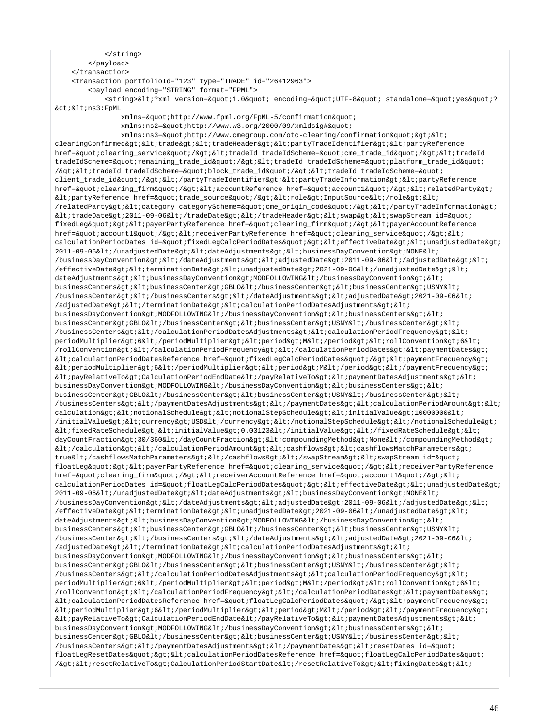```
 </string>
        </payload>
    </transaction>
    <transaction portfolioId="123" type="TRADE" id="26412963">
        <payload encoding="STRING" format="FPML">
           <string>&lt;?xml version=&quot;1.0&quot; encoding=&quot;UTF-8&quot; standalone=&quot;yes&quot;?
><ns3:FpML 
               xmlns=\&quotihttp://www.fpml.org/FpML-5/confirmation\&quotixmlns:ns2="http://www.w3.org/2000/09/xmldsig#"
               xmlns:ns3="http://www.cmegroup.com/otc-clearing/confirmation"><
clearingConfirmed><trade&gt;&lt;tradeHeader&gt;&lt;partyTradeIdentifier&gt;&lt;partyReference
href="clearing_service"/&qt;<tradeId tradeIdScheme=&quot;cme_trade_id&quot;/&qt;&lt;tradeId
tradeIdScheme="remaining_trade_id"/><tradeId tradeIdScheme=&quot;platform_trade_id&quot;
/><tradeId tradeIdScheme=&quot;block_trade_id&quot;/&gt;&lt;tradeId tradeIdScheme=&quot;
client_trade_id"/></partyTradeIdentifier&gt;&lt;partyTradeInformation&gt;&lt;partyReference
href="clearing_firm"/&qt;<accountReference href=&quot;account1&quot;/&qt;&lt;relatedParty&qt;
<partyReference href="trade_source"/><role>InputSource</role><
/relatedParty&qt;<category categoryScheme=&quot;cme_origin_code&quot;/&gt;&lt;/partyTradeInformation&gt;
kltitradeDatekgti2011-09-06klti/tradeDatekgtiklti/tradeHeaderkgtikltiswapkgtikltiswapStream id=kgtuoti
fixedLeg"><payerPartyReference href=&quot;clearing_firm&quot;/&gt;&lt;payerAccountReference
href="account1"/><receiverPartyReference href=&quot;clearing_service&quot;/&gt;&lt;
calculationPeriodDates id="fixedLeqCalcPeriodDates"&qt;<effectiveDate&qt;&lt;unadjustedDate&qt;
2011-09-06</unadjustedDate&gt;&lt;dateAdjustments&gt;&lt;businessDayConvention&gt;NONE&lt;
/businessDayConvention></dateAdjustments&gt;&lt;adjustedDate&gt;2011-09-06&lt;/adjustedDate&gt;&lt;
/effectiveDate&qt; < terminationDate&qt; &lt; unadjustedDate&qt; 2021-09-06&lt; /unadjustedDate&qt; &lt;
dateAdjustments&qt;<businessDayConvention&qt;MODFOLLOWING&lt;/businessDayConvention&qt;&lt;
businessCenters><businessCenter&gt;GBLO&lt;/businessCenter&gt;&lt;businessCenter&gt;USNY&lt;
/businessCenter&qt;</businessCenters&qt;&lt;/dateAdjustments&qt;&lt;adjustedDate&qt;2021-09-06&lt;
/adjustedDate> </terminationDate&gt; &lt; calculationPeriodDatesAdjustments&gt; &lt;
\texttt{businessDayConvention\>i} \verb"MDFOLLOWING\< i\verb"businessDayConvention\> i\< i\verb"businessCenters\> i\< i\verb"t" is a new version of the program.}businessCenter>GBLO</businessCenter&gt;&lt;businessCenter&gt;USNY&lt;/businessCenter&gt;&lt;
/businessCenters></calculationPeriodDatesAdjustments&gt;&lt;calculationPeriodFrequency&gt;&lt;
periodMultiplier>6</periodMultiplier&gt;&lt;period&gt;M&lt;/period&gt;&lt;rollConvention&gt;6&lt;
/rollConvention></calculationPeriodFrequency&gt;&lt;/calculationPeriodDates&gt;&lt;paymentDates&gt;
klticalculationPeriodDatesReference href="fixedLeqCalcPeriodDates"/&qt;<paymentFrequency&qt;
\<ltiperiodMultiplier&qt;6</periodMultiplier&qt;&lt;period&qt;M&lt;/period&qt;&lt;/paymentFrequency&qt;
klt:payRelationerO\>PcalculationPeriodEndDate</payRelativeTo&gt;&lt;paymentDatesAdjustments&gt;&lt;
businessDayConvention&qt;MODFOLLOWING</businessDayConvention&qt;&lt;businessCenters&qt;&lt;
businessCenter>GBLO</businessCenter&gt;&lt;businessCenter&gt;USNY&lt;/businessCenter&gt;&lt;
/businessCenters></paymentDatesAdjustments&gt;&lt;/paymentDates&gt;&lt;calculationPeriodAmount&gt;&lt;
calculation&qt;<notionalSchedule&qt;&lt;notionalStepSchedule&gt;&lt;initialValue&gt;10000000&lt;
/initialValue><currency&gt;USD&lt;/currency&gt;&lt;/notionalStepSchedule&gt;&lt;/notionalSchedule&gt;
kltifixedRateSchedule><initialValue&gt;0.03123&lt;/initialValue&gt;&lt;/fixedRateSchedule&gt;&lt;
dayCountFraction&qt;30/360</dayCountFraction&qt;&lt;compoundingMethod&qt;None&lt;/compoundingMethod&qt;
klti/calcintion&qt;klti/calcintionPeriodAmount&qt;klticashflows&qt;klticashflowsMatchParameters&qt;
true</cashflowsMatchParameters&gt;&lt;/cashflows&gt;&lt;/swapStream&gt;&lt;swapStream id=&quot;
floatLeg" > < payerPartyReference href=&quot; clearing_service&quot; / &gt; &lt; receiverPartyReference
href="clearing_firm"/&qt;<receiverAccountReference href=&quot;account1&quot;/&qt;&lt;
calculationPeriodDates id="floatLegCalcPeriodDates"&qt;<effectiveDate&qt;&lt;unadjustedDate&qt;
2011-09-06</unadjustedDate&gt;&lt;dateAdjustments&gt;&lt;businessDayConvention&gt;NONE&lt;
/businessDayConvention&qt;</dateAdjustments&qt;&lt;adjustedDate&qt;2011-09-06&lt;/adjustedDate&qt;&lt;
/effectiveDate><terminationDate&gt;&lt;unadjustedDate&gt;2021-09-06&lt;/unadjustedDate&gt;&lt;
dateAdjustments&qt;<businessDayConvention&qt;MODFOLLOWING&lt;/businessDayConvention&qt;&lt;
businessCenters&qt;<businessCenter&qt;GBLO&lt;/businessCenter&qt;&lt;businessCenter&qt;USNY&lt;
/businessCenter&qt;</businessCenters&qt;&lt;/dateAdjustments&qt;&lt;adjustedDate&qt;2021-09-06&lt;
/adjustedDate> </terminationDate&gt; &lt;calculationPeriodDatesAdjustments&gt; &lt;
businessDayConvention>MODFOLLOWING</businessDayConvention&gt;&lt;businessCenters&gt;&lt;
businessCenter&qt;GBLO</businessCenter&qt;&lt;businessCenter&qt;USNY&lt;/businessCenter&qt;&lt;
/businessCenters></calculationPeriodDatesAdjustments&gt;&lt;calculationPeriodFrequency&gt;&lt;
periodMultiplier>6</periodMultiplier&gt;&lt;period&gt;M&lt;/period&gt;&lt;rollConvention&gt;6&lt;
/rollConvention></calculationPeriodFrequency&gt;&lt;/calculationPeriodDates&gt;&lt;paymentDates&gt;
klticalculationPeriodDatesReference href="floatLegCalcPeriodDates"/&qt;<paymentFrequency&qt;
klt; periodMultiplier> 6< /periodMultiplier&gt; &lt; period&gt; &lt; /period&gt; &lt; /paymentFrequency&gt;
<payRelativeTo>CalculationPeriodEndDate</payRelativeTo><paymentDatesAdjustments><
businessDayConvention>MODFOLLOWING</businessDayConvention&gt;&lt;businessCenters&gt;&lt;
businessCenter&qt;GBLO</businessCenter&qt;&lt;businessCenter&qt;USNY&lt;/businessCenter&qt;&lt;
/businessCenters></paymentDatesAdjustments&gt;&lt;/paymentDates&gt;&lt;resetDates id=&quot;
floatLegResetDates"&qt;<calculationPeriodDatesReference href=&quot;floatLegCalcPeriodDates&quot;
/&qt;<resetRelativeTo&qt;CalculationPeriodStartDate&lt;/resetRelativeTo&qt;&lt;fixingDates&qt;&lt;
```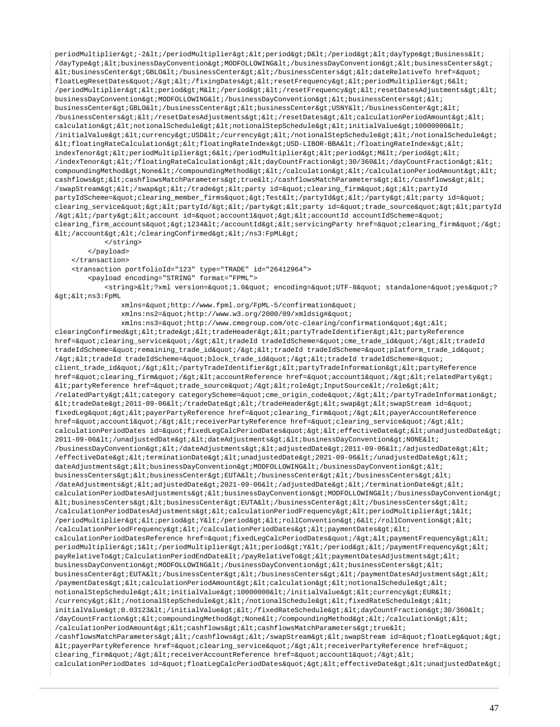periodMultiplier>-2</periodMultiplier&gt;&lt;period&gt;D&lt;/period&gt;&lt;dayType&gt;Business&lt;  $\lambda$ dayType&qt;<businessDayConvention&qt;MODFOLLOWING&lt;/businessDayConvention&qt;&lt;businessCenters&qt;  $k1$ tibusinessCenter&qt;GBLO</businessCenter&qt;&lt;/businessCenters&qt;&lt;dateRelativeTo href=&quot; floatLegResetDates"/></fixingDates&gt;&lt;resetFrequency&gt;&lt;periodMultiplier&gt;6&lt; /periodMultiplier&qt;<period&qt;M&lt;/period&qt;&lt;/resetFrequency&qt;&lt;resetDatesAdjustments&qt;&lt; businessDayConvention>MODFOLLOWING</businessDayConvention&gt;&lt;businessCenters&gt;&lt;  $\texttt{businessCenter\>gt}:\texttt{GBD}\<1; \texttt{/businessCenter\>gt}:\texttt{@lt}:\texttt{block}:\texttt{SubsizeCenter\>gt}:\texttt{WSD}\<\texttt{HSD}\<\texttt{HSD}\<\texttt{HSD}\<\texttt{HSD}\<\texttt{HSD}\<\texttt{HSD}\<\texttt{HSD}\<\texttt{HSD}\<\texttt{HSD}\<\texttt{HSD}\<\texttt{HSD}\<\texttt{HSD}\<\texttt{HSD}\<\texttt{HSD}\<\texttt{HSD}\<\texttt{HSD}\<\text$ /businessCenters&qt;</resetDatesAdjustments&qt;&lt;/resetDates&qt;&lt;calculationPeriodAmount&qt;&lt; calculation><notionalSchedule&gt;&lt;notionalStepSchedule&gt;&lt;initialValue&gt;10000000&lt; /initialValue><currency&gt;USD&lt;/currency&gt;&lt;/notionalStepSchedule&gt;&lt;/notionalSchedule&gt;  $klt$ :floatingRateCalculation><floatingRateIndex&gt;USD-LIBOR-BBA&lt;/floatingRateIndex&gt;&lt; indexTenor&qt;<periodMultiplier&qt;6&lt;/periodMultiplier&qt;&lt;period&qt;M&lt;/period&qt;&lt; /indexTenor></floatingRateCalculation&gt;&lt;dayCountFraction&gt;30/360&lt;/dayCountFraction&gt;&lt;  $\verb|compoundingMethod\>; None \< i \verb|compoundingMethod\> (xlt://calculation \verb|get|; \verb|dx|; / calculation\verb|PeriodAmount\>; \verb|dx|)$ cashflows&qt;<cashflowsMatchParameters&qt;true&lt;/cashflowsMatchParameters&qt;&lt;/cashflows&qt;&lt; /swapStream></swap&gt;&lt;/trade&gt;&lt;party id=&quot;clearing\_firm&quot;&gt;&lt;partyId partyIdScheme="clearing\_member\_firms">Test</partyId&gt;&lt;/party&gt;&lt;party id=&quot; clearing\_service"><partyId/&gt;&lt;/party&gt;&lt;party id=&quot;trade\_source&quot;&gt;&lt;partyId  $\sqrt{2}$  /  $\sqrt{2}$  /  $\sqrt{2}$  /  $\sqrt{2}$  /  $\sqrt{2}$  /  $\sqrt{2}$  /  $\sqrt{2}$  /  $\sqrt{2}$  /  $\sqrt{2}$  /  $\sqrt{2}$  /  $\sqrt{2}$  /  $\sqrt{2}$  /  $\sqrt{2}$  /  $\sqrt{2}$  /  $\sqrt{2}$  /  $\sqrt{2}$  /  $\sqrt{2}$  /  $\sqrt{2}$  /  $\sqrt{2}$  /  $\sqrt{2}$  /  $\sqrt{2}$  /  $\sqrt{2}$  / clearing\_firm\_accounts">1234</accountId&gt;&lt;servicingParty href=&quot;clearing\_firm&quot;/&gt;  $dt$ ;/account></clearingConfirmed&gt;&lt;/ns3:FpML&gt;

</string>

 </payload> </transaction>

<transaction portfolioId="123" type="TRADE" id="26412964">

<payload encoding="STRING" format="FPML">

<string>&lt;?xml version=&quot;1.0&quot; encoding=&quot;UTF-8&quot; standalone=&quot;yes&quot;?  $\>$ i $\>$ i $\>$ ns3:FpML

xmlns="http://www.fpml.org/FpML-5/confirmation"

xmlns:ns2="http://www.w3.org/2000/09/xmldsig#"

xmlns:ns3="http://www.cmegroup.com/otc-clearing/confirmation">< clearingConfirmed><trade&gt;&lt;tradeHeader&gt;&lt;partyTradeIdentifier&gt;&lt;partyReference href="clearing\_service"/><tradeId tradeIdScheme=&quot;cme\_trade\_id&quot;/&gt;&lt;tradeId tradeIdScheme="remaining\_trade\_id"/><tradeId tradeIdScheme=&quot;platform\_trade\_id&quot; /&qt;<tradeId tradeIdScheme=&quot;block trade id&quot;/&qt;&lt;tradeId tradeIdScheme=&quot; client\_trade\_id"/&qt;</partyTradeIdentifier&qt;&lt;partyTradeInformation&qt;&lt;partyReference href="clearing\_firm"/><accountReference href=&quot;account1&quot;/&gt;&lt;relatedParty&gt;  $\<$ lt; partyReference href= $\<$ quot; trade source $\<$ quot;/ $\<$ qt;  $\<$ lt;  $\<$ lnputSource $\<$ lt; /role $\<$ qt;  $\<$ lt; /relatedParty><category categoryScheme=&quot;cme\_origin\_code&quot;/&gt;&lt;/partyTradeInformation&gt; <tradeDate&gt;2011-09-06&lt;/tradeDate&gt;&lt;/tradeHeader&gt;&lt;swap&gt;&lt;swapStream id=&quot; fixedLeg&guot;&at;<payerPartyReference href=&guot;clearing firm&guot;/&gt;&lt;payerAccountReference href="account1"/><receiverPartyReference href=&quot;clearing\_service&quot;/&gt;&lt; calculationPeriodDates id="fixedLegCalcPeriodDates"><effectiveDate&gt;&lt;unadjustedDate&gt; 2011-09-06</unadjustedDate&qt;&lt;dateAdjustments&qt;&lt;businessDayConvention&qt;NONE&lt; /businessDayConvention&qt;</dateAdjustments&qt;&lt;adjustedDate&qt;2011-09-06&lt;/adjustedDate&qt;&lt; /effectiveDate> < terminationDate&gt; &lt; unadjustedDate&gt; 2021-09-06&lt; /unadjustedDate&gt; &lt; dateAdjustments> < businessDayConvention&gt; MODFOLLOWING&lt; /businessDayConvention&gt; &lt; businessCenters&qt;<businessCenter&qt;EUTA&lt;/businessCenter&qt;&lt;/businessCenters&qt;&lt; /dateAdjustments><adjustedDate&gt;2021-09-06&lt;/adjustedDate&gt;&lt;/terminationDate&gt;&lt; calculationPeriodDatesAdjustments><businessDayConvention&gt;MODFOLLOWING&lt;/businessDayConvention&gt;  $k$ t; businessCenters&qt;  $k$ lt; businessCenter&qt; EUTA< /businessCenter&qt;  $k$ lt; /businessCenters&qt;  $k$ lt; /calculationPeriodDatesAdjustments><calculationPeriodFrequency&gt;&lt;periodMultiplier&gt;1&lt; /periodMultiplier><period&gt;Y&lt;/period&gt;&lt;rollConvention&gt;6&lt;/rollConvention&gt;&lt; /calculationPeriodFrequency&qt;</calculationPeriodDates&qt;&lt;paymentDates&qt;&lt; calculationPeriodDatesReference href="fixedLeqCalcPeriodDates"/&qt;<paymentFrequency&qt;&lt; periodMultiplier>1</periodMultiplier&gt;&lt;period&gt;Y&lt;/period&gt;&lt;/paymentFrequency&gt;&lt; payRelativeTo>CalculationPeriodEndDate</payRelativeTo&gt;&lt;paymentDatesAdjustments&gt;&lt; businessDayConvention&qt;MODFOLLOWING</businessDayConvention&qt;&lt;businessCenters&qt;&lt; businessCenter>EUTA</businessCenter&gt;&lt;/businessCenters&gt;&lt;/paymentDatesAdjustments&gt;&lt; /paymentDates><calculationPeriodAmount&gt;&lt;calculation&gt;&lt;notionalSchedule&gt;&lt; notionalStepSchedule&qt;<initialValue&qt;10000000&lt;/initialValue&qt;&lt;currency&qt;EUR&lt; /currency></notionalStepSchedule&gt;&lt;/notionalSchedule&gt;&lt;fixedRateSchedule&gt;&lt; initialValue>0.03123</initialValue&gt;&lt;/fixedRateSchedule&gt;&lt;dayCountFraction&gt;30/360&lt; /dayCountFraction&qt;<compoundingMethod&qt;None&lt;/compoundingMethod&qt;&lt;/calculation&qt;&lt; /calculationPeriodAmount><cashflows&gt;&lt;cashflowsMatchParameters&gt;true&lt; /cashflowsMatchParameters></cashflows&gt;&lt;/swapStream&gt;&lt;swapStream id=&quot;floatLeg&quot;&gt; <payerPartyReference href=&quot;clearing\_service&quot;/&gt;&lt;receiverPartyReference href=&quot; clearing firm"/&qt;<receiverAccountReference href=&quot;account1&quot;/&qt;&lt; calculationPeriodDates id="floatLegCalcPeriodDates"&qt;<effectiveDate&qt;&lt;unadjustedDate&qt;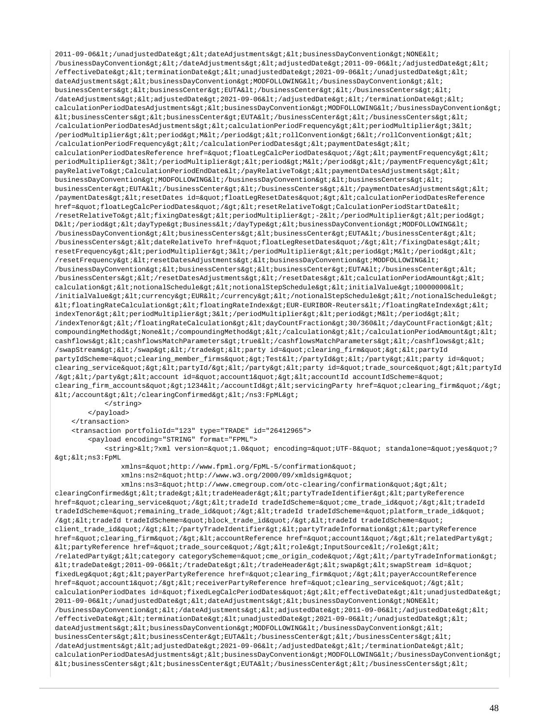2011-09-06</unadjustedDate&gt;&lt;dateAdjustments&gt;&lt;businessDayConvention&gt;NONE&lt; /businessDayConvention&qt;</dateAdjustments&qt;&lt;adjustedDate&qt;2011-09-06&lt;/adjustedDate&qt;&lt;  $/$ effectiveDate&qt;<terminationDate&qt;&lt;unadjustedDate&qt;2021-09-06&lt;/unadjustedDate&qt;&lt; dateAdjustments><businessDayConvention&gt;MODFOLLOWING&lt;/businessDayConvention&gt;&lt; businessCenters&qt;<businessCenter&qt;EUTA&lt;/businessCenter&qt;&lt;/businessCenters&qt;&lt; /dateAdjustments><adjustedDate&gt;2021-09-06&lt;/adjustedDate&gt;&lt;/terminationDate&gt;&lt; calculationPeriodDatesAdjustments><businessDayConvention&gt;MODFOLLOWING&lt;/businessDayConvention&gt;  $k$ lt; businessCenters&qt;  $k$ lt; businessCenter&qt; EUTA $k$ lt; /businessCenter&qt;  $k$ lt; /businessCenters&qt;  $k$ lt; /calculationPeriodDatesAdjustments><calculationPeriodFrequency&gt;&lt;periodMultiplier&gt;3&lt; /periodMultiplier><period&gt;M&lt;/period&gt;&lt;rollConvention&gt;6&lt;/rollConvention&gt;&lt; /calculationPeriodFrequency&qt;</calculationPeriodDates&qt;&lt;paymentDates&qt;&lt; calculationPeriodDatesReference href="floatLeqCalcPeriodDates"/&qt;<paymentFrequency&qt;&lt; periodMultiplier>3</periodMultiplier&gt;&lt;period&gt;M&lt;/period&gt;&lt;/paymentFrequency&gt;&lt;  $\verb|payRelativeTo\>; calculate \verb|ordDate@lt|; \verb|payRelativeTo\>; \verb|alt|; \verb|payRelativeTo\>; \verb|artDatesAdjustments@gt;; \verb|alt|; \verb|antDates@lt|; \verb|alt|; \verb|antDates@lt;; \verb|antDates@lt;; \verb|antDates@lt;; \verb|antDates@lt;; \verb|antDates@lt;; \verb|antDates@lt;; \verb|antDates@lt;; \verb|antDates@lt;; \verb|antDates@lt;; \verb|antDates@lt;; \verb|antDates@lt;; \verb|antDates@lt;; \verb|antDates@lt;; \$ businessDayConvention&qt;MODFOLLOWING</businessDayConvention&qt;&lt;businessCenters&qt;&lt; businessCenter&qt;EUTA</businessCenter&qt;&lt;/businessCenters&qt;&lt;/paymentDatesAdjustments&qt;&lt; /paymentDates><resetDates id=&quot;floatLegResetDates&quot;&gt;&lt;calculationPeriodDatesReference href="floatLegCalcPeriodDates"/><resetRelativeTo&gt;CalculationPeriodStartDate&lt; /resetRelativeTo><fixingDates&gt;&lt;periodMultiplier&gt;-2&lt;/periodMultiplier&gt;&lt;period&gt; D</period&gt;&lt;dayType&gt;Business&lt;/dayType&gt;&lt;businessDayConvention&gt;MODFOLLOWING&lt; /businessDayConvention&qt;<businessCenters&qt;&lt;businessCenter&qt;EUTA&lt;/businessCenter&qt;&lt; /businessCenters&qt;<dateRelativeTo href=&quot;floatLeqResetDates&quot;/&qt;&lt;/fixinqDates&qt;&lt; resetFrequency><periodMultiplier&gt;3&lt;/periodMultiplier&gt;&lt;period&gt;M&lt;/period&gt;&lt;  $/$ resetFrequency><resetDatesAdjustments&gt;&lt;businessDayConvention&gt;MODFOLLOWING&lt; /businessDayConvention><businessCenters&gt;&lt;businessCenter&gt;EUTA&lt;/businessCenter&gt;&lt; /businessCenters&qt;</resetDatesAdjustments&qt;&lt;/resetDates&qt;&lt;calculationPeriodAmount&qt;&lt;  $\verb|calulation@gt|; \verb|alt|; not \verb|ionals| \verb|chedule@gt|; \verb|alt|; not \verb|ionals| \verb|tepschedule@gt|; \verb|alt|; in \verb|itialValue@gt|; 10000000001|;$ /initialValue&qt;<currency&qt;EUR&lt;/currency&qt;&lt;/notionalStepSchedule&qt;&lt;/notionalSchedule&qt;  $klt$ ;floatingRateCalculation><floatingRateIndex&gt;EUR-EURIBOR-Reuters&lt;/floatingRateIndex&gt;&lt; indexTenor><periodMultiplier&gt;3&lt;/periodMultiplier&gt;&lt;period&gt;M&lt;/period&gt;&lt; /indexTenor></floatingRateCalculation&gt;&lt;dayCountFraction&gt;30/360&lt;/dayCountFraction&gt;&lt;  $\verb|compoundingMethod\>; None \< i/\verb|compoundingMethod\>: \< i/\verb|calculation\>: \< i/\verb|calculation\>: \< i/\verb|calculation\>: \< i/\verb|cardination\>: \< i/\verb|cardination\>: \< i/\verb|cardination\>: \< i/\verb|cardination\>: \< i/\verb|cardination\>: \< i/\verb|cardination\>: \< i/\verb|cardination\>: \< i/\verb|cardination\>: \< i/\verb|cardination\>: \< i/\verb|cardination$ cashflows><cashflowsMatchParameters&gt;true&lt;/cashflowsMatchParameters&gt;&lt;/cashflows&gt;&lt; /swapStream></swap&gt;&lt;/trade&gt;&lt;party id=&quot;clearing\_firm&quot;&gt;&lt;partyId partyIdScheme="clearing\_member\_firms"&qt;Test</partyId&qt;&lt;/party&qt;&lt;party\_id=&quot; clearing\_service"&qt;<partyId/&qt;&lt;/party&qt;&lt;party\_id=&quot;trade\_source&quot;&qt;&lt;partyId /></party&gt;&lt;account id=&quot;account1&quot;&gt;&lt;accountId accountIdScheme=&quot; clearing\_firm\_accounts"&qt;1234</accountId&qt;&lt;servicingParty href=&quot;clearing\_firm&quot;/&qt;  $dt$ iti/account&gti&lti/clearingConfirmed&gti&lti/ns3:FpML&gti </string>

</payload>

</transaction>

<transaction portfolioId="123" type="TRADE" id="26412965">

<payload encoding="STRING" format="FPML">

<string>&lt;?xml version=&quot;1.0&quot; encoding=&quot;UTF-8&quot; standalone=&quot;yes&quot;?  $\>$ i $\<$ i $\>$ ns3:FpML

xmlns="http://www.fpml.org/FpML-5/confirmation"

xmlns:ns2="http://www.w3.org/2000/09/xmldsig#"

xmlns:ns3="http://www.cmegroup.com/otc-clearing/confirmation"&qt;< clearingConfirmed><trade&gt;&lt;tradeHeader&gt;&lt;partyTradeIdentifier&gt;&lt;partyReference href="clearing\_service"/><tradeId tradeIdScheme=&quot;cme\_trade\_id&quot;/&gt;&lt;tradeId tradeIdScheme="remaining\_trade\_id"/><tradeId tradeIdScheme=&quot;platform\_trade\_id&quot; /><tradeId tradeIdScheme=&quot;block\_trade\_id&quot;/&gt;&lt;tradeId tradeIdScheme=&quot; client\_trade\_id"/></partyTradeIdentifier&gt;&lt;partyTradeInformation&gt;&lt;partyReference href="clearing\_firm"/&qt;<accountReference href=&quot;account1&quot;/&qt;&lt;relatedParty&qt;  $\texttt{http://raterence}$  href="trade\_source"/><role&gt;InputSource&lt;/role&gt;&lt; /relatedParty&qt;<category categoryScheme=&quot;cme\_origin\_code&quot;/&gt;&lt;/partyTradeInformation&gt;  $k$ lt;tradeDate&qt;2011-09-06</tradeDate&qt;&lt;/tradeHeader&qt;&lt;swap&qt;&lt;swapStream id=&quot; fixedLeg"><payerPartyReference href=&quot;clearing\_firm&quot;/&gt;&lt;payerAccountReference href="account1"/><receiverPartyReference href=&quot;clearing\_service&quot;/&gt;&lt; calculationPeriodDates id="fixedLeqCalcPeriodDates"&qt;<effectiveDate&qt;&lt;unadjustedDate&qt; 2011-09-06</unadjustedDate&gt;&lt;dateAdjustments&gt;&lt;businessDayConvention&gt;NONE&lt; /businessDayConvention></dateAdjustments&gt;&lt;adjustedDate&gt;2011-09-06&lt;/adjustedDate&gt;&lt; /effectiveDate&qt;<terminationDate&qt;&lt;unadjustedDate&qt;2021-09-06&lt;/unadjustedDate&qt;&lt; dateAdjustments> < businessDayConvention&gt; MODFOLLOWING&lt; /businessDayConvention&gt; &lt; businessCenters&qt;<businessCenter&qt;EUTA&lt;/businessCenter&qt;&lt;/businessCenters&qt;&lt;  $\lambda$ dateAdjustments&qt;<adjustedDate&qt;2021-09-06&lt;/adjustedDate&qt;&lt;/terminationDate&qt;&lt; calculationPeriodDatesAdjustments&qt;<businessDayConvention&qt;MODFOLLOWING&lt;/businessDayConvention&qt;  $k$ lt; businessCenters&qt; < businessCenter&qt; EUTA&lt; /businessCenter&qt; &lt; /businessCenters&qt; &lt;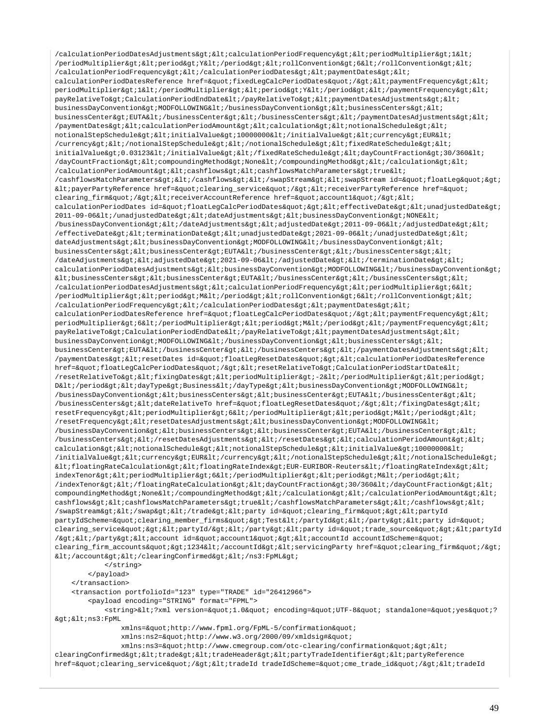```
/calationPeriodDates Adjustments \> (cal c) is 100000/periodMultiplier&qt;<period&qt;Y&lt;/period&qt;&lt;rollConvention&qt;6&lt;/rollConvention&qt;&lt;
/calculationPeriodFrequency&qt;</calculationPeriodDates&qt;&lt;paymentDates&qt;&lt;
calculationPeriodDatesReference href="fixedLegCalcPeriodDates"/><paymentFrequency&gt;&lt;
periodMultiplier>1</periodMultiplier&gt;&lt;period&gt;Y&lt;/period&gt;&lt;/paymentFrequency&gt;&lt;
payRelativeTo>CalculationPeriodEndDate</payRelativeTo&gt;&lt;paymentDatesAdjustments&gt;&lt;
businessDayConvention>MODFOLLOWING</businessDayConvention&gt;&lt;businessCenters&gt;&lt;
businessCenter&qt;EUTA</businessCenter&qt;&lt;/businessCenters&qt;&lt;/paymentDatesAdjustments&qt;&lt;
/paymentDates><calculationPeriodAmount&gt;&lt;calculation&gt;&lt;notionalSchedule&gt;&lt;
notionalStepSchedule><initialValue&gt;10000000&lt;/initialValue&gt;&lt;currency&gt;EUR&lt;
/currency&qt;</notionalStepSchedule&qt;&lt;/notionalSchedule&qt;&lt;fixedRateSchedule&qt;&lt;
initialValue&qt;0.03123</initialValue&qt;&lt;/fixedRateSchedule&qt;&lt;dayCountFraction&qt;30/360&lt;
/dayCountFraction><compoundingMethod&gt;None&lt;/compoundingMethod&gt;&lt;/calculation&gt;&lt;
/calculationPeriodAmount><cashflows&gt;&lt;cashflowsMatchParameters&gt;true&lt;
/cashflowsMatchParameters></cashflows&gt;&lt;/swapStream&gt;&lt;swapStream id=&quot;floatLeg&quot;&gt;
klt:payerPartyReference href=kquot; clearing_servicekquot; / kgt; klt;receiverPartyReference href=kquot;clearing_firm"/><receiverAccountReference href=&quot;account1&quot;/&gt;&lt;
calculationPeriodDates id="floatLegCalcPeriodDates"&qt;<effectiveDate&qt;&lt;unadjustedDate&qt;
2011-09-06</unadjustedDate&gt;&lt;dateAdjustments&gt;&lt;businessDayConvention&gt;NONE&lt;
/businessDayConvention></dateAdjustments&gt;&lt;adjustedDate&gt;2011-09-06&lt;/adjustedDate&gt;&lt;
/effectiveDate><terminationDate&gt;&lt;unadjustedDate&gt;2021-09-06&lt;/unadjustedDate&gt;&lt;
dateAdjustments&qt;<businessDayConvention&qt;MODFOLLOWING&lt;/businessDayConvention&qt;&lt;
businessCenters><businessCenter&gt;EUTA&lt;/businessCenter&gt;&lt;/businessCenters&gt;&lt;
\sqrt{d}ateAdjustments><adjustedDate&gt;2021-09-06&lt;/adjustedDate&gt;&lt;/terminationDate&gt;&lt;
calculationPeriodDatesAdjustments><businessDayConvention&gt;MODFOLLOWING&lt;/businessDayConvention&gt;
klt; businessCenters&qt; klt; businessCenter&qt; EUTA< /businessCenter&qt; &lt; /businessCenters&qt; &lt;
/calculationPeriodDatesAdjustments><calculationPeriodFrequency&gt;&lt;periodMultiplier&gt;6&lt;
/periodMultiplier><period&gt;M&lt;/period&gt;&lt;rollConvention&gt;6&lt;/rollConvention&gt;&lt;
/calculationPeriodFrequency></calculationPeriodDates&gt;&lt;paymentDates&gt;&lt;
calculationPeriodDatesReference href="floatLegCalcPeriodDates"/><paymentFrequency&gt;&lt;
periodMultiplier>6</periodMultiplier&gt;&lt;period&gt;M&lt;/period&gt;&lt;/paymentFrequency&gt;&lt;
payRelativeTo>CalculationPeriodEndDate</payRelativeTo&gt;&lt;paymentDatesAdjustments&gt;&lt;
businessDayConvention>MODFOLLOWING</businessDayConvention&gt;&lt;businessCenters&gt;&lt;
businessCenter>EUTA</businessCenter&gt;&lt;/businessCenters&gt;&lt;/paymentDatesAdjustments&gt;&lt;
/paymentDates&qt;<resetDates_id=&quot;floatLeqResetDates&quot;&qt;&lt;calculationPeriodDatesReference
href="floatLeqCalcPeriodDates"/&qt;<resetRelativeTo&qt;CalculationPeriodStartDate&lt;
/resetRelativeTo><fixingDates&gt;&lt;periodMultiplier&gt;-2&lt;/periodMultiplier&gt;&lt;period&gt;
D</period&qt;&lt;dayType&qt;Business&lt;/dayType&qt;&lt;businessDayConvention&qt;MODFOLLOWING&lt;
/businessDayConvention><businessCenters&gt;&lt;businessCenter&gt;EUTA&lt;/businessCenter&gt;&lt;
/businessCenters><dateRelativeTo href=&quot;floatLegResetDates&quot;/&gt;&lt;/fixingDates&gt;&lt;
resetFrequency&qt;<periodMultiplier&qt;6&lt;/periodMultiplier&qt;&lt;period&qt;M&lt;/period&qt;&lt;
/resetFrequency><resetDatesAdjustments&gt;&lt;businessDayConvention&gt;MODFOLLOWING&lt;
/businessDayConvention><businessCenters&gt;&lt;businessCenter&gt;EUTA&lt;/businessCenter&gt;&lt;
/businessCenters&qt;</resetDatesAdjustments&qt;&lt;/resetDates&qt;&lt;calculationPeriodAmount&qt;&lt;
calculation&qt;<notionalSchedule&qt;&lt;notionalStepSchedule&qt;&lt;initialValue&qt;10000000&lt;
/initialValue><currency&gt;EUR&lt;/currency&gt;&lt;/notionalStepSchedule&gt;&lt;/notionalSchedule&gt;
klt:floatingRateCalculation><floatingRateIndex&gt;EUR-EURIBOR-Reuters&lt;/floatingRateIndex&gt;&lt;
indexTenor&qt;<periodMultiplier&qt;6&lt;/periodMultiplier&qt;&lt;period&qt;M&lt;/period&qt;&lt;
/indexTenor></floatingRateCalculation&gt;&lt;dayCountFraction&gt;30/360&lt;/dayCountFraction&gt;&lt;
compoundingMethod>None</compoundingMethod&gt;&lt;/calculation&gt;&lt;/calculationPeriodAmount&gt;&lt;
cashflows&qt;<cashflowsMatchParameters&qt;true&lt;/cashflowsMatchParameters&qt;&lt;/cashflows&qt;&lt;
/swapStream></swap&gt;&lt;/trade&gt;&lt;party id=&quot;clearing_firm&quot;&gt;&lt;partyId
partyIdScheme="clearing_member_firms"&qt;Test</partyId&qt;&lt;/party&qt;&lt;party id=&quot;
clearing_service"><partyId/&gt;&lt;/party&gt;&lt;party id=&quot;trade_source&quot;&gt;&lt;partyId
/&qt;</party&qt;&lt;account id=&quot;account1&quot;&qt;&lt;accountId accountIdScheme=&quot;
clearing_firm_accounts">1234</accountId&gt;&lt;servicingParty href=&quot;clearing_firm&quot;/&gt;
dt;/account></clearingConfirmed&gt;&lt;/ns3:FpML&gt;
            </string>
        </payload>
    </transaction>
    <transaction portfolioId="123" type="TRADE" id="26412966">
        <payload encoding="STRING" format="FPML">
           <string>&lt;?xml version=&quot;1.0&quot; encoding=&quot;UTF-8&quot; standalone=&quot;yes&quot;?
kat;k]t;ns3:FmML
               xmlns="http://www.fpml.org/FpML-5/confirmation"
               xmlns:ns2="http://www.w3.org/2000/09/xmldsig#"
               xmlns:ns3="http://www.cmegroup.com/otc-clearing/confirmation"><
clearingConfirmed&qt;<trade&qt;&lt;tradeHeader&qt;&lt;partyTradeIdentifier&qt;&lt;partyReference
```
href="clearing\_service"/&qt;<tradeId tradeIdScheme=&quot;cme\_trade\_id&quot;/&qt;&lt;tradeId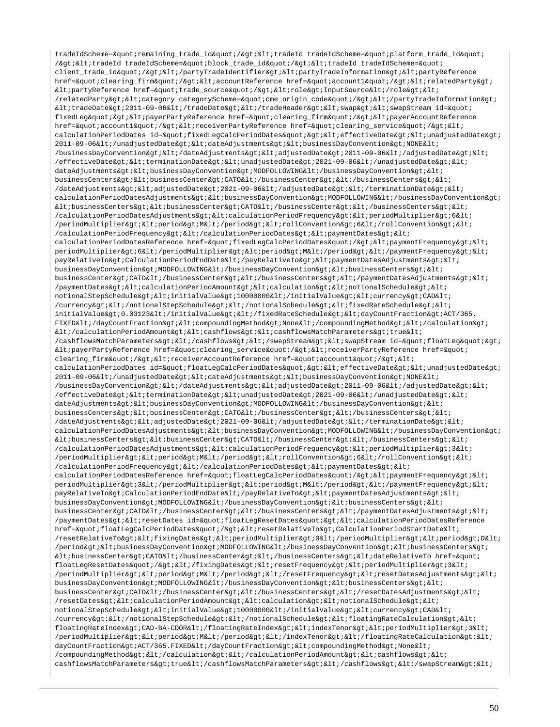tradeIdScheme="remaining\_trade\_id"/><tradeId tradeIdScheme=&quot;platform\_trade\_id&quot; /&qt;<tradeId tradeIdScheme=&quot;block trade id&quot;/&qt;&lt;tradeId tradeIdScheme=&quot; client\_trade\_id"/&qt;</partyTradeIdentifier&qt;&lt;partyTradeInformation&qt;&lt;partyReference href="clearing\_firm"/><accountReference href=&quot;account1&quot;/&gt;&lt;relatedParty&gt;  $\texttt{allipartyReference}$  href= $\texttt{kquot}$ ; trade\_source"/&qt;<role&qt;InputSource&lt;/role&qt;&lt; /relatedParty><category categoryScheme=&quot;cme\_origin\_code&quot;/&gt;&lt;/partyTradeInformation&gt;  $klt: tradeDate\>2011-09-06\iklt;/tradeHeader\>klt;sklt;swap\>f;kltswap\>skleam id=\>quot;kltswap\>skle.$ fixedLeg"&qt;<payerPartyReference href=&quot;clearing firm&quot;/&qt;&lt;payerAccountReference href="account1"/><receiverPartyReference href=&quot;clearing\_service&quot;/&gt;&lt; calculationPeriodDates id="fixedLegCalcPeriodDates"><effectiveDate&gt;&lt;unadjustedDate&gt; 2011-09-06</unadjustedDate&gt;&lt;dateAdjustments&gt;&lt;businessDayConvention&gt;NONE&lt; /businessDayConvention&qt;</dateAdjustments&qt;&lt;adjustedDate&qt;2011-09-06&lt;/adjustedDate&qt;&lt; /effectiveDate><terminationDate&gt;&lt;unadjustedDate&gt;2021-09-06&lt;/unadjustedDate&gt;&lt; dateAdjustments><businessDayConvention&gt;MODFOLLOWING&lt;/businessDayConvention&gt;&lt; businessCenters&qt;<businessCenter&qt;CATO&lt;/businessCenter&qt;&lt;/businessCenters&qt;&lt; /dateAdjustments><adjustedDate&gt;2021-09-06&lt;/adjustedDate&gt;&lt;/terminationDate&gt;&lt; calculationPeriodDatesAdjustments><businessDayConvention&gt;MODFOLLOWING&lt;/businessDayConvention&gt;  $k$ t; businessCenters&qt; < businessCenter&qt; cATO&lt; /businessCenter&qt; &lt; /businessCenters&qt; &lt; /calculationPeriodDatesAdjustments><calculationPeriodFrequency&gt;&lt;periodMultiplier&gt;6&lt; /periodMultiplier><period&gt;M&lt;/period&gt;&lt;rollConvention&gt;6&lt;/rollConvention&gt;&lt; /calculationPeriodFrequency></calculationPeriodDates&gt;&lt;paymentDates&gt;&lt; calculationPeriodDatesReference href="fixedLeqCalcPeriodDates"/&qt;<paymentFrequency&qt;&lt; periodMultiplier>6</periodMultiplier&gt;&lt;period&gt;M&lt;/period&gt;&lt;/paymentFrequency&gt;&lt; payRelativeTo>CalculationPeriodEndDate</payRelativeTo&gt;&lt;paymentDatesAdjustments&gt;&lt; businessDayConvention&qt;MODFOLLOWING</businessDayConvention&qt;&lt;businessCenters&qt;&lt; businessCenter>CATO</businessCenter&gt;&lt;/businessCenters&gt;&lt;/paymentDatesAdjustments&gt;&lt; /paymentDates><calculationPeriodAmount&gt;&lt;calculation&gt;&lt;notionalSchedule&gt;&lt; notionalStepSchedule&qt;<initialValue&qt;10000000&lt;/initialValue&qt;&lt;currency&qt;CAD&lt; /currency></notionalStepSchedule&gt;&lt;/notionalSchedule&gt;&lt;fixedRateSchedule&gt;&lt; initialValue>0.03123</initialValue&gt;&lt;/fixedRateSchedule&gt;&lt;dayCountFraction&gt;ACT/365. FIXED</dayCountFraction&gt;&lt;compoundingMethod&gt;None&lt;/compoundingMethod&gt;&lt;/calculation&gt;  $\verb|diff|/calculationPeriodAmount\> (alt) cashflows\> (alt) cashflowsMatchParameters\> (true\< t)$ /cashflowsMatchParameters></cashflows&gt;&lt;/swapStream&gt;&lt;swapStream id=&quot;floatLeg&quot;&gt; <payerPartyReference href=&quot;clearing\_service&quot;/&gt;&lt;receiverPartyReference href=&quot; clearing firm"/&qt;<receiverAccountReference href=&quot;account1&quot;/&qt;&lt; calculationPeriodDates id="floatLeqCalcPeriodDates"&qt;<effectiveDate&qt;&lt;unadjustedDate&qt; 2011-09-06</unadjustedDate&gt;&lt;dateAdjustments&gt;&lt;businessDayConvention&gt;NONE&lt;  $/b$ usinessDayConvention&qt;</dateAdjustments&qt;&lt;adjustedDate&qt;2011-09-06&lt;/adjustedDate&qt;&lt; /effectiveDate><terminationDate&gt;&lt;unadjustedDate&gt;2021-09-06&lt;/unadjustedDate&gt;&lt; dateAdjustments&qt;<businessDayConvention&qt;MODFOLLOWING&lt;/businessDayConvention&qt;&lt; businessCenters&qt;<businessCenter&qt;CATO&lt;/businessCenter&qt;&lt;/businessCenters&qt;&lt; /dateAdjustments><adjustedDate&gt;2021-09-06&lt;/adjustedDate&gt;&lt;/terminationDate&gt;&lt; calculationPeriodDatesAdjustments><businessDayConvention&gt;MODFOLLOWING&lt;/businessDayConvention&gt;  $k$ t; businessCenters&qt;  $k$ lt; businessCenter&qt; businessCenter&qt;  $k$ lt; businessCenters&qt;  $k$ lt; /calculationPeriodDatesAdjustments&qt;<calculationPeriodFrequency&qt;&lt;periodMultiplier&qt;3&lt; /periodMultiplier><period&gt;M&lt;/period&gt;&lt;rollConvention&gt;6&lt;/rollConvention&gt;&lt; /calculationPeriodFrequency></calculationPeriodDates&gt;&lt;paymentDates&gt;&lt; calculationPeriodDatesReference href="floatLeqCalcPeriodDates"/&qt;<paymentFrequency&qt;&lt; periodMultiplier&qt;3</periodMultiplier&qt;&lt;period&qt;M&lt;/period&qt;&lt;/paymentFrequency&qt;&lt; payRelativeTo>CalculationPeriodEndDate</payRelativeTo&gt;&lt;paymentDatesAdjustments&gt;&lt; businessDayConvention&qt;MODFOLLOWING</businessDayConvention&gt;&lt;businessCenters&gt;&lt; businessCenter>CATO</businessCenter&gt;&lt;/businessCenters&gt;&lt;/paymentDatesAdjustments&gt;&lt; /paymentDates><resetDates id=&quot;floatLegResetDates&quot;&gt;&lt;calculationPeriodDatesReference href="floatLeqCalcPeriodDates"/&qt;<resetRelativeTo&qt;CalculationPeriodStartDate&lt; /resetRelativeTo&qt;<fixingDates&qt;&lt;periodMultiplier&qt;0&lt;/periodMultiplier&qt;&lt;period&qt;D&lt; /period><businessDayConvention&gt;MODFOLLOWING&lt;/businessDayConvention&gt;&lt;businessCenters&gt;  $k$ tt; businessCenter&qt; CATO< /businessCenter&qt; &lt; /businessCenters&qt; &lt; dateRelativeTo href=&quot; floatLegResetDates"/&qt;</fixingDates&qt;&lt;resetFrequency&qt;&lt;periodMultiplier&qt;3&lt; /periodMultiplier><period&gt;M&lt;/period&gt;&lt;/resetFrequency&gt;&lt;resetDatesAdjustments&gt;&lt; businessDayConvention>MODFOLLOWING</businessDayConvention&gt;&lt;businessCenters&gt;&lt; businessCenter&qt;CATO</businessCenter&qt;&lt;/businessCenters&qt;&lt;/resetDatesAdjustments&qt;&lt; /resetDates><calculationPeriodAmount&gt;&lt;calculation&gt;&lt;notionalSchedule&gt;&lt; notionalStepSchedule><initialValue&gt;10000000&lt;/initialValue&gt;&lt;currency&gt;CAD&lt; /currency&qt;</notionalStepSchedule&qt;&lt;/notionalSchedule&qt;&lt;floatingRateCalculation&qt;&lt; floatingRateIndex>CAD-BA-CDOR</floatingRateIndex&gt;&lt;indexTenor&gt;&lt;periodMultiplier&gt;3&lt; /periodMultiplier><period&gt;M&lt;/period&gt;&lt;/indexTenor&gt;&lt;/floatingRateCalculation&gt;&lt; dayCountFraction>ACT/365.FIXED</dayCountFraction&gt;&lt;compoundingMethod&gt;None&lt; /compoundingMethod&qt;</calculation&qt;&lt;/calculationPeriodAmount&qt;&lt;cashflows&qt;&lt; cashflowsMatchParameters&qt;true</cashflowsMatchParameters&qt;&lt;/cashflows&qt;&lt;/swapStream&qt;&lt;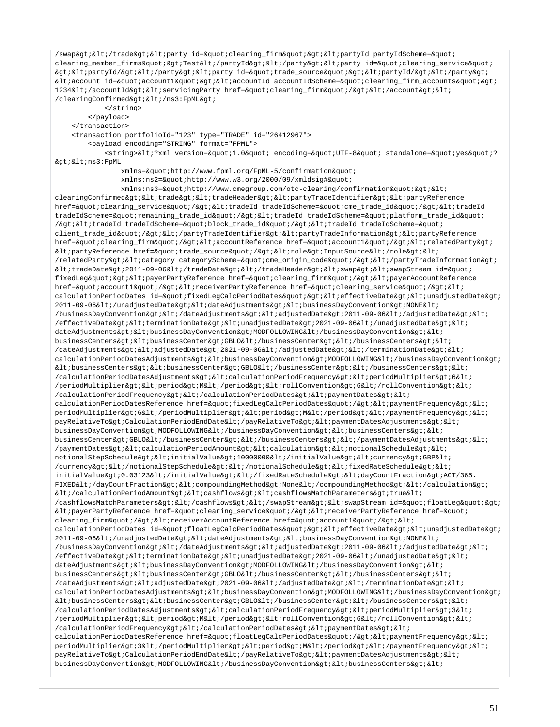/swap></trade&gt;&lt;party id=&quot;clearing\_firm&quot;&gt;&lt;partyId partyIdScheme=&quot; clearing member firms"&qt;Test</partyId&qt;&lt;/party&qt;&lt;party id=&quot;clearing service&quot; ><partyId/&gt;&lt;/party&gt;&lt;party id=&quot;trade\_source&quot;&gt;&lt;partyId/&gt;&lt;/party&gt; <account id=&quot;account1&quot;&gt;&lt;accountId accountIdScheme=&quot;clearing\_firm\_accounts&quot;&gt; 1234</accountId&gt;&lt;servicingParty href=&quot;clearing\_firm&quot;/&gt;&lt;/account&gt;&lt; /clearingConfirmed> < /ns3: FpML&gt; </string>

 </payload> </transaction>

 <transaction portfolioId="123" type="TRADE" id="26412967"> <payload encoding="STRING" format="FPML"> <string>&lt;?xml version=&quot;1.0&quot; encoding=&quot;UTF-8&quot; standalone=&quot;yes&quot;? ><ns3:FpML xmlns="http://www.fpml.org/FpML-5/confirmation" xmlns:ns2="http://www.w3.org/2000/09/xmldsig#" xmlns:ns3="http://www.cmegroup.com/otc-clearing/confirmation">< clearingConfirmed><trade&gt;&lt;tradeHeader&gt;&lt;partyTradeIdentifier&gt;&lt;partyReference href="clearing\_service"/><tradeId tradeIdScheme=&quot;cme\_trade\_id&quot;/&gt;&lt;tradeId tradeIdScheme="remaining\_trade\_id"/><tradeId tradeIdScheme=&quot;platform\_trade\_id&quot; /><tradeId tradeIdScheme=&quot;block\_trade\_id&quot;/&gt;&lt;tradeId tradeIdScheme=&quot; client\_trade\_id"/></partyTradeIdentifier&gt;&lt;partyTradeInformation&gt;&lt;partyReference href="clearing\_firm"/&qt;<accountReference href=&quot;account1&quot;/&qt;&lt;relatedParty&qt;  $\texttt{all:partyReference}$ href=&quot:trade\_source&quot:/&gt:&lt:role&gt:InputSource&lt:/role&gt:&lt: /relatedParty><category categoryScheme=&quot;cme\_origin\_code&quot;/&gt;&lt;/partyTradeInformation&gt;  $klt$ itradeDate $kqt$ ; 2011-09-06 $klt$ i/tradeDate $kqt$ ;  $klt$ i/tradeHeader $kqt$ ;  $klt$ iswap $kqt$ ;  $klt$ iswapStream id= $kquct$ ; fixedLeg" > < payerPartyReference href=&quot; clearing\_firm&quot; / &gt; &lt; payerAccountReference href="account1"/><receiverPartyReference href=&quot;clearing\_service&quot;/&gt;&lt; calculationPeriodDates id="fixedLeqCalcPeriodDates"&qt;<effectiveDate&qt;&lt;unadjustedDate&qt; 2011-09-06</unadjustedDate&gt;&lt;dateAdjustments&gt;&lt;businessDayConvention&gt;NONE&lt;  $/b$ usinessDayConvention></dateAdjustments&gt;&lt;adjustedDate&gt;2011-09-06&lt;/adjustedDate&gt;&lt;  $/$ effectiveDate><terminationDate&gt;&lt;unadjustedDate&gt;2021-09-06&lt;/unadjustedDate&gt;&lt; dateAdjustments><businessDayConvention&gt;MODFOLLOWING&lt;/businessDayConvention&gt;&lt; businessCenters><businessCenter&gt;GBLO&lt;/businessCenter&gt;&lt;/businessCenters&gt;&lt; /dateAdjustments&qt;<adjustedDate&gt;2021-09-06&lt;/adjustedDate&gt;&lt;/terminationDate&gt;&lt; calculationPeriodDatesAdjustments&qt;<businessDayConvention&qt;MODFOLLOWING&lt;/businessDayConvention&qt;  $k$ lt; businessCenters&qt;  $k$ lt; businessCenter&qt; GBLO< /businessCenter&qt; &lt; /businessCenters&qt; &lt; /calculationPeriodDatesAdjustments><calculationPeriodFrequency&gt;&lt;periodMultiplier&gt;6&lt; /periodMultiplier&qt;<period&qt;M&lt;/period&qt;&lt;rollConvention&qt;6&lt;/rollConvention&qt;&lt; /calculationPeriodFrequency></calculationPeriodDates&gt;&lt;paymentDates&gt;&lt; calculationPeriodDatesReference href="fixedLegCalcPeriodDates"/><paymentFrequency&gt;&lt; periodMultiplier&qt;6</periodMultiplier&qt;&lt;period&qt;M&lt;/period&qt;&lt;/paymentFrequency&qt;&lt; payRelativeTo>CalculationPeriodEndDate</payRelativeTo&gt;&lt;paymentDatesAdjustments&gt;&lt; businessDayConvention>MODFOLLOWING</businessDayConvention&gt;&lt;businessCenters&gt;&lt; businessCenter&qt;GBLO</businessCenter&qt;&lt;/businessCenters&qt;&lt;/paymentDatesAdjustments&qt;&lt; /paymentDates&qt;<calculationPeriodAmount&qt;&lt;calculation&qt;&lt;notionalSchedule&qt;&lt; notionalStepSchedule><initialValue&gt;10000000&lt;/initialValue&gt;&lt;currency&gt;GBP&lt; /currency></notionalStepSchedule&gt;&lt;/notionalSchedule&gt;&lt;fixedRateSchedule&gt;&lt; initialValue&qt;0.03123</initialValue&qt;&lt;/fixedRateSchedule&qt;&lt;dayCountFraction&qt;ACT/365. FIXED</dayCountFraction&qt;&lt;compoundingMethod&qt;None&lt;/compoundingMethod&qt;&lt;/calculation&qt;  $<$ i $t$ i/calculationPeriodAmount&qt;<cashflows&qt;&lt;cashflowsMatchParameters&qt;true&lt; /cashflowsMatchParameters&qt;</cashflows&qt;&lt;/swapStream&qt;&lt;swapStream id=&quot;floatLeq&quot;&qt;  $klt$ ; payerPartyReference href=" clearing\_service" /> klt; receiverPartyReference href=" clearing\_firm"/><receiverAccountReference href=&quot;account1&quot;/&gt;&lt; calculationPeriodDates id="floatLegCalcPeriodDates"&ut;<effectiveDate&qt;&lt;unadjustedDate&qt; 2011-09-06</unadjustedDate&gt;&lt;dateAdjustments&gt;&lt;businessDayConvention&gt;NONE&lt; /businessDayConvention></dateAdjustments&gt;&lt;adjustedDate&gt;2011-09-06&lt;/adjustedDate&gt;&lt; /effectiveDate&qt; < terminationDate&qt; &lt; unadjustedDate&qt; 2021-09-06&lt; /unadjustedDate&qt; &lt; dateAdjustments&qt;<businessDayConvention&qt;MODFOLLOWING&lt;/businessDayConvention&qt;&lt; businessCenters&qt;<businessCenter&qt;GBLO&lt;/businessCenter&qt;&lt;/businessCenters&qt;&lt; /dateAdjustments><adjustedDate&gt;2021-09-06&lt;/adjustedDate&gt;&lt;/terminationDate&gt;&lt; calculationPeriodDatesAdjustments&qt;<businessDayConvention&qt;MODFOLLOWING&lt;/businessDayConvention&qt;  $k$ t;businessCenters&qt;<businessCenter&qt;GBLO&lt;/businessCenter&qt;&lt;/businessCenters&qt;&lt; /calculationPeriodDatesAdjustments><calculationPeriodFrequency&gt;&lt;periodMultiplier&gt;3&lt; /periodMultiplier&qt;<period&qt;M&lt;/period&qt;&lt;rollConvention&qt;6&lt;/rollConvention&qt;&lt; /calculationPeriodFrequency&qt;</calculationPeriodDates&qt;&lt;paymentDates&qt;&lt; calculationPeriodDatesReference href="floatLegCalcPeriodDates"/><paymentFrequency&gt;&lt; periodMultiplier>3</periodMultiplier&gt;&lt;period&gt;M&lt;/period&gt;&lt;/paymentFrequency&gt;&lt; payRelativeTo&qt;CalculationPeriodEndDate</payRelativeTo&qt;&lt;paymentDatesAdjustments&qt;&lt; businessDayConvention&qt;MODFOLLOWING</businessDayConvention&qt;&lt;businessCenters&qt;&lt;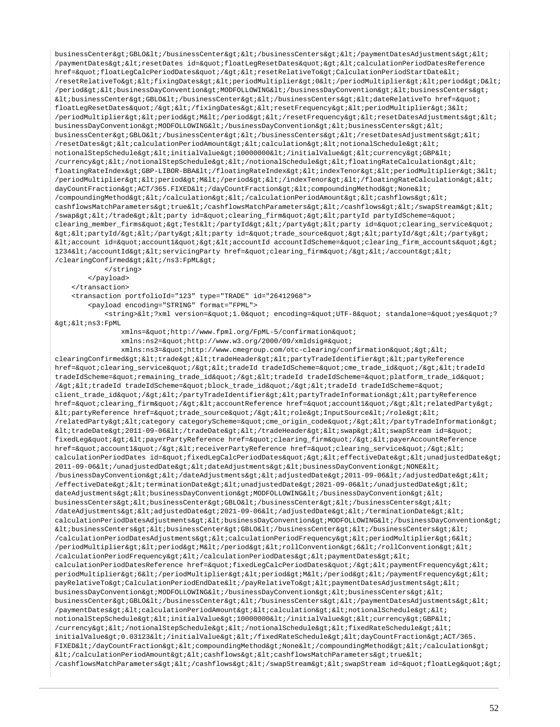businessCenter>GBLO</businessCenter&gt;&lt;/businessCenters&gt;&lt;/paymentDatesAdjustments&gt;&lt; /paymentDates&qt;<resetDates\_id=&quot;floatLeqResetDates&quot;&qt;&lt;calculationPeriodDatesReference href="floatLeqCalcPeriodDates"/&qt;<resetRelativeTo&qt;CalculationPeriodStartDate&lt; //resetRelativeTo><fixingDates&gt;&lt;periodMultiplier&gt;0&lt;/periodMultiplier&gt;&lt;period&gt;D&lt; /period><businessDayConvention&gt;MODFOLLOWING&lt;/businessDayConvention&gt;&lt;businessCenters&gt;  $klt:businesCenter\squaregt;GBL0\$ floatLegResetDates"/></fixingDates&gt;&lt;resetFrequency&gt;&lt;periodMultiplier&gt;3&lt; /periodMultiplier&qt;<period&qt;M&lt;/period&qt;&lt;/resetFrequency&qt;&lt;resetDatesAdjustments&qt;&lt; businessDayConvention>MODFOLLOWING</businessDayConvention&gt;&lt;businessCenters&gt;&lt; businessCenter>GBLO</businessCenter&gt;&lt;/businessCenters&gt;&lt;/resetDatesAdjustments&gt;&lt; /resetDates&qt;<calculationPeriodAmount&qt;&lt;calculation&qt;&lt;notionalSchedule&qt;&lt; notionalStepSchedule&qt;<initialValue&qt;10000000&lt;/initialValue&qt;&lt;currency&qt;GBP&lt; /currency></notionalStepSchedule&gt;&lt;/notionalSchedule&gt;&lt;floatingRateCalculation&gt;&lt; floatingRateIndex>GBP-LIBOR-BBA</floatingRateIndex&gt;&lt;indexTenor&gt;&lt;periodMultiplier&gt;3&lt; /periodMultiplier&qt;<period&qt;M&lt;/period&qt;&lt;/indexTenor&qt;&lt;/floatingRateCalculation&qt;&lt; dayCountFraction>ACT/365.FIXED</dayCountFraction&gt;&lt;compoundingMethod&gt;None&lt; /compoundingMethod></calculation&gt;&lt;/calculationPeriodAmount&gt;&lt;cashflows&gt;&lt; cashflowsMatchParameters>true</cashflowsMatchParameters&gt;&lt;/cashflows&gt;&lt;/swapStream&gt;&lt; /swap></trade&gt;&lt;party id=&quot;clearing\_firm&quot;&gt;&lt;partyId partyIdScheme=&quot; clearing\_member\_firms">Test</partyId&gt;&lt;/party&gt;&lt;party id=&quot;clearing\_service&quot; ><partyId/&gt;&lt;/party&gt;&lt;party id=&quot;trade\_source&quot;&gt;&lt;partyId/&gt;&lt;/party&gt;  $klti$ account id="account1"&qt;<accountId accountIdScheme=&quot;clearing firm accounts&quot;&qt; 1234</accountId&gt;&lt;servicingParty href=&quot;clearing\_firm&quot;/&gt;&lt;/account&gt;&lt; /clearingConfirmed> < /ns3: FpML&gt; </string> </payload> </transaction> <transaction portfolioId="123" type="TRADE" id="26412968"> <payload encoding="STRING" format="FPML"> <string>&lt;?xml version=&quot;1.0&quot; encoding=&quot;UTF-8&quot; standalone=&quot;yes&quot;? ><ns3:FpML xmlns="http://www.fpml.org/FpML-5/confirmation" xmlns:ns2="http://www.w3.org/2000/09/xmldsig#" xmlns:ns3="http://www.cmegroup.com/otc-clearing/confirmation">< clearingConfirmed&qt;<trade&qt;&lt;tradeHeader&qt;&lt;partyTradeIdentifier&qt;&lt;partyReference href="clearing\_service"/&qt;<tradeId tradeIdScheme=&quot;cme\_trade\_id&quot;/&qt;&lt;tradeId tradeIdScheme="remaining\_trade\_id"/><tradeId tradeIdScheme=&quot;platform\_trade\_id&quot; /&qt;<tradeId tradeIdScheme=&quot;block trade id&quot;/&qt;&lt;tradeId tradeIdScheme=&quot; client\_trade\_id"/></partyTradeIdentifier&gt;&lt;partyTradeInformation&gt;&lt;partyReference href="clearing\_firm"/><accountReference href=&quot;account1&quot;/&gt;&lt;relatedParty&gt;  $\<$ lt; partyReference href= $\<$ quot; trade source $\<$ quot;  $\<$ lt; role $\<$ inputSource $\<$ lt; /role $\<$ i $\<$ it; /relatedParty><category categoryScheme=&quot;cme\_origin\_code&quot;/&gt;&lt;/partyTradeInformation&gt;  $klt$ itradeDate>2011-09-06</tradeDate&gt;&lt;/tradeHeader&gt;&lt;swap&gt;&lt;swapStream id=&quot; fixedLeg"&qt;<payerPartyReference href=&quot;clearing firm&quot;/&qt;&lt;payerAccountReference href="account1"/&qt;<receiverPartyReference href=&quot;clearing service&quot;/&qt;&lt; calculationPeriodDates id="fixedLegCalcPeriodDates"><effectiveDate&gt;&lt;unadjustedDate&gt; 2011-09-06</unadjustedDate&gt;&lt;dateAdjustments&gt;&lt;businessDayConvention&gt;NONE&lt; /businessDayConvention&qt;</dateAdjustments&qt;&lt;adjustedDate&qt;2011-09-06&lt;/adjustedDate&qt;&lt;  $/$ effectiveDate&qt;<terminationDate&qt;&lt;unadjustedDate&qt;2021-09-06&lt;/unadjustedDate&qt;&lt; dateAdjustments><businessDayConvention&gt;MODFOLLOWING&lt;/businessDayConvention&gt;&lt; businessCenters&qt;<businessCenter&qt;GBLO&lt;/businessCenter&qt;&lt;/businessCenters&qt;&lt; /dateAdjustments><adjustedDate&gt;2021-09-06&lt;/adjustedDate&gt;&lt;/terminationDate&gt;&lt; calculationPeriodDatesAdjustments><businessDayConvention&gt;MODFOLLOWING&lt;/businessDayConvention&gt;  $k$ lt; businessCenters&qt;  $k$ lt; businessCenter&qt; GBLO $k$ lt; /businessCenter&qt;  $k$ lt; /businessCenters&qt;  $k$ lt; /calculationPeriodDatesAdjustments&qt;<calculationPeriodFrequency&qt;&lt;periodMultiplier&qt;6&lt; /periodMultiplier><period&gt;M&lt;/period&gt;&lt;rollConvention&gt;6&lt;/rollConvention&gt;&lt; /calculationPeriodFrequency&qt;</calculationPeriodDates&qt;&lt;paymentDates&qt;&lt;  $calculation Periodates Reference \ href= \& \ rule qCalclPeriodDate s\& \text{quot}; \< \text{adv} = \text{conv} + \text{adv} + \text{adv} + \text{adv} + \text{adv} + \text{adv} + \text{adv} + \text{adv} + \text{adv} + \text{adv} + \text{adv} + \text{adv} + \text{adv} + \text{adv} + \text{adv} + \text{adv} + \text{adv} + \text{adv} + \text{adv} + \text{adv} + \text{adv} + \text{adv} + \text{adv} + \text{adv} + \text{adv} + \text{adv} + \text{adv} + \text{adv} + \text{adv} + \text{adv} + \text$ periodMultiplier>6</periodMultiplier&gt;&lt;period&gt;M&lt;/period&gt;&lt;/paymentFrequency&gt;&lt; payRelativeTo>CalculationPeriodEndDate</payRelativeTo&gt;&lt;paymentDatesAdjustments&gt;&lt; businessDayConvention&qt;MODFOLLOWING</businessDayConvention&qt;&lt;businessCenters&qt;&lt; businessCenter&qt;GBLO</businessCenter&qt;&lt;/businessCenters&qt;&lt;/paymentDatesAdjustments&qt;&lt; /paymentDates><calculationPeriodAmount&gt;&lt;calculation&gt;&lt;notionalSchedule&gt;&lt; notionalStepSchedule&qt;<initialValue&qt;10000000&lt;/initialValue&qt;&lt;currency&qt;GBP&lt; /currency></notionalStepSchedule&gt;&lt;/notionalSchedule&gt;&lt;fixedRateSchedule&gt;&lt; initialValue>0.03123</initialValue&gt;&lt;/fixedRateSchedule&gt;&lt;dayCountFraction&gt;ACT/365. FIXED</dayCountFraction&gt;&lt;compoundingMethod&gt;None&lt;/compoundingMethod&gt;&lt;/calculation&gt;  $klti$ /calculationPeriodAmount&qt; < cashflows&qt; &lt; cashflowsMatchParameters&qt; true&lt; /cashflowsMatchParameters&qt;</cashflows&qt;&lt;/swapStream&qt;&lt;swapStream id=&quot;floatLeq&quot;&qt;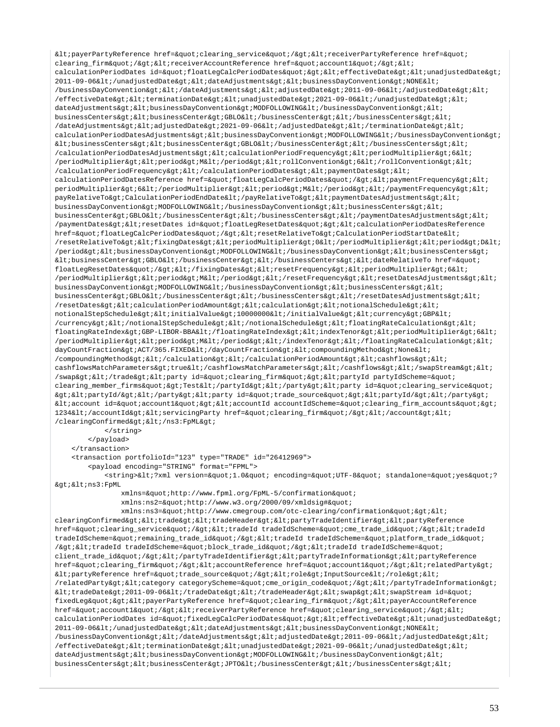<payerPartyReference href="clearing\_service"/><receiverPartyReference href=" clearing firm"/&qt;<receiverAccountReference href=&quot;account1&quot;/&qt;&lt; calculationPeriodDates id="floatLeqCalcPeriodDates"&qt;<effectiveDate&qt;&lt;unadjustedDate&qt; 2011-09-06</unadjustedDate&gt;&lt;dateAdjustments&gt;&lt;businessDayConvention&gt;NONE&lt; /businessDayConvention&qt;</dateAdjustments&qt;&lt;adjustedDate&qt;2011-09-06&lt;/adjustedDate&qt;&lt; /effectiveDate><terminationDate&gt;&lt;unadjustedDate&gt;2021-09-06&lt;/unadjustedDate&gt;&lt; dateAdjustments><businessDayConvention&gt;MODFOLLOWING&lt;/businessDayConvention&gt;&lt; businessCenters&qt;<businessCenter&qt;GBLO&lt;/businessCenter&qt;&lt;/businessCenters&qt;&lt; /dateAdjustments><adjustedDate&gt;2021-09-06&lt;/adjustedDate&gt;&lt;/terminationDate&gt;&lt; calculationPeriodDatesAdjustments><businessDayConvention&gt;MODFOLLOWING&lt;/businessDayConvention&gt;  $k$ t;businessCenters&qt; $k$ lt;businessCenter&qt; $k$ lt; $k$ lt; $k$ lt; $k$ lt; $k$ lt; $k$ lt; $k$ lt; $k$ lt; $k$ lt; $k$ lt; $k$ lt; $k$ lt; $k$ lt; $k$ lt; $k$ lt; $k$ lt; $k$ lt; $k$ lt; $k$ lt; $k$ lt; $k$ lt; $k$ lt; $k$ lt; $k$ lt; $k$ lt; $k$ lt; $k$ lt; $k$ lt; $k$ lt /calculationPeriodDatesAdjustments&qt;<calculationPeriodFrequency&qt;&lt;periodMultiplier&qt;6&lt; /periodMultiplier><period&gt;M&lt;/period&gt;&lt;rollConvention&gt;6&lt;/rollConvention&gt;&lt; /calculationPeriodFrequency></calculationPeriodDates&gt;&lt;paymentDates&gt;&lt; calculationPeriodDatesReference href="floatLegCalcPeriodDates"/&qt;<paymentFrequency&qt;&lt; periodMultiplier>6</periodMultiplier&gt;&lt;period&gt;M&lt;/period&gt;&lt;/paymentFrequency&gt;&lt; payRelativeTo>CalculationPeriodEndDate</payRelativeTo&gt;&lt;paymentDatesAdjustments&gt;&lt; businessDayConvention>MODFOLLOWING</businessDayConvention&gt;&lt;businessCenters&gt;&lt; businessCenter>GBLO</businessCenter&gt;&lt;/businessCenters&gt;&lt;/paymentDatesAdjustments&gt;&lt; /paymentDates><resetDates id=&quot;floatLegResetDates&quot;&gt;&lt;calculationPeriodDatesReference href="floatLegCalcPeriodDates"/><resetRelativeTo&gt;CalculationPeriodStartDate&lt; /resetRelativeTo&qt;<fixingDates&qt;&lt;periodMultiplier&qt;0&lt;/periodMultiplier&qt;&lt;period&qt;D&lt; /period><businessDayConvention&gt;MODFOLLOWING&lt;/businessDayConvention&gt;&lt;businessCenters&gt;  $\< \texttt{l} \texttt{t} \texttt{;}{\texttt{d} \texttt{t}} \texttt{;}{\texttt{q} \texttt{t}} \texttt{;}{\texttt{d} \texttt{t}} \texttt{;}{\texttt{d} \texttt{t}} \texttt{;}{\texttt{d} \texttt{t}} \texttt{;}{\texttt{d} \texttt{t}} \texttt{;}{\texttt{d} \texttt{t}} \texttt{;}{\texttt{d} \texttt{t}} \texttt{;}{\texttt{d} \texttt{t}} \texttt{;}{\texttt{d} \texttt{t}} \texttt{;}{\texttt{d} \texttt{t}} \texttt{;}{$ floatLegResetDates"/></fixingDates&gt;&lt;resetFrequency&gt;&lt;periodMultiplier&gt;6&lt;  $/$ periodMultiplier><period&gt;M&lt;/period&gt;&lt;/resetFrequency&gt;&lt;resetDatesAdjustments&gt;&lt; businessDayConvention>MODFOLLOWING</businessDayConvention&gt;&lt;businessCenters&gt;&lt; businessCenter&qt;GBLO</businessCenter&qt;&lt;/businessCenters&qt;&lt;/resetDatesAdjustments&qt;&lt; /resetDates><calculationPeriodAmount&gt;&lt;calculation&gt;&lt;notionalSchedule&gt;&lt; notionalStepSchedule><initialValue&gt;10000000&lt;/initialValue&gt;&lt;currency&gt;GBP&lt;  $/currencv\&at:klti/notionalStepSchedule&at:klti/notionalSchedule&at:klti/notinalSchedule&at.$ floatingRateIndex>GBP-LIBOR-BBA</floatingRateIndex&gt;&lt;indexTenor&gt;&lt;periodMultiplier&gt;6&lt; /periodMultiplier><period&gt;M&lt;/period&gt;&lt;/indexTenor&gt;&lt;/floatingRateCalculation&gt;&lt; dayCountFraction>ACT/365.FIXED</dayCountFraction&gt;&lt;compoundingMethod&gt;None&lt; /compoundingMethod&qt;</calculation&qt;&lt;/calculationPeriodAmount&qt;&lt;cashflows&qt;&lt; cashflowsMatchParameters&qt;true</cashflowsMatchParameters&qt;&lt;/cashflows&qt;&lt;/swapStream&qt;&lt; /swap></trade&gt;&lt;party id=&quot;clearing\_firm&quot;&gt;&lt;partyId partyIdScheme=&quot; clearing member firms"&qt;Test</partyId&qt;&lt;/party&qt;&lt;party id=&quot;clearing service&quot;  $\texttt{kg}$ t;<partyId/&gt;&lt;/party&gt;&lt;party id=&quot;trade\_source&quot;&gt;&lt;partyId/&gt;&lt;/party&gt; <account id=&quot;account1&quot;&gt;&lt;accountId accountIdScheme=&quot;clearing\_firm\_accounts&quot;&gt; 1234</accountId&qt;&lt;servicingParty href=&quot;clearing firm&quot;/&qt;&lt;/account&qt;&lt; /clearingConfirmed> < /ns3:FpML&gt; </string> </payload> </transaction> <transaction portfolioId="123" type="TRADE" id="26412969"> <payload encoding="STRING" format="FPML"> <string>&lt;?xml version=&quot;1.0&quot; encoding=&quot;UTF-8&quot; standalone=&quot;yes&quot;? ><ns3:FpML xmlns="http://www.fpml.org/FpML-5/confirmation" xmlns:ns2="http://www.w3.org/2000/09/xmldsig#" xmlns:ns3="http://www.cmegroup.com/otc-clearing/confirmation">< clearingConfirmed><trade&gt;&lt;tradeHeader&gt;&lt;partyTradeIdentifier&gt;&lt;partyReference href="clearing\_service"/&qt;<tradeId tradeIdScheme=&quot;cme\_trade\_id&quot;/&qt;&lt;tradeId tradeIdScheme="remaining\_trade\_id"/&qt;<tradeId\_tradeIdScheme=&quot;platform\_trade\_id&quot; /><tradeId tradeIdScheme=&quot;block\_trade\_id&quot;/&gt;&lt;tradeId tradeIdScheme=&quot; client\_trade\_id"/&qt;</partyTradeIdentifier&qt;&lt;partyTradeInformation&qt;&lt;partyReference href="clearing\_firm"/&qt;<accountReference\_href=&quot;account1&quot;/&qt;&lt;relatedParty&qt;  $\texttt{diff}$ PartyReference href="trade\_source"/><role&gt;InputSource&lt;/role&gt;&lt; /relatedParty><category categoryScheme=&quot;cme\_origin\_code&quot;/&gt;&lt;/partyTradeInformation&gt;  $k$ lt;tradeDate&qt;2011-09-06</tradeDate&qt;&lt;/tradeHeader&qt;&lt;swap&qt;&lt;swapStream id=&quot; fixedLeg" &qt; < payerPartyReference href=&quot; clearing\_firm&quot;/ &qt; &lt; payerAccountReference

href="account1"/><receiverPartyReference href=&quot;clearing\_service&quot;/&gt;&lt; calculationPeriodDates id="fixedLeqCalcPeriodDates"&qt;<effectiveDate&qt;&lt;unadjustedDate&qt; 2011-09-06</unadjustedDate&gt;&lt;dateAdjustments&gt;&lt;businessDayConvention&gt;NONE&lt; /businessDayConvention></dateAdjustments&gt;&lt;adjustedDate&gt;2011-09-06&lt;/adjustedDate&gt;&lt;

 $/$ effectiveDate><terminationDate&gt;&lt;unadjustedDate&gt;2021-09-06&lt;/unadjustedDate&qt;&lt; dateAdjustments&qt;<businessDayConvention&qt;MODFOLLOWING&lt;/businessDayConvention&qt;&lt;

businessCenters&qt;<businessCenter&qt;JPTO&lt;/businessCenter&qt;&lt;/businessCenters&qt;&lt;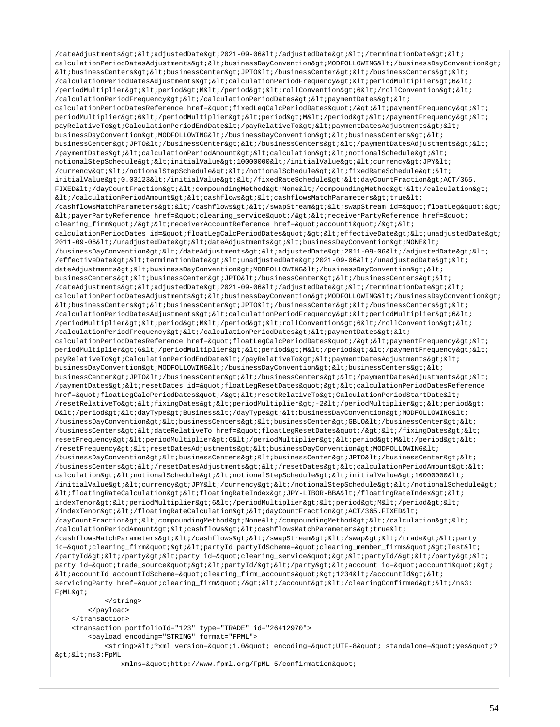```
/dateAdjustments&qt;<adjustedDate&qt;2021-09-06&lt;/adjustedDate&qt;&lt;/terminationDate&qt;&lt;
calculationPeriodDatesAdjustments&qt;<businessDayConvention&qt;MODFOLLOWING&lt;/businessDayConvention&qt;
klt; businessCenters&qt; klt; businessCenter&qt; JPTO< /businessCenter&qt; &lt; /businessCenters&qt; &lt;
/calculationPeriodDatesAdjustments><calculationPeriodFrequency&gt;&lt;periodMultiplier&gt;6&lt;
/periodMultiplier&qt;<period&qt;M&lt;/period&qt;&lt;rollConvention&qt;6&lt;/rollConvention&qt;&lt;
/calculationPeriodFrequency></calculationPeriodDates&gt;&lt;paymentDates&gt;&lt;
calculationPeriodDatesReference href="fixedLegCalcPeriodDates"/><paymentFrequency&gt;&lt;
periodMultiplier&qt;6</periodMultiplier&qt;&lt;period&qt;M&lt;/period&qt;&lt;/paymentFrequency&qt;&lt;
payRelativeTo>CalculationPeriodEndDate</payRelativeTo&gt;&lt;paymentDatesAdjustments&gt;&lt;
businessDayConvention>MODFOLLOWING</businessDayConvention&gt;&lt;businessCenters&gt;&lt;
\texttt{businessCenter8gt; JPTO@lt://businesCenter8gt;iklt://businesCenter8gt;iklt://pasmentDatesAdjustments@gt;iklt/}, \texttt{FPTO@lt://businesCenter8gt;iklt/}, \texttt{FPTO@lt/}, \texttt{FPTO@lt/}, \texttt{FPTO@lt/}, \texttt{FPTO@lt/}, \texttt{FPTO@lt/}, \texttt{FPTO@lt/}, \texttt{FPTO@lt/}, \texttt{FPTO@lt/}, \texttt{FPTO@lt/}, \texttt{FPTO@lt/}, \texttt{FPTO@lt/}, \texttt{FPTO@lt/}, \texttt{FPTO@lt/}, \texttt{FPTO@lt/paymentDates&qt;<calculationPeriodAmount&qt;&lt;calculation&qt;&lt;notionalSchedule&qt;&lt;
notionalStepSchedule><initialValue&gt;10000000&lt;/initialValue&gt;&lt;currency&gt;JPY&lt;
/currency></notionalStepSchedule&gt;&lt;/notionalSchedule&gt;&lt;fixedRateSchedule&gt;&lt;
initialValue&qt;0.03123</initialValue&qt;&lt;/fixedRateSchedule&qt;&lt;dayCountFraction&qt;ACT/365.
FIXED</dayCountFraction&gt;&lt;compoundingMethod&gt;None&lt;/compoundingMethod&gt;&lt;/calculation&gt;
</calculationPeriodAmount&gt;&lt;cashflows&gt;&lt;cashflowsMatchParameters&gt;true&lt;
/cashflowsMatchParameters></cashflows&gt;&lt;/swapStream&gt;&lt;swapStream id=&quot;floatLeg&quot;&gt;
klt:payerPartyReferencehref="clearing_service"/><receiverPartyReference href=&quot;
clearing_firm"/><receiverAccountReference href=&quot;account1&quot;/&gt;&lt;
calculationPeriodDates id="floatLegCalcPeriodDates"><effectiveDate&gt;&lt;unadjustedDate&gt;
2011-09-06</unadjustedDate&qt;&lt;dateAdjustments&qt;&lt;businessDayConvention&qt;NONE&lt;
/businessDayConvention></dateAdjustments&gt;&lt;adjustedDate&gt;2011-09-06&lt;/adjustedDate&gt;&lt;
/effectiveDate><terminationDate&gt;&lt;unadjustedDate&gt;2021-09-06&lt;/unadjustedDate&gt;&lt;
dateAdjustments><businessDayConvention&gt;MODFOLLOWING&lt;/businessDayConvention&gt;&lt;
businessCenters&qt;<businessCenter&qt;JPTO&lt;/businessCenter&qt;&lt;/businessCenters&qt;&lt;
/dateAdjustments><adjustedDate&gt;2021-09-06&lt;/adjustedDate&gt;&lt;/terminationDate&gt;&lt;
calculationPeriodDatesAdjustments&qt;<businessDayConvention&qt;MODFOLLOWING&lt;/businessDayConvention&qt;
ktt;businessCenters><businessCenter&gt;JPTO&lt;/businessCenter&gt;&lt;/businessCenters&gt;&lt;
/calculationPeriodDatesAdjustments><calculationPeriodFrequency&gt;&lt;periodMultiplier&gt;6&lt;
/periodMultiplier&qt;<period&qt;M&lt;/period&qt;&lt;rollConvention&qt;6&lt;/rollConvention&qt;&lt;
/calculationPeriodFrequency></calculationPeriodDates&gt;&lt;paymentDates&gt;&lt;
calculationPeriodDatesReference href="floatLegCalcPeriodDates"/><paymentFrequency&gt;&lt;
periodMultiplier>6</periodMultiplier&gt;&lt;period&gt;M&lt;/period&gt;&lt;/paymentFrequency&gt;&lt;
payRelativeTo&qt;CalculationPeriodEndDate</payRelativeTo&qt;&lt;paymentDatesAdjustments&qt;&lt;
businessDayConvention&qt;MODFOLLOWING</businessDayConvention&qt;&lt;businessCenters&qt;&lt;
businessCenter>JPTO</businessCenter&gt;&lt;/businessCenters&gt;&lt;/paymentDatesAdjustments&gt;&lt;
/paymentDates&qt;<resetDates_id=&quot;floatLeqResetDates&quot;&qt;&lt;calculationPeriodDatesReference
href="floatLegCalcPeriodDates"/><resetRelativeTo&gt;CalculationPeriodStartDate&lt;
/resetRelativeTo><fixingDates&gt;&lt;periodMultiplier&gt;-2&lt;/periodMultiplier&gt;&lt;period&gt;
D</period&qt;&lt;davType&qt;Business&lt;/davType&qt;&lt;businessDavConvention&qt;MODFOLLOWING&lt;
/businessDayConvention><businessCenters&gt;&lt;businessCenter&gt;GBLO&lt;/businessCenter&gt;&lt;
/businessCenters><dateRelativeTo href=&quot;floatLegResetDates&quot;/&gt;&lt;/fixingDates&gt;&lt;
resetFrequency&qt;<periodMultiplier&qt;6&lt;/periodMultiplier&qt;&lt;period&qt;M&lt;/period&qt;&lt;
/resetFrequency&qt;<resetDatesAdjustments&qt;&lt;businessDayConvention&qt;MODFOLLOWING&lt;
/businessDayConvention><businessCenters&gt;&lt;businessCenter&gt;JPTO&lt;/businessCenter&gt;&lt;
/businessCenters></resetDatesAdjustments></resetDates><calculationPeriodAmount&gt;&lt;
calculation&qt;<notionalSchedule&qt;&lt;notionalStepSchedule&qt;&lt;initialValue&qt;10000000&lt;
/initialValue><currency&gt;JPY&lt;/currency&gt;&lt;/notionalStepSchedule&gt;&lt;/notionalSchedule&gt;
\verb| alt| if loating RateCalculation \verb|agt|; \verb|alt| if loating RateIndex \verb|agt|; JPY-LIBOR-BBA@lt|; floatingRateIndex \verb|agt|; \verb|alt|;indexTenor&qt;<periodMultiplier&qt;6&lt;/periodMultiplier&qt;&lt;period&qt;M&lt;/period&qt;&lt;
/indexTenor></floatingRateCalculation&gt;&lt;dayCountFraction&gt;ACT/365.FIXED&lt;
/dayCountFraction><compoundingMethod&gt;None&lt;/compoundingMethod&gt;&lt;/calculation&gt;&lt;
/calculationPeriodAmount><cashflows&gt;&lt;cashflowsMatchParameters&gt;true&lt;
/cashflowsMatchParameters&qt;</cashflows&qt;&lt;/swapStream&qt;&lt;/swap&qt;&lt;/trade&qt;&lt;party
id="clearing_firm"><partyId partyIdScheme=&quot;clearing_member_firms&quot;&gt;Test&lt;
/partyId></party&gt;&lt;party id=&quot;clearing_service&quot;&gt;&lt;partyId/&gt;&lt;/party&gt;&lt;
party id="trade_source"&qt;<partyId/&qt;&lt;/party&qt;&lt;account id=&quot;account1&quot;&qt;
\<1iaccountId accountIdScheme=&quoticlearing_firm_accounts&quoti&gtil234&lti/accountId&gti&lti
servicingParty href="clearing_firm"/></account&gt;&lt;/clearingConfirmed&gt;&lt;/ns3:
FpML&at;
             </string>
         </payload>
     </transaction>
     <transaction portfolioId="123" type="TRADE" id="26412970">
         <payload encoding="STRING" format="FPML">
            <string>&lt;?xml version=&quot;1.0&quot; encoding=&quot;UTF-8&quot; standalone=&quot;yes&quot;?
>i<ius3:FpML
```
xmlns="http://www.fpml.org/FpML-5/confirmation"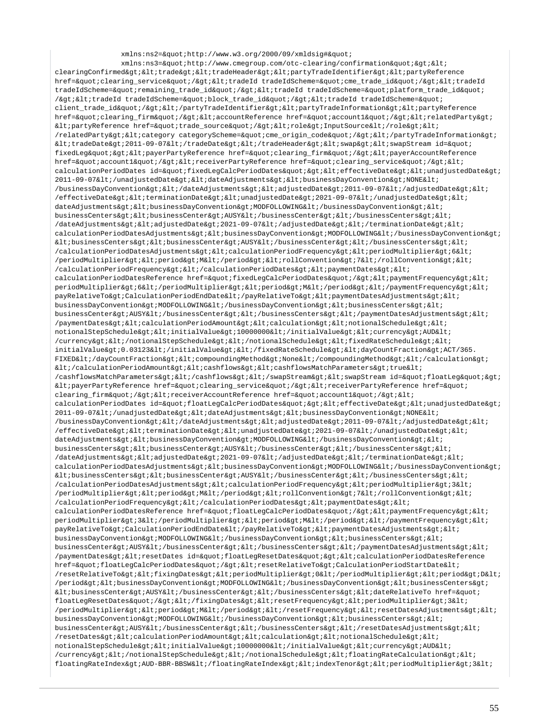xmlns:ns2="http://www.w3.org/2000/09/xmldsig#"  $xmlns:ns3=\"http://www.cmegroup.com/oto-clearing/confirmation\"&qt<;$ clearingConfirmed&qt;<trade&qt;&lt;tradeHeader&qt;&lt;partyTradeIdentifier&qt;&lt;partyReference href="clearing\_service"/><tradeId tradeIdScheme=&quot;cme\_trade\_id&quot;/&gt;&lt;tradeId tradeIdScheme="remaining\_trade\_id"/><tradeId tradeIdScheme=&quot;platform\_trade\_id&quot; /><tradeId tradeIdScheme=&quot;block\_trade\_id&quot;/&gt;&lt;tradeId tradeIdScheme=&quot; client\_trade\_id"/></partyTradeIdentifier&gt;&lt;partyTradeInformation&gt;&lt;partyReference href="clearing\_firm"/&qt;<accountReference href=&quot;account1&quot;/&qt;&lt;relatedParty&qt;  $\texttt{diff}$ PartyReference href="trade\_source"/><role&gt;InputSource&lt;/role&gt;&lt; /relatedParty><category categoryScheme=&quot;cme\_origin\_code&quot;/&gt;&lt;/partyTradeInformation&gt;  $klt$ ;tradeDate&qt;2011-09-07</tradeDate&qt;&lt;/tradeHeader&qt;&lt;swap&qt;&lt;swapStream id=&quot; fixedLeg"&qt;<payerPartyReference href=&quot;clearing firm&quot;/&qt;&lt;payerAccountReference href="account1"/><receiverPartyReference href=&quot;clearing\_service&quot;/&gt;&lt; calculationPeriodDates id="fixedLegCalcPeriodDates"><effectiveDate&gt;&lt;unadjustedDate&gt; 2011-09-07</unadjustedDate&gt;&lt;dateAdjustments&gt;&lt;businessDayConvention&gt;NONE&lt;  $/b$ usinessDayConvention></dateAdjustments&gt;&lt;adjustedDate&gt;2011-09-07&lt;/adjustedDate&gt;&lt; /effectiveDate><terminationDate&gt;&lt;unadjustedDate&gt;2021-09-07&lt;/unadjustedDate&gt;&lt; dateAdjustments><businessDayConvention&gt;MODFOLLOWING&lt;/businessDayConvention&gt;&lt; businessCenters><businessCenter&gt;AUSY&lt;/businessCenter&gt;&lt;/businessCenters&gt;&lt; /dateAdjustments><adjustedDate&gt;2021-09-07&lt;/adjustedDate&gt;&lt;/terminationDate&gt;&lt; calculationPeriodDatesAdjustments><businessDayConvention&gt;MODFOLLOWING&lt;/businessDayConvention&gt;  $k$ lt; businessCenters&qt;  $k$ lt; businessCenter&qt; AUSY< /businessCenter&qt; &lt; /businessCenters&qt; &lt; /calculationPeriodDatesAdjustments><calculationPeriodFrequency&gt;&lt;periodMultiplier&gt;6&lt; /periodMultiplier><period&gt;M&lt;/period&gt;&lt;rollConvention&gt;7&lt;/rollConvention&gt;&lt; /calculationPeriodFrequency></calculationPeriodDates&gt;&lt;paymentDates&gt;&lt; calculationPeriodDatesReference href="fixedLeqCalcPeriodDates"/&qt;<paymentFrequency&qt;&lt; periodMultiplier>6</periodMultiplier&gt;&lt;period&gt;M&lt;/period&gt;&lt;/paymentFrequency&gt;&lt; payRelativeTo>CalculationPeriodEndDate</payRelativeTo&gt;&lt;paymentDatesAdjustments&gt;&lt; businessDayConvention>MODFOLLOWING</businessDayConvention&gt;&lt;businessCenters&gt;&lt; businessCenter>AUSY</businessCenter&gt;&lt;/businessCenters&gt;&lt;/paymentDatesAdjustments&gt;&lt;  $\alpha$  /paymentDates&qt;<calculationPeriodAmount&qt;&lt;calculation&qt;&lt;notionalSchedule&qt;&lt; notionalStepSchedule><initialValue&gt;10000000&lt;/initialValue&gt;&lt;currency&gt;AUD&lt; /currency></notionalStepSchedule&gt;&lt;/notionalSchedule&gt;&lt;fixedRateSchedule&gt;&lt; initialValue>0.03123</initialValue&gt;&lt;/fixedRateSchedule&gt;&lt;dayCountFraction&gt;ACT/365. FIXED</dayCountFraction&qt;&lt;compoundingMethod&qt;None&lt;/compoundingMethod&qt;&lt;/calculation&qt;  $\< l$  (calculationPeriodAmount&qt;  $\< l$  ; cashflows&qt;  $\< l$  ; cashflowsMatchParameters&qt; true  $\< l$ ; /cashflowsMatchParameters></cashflows&gt;&lt;/swapStream&gt;&lt;swapStream id=&quot;floatLeg&quot;&gt;  $klt$ ; payerPartyReference href= $k$ quot; clearing service $k$ quot; / $k$ qt;  $klt$ ; receiverPartyReference href= $k$ quot; clearing\_firm"/><receiverAccountReference href=&quot;account1&quot;/&gt;&lt; calculationPeriodDates id="floatLegCalcPeriodDates"><effectiveDate&gt;&lt;unadjustedDate&gt; 2011-09-07</unadjustedDate&qt;&lt;dateAdjustments&gt;&lt;businessDayConvention&gt;NONE&lt; /businessDayConvention></dateAdjustments&gt;&lt;adjustedDate&gt;2011-09-07&lt;/adjustedDate&gt;&lt; /effectiveDate><terminationDate&gt;&lt;unadjustedDate&gt;2021-09-07&lt;/unadjustedDate&gt;&lt; dateAdjustments&qt;<businessDayConvention&qt;MODFOLLOWING&lt;/businessDayConvention&qt;&lt; businessCenters&qt;<businessCenter&qt;AUSY&lt;/businessCenter&qt;&lt;/businessCenters&qt;&lt; /dateAdjustments><adjustedDate&gt;2021-09-07&lt;/adjustedDate&gt;&lt;/terminationDate&gt;&lt; calculationPeriodDatesAdjustments><businessDayConvention&gt;MODFOLLOWING&lt;/businessDayConvention&gt;  $k$ t;businessCenters&qt; $k$ lt;businessCenter&qt; $k$ lt; $k$ lt; $k$ lt; $k$ lt; $k$ lt; $k$ lt; $k$ lt; $k$ lt; $k$ lt; $k$ lt; $k$ lt; $k$ lt; $k$ lt; $k$ lt; $k$ lt; $k$ lt; $k$ lt; $k$ lt; $k$ lt; $k$ lt; $k$ lt; $k$ lt; $k$ lt; $k$ lt; $k$ lt; $k$ lt; $k$ lt; $k$ lt; $k$ lt  $\ell$ calculationPeriodDatesAdjustments><calculationPeriodFrequency&gt;&lt;periodMultiplier&gt;3&lt; /periodMultiplier><period&gt;M&lt;/period&gt;&lt;rollConvention&gt;7&lt;/rollConvention&gt;&lt; /calculationPeriodFrequency&qt;</calculationPeriodDates&qt;&lt;paymentDates&qt;&lt; calculationPeriodDatesReference href="floatLegCalcPeriodDates"/><paymentFrequency&gt;&lt; periodMultiplier&qt;3</periodMultiplier&qt;&lt;period&qt;M&lt;/period&qt;&lt;/paymentFrequency&qt;&lt; payRelativeTo&qt;CalculationPeriodEndDate</payRelativeTo&qt;&lt;paymentDatesAdjustments&qt;&lt; businessDayConvention&qt;MODFOLLOWING</businessDayConvention&qt;&lt;businessCenters&qt;&lt; businessCenter>AUSY</businessCenter&gt;&lt;/businessCenters&gt;&lt;/paymentDatesAdjustments&gt;&lt; /paymentDates><resetDates id=&quot;floatLegResetDates&quot;&gt;&lt;calculationPeriodDatesReference href="floatLeqCalcPeriodDates"/&qt;<resetRelativeTo&qt;CalculationPeriodStartDate&lt; /resetRelativeTo&qt;<fixingDates&qt;&lt;periodMultiplier&qt;0&lt;/periodMultiplier&qt;&lt;period&qt;D&lt; /period><businessDayConvention&gt;MODFOLLOWING&lt;/businessDayConvention&gt;&lt;businessCenters&gt;  $k$ tt;businessCenter&qt;AUSY</businessCenter&qt;&lt;/businessCenters&qt;&lt;dateRelativeTo href=&quot; floatLegResetDates"/&qt;</fixingDates&qt;&lt;resetFrequency&qt;&lt;periodMultiplier&qt;3&lt; /periodMultiplier><period&gt;M&lt;/period&gt;&lt;/resetFrequency&gt;&lt;resetDatesAdjustments&gt;&lt; businessDayConvention&qt;MODFOLLOWING</businessDayConvention&qt;&lt;businessCenters&qt;&lt; businessCenter&qt;AUSY</businessCenter&qt;&lt;/businessCenters&qt;&lt;/resetDatesAdjustments&qt;&lt; /resetDates><calculationPeriodAmount&gt;&lt;calculation&gt;&lt;notionalSchedule&gt;&lt; notionalStepSchedule><initialValue&gt;10000000&lt;/initialValue&gt;&lt;currency&gt;AUD&lt; /currency&qt;</notionalStepSchedule&qt;&lt;/notionalSchedule&qt;&lt;floatingRateCalculation&qt;&lt; floatingRateIndex&qt;AUD-BBR-BBSW</floatingRateIndex&qt;&lt;indexTenor&qt;&lt;periodMultiplier&qt;3&lt;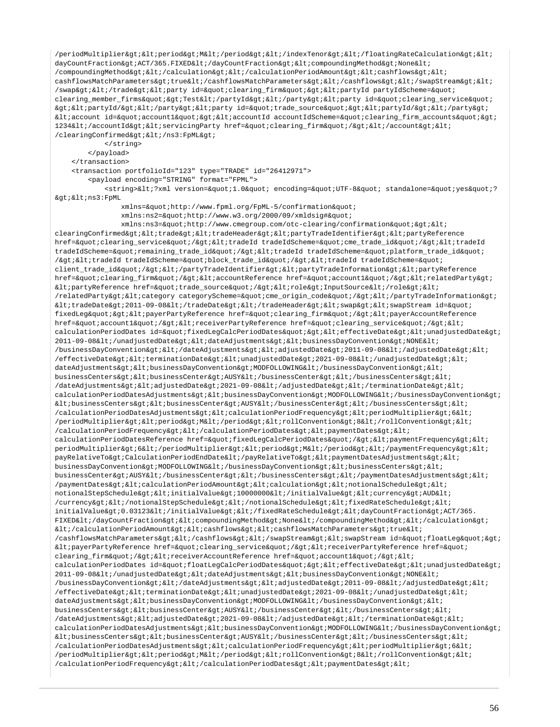$/$ periodMultiplier><period&gt;M&lt;/period&gt;&lt;/indexTenor&gt;&lt;/floatingRateCalculation&gt;&lt; dayCountFraction&qt;ACT/365.FIXED</dayCountFraction&qt;&lt;compoundingMethod&qt;None&lt; /compoundingMethod&qt;</calculation&qt;&lt;/calculationPeriodAmount&qt;&lt;cashflows&qt;&lt; cashflowsMatchParameters>true</cashflowsMatchParameters&gt;&lt;/cashflows&gt;&lt;/swapStream&gt;&lt; /swap&qt;</trade&qt;&lt;party\_id=&quot;clearing\_firm&quot;&qt;&lt;partyId partyIdScheme=&quot; clearing\_member\_firms">Test</partyId&gt;&lt;/party&gt;&lt;party id=&quot;clearing\_service&quot; ><partyId/&gt;&lt;/party&gt;&lt;party id=&quot;trade\_source&quot;&gt;&lt;partyId/&gt;&lt;/party&gt;  $klti$  account id=" accountl" &qt; < accountId accountIdScheme=&quot; clearing firm accounts&quot; &qt; 1234</accountId&gt;&lt;servicingParty href=&quot;clearing\_firm&quot;/&gt;&lt;/account&gt;&lt; /clearingConfirmed> < /ns3: FpML&gt;

</string>

</payload>

</transaction>

<transaction portfolioId="123" type="TRADE" id="26412971">

<payload encoding="STRING" format="FPML">

<string>&lt;?xml version=&quot;1.0&quot; encoding=&quot;UTF-8&quot; standalone=&quot;yes&quot;? ><ns3:FpML

xmlns="http://www.fpml.org/FpML-5/confirmation"

xmlns:ns2="http://www.w3.org/2000/09/xmldsig#"

 $xmlns:ns3=\&quotihttp://www.cmegroup.com/oto-clearing/confirmation&quoti>k1$ clearingConfirmed><trade&gt;&lt;tradeHeader&gt;&lt;partyTradeIdentifier&gt;&lt;partyReference href="clearing\_service"/&qt;<tradeId tradeIdScheme=&quot;cme\_trade\_id&quot;/&qt;&lt;tradeId tradeIdScheme="remaining\_trade\_id"/><tradeId tradeIdScheme=&quot;platform\_trade\_id&quot; /><tradeId tradeIdScheme=&quot;block\_trade\_id&quot;/&gt;&lt;tradeId tradeIdScheme=&quot; client\_trade\_id"/></partyTradeIdentifier&gt;&lt;partyTradeInformation&gt;&lt;partyReference href="clearing\_firm"/><accountReference href=&quot;account1&quot;/&gt;&lt;relatedParty&gt; <partyReference href=&quot;trade\_source&quot;/&gt;&lt;role&gt;InputSource&lt;/role&gt;&lt; /relatedParty><category categoryScheme=&quot;cme\_origin\_code&quot;/&gt;&lt;/partyTradeInformation&gt;  $klt$ itradeDate>2011-09-08</tradeDate&gt;&lt;/tradeHeader&gt;&lt;swap&gt;&lt;swapStream id=&quot; fixedLeg"><payerPartyReference href=&quot;clearing\_firm&quot;/&gt;&lt;payerAccountReference href="account1"/><receiverPartyReference href=&quot;clearing\_service&quot;/&gt;&lt; calculationPeriodDates id="fixedLegCalcPeriodDates"><effectiveDate&gt;&lt;unadjustedDate&gt;  $2011-09-08$ </unadjustedDate&gt;&lt;dateAdjustments&gt;&lt;businessDayConvention&gt;NONE&lt;  $\verb|/businessDayConvention@gt:klt;\\/ | \texttt{dateAdjustments@gt:klt;addjustedDate@gt;2011-09-08 \<}| \texttt{adjustedDate@gt:klt;}.$  $/$ effectiveDate&qt;<terminationDate&qt;&lt;unadjustedDate&qt;2021-09-08&lt;/unadjustedDate&qt;&lt; dateAdjustments&qt;<businessDayConvention&qt;MODFOLLOWING&lt;/businessDayConvention&qt;&lt; businessCenters><businessCenter&gt;Alt;/businessCenter&gt;&lt;/businessCenters&gt;&lt; /dateAdjustments&qt;<adjustedDate&qt;2021-09-08&lt;/adjustedDate&qt;&lt;/terminationDate&qt;&lt; calculationPeriodDatesAdjustments><businessDayConvention&gt;MODFOLLOWING&lt;/businessDayConvention&gt;  $k$ lt; businessCenters>  $k$ lt; businessCenter>  $k$ lt; /businessCenter>  $k$ lt; /businessCenters>  $k$ lt; /calculationPeriodDatesAdjustments><calculationPeriodFrequency&gt;&lt;periodMultiplier&qt;6&lt; /periodMultiplier><period&gt;M&lt;/period&gt;&lt;rollConvention&gt;8&lt;/rollConvention&gt;&lt; /calculationPeriodFrequency></calculationPeriodDates&gt;&lt;paymentDates&gt;&lt; calculationPeriodDatesReference href="fixedLeqCalcPeriodDates"/&qt;<paymentFrequency&qt;&lt; periodMultiplier&qt;6</periodMultiplier&qt;&lt;period&qt;M&lt;/period&qt;&lt;/paymentFrequency&qt;&lt; payRelativeTo>CalculationPeriodEndDate</payRelativeTo&gt;&lt;paymentDatesAdjustments&gt;&lt; businessDayConvention>MODFOLLOWING</businessDayConvention&gt;&lt;businessCenters&gt;&lt; businessCenter&qt;AUSY</businessCenter&qt;&lt;/businessCenters&qt;&lt;/paymentDatesAdjustments&qt;&lt; /paymentDates&qt;<calculationPeriodAmount&qt;&lt;calculation&qt;&lt;notionalSchedule&qt;&lt; notionalStepSchedule><initialValue&gt;10000000&lt;/initialValue&gt;&lt;currency&gt;AUD&lt; /currency&qt;</notionalStepSchedule&qt;&lt;/notionalSchedule&qt;&lt;fixedRateSchedule&qt;&lt; initialValue>0.03123</initialValue&gt;&lt;/fixedRateSchedule&gt;&lt;dayCountFraction&gt;ACT/365. FIXED</dayCountFraction&gt;&lt;compoundingMethod&gt;None&lt;/compoundingMethod&gt;&lt;/calculation&gt;  $dt$ ;/calculationPeriodAmount&qt;<cashflows&qt;&lt;cashflowsMatchParameters&qt;true&lt; /cashflowsMatchParameters&qt;</cashflows&qt;&lt;/swapStream&qt;&lt;swapStream id=&quot;floatLeq&quot;&qt;  $klt:payerPartyReference href=\"clearing_service\" / \>gt:kl:ireceiverPartyReference href=\"$ clearing\_firm"/><receiverAccountReference href=&quot;account1&quot;/&gt;&lt;  $calculation Periodates id = & \text{quot}, if load LegendD are is d\tan \text{quot}, \text{quot}, \text{quot}, \text{quot}, \text{quot}, \text{quot}, \text{quot}, \text{quot}, \text{quot}, \text{quot}, \text{quot}, \text{quot}, \text{quot}, \text{quot}, \text{quot}, \text{quot}, \text{quot}, \text{quot}, \text{quot}, \text{quot}, \text{quot}, \text{quot}, \text{quot}, \text{quot}, \text{quot}, \text{quot}, \text{quot}, \text{quot}, \text{quot}, \text{quot}, \text{quot}, \text{quot}, \text{qu$  $2011-09-08$ </unadjustedDate&qt;&lt;dateAdjustments&qt;&lt;businessDayConvention&qt;NONE&lt; /businessDayConvention></dateAdjustments&gt;&lt;adjustedDate&gt;2011-09-08&lt;/adjustedDate&gt;&lt;  $/$ effectiveDate&qt;<terminationDate&qt;&lt;unadjustedDate&qt;2021-09-08&lt;/unadjustedDate&qt;&lt; dateAdjustments&qt;<businessDayConvention&qt;MODFOLLOWING&lt;/businessDayConvention&qt;&lt; businessCenters><businessCenter&gt;AUSY&lt;/businessCenter&gt;&lt;/businessCenters&gt;&lt; /dateAdjustments&qt;<adjustedDate&qt;2021-09-08&lt;/adjustedDate&qt;&lt;/terminationDate&qt;&lt; calculationPeriodDatesAdjustments><businessDayConvention&gt;MODFOLLOWING&lt;/businessDayConvention&gt;  $k$ lt; businessCenters>  $k$ lt; businessCenter>  $k$ USY< businessCenter&gt;  $k$ lt; businessCenters>  $k$ lt; /calculationPeriodDatesAdjustments><calculationPeriodFrequency&gt;&lt;periodMultiplier&gt;6&lt; /periodMultiplier&qt;<period&qt;M&lt;/period&qt;&lt;rollConvention&qt;8&lt;/rollConvention&qt;&lt; /calculationPeriodFrequency&qt;</calculationPeriodDates&qt;&lt;paymentDates&qt;&lt;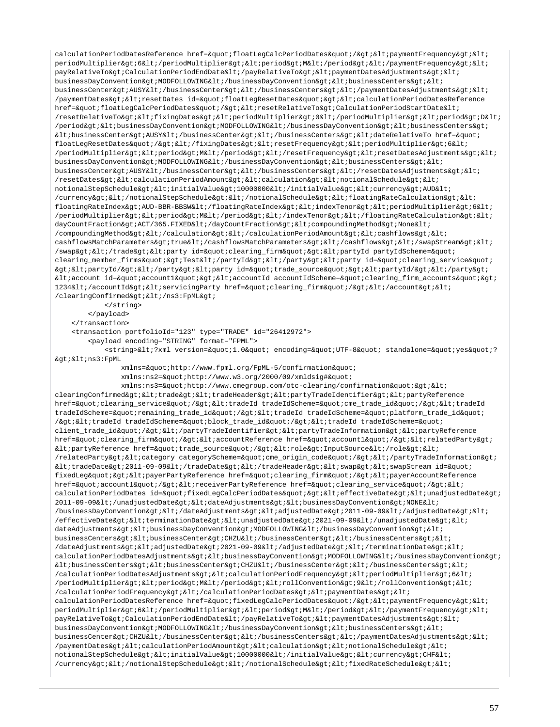calculationPeriodDatesReference href="floatLegCalcPeriodDates"/><paymentFrequency&gt;&lt; periodMultiplier&qt;6</periodMultiplier&qt;&lt;period&qt;M&lt;/period&qt;&lt;/paymentFrequency&qt;&lt; payRelativeTo&qt;CalculationPeriodEndDate</payRelativeTo&qt;&lt;paymentDatesAdjustments&qt;&lt; businessDayConvention>MODFOLLOWING</businessDayConvention&gt;&lt;businessCenters&gt;&lt; businessCenter&qt;AUSY</businessCenter&qt;&lt;/businessCenters&qt;&lt;/paymentDatesAdjustments&qt;&lt; /paymentDates><resetDates id=&quot;floatLegResetDates&quot;&gt;&lt;calculationPeriodDatesReference href="floatLegCalcPeriodDates"/><resetRelativeTo&gt;CalculationPeriodStartDate&lt; /resetRelativeTo&qt;<fixingDates&qt;&lt;periodMultiplier&qt;0&lt;/periodMultiplier&qt;&lt;period&qt;D&lt; /period><businessDayConvention&gt;MODFOLLOWING&lt;/businessDayConvention&gt;&lt;businessCenters&gt;  $k$ tt; businessCenter> AUSY< /businessCenter&gt; &lt; /businessCenters&gt; &lt; dateRelativeTo href=&quot; floatLegResetDates"/></fixingDates&gt;&lt;resetFrequency&gt;&lt;periodMultiplier&gt;6&lt; /periodMultiplier&qt;<period&qt;M&lt;/period&qt;&lt;/resetFrequency&qt;&lt;resetDatesAdjustments&qt;&lt; businessDayConvention>MODFOLLOWING</businessDayConvention&gt;&lt;businessCenters&gt;&lt; businessCenter>AUSY</businessCenter&gt;&lt;/businessCenters&gt;&lt;/resetDatesAdjustments&gt;&lt; /resetDates><calculationPeriodAmount&gt;&lt;calculation&gt;&lt;notionalSchedule&gt;&lt; notionalStepSchedule><initialValue&gt;10000000&lt;/initialValue&gt;&lt;currency&gt;AUD&lt; /currency></notionalStepSchedule&gt;&lt;/notionalSchedule&gt;&lt;floatingRateCalculation&gt;&lt; floatingRateIndex>AUD-BBR-BBSW</floatingRateIndex&gt;&lt;indexTenor&gt;&lt;periodMultiplier&gt;6&lt; /periodMultiplier><period&gt;M&lt;/period&gt;&lt;/indexTenor&gt;&lt;/floatingRateCalculation&gt;&lt; dayCountFraction>ACT/365.FIXED</dayCountFraction&gt;&lt;compoundingMethod&gt;None&lt; /compoundingMethod></calculation&gt;&lt;/calculationPeriodAmount&gt;&lt;cashflows&gt;&lt; cashflowsMatchParameters&qt;true</cashflowsMatchParameters&qt;&lt;/cashflows&qt;&lt;/swapStream&qt;&lt; /swap></trade&gt;&lt;party id=&quot;clearing\_firm&quot;&gt;&lt;partyId partyIdScheme=&quot; clearing\_member\_firms">Test</partyId&gt;&lt;/party&gt;&lt;party id=&quot;clearing\_service&quot;  $\alpha$ tilipartyId/></party&gt;&lt;party id=&quot;trade\_source&quot;&gt;&lt;partyId/&gt;&lt;/party&gt;  $\$ 1234</accountId&gt;&lt;servicingParty href=&quot;clearing\_firm&quot;/&gt;&lt;/account&gt;&lt; /clearingConfirmed&qt; < /ns3: FpML&qt; </string>

 </payload> </transaction>

<transaction portfolioId="123" type="TRADE" id="26412972">

<payload encoding="STRING" format="FPML">

<string>&lt;?xml version=&quot;1.0&quot; encoding=&quot;UTF-8&quot; standalone=&quot;yes&quot;? ><ns3:FpML

xmlns="http://www.fpml.org/FpML-5/confirmation"

xmlns:ns2="http://www.w3.org/2000/09/xmldsig#"

xmlns:ns3="http://www.cmegroup.com/otc-clearing/confirmation"&qt;< clearingConfirmed><trade&gt;&lt;tradeHeader&gt;&lt;partyTradeIdentifier&gt;&lt;partyReference href="clearing\_service"/><tradeId tradeIdScheme=&quot;cme\_trade\_id&quot;/&gt;&lt;tradeId tradeIdScheme=&guot;remaining trade\_id&guot;/><tradeId tradeIdScheme=&guot;platform\_trade\_id&guot; /&gt:&lt:tradeId tradeIdScheme=&quot:block\_trade\_id&quot:/&gt:&lt:tradeId tradeIdScheme=&quot: client\_trade\_id"/></partyTradeIdentifier&gt;&lt;partyTradeInformation&gt;&lt;partyReference href="clearing\_firm"/&qt;<accountReference href=&quot;account1&quot;/&qt;&lt;relatedParty&qt;  $\<$ lt; partyReference href=" trade source" /&qt; < role&qt; InputSource&lt; /role&qt; &lt; /relatedParty><category categoryScheme=&quot;cme\_origin\_code&quot;/&gt;&lt;/partyTradeInformation&gt;  $klt$ itradeDate>2011-09-09</tradeDate&gt;&lt;/tradeHeader&gt;&lt;swap&gt;&lt;swapStream id=&quot; fixedLeq"&qt;<payerPartyReference href=&quot;clearing firm&quot;/&qt;&lt;payerAccountReference href="account1"/><receiverPartyReference href=&quot;clearing\_service&quot;/&gt;&lt; calculationPeriodDates id="fixedLegCalcPeriodDates"><effectiveDate&gt;&lt;unadjustedDate&gt; 2011-09-09</unadjustedDate&qt;&lt;dateAdjustments&qt;&lt;businessDayConvention&qt;NONE&lt; /businessDayConvention></dateAdjustments&gt;&lt;adjustedDate&gt;2011-09-09&lt;/adjustedDate&gt;&lt; /effectiveDate><terminationDate&gt;&lt;unadjustedDate&gt;2021-09-09&lt;/unadjustedDate&gt;&lt; dateAdjustments&qt;<businessDayConvention&qt;MODFOLLOWING&lt;/businessDayConvention&qt;&lt; businessCenters&qt;<businessCenter&qt;CHZU&lt;/businessCenter&qt;&lt;/businessCenters&qt;&lt; /dateAdjustments><adjustedDate&gt;2021-09-09&lt;/adjustedDate&gt;&lt;/terminationDate&gt;&lt; calculationPeriodDatesAdjustments><businessDayConvention&gt;MODFOLLOWING&lt;/businessDayConvention&gt;  $k$ t;businessCenters $k$ qt; $k$ lt;businessCenter $k$ qt; $C$ HZU $k$ lt; $D$ usinessCenter $k$ qt; $k$ lt; $D$ usinessCenters $k$ qt; $k$ lt; /calculationPeriodDatesAdjustments&qt;<calculationPeriodFrequency&qt;&lt;periodMultiplier&qt;6&lt; /periodMultiplier><period&gt;M&lt;/period&gt;&lt;rollConvention&gt;9&lt;/rollConvention&gt;&lt; /calculationPeriodFrequency&qt;</calculationPeriodDates&qt;&lt;paymentDates&qt;&lt; calculationPeriodDatesReference href="fixedLegCalcPeriodDates"/&qt;<paymentFrequency&qt;&lt; periodMultiplier>6</periodMultiplier&gt;&lt;period&gt;M&lt;/period&gt;&lt;/paymentFrequency&gt;&lt; payRelativeTo&qt;CalculationPeriodEndDate</payRelativeTo&qt;&lt;paymentDatesAdjustments&qt;&lt; businessDayConvention>MODFOLLOWING</businessDayConvention&gt;&lt;businessCenters&gt;&lt; businessCenter>CHZU</businessCenter&gt;&lt;/businessCenters&gt;&lt;/paymentDatesAdjustments&gt;&lt;  $/$ paymentDates><calculationPeriodAmount&gt;&lt;calculation&gt;&lt;notionalSchedule&qt;&lt; notionalStepSchedule&qt;<initialValue&qt;10000000&lt;/initialValue&qt;&lt;currency&qt;CHF&lt; /currency&qt;</notionalStepSchedule&qt;&lt;/notionalSchedule&qt;&lt;fixedRateSchedule&qt;&lt;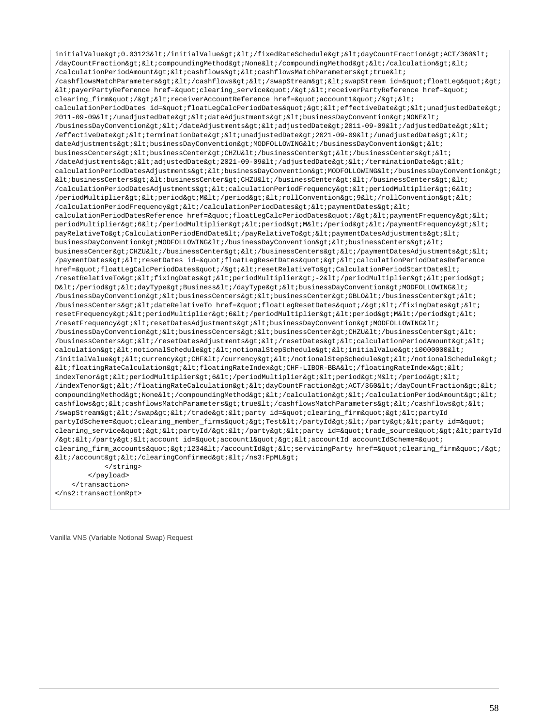initialValue&qt;0.03123</initialValue&qt;&lt;/fixedRateSchedule&qt;&lt;dayCountFraction&qt;ACT/360&lt; /dayCountFraction&qt;<compoundingMethod&qt;None&lt;/compoundingMethod&qt;&lt;/calculation&qt;&lt; /calculationPeriodAmount&qt;<cashflows&qt;&lt;cashflowsMatchParameters&qt;true&lt; /cashflowsMatchParameters></cashflows&gt;&lt;/swapStream&gt;&lt;swapStream id=&quot;floatLeg&quot;&gt;  $klt$ ipayerPartyReference href="clearing\_service"/&qt;klt;receiverPartyReference href=" clearing\_firm"/><receiverAccountReference href=&quot;account1&quot;/&gt;&lt; calculationPeriodDates id="floatLegCalcPeriodDates"><effectiveDate&gt;&lt;unadjustedDate&gt; 2011-09-09</unadjustedDate&qt;&lt;dateAdjustments&qt;&lt;businessDayConvention&qt;NONE&lt; /businessDayConvention></dateAdjustments&gt;&lt;adjustedDate&gt;2011-09-09&lt;/adjustedDate&gt;&lt; /effectiveDate><terminationDate&gt;&lt;unadjustedDate&gt;2021-09-09&lt;/unadjustedDate&gt;&lt; dateAdjustments&qt;<businessDayConvention&qt;MODFOLLOWING&lt;/businessDayConvention&qt;&lt; businessCenters&qt;<businessCenter&qt;CHZU&lt;/businessCenter&qt;&lt;/businessCenters&qt;&lt; /dateAdjustments><adjustedDate&gt;2021-09-09&lt;/adjustedDate&gt;&lt;/terminationDate&gt;&lt; calculationPeriodDatesAdjustments><businessDayConvention&gt;MODFOLLOWING&lt;/businessDayConvention&gt;  $k$ lt; businessCenters&qt; < businessCenter&qt; CHZU&lt; /businessCenter&qt; &lt; /businessCenters&qt; &lt; /calculationPeriodDatesAdjustments><calculationPeriodFrequency&gt;&lt;periodMultiplier&gt;6&lt; /periodMultiplier><period&gt;M&lt;/period&gt;&lt;rollConvention&gt;9&lt;/rollConvention&gt;&lt; /calculationPeriodFrequency&qt;</calculationPeriodDates&qt;&lt;paymentDates&qt;&lt; calculationPeriodDatesReference href="floatLegCalcPeriodDates"/><paymentFrequency&gt;&lt; periodMultiplier>6</periodMultiplier&gt;&lt;period&gt;M&lt;/period&gt;&lt;/paymentFrequency&gt;&lt; payRelativeTo>CalculationPeriodEndDate</payRelativeTo&gt;&lt;paymentDatesAdjustments&gt;&lt; businessDayConvention&qt;MODFOLLOWING</businessDayConvention&qt;&lt;businessCenters&qt;&lt; businessCenter>CHZU</businessCenter&gt;&lt;/businessCenters&gt;&lt;/paymentDatesAdjustments&gt;&lt; /paymentDates><resetDates id=&quot;floatLegResetDates&quot;&gt;&lt;calculationPeriodDatesReference href="floatLegCalcPeriodDates"/><resetRelativeTo&gt;CalculationPeriodStartDate&lt; /resetRelativeTo&qt;<fixingDates&qt;&lt;periodMultiplier&qt;-2&lt;/periodMultiplier&qt;&lt;period&qt; D</period&gt;&lt;dayType&gt;Business&lt;/dayType&gt;&lt;businessDayConvention&gt;MODFOLLOWING&lt; /businessDayConvention&qt;<businessCenters&qt;&lt;businessCenter&qt;GBLO&lt;/businessCenter&qt;&lt; /businessCenters><dateRelativeTo href=&quot;floatLegResetDates&quot;/&gt;&lt;/fixingDates&gt;&lt; resetFrequency><periodMultiplier&gt;6&lt;/periodMultiplier&gt;&lt;period&gt;M&lt;/period&gt;&lt;  $/$ resetFrequency&qt;<resetDatesAdjustments&qt;&lt;businessDayConvention&qt;MODFOLLOWING&lt;  $/b$ usinessDayConvention><businessCenters&gt;&lt;businessCenter&gt;CHZU&lt;/businessCenter&gt;&lt; /businessCenters></resetDatesAdjustments&gt;&lt;/resetDates&gt;&lt;calculationPeriodAmount&gt;&lt; calculation&qt;<notionalSchedule&qt;&lt;notionalStepSchedule&qt;&lt;initialValue&qt;10000000&lt; /initialValue&qt;<currency&qt;CHF&lt;/currency&qt;&lt;/notionalStepSchedule&qt;&lt;/notionalSchedule&qt;  $k1$ t;floatingRateCalculation&qt;<floatingRateIndex&qt;CHF-LIBOR-BBA&lt;/floatingRateIndex&qt;&lt; indexTenor><periodMultiplier&gt;6&lt;/periodDultiplier&gt;&lt;period&gt;M&lt;/period&gt;&lt; /indexTenor&qt;</floatingRateCalculation&qt;&lt;dayCountFraction&qt;ACT/360&lt;/dayCountFraction&qt;&lt; compoundingMethod&gt:None&lt:/compoundingMethod&gt:&lt:/calculation&gt:&lt:/calculationPeriodAmount&gt:&lt: cashflows><cashflowsMatchParameters&gt;true&lt;/cashflowsMatchParameters&gt;&lt;/cashflows&gt;&lt; /swapStream&qt;</swap&qt;&lt;/trade&qt;&lt;party\_id=&quot;clearing\_firm&quot;&qt;&lt;partyId partyIdScheme="clearing\_member\_firms">Test</partyId&gt;&lt;/party&gt;&lt;party id=&quot; clearing\_service"><partyId/&gt;&lt;/party&gt;&lt;party id=&quot;trade\_source&quot;&gt;&lt;partyId  $\sqrt{\omega}$ t; $\omega$ lt;/party $\omega$ qt; $\omega$ lt;account id= $\omega$ quot;account1 $\omega$ quot; $\omega$ qt; $\omega$ lt;accountId accountIdScheme= $\omega$ quot; clearing firm accounts"&qt;1234</accountId&qt;&lt;servicingParty href=&quot;clearing firm&quot;/&qt;  $*ccount></clearingConfirmed&gt;&lt;/ns3:FpML&gt;*$  </string> </payload> </transaction> </ns2:transactionRpt>

Vanilla VNS (Variable Notional Swap) Request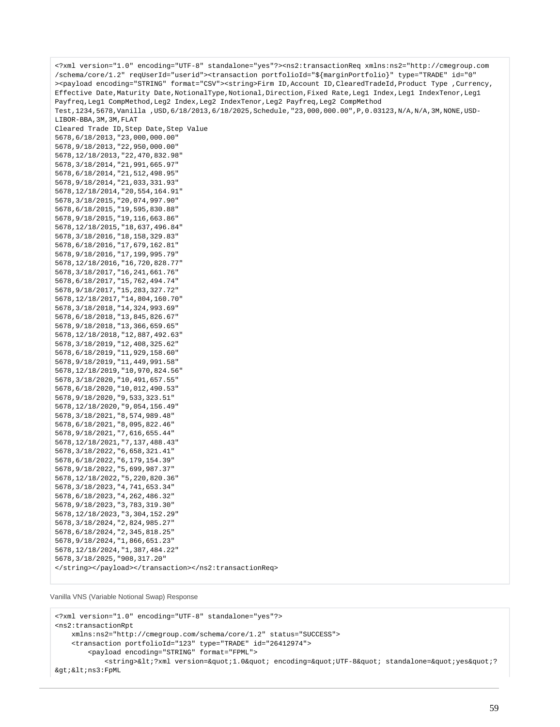<?xml version="1.0" encoding="UTF-8" standalone="yes"?><ns2:transactionReq xmlns:ns2="http://cmegroup.com /schema/core/1.2" reqUserId="userid"><transaction portfolioId="\${marginPortfolio}" type="TRADE" id="0" ><payload encoding="STRING" format="CSV"><string>Firm ID,Account ID,ClearedTradeId,Product Type ,Currency, Effective Date,Maturity Date,NotionalType,Notional,Direction,Fixed Rate,Leg1 Index,Leg1 IndexTenor,Leg1 Payfreq,Leg1 CompMethod,Leg2 Index,Leg2 IndexTenor,Leg2 Payfreq,Leg2 CompMethod Test,1234,5678,Vanilla ,USD,6/18/2013,6/18/2025,Schedule,"23,000,000.00",P,0.03123,N/A,N/A,3M,NONE,USD-LIBOR-BBA, 3M, 3M, FLAT Cleared Trade ID,Step Date,Step Value 5678,6/18/2013,"23,000,000.00" 5678,9/18/2013,"22,950,000.00" 5678,12/18/2013,"22,470,832.98" 5678,3/18/2014,"21,991,665.97" 5678,6/18/2014,"21,512,498.95" 5678,9/18/2014,"21,033,331.93" 5678,12/18/2014,"20,554,164.91" 5678,3/18/2015,"20,074,997.90" 5678,6/18/2015,"19,595,830.88" 5678,9/18/2015,"19,116,663.86" 5678,12/18/2015,"18,637,496.84" 5678,3/18/2016,"18,158,329.83" 5678,6/18/2016,"17,679,162.81" 5678,9/18/2016,"17,199,995.79" 5678,12/18/2016,"16,720,828.77" 5678,3/18/2017,"16,241,661.76" 5678,6/18/2017,"15,762,494.74" 5678,9/18/2017,"15,283,327.72" 5678,12/18/2017,"14,804,160.70" 5678,3/18/2018,"14,324,993.69" 5678,6/18/2018,"13,845,826.67" 5678,9/18/2018,"13,366,659.65" 5678,12/18/2018,"12,887,492.63" 5678,3/18/2019,"12,408,325.62" 5678,6/18/2019,"11,929,158.60" 5678,9/18/2019,"11,449,991.58" 5678,12/18/2019,"10,970,824.56" 5678,3/18/2020,"10,491,657.55" 5678,6/18/2020,"10,012,490.53" 5678,9/18/2020,"9,533,323.51" 5678,12/18/2020,"9,054,156.49" 5678,3/18/2021,"8,574,989.48" 5678,6/18/2021,"8,095,822.46" 5678,9/18/2021,"7,616,655.44" 5678,12/18/2021,"7,137,488.43" 5678,3/18/2022,"6,658,321.41" 5678,6/18/2022,"6,179,154.39" 5678,9/18/2022,"5,699,987.37" 5678,12/18/2022,"5,220,820.36" 5678,3/18/2023,"4,741,653.34" 5678,6/18/2023,"4,262,486.32" 5678,9/18/2023,"3,783,319.30" 5678,12/18/2023,"3,304,152.29" 5678,3/18/2024,"2,824,985.27" 5678,6/18/2024,"2,345,818.25" 5678,9/18/2024,"1,866,651.23" 5678,12/18/2024,"1,387,484.22" 5678,3/18/2025,"908,317.20" </string></payload></transaction></ns2:transactionReq>

```
Vanilla VNS (Variable Notional Swap) Response
```

```
<?xml version="1.0" encoding="UTF-8" standalone="yes"?>
<ns2:transactionRpt 
     xmlns:ns2="http://cmegroup.com/schema/core/1.2" status="SUCCESS">
     <transaction portfolioId="123" type="TRADE" id="26412974">
         <payload encoding="STRING" format="FPML">
            <string>&lt;?xml version=&quot;1.0&quot; encoding=&quot;UTF-8&quot; standalone=&quot;yes&quot;?
\>i\<i\>ns3:FpML
```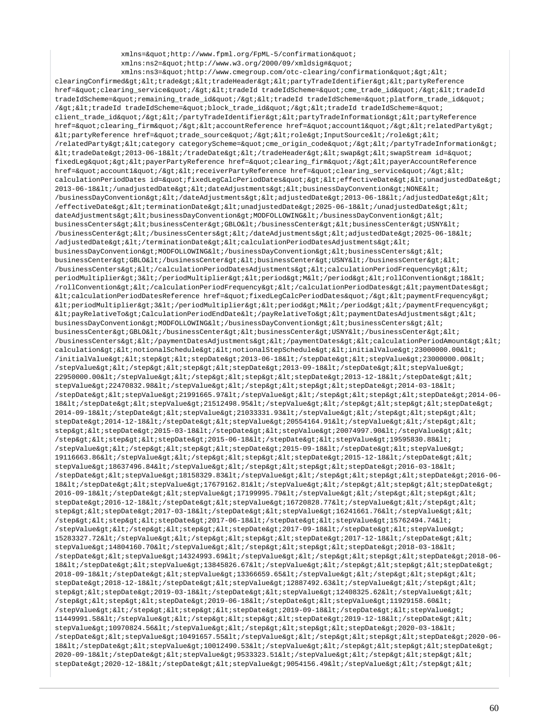xmlns="http://www.fpml.org/FpML-5/confirmation" xmlns:ns2="http://www.w3.org/2000/09/xmldsig#"

 $xmlns:ns3=\"http://www.cmegroup.com/oto-clearing/confirmation\"&qt<;$ clearingConfirmed><trade&gt;&lt;tradeHeader&gt;&lt;partyTradeIdentifier&gt;&lt;partyReference href="clearing\_service"/&qt;<tradeId tradeIdScheme=&quot;cme\_trade\_id&quot;/&qt;&lt;tradeId tradeIdScheme="remaining\_trade\_id"/><tradeId tradeIdScheme=&quot;platform\_trade\_id&quot; /><tradeId tradeIdScheme=&quot;block\_trade\_id&quot;/&gt;&lt;tradeId tradeIdScheme=&quot; client\_trade\_id"/&qt;</partyTradeIdentifier&qt;&lt;partyTradeInformation&qt;&lt;partyReference href="clearing\_firm"/><accountReference href=&quot;account1&quot;/&gt;&lt;relatedParty&gt;  $\texttt{diff}$ PartyReference href="trade\_source"/><role&gt;InputSource&lt;/role&gt;&lt; /relatedParty><category categoryScheme=&quot;cme\_origin\_code&quot;/&gt;&lt;/partyTradeInformation&gt;  $k1$ tradeDate&qt;2013-06-18&1t;/tradeDate&qt;&1t;/tradeHeader&qt;&1t;swap&qt;&1t;swapStream id=" fixedLeg"><payerPartyReference href=&quot;clearing\_firm&quot;/&gt;&lt;payerAccountReference href="account1"/><receiverPartyReference href=&quot;clearing\_service&quot;/&gt;&lt; calculationPeriodDates id="fixedLegCalcPeriodDates"&qt;<effectiveDate&qt;&lt;unadjustedDate&qt; 2013-06-18</unadjustedDate&gt;&lt;dateAdjustments&gt;&lt;businessDayConvention&gt;NONE&lt; /businessDayConvention></dateAdjustments&gt;&lt;adjustedDate&gt;2013-06-18&lt;/adjustedDate&gt;&lt; /effectiveDate><terminationDate&gt;&lt;unadjustedDate&gt;2025-06-18&lt;/unadjustedDate&gt;&lt; dateAdjustments><businessDayConvention&gt;MODFOLLOWING&lt;/businessDayConvention&gt;&lt; businessCenters><businessCenter>GBLO</businessCenter><businessCenter>USNY< /businessCenter></businessCenters&gt;&lt;/dateAdjustments&gt;&lt;adjustedDate&gt;2025-06-18&lt; /adjustedDate&qt; </terminationDate&qt; &lt;calculationPeriodDatesAdjustments&qt; &lt; businessDayConvention>MODFOLLOWING</businessDayConvention&gt;&lt;businessCenters&gt;&lt;  $\texttt{businessCenterSet}: \texttt{GBLO\<}1: \texttt{/businessCenter\>1:} \texttt{Id} \texttt{:} \texttt{businessCenter\>1:} \texttt{USINY\<}1: \texttt{/businessCenter\>1:} \texttt{Id} \texttt{:} \texttt{/businessCenter\>1:} \texttt{Id} \texttt{:} \texttt{/businessCenter\>1:} \texttt{Id} \texttt{:} \texttt{/logings}\texttt{:} \texttt{Id} \texttt{:} \texttt{/logings}\texttt{:} \texttt{Id} \texttt{:} \texttt{/logings}\texttt{:} \texttt{Id} \texttt{:} \$ /businessCenters></calculationPeriodDatesAdjustments&gt;&lt;calculationPeriodFrequency&gt;&lt; periodMultiplier&qt;3</periodMultiplier&qt;&lt;period&qt;M&lt;/period&qt;&lt;rollConvention&qt;18&lt; /rollConvention></calculationPeriodFrequency&gt;&lt;/calculationPeriodDates&gt;&lt;paymentDates&gt;  $klt$ icalculationPeriodDatesReference href="fixedLeqCalcPeriodDates"/&qt;<paymentFrequency&qt;  $klt:periodMultiplier\>3klt;logmultiplier\>3klt;logmultiplier\>4klt;logmultipler\>3klt;logmultiplier\>4klt;logmultiplier\>4klt;logmultiplier\>4klt;logmultiplier\>4klt;logmultiplier\>4klt;logmultiplier\>4klt;logmultiplier\>4klt;logmultiplier\>4klt;logmultiplier\>4klt;logmultiplier\>4klt;logmultiplier\>4klt;logmultiplier\>4klt;logmultiplier\>4klt;logmultiplier\>4klt;logmult$  $klt:payRelativeTo>clculationPeriodEndDate<://payRelativeTo>cklt:paymentDate&Idt$ businessDavConvention&qt;MODFOLLOWING</businessDayConvention&gt;&lt;businessCenters&gt;&lt; businessCenter>GBLO</businessCenter&gt;&lt;businessCenter&gt;USNY&lt;/businessCenter&gt;&lt; /businessCenters></paymentDatesAdjustments&gt;&lt;/paymentDates&gt;&lt;calculationPeriodAmount&gt;&lt;  $\verb|calulation@gt|; \verb|< not \verb|ionalScheduling't|; \verb|< in \verb|to[andStepScheduling't|; \verb|< in \verb|t|; \verb|init|; \verb|1000000|, \verb|001|; \verb|111|; \verb|122|; \verb|123|; \verb|123|; \verb|123|; \verb|123|; \verb|123|; \verb|123|; \verb|123|; \verb|123|; \verb|123|; \verb|123|; \verb|123|; \verb|123|; \verb|123|; \verb|123|; \verb|123|$  $/$ initialValue&qt;<step&qt;&lt;stepDate&qt;2013-06-18&lt;/stepDate&qt;&lt;stepValue&qt;23000000.00&lt;  $\sqrt{\text{stepValue\&qt}}$ ;  $\< l$ ;  $\< t$  ep $\< q$ t;  $\< l$  the p $\< l$ ;  $\< l$  is tepDate  $\< q$ t;  $2013-09-18$  $\< l$ ;  $\< t$  epDate  $\< q$ t;  $\< l$  then 22950000.00</stepValue&gt;&lt;/step&gt;&lt;step&gt;&lt;stepDate&gt;2013-12-18&lt;/stepDate&gt;&lt; stepValue&qt;22470832.98</stepValue&qt;&lt;step&qt;&lt;step&qt;&lt;stepDate&qt;2014-03-18&lt; /stepDate><stepValue&gt;21991665.97&lt;/stepValue&gt;&lt;/step&gt;&lt;step&gt;&lt;stepDate&gt;2014-06-18</stepDate&gt;&lt;stepValue&gt;21512498.95&lt;/stepValue&gt;&lt;/step&gt;&lt;step&gt;&lt;stepDate&gt;  $2014-09-18$ </stepDate&qt;&lt;stepValue&qt;21033331.93&lt;/stepValue&qt;&lt;/step&qt;&lt;step&qt;&lt; stepDate>2014-12-18</stepDate&gt;&lt;stepValue&gt;20554164.91&lt;/stepValue&gt;&lt;/step&gt;&lt; step><stepDate&gt;2015-03-18&lt;/stepDate&gt;&lt;stepValue&gt;20074997.90&lt;/stepValue&gt;&lt;  $\sqrt{\text{stepSet}:\text{alt}:\text{stepSet}:\text{alt}:\text{stepDate}$ /stepValue&qt;</step&qt;&lt;step&qt;&lt;stepDate&qt;2015-09-18&lt;/stepDate&qt;&lt;stepValue&qt; 19116663.86</stepValue&gt;&lt;/step&gt;&lt;step&gt;&lt;stepDate&gt;2015-12-18&lt;/stepDate&gt;&lt; stepValue>18637496.84</stepValue&gt;&lt;/step&gt;&lt;step&gt;&lt;stepDate&gt;2016-03-18&lt;  $\lambda$ stepDate&qt;<stepValue&qt;18158329.83&lt;/stepValue&qt;&lt;/step&qt;&lt;step&qt;&lt;stepDate&qt;2016-06-18</stepDate&gt;&lt;stepValue&gt;17679162.81&lt;/stepValue&gt;&lt;/step&gt;&lt;step&gt;&lt;stepDate&gt; 2016-09-18</stepDate&gt;&lt;stepValue&gt;17199995.79&lt;/stepValue&gt;&lt;/step&gt;&lt;step&gt;&lt; stepDate>2016-12-18</stepDate&gt;&lt;stepValue&gt;16720828.77&lt;/stepValue&gt;&lt;/step&gt;&lt; step><stepDate&gt;2017-03-18&lt;/stepDate&gt;&lt;stepValue&gt;16241661.76&lt;/stepValue&gt;&lt; /step><step&gt;&lt;stepDate&gt;2017-06-18&lt;/stepDate&gt;&lt;stepValue&gt;15762494.74&lt;  $\lambda$ stepValue&qt;</step&qt;&lt;step&qt;&lt;stepDate&qt;2017-09-18&lt;/stepDate&qt;&lt;stepValue&qt; 15283327.72</stepValue&gt;&lt;/step&gt;&lt;step&gt;&lt;stepDate&gt;2017-12-18&lt;/stepDate&gt;&lt; stepValue>14804160.70</stepValue&gt;&lt;/step&gt;&lt;step&gt;&lt;stepDate&gt;2018-03-18&lt; /stepDate&qt;<stepValue&gt;14324993.69&lt;/stepValue&gt;&lt;/step&gt;&lt;step&gt;&lt;stepDate&gt;2018-06-18&1t;/stepDate&qt;&1t;stepValue&qt;13845826.67&1t;/stepValue&qt;&1t;/step&qt;&1t;step&qt;&1t;stepDate&qt; 2018-09-18&1t;/stepDate>&1t;stepValue>13366659.65&1t;/stepValue>&1t;/step>&1t;step>&1t; stepDate>2018-12-18</stepDate&gt;&lt;stepValue&gt;12887492.63&lt;/stepValue&gt;&lt;/step&gt;&lt; step&qt;<stepDate&qt;2019-03-18&lt;/stepDate&qt;&lt;stepValue&qt;12408325.62&lt;/stepValue&qt;&lt; /step><step&gt;&lt;stepDate&gt;2019-06-18&lt;/stepDate&gt;&lt;stepValue&gt;11929158.60&lt; /stepValue></step&gt;&lt;step&gt;&lt;stepDate&gt;2019-09-18&lt;/stepDate&gt;&lt;stepValue&gt; 11449991.58</stepValue&qt;&lt;/step&qt;&lt;step&qt;&lt;stepDate&qt;2019-12-18&lt;/stepDate&qt;&lt; stepValue>10970824.56</stepValue&gt;&lt;/step&gt;&lt;step&gt;&lt;stepDate&gt;2020-03-18&lt; /stepDate><stepValue&gt;10491657.55&lt;/stepValue&gt;&lt;/step&gt;&lt;step&gt;&lt;stepDate&gt;2020-06-18</stepDate&gt;&lt;stepValue&gt;10012490.53&lt;/stepValue&gt;&lt;/step&gt;&lt;step&gt;&lt;stepDate&gt; 2020-09-18</stepDate&qt;&lt;stepValue&qt;9533323.51&lt;/stepValue&qt;&lt;/step&qt;&lt;step&qt;&lt; stepDate&qt;2020-12-18</stepDate&qt;&lt;stepValue&qt;9054156.49&lt;/stepValue&qt;&lt;/step&qt;&lt;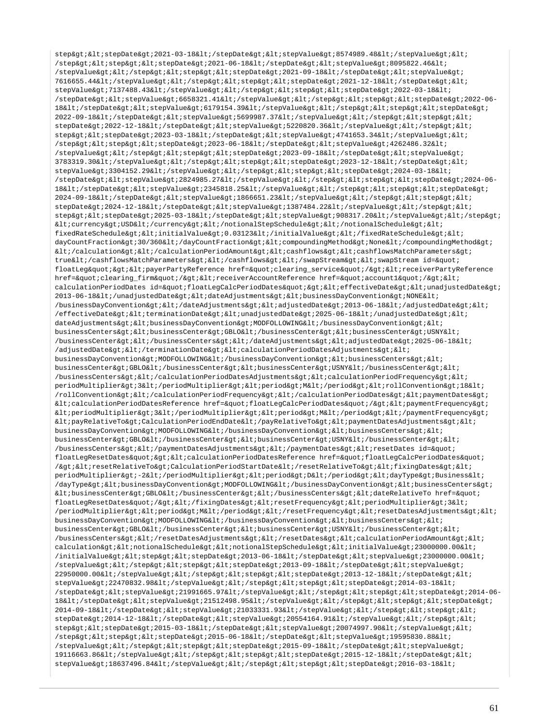step><stepDate&gt;2021-03-18&lt;/stepDate&gt;&lt;stepValue&gt;8574989.48&lt;/stepValue&gt;&lt;  $\sqrt{\text{step8qt}}$ ;  $\frac{1}{2}$  at  $\frac{1}{2}$  at  $\frac{1}{2}$  at  $\frac{1}{2}$  at  $\frac{2021-06-18}{2}$  ;  $\frac{1}{2}$  stepDate&qt;  $\frac{1}{2}$  istepValue&qt; 8095822.46< /stepValue&qt;</step&qt;&lt;step&qt;&lt;stepDate&qt;2021-09-18&lt;/stepDate&qt;&lt;stepValue&qt; 7616655.44</stepValue&gt;&lt;/step&gt;&lt;step&gt;&lt;stepDate&gt;2021-12-18&lt;/stepDate&gt;&lt; stepValue&qt;7137488.43</stepValue&qt;&lt;/step&qt;&lt;step&qt;&lt;stepDate&qt;2022-03-18&lt; /stepDate><stepValue&gt;6658321.41&lt;/stepValue&gt;&lt;/step&gt;&lt;step&gt;&lt;stepDate&gt;2022-06-18</stepDate&gt;&lt;stepValue&gt;6179154.39&lt;/stepValue&gt;&lt;/step&gt;&lt;step&gt;&lt;stepDate&gt; 2022-09-18</stepDate&qt;&lt;stepValue&qt;5699987.37&lt;/stepValue&qt;&lt;/step&qt;&lt;step&qt;&lt; stepDate>2022-12-18</stepDate&gt;&lt;stepValue&gt;5220820.36&lt;/stepValue&gt;&lt;/step&gt;&lt; step><stepDate&gt;2023-03-18&lt;/stepDate&gt;&lt;stepValue&gt;4741653.34&lt;/stepValue&gt;&lt;  $\sqrt{\text{stepSet}}$ ; < step&qt; &lt; stepDate&qt; 2023-06-18&lt; /stepDate&qt; &lt; stepValue&qt; 4262486.32&lt; /stepValue&qt;</step&qt;&lt;step&qt;&lt;stepDate&qt;2023-09-18&lt;/stepDate&qt;&lt;stepValue&qt; 3783319.30</stepValue&gt;&lt;/step&gt;&lt;step&gt;&lt;stepDate&gt;2023-12-18&lt;/stepDate&gt;&lt;  $stepValue\xspace of: 3304152.29 \text{\texttt{k}}: \texttt{stepValue}\xspace of: 2524-03-18 \text{\texttt{k}}: \texttt{stepValue}\xspace of: 2524-03-18 \text{\texttt{k}}: \texttt{stepValue}\xspace of: 2524-03-18 \text{\texttt{k}}: \texttt{stepValue}\xspace of: 2524-03-18 \text{\texttt{k}}: \texttt{stepValue}\xspace of: 2524-03-18 \text{\texttt{k}}: \texttt{stepValue}\xspace of: 2524-03-18 \text{\texttt{k}}: \texttt{stepValue}\xspace of: 252$ /stepDate><stepValue&gt;2824985.27&lt;/stepValue&gt;&lt;/step&gt;&lt;step&gt;&lt;stepDate&gt;2024-06-18</stepDate&gt;&lt;stepValue&gt;2345818.25&lt;/stepValue&gt;&lt;/step&gt;&lt;step&gt;&lt;stepDate&gt; 2024-09-18</stepDate&gt;&lt;stepValue&gt;1866651.23&lt;/stepValue&gt;&lt;/step&gt;&lt;step&gt;&lt; stepDate>2024-12-18&1t;/stepDate>&1t;stepValue>1387484.22&1t;/stepValue>&1t;/step>&1t; step><stepDate&gt;2025-03-18&lt;/stepDate&gt;&lt;stepValue&gt;908317.20&lt;/stepValue&gt;&lt;/step&gt;  $k$ lt; currency> USD< /currency&gt; &lt; /notionalStepSchedule&gt; &lt; /notionalSchedule&gt; &lt; fixedRateSchedule><initialValue&gt;0.03123&lt;/initialValue&gt;&lt;/fixedRateSchedule&gt;&lt; dayCountFraction&qt;30/360</dayCountFraction&qt;&lt;compoundingMethod&qt;None&lt;/compoundingMethod&qt;  $klti /cal$ calculation>  $klti /cal$ calculationPeriodAmount>  $klti$ cashflows>  $klti$ cashflowsMatchParameters> true</cashflowsMatchParameters&gt;&lt;/cashflows&gt;&lt;/swapStream&gt;&lt;swapStream id=&quot; floatLeg" &qt; < payerPartyReference href=&quot; clearing\_service&quot; / &qt; &lt; receiverPartyReference href="clearing firm"/&qt;<receiverAccountReference href=&quot;account1&quot;/&qt;&lt; calculationPeriodDates id="floatLegCalcPeriodDates"><effectiveDate&gt;&lt;unadjustedDate&gt;  $2013-06-18$ </unadjustedDate&qt;&lt;dateAdjustments&qt;&lt;businessDayConvention&qt;NONE&lt; /businessDayConvention></dateAdjustments&gt;&lt;adjustedDate&gt;2013-06-18&lt;/adjustedDate&gt;&lt;  $/$ effectiveDate><terminationDate&gt;&lt;unadjustedDate&gt;2025-06-18&lt;/unadjustedDate&gt;&lt; dateAdjustments><businessDayConvention&gt;MODFOLLOWING&lt;/businessDayConvention&qt;&lt; businessCenters><businessCenter>GBLO</businessCenter><businessCenter>USNY< /businessCenter></businessCenters&gt;&lt;/dateAdjustments&gt;&lt;adjustedDate&gt;2025-06-18&lt; /adjustedDate> </terminationDate&gt; &lt;calculationPeriodDatesAdjustments&gt; &lt; businessDayConvention&qt;MODFOLLOWING</businessDayConvention&qt;&lt;businessCenters&qt;&lt; businessCenter&qt;GBLO</businessCenter&qt;&lt;businessCenter&qt;USNY&lt;/businessCenter&qt;&lt; /businessCenters></calculationPeriodDatesAdjustments&gt;&lt;calculationPeriodFrequency&gt;&lt; periodMultiplier&qt;3</periodMultiplier&qt;&lt;period&qt;M&lt;/period&qt;&lt;rollConvention&qt;18&lt; /rollConvention></calculationPeriodFrequency&gt;&lt;/calculationPeriodDates&gt;&lt;paymentDates&gt; <calculationPeriodDatesReference href=&quot;floatLegCalcPeriodDates&quot;/&gt;&lt;paymentFrequency&gt;  $k$ lt; periodMultiplier $k$ et; 3 $k$ lt; /periodMultiplier $k$ et;  $k$ lt; period $k$ at; M $k$ lt; /period $k$ at;  $k$ lt; /paymentFrequency $k$ at;  $klt:payRelationPerData: Calculate the network of the network.$ businessDayConvention>MODFOLLOWING</businessDayConvention&gt;&lt;businessCenters&gt;&lt; businessCenter&qt;GBLO</businessCenter&qt;&lt;businessCenter&qt;USNY&lt;/businessCenter&qt;&lt; /businessCenters&qt;</paymentDatesAdjustments&qt;&lt;/paymentDates&qt;&lt;resetDates id=&quot; floatLegResetDates"><calculationPeriodDatesReference href=&quot;floatLegCalcPeriodDates&quot; /&gti&ltiresetRelativeTo&gtiCalculationPeriodStartDate&lti/resetRelativeTo&gti&ltifixingDates&gti&lti periodMultiplier&qt;-2</periodMultiplier&qt;&lt;period&qt;D&lt;/period&qt;&lt;dayType&qt;Business&lt; /dayType><businessDayConvention&gt;MODFOLLOWING&lt;/businessDayConvention&gt;&lt;businessCenters&gt;  $klt:busing the \texttt{SSCenter}\$  : GBLO</businessCenter&gt;&lt;/businessCenters&gt;&lt;dateRelativeTo href=&quot; floatLegResetDates"/></fixingDates&gt;&lt;resetFrequency&gt;&lt;periodMultiplier&gt;3&lt; /periodMultiplier><period&gt;M&lt;/period&gt;&lt;/resetFrequency&gt;&lt;resetDatesAdjustments&gt;&lt; businessDayConvention&qt;MODFOLLOWING</businessDayConvention&qt;&lt;businessCenters&qt;&lt; businessCenter&qt;GBLO</businessCenter&qt;&lt;businessCenter&qt;USNY&lt;/businessCenter&qt;&lt;  $/b$ usinessCenters&qt;</resetDatesAdjustments&qt;&lt;/resetDates&qt;&lt;calculationPeriodAmount&qt;&lt; calculation><notionalSchedule&gt;&lt;notionalStepSchedule&gt;&lt;initialValue&gt;23000000.00&lt;  $/$ initialValue><step&gt;&lt;stepDate&gt;2013-06-18&lt;/stepDate&gt;&lt;stepValue&gt;2300000.00&lt;  $\frac{1}{2}$  /stepValue&qt;</step&qt;&lt;step&qt;&lt;stepDate&qt;2013-09-18&lt;/stepDate&qt;&lt;stepValue&qt; 22950000.00</stepValue&gt;&lt;/step&gt;&lt;step&gt;&lt;stepDate&gt;2013-12-18&lt;/stepDate&gt;&lt; stepValue>22470832.98</stepValue&gt;&lt;/step&gt;&lt;step&gt;&lt;stepDate&gt;2014-03-18&lt;  $\lambda$ stepDate&qt;<stepValue&qt;21991665.97&lt;/stepValue&qt;&lt;/step&qt;&lt;step&qt;&lt;stepDate&qt;2014-06-18</stepDate&qt;&lt;stepValue&qt;21512498.95&lt;/stepValue&qt;&lt;/step&qt;&lt;step&qt;&lt;stepDate&qt; 2014-09-18</stepDate&gt;&lt;stepValue&gt;21033331.93&lt;/stepValue&gt;&lt;/step&gt;&lt;step&gt;&lt; stepDate&qt;2014-12-18</stepDate&qt;&lt;stepValue&qt;20554164.91&lt;/stepValue&qt;&lt;/step&qt;&lt; step><stepDate&gt;2015-03-18&lt;/stepDate&gt;&lt;stepValue&gt;20074997.90&lt;/stepValue&gt;&lt; /step><step&gt;&lt;stepDate&gt;2015-06-18&lt;/stepDate&gt;&lt;stepValue&gt;19595830.88&lt; /stepValue></step&gt;&lt;step&gt;&lt;stepDate&gt;2015-09-18&lt;/stepDate&gt;&lt;stepValue&gt; 19116663.86</stepValue&qt;&lt;/step&qt;&lt;step&qt;&lt;stepDate&qt;2015-12-18&lt;/stepDate&qt;&lt; stepValue>18637496.84</stepValue&gt;&lt;/step&gt;&lt;step&gt;&lt;stepDate&gt;2016-03-18&lt;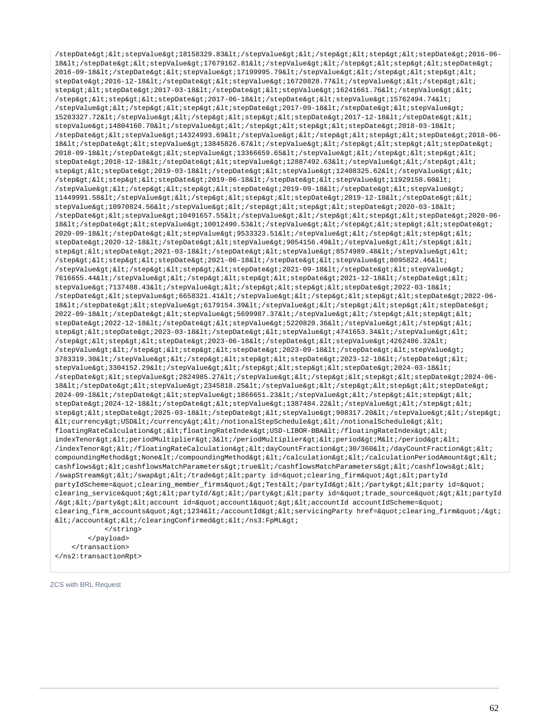/stepDate><stepValue&gt;18158329.83&lt;/stepValue&gt;&lt;/step&gt;&lt;step&gt;&lt;stepDate&gt;2016-06-18&1t;/stepDate&qt;&1t;stepValue&qt;17679162.81&1t;/stepValue&qt;&1t;/step&qt;&1t;stepAqt;&1t;stepDate&qt;  $2016-09-18$ </stepDate&qt;&lt;stepValue&qt;17199995.79&lt;/stepValue&qt;&lt;/step&qt;&lt;step&qt;&lt; stepDate>2016-12-18</stepDate&gt;&lt;stepValue&gt;16720828.77&lt;/stepValue&gt;&lt;/step&gt;&lt; step&qt;<stepDate&qt;2017-03-18&lt;/stepDate&qt;&lt;stepValue&qt;16241661.76&lt;/stepValue&qt;&lt; /step><step&gt;&lt;stepDate&gt;2017-06-18&lt;/stepDate&gt;&lt;stepValue&gt;15762494.74&lt;  $\sqrt{\text{stepValue\xi}}$ tiki/step $\delta$ gtikltistep $\delta$ gtikltistepDate $\delta$ gti2017-09-18 $\delta$ lti/stepDate $\delta$ gtikltistepValue $\delta$ gti 15283327.72</stepValue&qt;&lt;/step&qt;&lt;step&qt;&lt;stepDate&qt;2017-12-18&lt;/stepDate&qt;&lt; stepValue>14804160.70</stepValue&gt;&lt;/step&gt;&lt;step&gt;&lt;stepDate&gt;2018-03-18&lt; /stepDate><stepValue&gt;14324993.69&lt;/stepValue&gt;&lt;/step&gt;&lt;step&gt;&lt;stepDate&gt;2018-06-18</stepDate&qt;&lt;stepValue&qt;13845826.67&lt;/stepValue&qt;&lt;step&qt;&lt;step&qt;&lt;stepDate&qt;  $2018-09-18$ </stepDate&qt;&lt;stepValue&qt;13366659.65&lt;/stepValue&qt;&lt;/step&qt;&lt;step&qt;&lt; stepDate>2018-12-18&1t;/stepDate>&1t;stepValue>12887492.63&1t;/stepValue>&1t;/step>&1t; step><stepDate&gt;2019-03-18&lt;/stepDate&gt;&lt;stepValue&gt;12408325.62&lt;/stepValue&gt;&lt; /step&qt;<step&qt;&lt;stepDate&qt;2019-06-18&lt;/stepDate&qt;&lt;stepValue&qt;11929158.60&lt; /stepValue></step&gt;&lt;step&gt;&lt;stepDate&gt;2019-09-18&lt;/stepDate&gt;&lt;stepValue&gt; 11449991.58</stepValue&gt;&lt;/step&gt;&lt;step&gt;&lt;stepDate&gt;2019-12-18&lt;/stepDate&gt;&lt; stepValue>10970824.56</stepValue&gt;&lt;/step&gt;&lt;step&gt;&lt;stepDate&gt;2020-03-18&lt; /stepDate><stepValue&gt;10491657.55&lt;/stepValue&gt;&lt;/step&gt;&lt;step&gt;&lt;stepDate&gt;2020-06-18&1t;/stepDate>&1t;stepValue>10012490.53&1t;/stepValue>&1t;/step>&1t;step>&1t;stepDate> 2020-09-18</stepDate&qt;&lt;stepValue&qt;9533323.51&lt;/stepValue&qt;&lt;/step&gt;&lt;step&qt;&lt; stepDate&qt;2020-12-18</stepDate&qt;&lt;stepValue&qt;9054156.49&lt;/stepValue&qt;&lt;/step&qt;&lt; step><stepDate&gt;2021-03-18&lt;/stepDate&gt;&lt;stepValue&gt;8574989.48&lt;/stepValue&gt;&lt;  $\sqrt{\text{step4gt/ælt}}$  ;  $\text{step4gt/ælt/ælt/ælt}$  ;  $2021-06-18$   $\text{kelt}$  ;  $\text{step4te}$   $\text{get/ælt/ælt}$  ;  $\text{key4ue}$   $\text{key8095822.46}$   $\text{kelt}$  ; /stepValue></step&gt;&lt;step&gt;&lt;stepDate&gt;2021-09-18&lt;/stepDate&gt;&lt;stepValue&gt; 7616655.44</stepValue&gt;&lt;/step&gt;&lt;step&gt;&lt;stepDate&gt;2021-12-18&lt;/stepDate&gt;&lt; stepValue>7137488.43</stepValue&gt;&lt;/step&gt;&lt;stepAgt;&lt;stepDate&gt;2022-03-18&lt; /stepDate&qt;<stepValue&qt;6658321.41&lt;/stepValue&qt;&lt;/step&qt;&lt;step&qt;&lt;stepDate&qt;2022-06-18</stepDate&gt;&lt;stepValue&gt;6179154.39&lt;/stepValue&gt;&lt;/step&gt;&lt;step&gt;&lt;stepDate&gt; 2022-09-18</stepDate&gt;&lt;stepValue&gt;5699987.37&lt;/stepValue&gt;&lt;/step&gt;&lt;step&gt;&lt; stepDate>2022-12-18</stepDate&gt;&lt;stepValue&gt;5220820.36&lt;/stepValue&gt;&lt;/step&gt;&lt; step><stepDate&gt;2023-03-18&lt;/stepDate&gt;&lt;stepValue&gt;4741653.34&lt;/stepValue&gt;&lt; /step><step&gt;&lt;stepDate&gt;2023-06-18&lt;/stepDate&gt;&lt;stepValue&gt;4262486.32&lt; /stepValue&qt;</step&qt;&lt;step&qt;&lt;stepDate&qt;2023-09-18&lt;/stepDate&qt;&lt;stepValue&qt;  $3783319.30$ </stepValue&qt;&lt;/step&qt;&lt;step&qt;&lt;stepDate&qt;2023-12-18&lt;/stepDate&qt;&lt; stepValue&qt;3304152.29</stepValue&qt;&lt;/step&qt;&lt;step&qt;&lt;stepDate&qt;2024-03-18&lt; /stepDate><stepValue&gt;2824985.27&lt;/stepValue&gt;&lt;/step&gt;&lt;step&gt;&lt;stepDate&gt;2024-06-18</stepDate&qt;&lt;stepValue&qt;2345818.25&lt;/stepValue&qt;&lt;/step&qt;&lt;step&qt;&lt;stepDate&qt; 2024-09-18</stepDate&gt;&lt;stepValue&gt;1866651.23&lt;/stepValue&gt;&lt;/step&gt;&lt;step&gt;&lt; stepDate>2024-12-18</stepDate&gt;&lt;stepValue&gt;1387484.22&lt;/stepValue&gt;&lt;/step&gt;&lt; step><stepDate&gt;2025-03-18&lt;/stepDate&gt;&lt;stepValue&gt;908317.20&lt;/stepValue&gt;&lt;/step&gt;  $klt$ icurrency>USD</currency&gt;&lt;/notionalStepSchedule&gt;&lt;/notionalSchedule&gt;&lt; floatingRateCalculation><floatingRateIndex&gt;USD-LIBOR-BBA&lt;/floatingRateIndex&gt;&lt; indexTenor&qt;<periodMultiplier&qt;3&lt;/periodMultiplier&qt;&lt;period&qt;M&lt;/period&qt;&lt; /indexTenor&qt;</floatingRateCalculation&qt;&lt;dayCountFraction&qt;30/360&lt;/dayCountFraction&qt;&lt; compoundingMethod>None</compoundingMethod&gt;&lt;/calculation&gt;&lt;/calculationPeriodAmount&gt;&lt; cashflows><cashflowsMatchParameters&gt;true&lt;/cashflowsMatchParameters&gt;&lt;/cashflows&gt;&lt; /swapStream&qt;</swap&qt;&lt;/trade&qt;&lt;party\_id=&quot;clearing\_firm&quot;&qt;&lt;partyId partyIdScheme="clearing\_member\_firms"&qt;Test</partyId&qt;&lt;/party&qt;&lt;party\_id=&quot; clearing\_service"><partyId/&gt;&lt;/party&gt;&lt;party id=&quot;trade\_source&quot;&gt;&lt;partyId /&qt;</party&qt;&lt;account id=&quot;account1&quot;&lt;accountId accountIdScheme=&quot; clearing\_firm\_accounts">1234</accountId&gt;&lt;servicingParty href=&quot;clearing\_firm&quot;/&gt;  $dt$ ;/account></clearingConfirmed&gt;&lt;/ns3:FpML&gt; </string> </payload>

 </transaction> </ns2:transactionRpt>

ZCS with BRL Request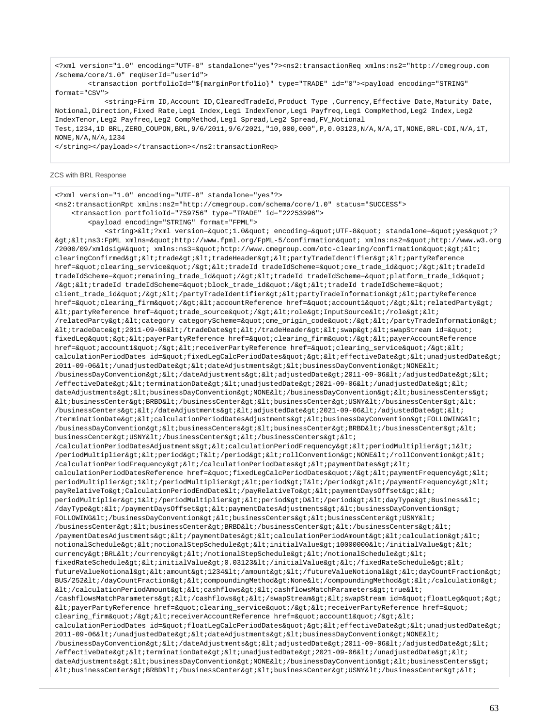<?xml version="1.0" encoding="UTF-8" standalone="yes"?><ns2:transactionReq xmlns:ns2="http://cmegroup.com /schema/core/1.0" reqUserId="userid">

 <transaction portfolioId="\${marginPortfolio}" type="TRADE" id="0"><payload encoding="STRING" format="CSV">

<string>Firm ID,Account ID,ClearedTradeId,Product Type ,Currency,Effective Date,Maturity Date, Notional,Direction,Fixed Rate,Leg1 Index,Leg1 IndexTenor,Leg1 Payfreq,Leg1 CompMethod,Leg2 Index,Leg2 IndexTenor,Leg2 Payfreq,Leg2 CompMethod,Leg1 Spread,Leg2 Spread,FV\_Notional Test,1234,1D BRL,ZERO\_COUPON,BRL,9/6/2011,9/6/2021,"10,000,000",P,0.03123,N/A,N/A,1T,NONE,BRL-CDI,N/A,1T, NONE,N/A,N/A,1234

</string></payload></transaction></ns2:transactionReq>

### ZCS with BRL Response

<?xml version="1.0" encoding="UTF-8" standalone="yes"?> <ns2:transactionRpt xmlns:ns2="http://cmegroup.com/schema/core/1.0" status="SUCCESS"> <transaction portfolioId="759756" type="TRADE" id="22253996"> <payload encoding="STRING" format="FPML"> <string>&lt;?xml version=&quot;1.0&quot; encoding=&quot;UTF-8&quot; standalone=&quot;yes&quot;?  $\>$ i $\>$ i $\>$ i $\>$ i $\>$ mlns= $\>$ quot;http://www.fpml.org/FpML-5/confirmation $\>$ quot;  $x$ mlns:ns2= $\>$ quot;http://www.w3.org /2000/09/xmldsig#" xmlns:ns3="http://www.cmegroup.com/otc-clearing/confirmation">< clearingConfirmed><trade&gt;&lt;tradeHeader&gt;&lt;partyTradeIdentifier&gt;&lt;partyReference href="clearing\_service"/&qt;<tradeId tradeIdScheme=&quot;cme\_trade\_id&quot;/&qt;&lt;tradeId tradeIdScheme="remaining\_trade\_id"/><tradeId tradeIdScheme=&quot;platform\_trade\_id&quot; /><tradeId tradeIdScheme=&quot;block\_trade\_id&quot;/&gt;&lt;tradeId tradeIdScheme=&quot; client\_trade\_id"/></partyTradeIdentifier&gt;&lt;partyTradeInformation&gt;&lt;partyReference href="clearing\_firm"/&qt;<accountReference href=&quot;account1&quot;/&qt;&lt;relatedParty&qt;  $\texttt{all:partyReference}$ href=&quot:trade\_source&quot:/&gt:&lt:role&gt:InputSource&lt:/role&gt:&lt:  $/related Party\>1:$ cltcategory categoryScheme="cme\_origin\_code"/></partyTradeInformation&gt;  $klt$ itradeDate $kqt$ ; 2011-09-06 $klt$ i/tradeDate $kqt$ ;  $klt$ i/tradeHeader $kqt$ ;  $klt$ iswap $kqt$ ;  $klt$ iswapStream id= $kquct$ ; fixedLeg" > < payerPartyReference href=&quot; clearing\_firm&quot; / &gt; &lt; payerAccountReference href="account1"/><receiverPartyReference href=&quot;clearing\_service&quot;/&gt;&lt; calculationPeriodDates id="fixedLegCalcPeriodDates"><effectiveDate&gt;&lt;unadjustedDate&gt; 2011-09-06</unadjustedDate&gt;&lt;dateAdjustments&gt;&lt;businessDayConvention&gt;NONE&lt; /businessDayConvention></dateAdjustments&gt;&lt;adjustedDate&gt;2011-09-06&lt;/adjustedDate&gt;&lt;  $/$ effectiveDate&qt;<terminationDate&qt;&lt;unadjustedDate&qt;2021-09-06&lt;/unadjustedDate&qt;&lt; dateAdjustments><businessDayConvention&gt;NONE&lt;/businessDayConvention&gt;&lt;businessCenters&gt;  $\verb|@lt;jbusinessCenter\verb|sgt;BRBDL1|; /businessCenter\verb|sgt;@lt;jubssCenter\verb|sgt;jSNY@lt;j/businessCenter\verb|sgt;@lt;jubssCenter\verb|sgt;@lt;jubssCenter\verb|sgt;@lt;jubssCenter\verb|sgt;@lt;jubss{def:23},\ldots, and \ldots, and \ldots, and \ldots, respectively.$ /businessCenters></dateAdjustments&gt;&lt;adjustedDate&gt;2021-09-06&lt;/adjustedDate&gt;&lt; /terminationDate&qt;<calculationPeriodDatesAdjustments&qt;&lt;businessDayConvention&qt;FOLLOWING&lt; /businessDayConvention&qt;<businessCenters&qt;&lt;businessCenter&qt;BRBD&lt;/businessCenter&qt;&lt;  $\texttt{businessCenter\>USNY\<1} \texttt{/businessCenter\>1} \texttt{.}/\texttt{businessCenter\>1} \texttt{.}/\texttt{businessCenter\>1} \texttt{.}/\texttt{businessCenter\>1} \texttt{.}/\texttt{businessCenter\>1} \texttt{.}/\texttt{businessCenter\>1} \texttt{.}/\texttt{businessCenter\>1} \texttt{.}/\texttt{Asions}$ /calculationPeriodDatesAdjustments><calculationPeriodFrequency&gt;&lt;periodMultiplier&gt;1&lt; /periodMultiplier><period&gt;T&lt;/period&gt;&lt;rollConvention&gt;NONE&lt;/rollConvention&gt;&lt; /calculationPeriodFrequency></calculationPeriodDates&gt;&lt;paymentDates&gt;&lt; calculationPeriodDatesReference href="fixedLegCalcPeriodDates"/><paymentFrequency&gt;&lt; periodMultiplier>1</periodMultiplier&gt;&lt;period&gt;T&lt;/period&gt;&lt;/paymentFrequency&gt;&lt; payRelativeTo>CalculationPeriodEndDate</payRelativeTo&gt;&lt;paymentDaysOffset&gt;&lt; periodMultiplier>1</periodMultiplier&gt;&lt;period&gt;D&lt;/period&gt;&lt;dayType&gt;Business&lt; /dayType></paymentDaysOffset&gt;&lt;paymentDatesAdjustments&gt;&lt;businessDayConvention&gt; FOLLOWING</businessDayConvention&qt;&lt;businessCenters&qt;&lt;businessCenter&qt;USNY&lt; /businessCenter><businessCenter&gt;BRBD&lt;/businessCenter&gt;&lt;/businessCenters&gt;&lt; /paymentDatesAdjustments&qt;</paymentDates&qt;&lt;calculationPeriodAmount&qt;&lt;calculation&qt;&lt; notionalSchedule><notionalStepSchedule&gt;&lt;initialValue&gt;10000000&lt;/initialValue&gt;&lt; currency>BRL</currency&gt;&lt;/notionalStepSchedule&gt;&lt;/notionalSchedule&gt;&lt; fixedRateSchedule><initialValue&gt;0.03123&lt;/initialValue&gt;&lt;/fixedRateSchedule&gt;&lt; futureValueNotional><amount&gt;1234&lt;/amount&gt;&lt;/futureValueNotional&gt;&lt;dayCountFraction&gt; BUS/252&1t;/dayCountFraction>&1t;compoundingMethod>None&1t;/compoundingMethod>&1t;/calculation>  $\<$ it;/calculationPeriodAmount&qt;<cashflows&qt;&lt;cashflowsMatchParameters&qt;true&lt; /cashflowsMatchParameters&qt;</cashflows&qt;&lt;/swapStream&qt;&lt;swapStream id=&quot;floatLeq&quot;&qt; <payerPartyReference href="clearing\_service"/><receiverPartyReference href=" clearing\_firm"/><receiverAccountReference href=&quot;account1&quot;/&gt;&lt; calculationPeriodDates id="floatLeqCalcPeriodDates"&qt;<effectiveDate&qt;&lt;unadjustedDate&qt; 2011-09-06</unadjustedDate&gt;&lt;dateAdjustments&gt;&lt;businessDayConvention&gt;NONE&lt;  $/b$ usinessDayConvention></dateAdjustments&gt;&lt;adjustedDate&gt;2011-09-06&lt;/adjustedDate&gt;&lt; /effectiveDate> <terminationDate&gt; &lt;unadjustedDate&gt; 2021-09-06&lt;/unadjustedDate&gt; &lt; dateAdjustments><businessDayConvention&gt;NONE&lt;/businessDayConvention&gt;&lt;businessCenters&gt;  $\verb| alt: businessCenter\> jRRB\< l'| businessCenter\> t| l' businessCenter\> t| USSN\< l'| businessCenter\> t| l' s| USSN\< s| USSN\< s| USSN\< s| USSN\< s| USSN\< s| USSN\< s| USSN\< s| USSN\< s| USSN\< s| USSN\< s| USSN\< s| USSN\< s| USSN\< s| USSN\< s| USSN\< s| USSN\< s| USSN\< s| USSN\$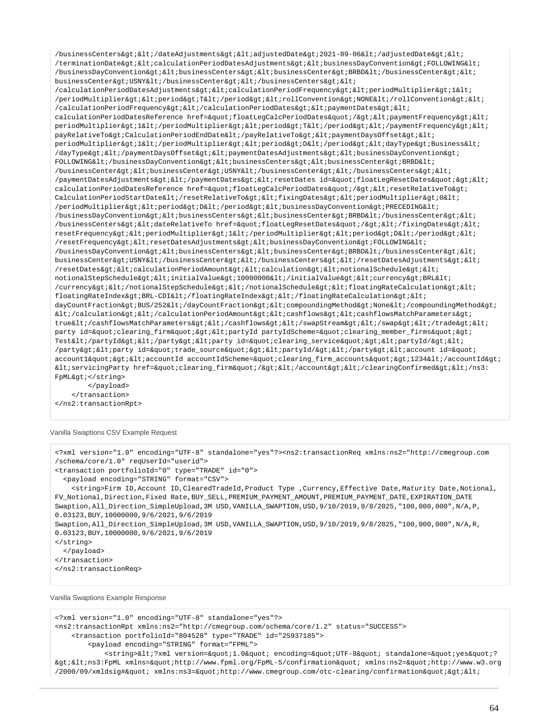/businessCenters&qt;</dateAdjustments&qt;&lt;adjustedDate&qt;2021-09-06&lt;/adjustedDate&qt;&lt; /terminationDate&qt;<calculationPeriodDatesAdjustments&qt;&lt;businessDayConvention&qt;FOLLOWING&lt; /businessDayConvention&qt;<businessCenters&qt;&lt;businessCenter&qt;BRBD&lt;/businessCenter&qt;&lt; businessCenter>USNY</businessCenter&gt;&lt;/businessCenters&gt;&lt; /calculationPeriodDatesAdjustments&qt;<calculationPeriodFrequency&qt;&lt;periodMultiplier&qt;1&lt; /periodMultiplier><period&gt;T&lt;/period&gt;&lt;rollConvention&gt;NONE&lt;/rollConvention&gt;&lt; /calculationPeriodFrequency></calculationPeriodDates&gt;&lt;paymentDates&gt;&lt; calculationPeriodDatesReference href="floatLeqCalcPeriodDates"/&qt;<paymentFrequency&qt;&lt; periodMultiplier>1</periodMultiplier&gt;&lt;period&gt;T&lt;/period&gt;&lt;/paymentFrequency&gt;&lt; payRelativeTo>CalculationPeriodEndDate</payRelativeTo&gt;&lt;paymentDaysOffset&gt;&lt; periodMultiplier&qt;1</periodMultiplier&qt;&lt;period&qt;D&lt;/period&qt;&lt;dayType&qt;Business&lt;  $\gamma$ dayType&qt;</paymentDaysOffset&qt;&lt;paymentDatesAdjustments&qt;&lt;businessDayConvention&qt; FOLLOWING</businessDayConvention&gt;&lt;businessCenters&gt;&lt;businessCenter&gt;BRBD&lt; /businessCenter><businessCenter&gt;USNY&lt;/businessCenter&gt;&lt;/businessCenters&gt;&lt; /paymentDatesAdjustments></paymentDates&gt;&lt;resetDates id=&quot;floatLegResetDates&quot;&gt;&lt; calculationPeriodDatesReference href="floatLegCalcPeriodDates"/&qt;<resetRelativeTo&qt; CalculationPeriodStartDate</resetRelativeTo&gt;&lt;fixingDates&gt;&lt;periodMultiplier&gt;0&lt; /periodMultiplier><period&gt;D&lt;/period&gt;&lt;businessDayConvention&gt;PRECEDING&lt;  $/b$ usinessDayConvention><businessCenters&gt;&lt;businessCenter&gt;BRBD&lt;/businessCenter&gt;&lt; /businessCenters><dateRelativeTo href=&quot;floatLegResetDates&quot;/&gt;&lt;/fixingDates&gt;&lt; resetFrequency&qt;<periodMultiplier&qt;1&lt;/periodMultiplier&qt;&lt;period&qt;D&lt;/period&qt;&lt; /resetFrequency&qt;<resetDatesAdjustments&qt;&lt;businessDayConvention&qt;FOLLOWING&lt; /businessDayConvention><businessCenters&gt;&lt;businessCenter&gt;BRBD&lt;/businessCenter&gt;&lt; businessCenter>USNY</businessCenter&gt;&lt;/businessCenters&gt;&lt;/resetDatesAdjustments&gt;&lt; /resetDates><calculationPeriodAmount&gt;&lt;calculation&gt;&lt;notionalSchedule&gt;&lt; notionalStepSchedule&qt;<initialValue&qt;10000000&lt;/initialValue&qt;&lt;currency&qt;BRL&lt; /currency></notionalStepSchedule&gt;&lt;/notionalSchedule&gt;&lt;floatingRateCalculation&gt;&lt; floatingRateIndex&qt;BRL-CDI</floatingRateIndex&qt;&lt;/floatingRateCalculation&qt;&lt; dayCountFraction>BUS/252</dayCountFraction&gt;&lt;compoundingMethod&gt;None&lt;/compoundingMethod&gt;  $\$ true</cashflowsMatchParameters&gt;&lt;/cashflows&gt;&lt;/swapStream&gt;&lt;/swap&gt;&lt;/trade&gt;&lt; party id="clearing\_firm"><partyId partyIdScheme=&quot;clearing\_member\_firms&quot;&gt; Test</partyId></party><party id="clearing\_service"><partyId/>< /party><party id=&quot;trade\_source&quot;&gt;&lt;partyId/&gt;&lt;/party&gt;&lt;account id=&quot; account1"&qt;<accountId accountIdScheme=&quot;clearing firm accounts&quot;&qt;1234&lt;/accountId&qt;

<servicingParty href=&quot;clearing\_firm&quot;/&gt;&lt;/account&gt;&lt;/clearingConfirmed&gt;&lt;/ns3: FpML&qt;</string> </payload>

 </transaction> </ns2:transactionRpt>

Vanilla Swaptions CSV Example Request

```
<?xml version="1.0" encoding="UTF-8" standalone="yes"?><ns2:transactionReq xmlns:ns2="http://cmegroup.com
/schema/core/1.0" reqUserId="userid">
<transaction portfolioId="0" type="TRADE" id="0">
   <payload encoding="STRING" format="CSV">
     <string>Firm ID,Account ID,ClearedTradeId,Product Type ,Currency,Effective Date,Maturity Date,Notional,
FV_Notional,Direction,Fixed Rate,BUY_SELL,PREMIUM_PAYMENT_AMOUNT,PREMIUM_PAYMENT_DATE,EXPIRATION_DATE
Swaption,All_Direction_SimpleUpload,3M USD,VANILLA_SWAPTION,USD,9/10/2019,9/8/2025,"100,000,000",N/A,P,
0.03123,BUY,10000000,9/6/2021,9/6/2019
Swaption,All_Direction_SimpleUpload,3M USD,VANILLA_SWAPTION,USD,9/10/2019,9/8/2025,"100,000,000",N/A,R,
0.03123,BUY,10000000,9/6/2021,9/6/2019
</string>
   </payload>
</transaction>
</ns2:transactionReq>
```
# Vanilla Swaptions Example Response

<?xml version="1.0" encoding="UTF-8" standalone="yes"?> <ns2:transactionRpt xmlns:ns2="http://cmegroup.com/schema/core/1.2" status="SUCCESS"> <transaction portfolioId="804528" type="TRADE" id="25937185"> <payload encoding="STRING" format="FPML"> <string>&lt;?xml version=&quot;1.0&quot; encoding=&quot;UTF-8&quot; standalone=&quot;yes&quot;?  $\texttt{kg}$ t;  $\texttt{k}$ lt; ns3:FpML xmlns= $\texttt{kg}$ uot; http://www.fpml.org/FpML-5/confirmation" xmlns:ns2=" http://www.w3.org  $/2000/09/\text{xmldsig\#\"}$ : xmlns:ns3="http://www.cmegroup.com/otc-clearing/confirmation"><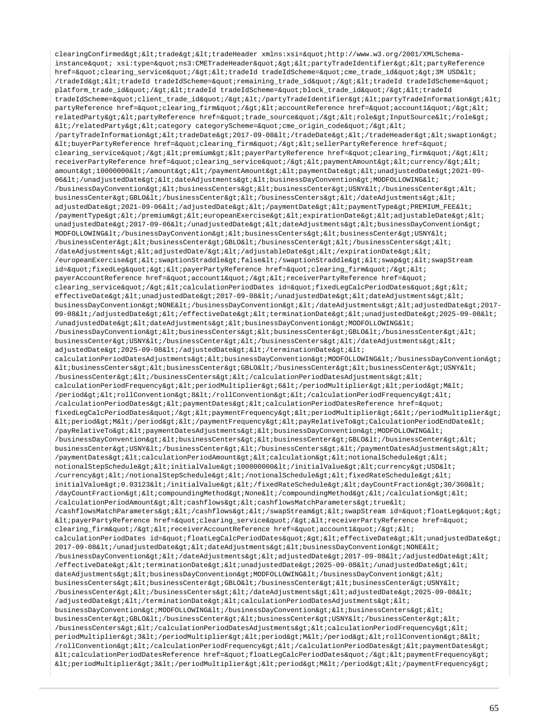clearingConfirmed><trade&gt;&lt;tradeHeader xmlns:xsi=&quot;http://www.w3.org/2001/XMLSchemainstance" xsi:type="ns3:CMETradeHeader"&qt;<partyTradeIdentifier&qt;&lt;partyReference href="clearing service"/&qt;<tradeId tradeIdScheme=&quot;cme trade\_id&quot;&qt;3M USD&lt; /tradeId><tradeId tradeIdScheme=&quot;remaining\_trade\_id&quot;/&gt;&lt;tradeId tradeIdScheme=&quot; platform\_trade\_id"/&qt;<tradeId tradeIdScheme=&quot;block\_trade\_id&quot;/&qt;&lt;tradeId tradeIdScheme="client\_trade\_id"/></partyTradeIdentifier&gt;&lt;partyTradeInformation&gt;&lt; partyReference href="clearing\_firm"/><accountReference href=&quot;account1&quot;/&gt;&lt; relatedParty&qt;<partyReference href=&quot;trade source&quot;/&qt;&lt;role&qt;InputSource&lt;/role&qt; </relatedParty&gt;&lt;category categoryScheme=&quot;cme\_origin\_code&quot;/&gt;&lt; /partyTradeInformation><tradeDate&gt;2017-09-08&lt;/tradeDate&gt;&lt;/tradeHeader&gt;&lt;swaption&gt;  $klt$ ;buyerPartyReference href="clearing\_firm"/><sellerPartyReference href=&quot; clearing service"/&qt;<premium&qt;&lt;payerPartyReference href=&quot;clearing firm&quot;/&qt;&lt; receiverPartyReference href="clearing\_service"/><paymentAmount&gt;&lt;currency/&gt;&lt; amount>10000000</amount&gt;&lt;/paymentAmount&gt;&lt;paymentDate&gt;&lt;unadjustedDate&gt;2021-09-06</unadjustedDate&gt;&lt;dateAdjustments&gt;&lt;businessDayConvention&gt;MODFOLLOWING&lt;  $/$ businessDayConvention><businessCenters&gt;&lt;businessCenter&gt;USNY&lt; $/$ businessCenter><  $\texttt{businessCenter\>gt} \texttt{;GBD}\<;\texttt{/businessCenter\>gt} \texttt{;<} \texttt{/businessCenter\>gt} \texttt{;<} \texttt{/basesCenter\>gt} \texttt{;<} \texttt{/basis} \texttt{;<} \texttt{/size} \texttt{;<} \texttt{/size} \texttt{;<} \texttt{/size} \texttt{;<} \texttt{/size} \texttt{;<} \texttt{/size} \texttt{;<} \texttt{/size} \texttt{;<} \texttt$ adjustedDate>2021-09-06</adjustedDate&gt;&lt;/paymentDate&gt;&lt;paymentType&gt;PREMIUM\_FEE&lt; /paymentType></premium&gt;&lt;europeanExercise&gt;&lt;expirationDate&gt;&lt;adjustableDate&gt;&lt; unadjustedDate>2017-09-06</unadjustedDate&gt;&lt;dateAdjustments&gt;&lt;businessDayConvention&gt;  $MODFOLLOWING\<1$ ; /businessDayConvention&qt; < businessCenters&qt; &lt; businessCenter&qt; USNY&lt; /businessCenter&qt;<businessCenter&qt;GBLO&lt;/businessCenter&qt;&lt;/businessCenters&qt;&lt; /dateAdjustments><adjustedDate/&gt;&lt;/adjustableDate&gt;&lt;/expirationDate&gt;&lt; /europeanExercise><swaptionStraddle&gt;false&lt;/swaptionStraddle&gt;&lt;swap&gt;&lt;swapStream id="fixedLeg"&qt;<payerPartyReference href=&quot;clearing\_firm&quot;/&qt;&lt; payerAccountReference href="account1"/><receiverPartyReference href=&quot; clearing\_service"/><calculationPeriodDates id=&quot;fixedLegCalcPeriodDates&quot;&gt;&lt; effectiveDate&qt; < unadjustedDate&qt; 2017-09-08&lt; /unadjustedDate&qt; &lt; dateAdjustments&qt; &lt; businessDayConvention>NONE</businessDayConvention&gt;&lt;/dateAdjustments&gt;&lt;adjustedDate&gt;2017-09-08</adjustedDate&gt;&lt;/effectiveDate&gt;&lt;terminationDate&gt;&lt;unadjustedDate&gt;2025-09-08&lt; /unadjustedDate><dateAdjustments&gt;&lt;businessDayConvention&qt;MODFOLLOWING&lt;  $/b$ usinessDayConvention><businessCenters&gt;&lt;businessCenter&gt;GBLO&lt;/businessCenter&gt;&lt; businessCenter>USNY</businessCenter&gt;&lt;/businessCenters&gt;&lt;/dateAdjustments&gt;&lt;  $adjustedDate\>:2025-09-08\<:1$  /  $adjustedDate\>:2025-09-08$ calculationPeriodDatesAdjustments&qt;<businessDayConvention&qt;MODFOLLOWING&lt;/businessDayConvention&qt;  $k$ lt; businessCenters&qt;  $k$ lt; businessCenter&qt; GBLO $k$ lt; /businessCenter&qt; < businessCenter&qt; USNY&lt;  $/b$ usinessCenter> < /businessCenters&gt; &lt; /calculationPeriodDatesAdjustments&gt; &lt; calculationPeriodFrequency&qt;<periodMultiplier&qt;6&lt;/periodMultiplier&qt;&lt;period&qt;M&lt; /period><rollConvention&gt;8&lt;/rollConvention&gt;&lt;/calculationPeriodFrequency&gt;&lt; /calculationPeriodDates> < paymentDates&gt; &lt; calculationPeriodDatesReference href=&quot; fixedLegCalcPeriodDates"/&qt;<paymentFrequency&qt;&lt;periodMultiplier&qt;6&lt;/periodMultiplier&qt;  $k$ lt; period> M< /period&gt; &lt; /paymentFrequency&gt; &lt; payRelativeTo&gt; CalculationPeriodEndDate&lt; /payRelativeTo><paymentDatesAdjustments&gt;&lt;businessDayConvention&gt;MODFOLLOWING&lt; /businessDayConvention&qt;<businessCenters&qt;&lt;businessCenter&qt;GBLO&lt;/businessCenter&qt;&lt; businessCenter&qt;USNY</businessCenter&qt;&lt;/businessCenters&qt;&lt;/paymentDatesAdjustments&qt;&lt; /paymentDates><calculationPeriodAmount&gt;&lt;calculation&gt;&lt;notionalSchedule&gt;&lt; notionalStepSchedule><initialValue&gt;1000000000&lt;/initialValue&gt;&lt;currency&gt;USD&lt; /currency&qt;</notionalStepSchedule&qt;&lt;/notionalSchedule&qt;&lt;fixedRateSchedule&qt;&lt; initialValue>0.03123</initialValue&gt;&lt;/fixedRateSchedule&gt;&lt;dayCountFraction&gt;30/360&lt; /dayCountFraction><compoundingMethod&gt;None&lt;/compoundingMethod&gt;&lt;/calculation&gt;&lt; /calculationPeriodAmount&qt;<cashflows&qt;&lt;cashflowsMatchParameters&qt;true&lt; /cashflowsMatchParameters></cashflows&gt;&lt;/swapStream&gt;&lt;swapStream id=&quot;floatLeg&quot;&gt; <payerPartyReference href=&quot;clearing\_service&quot;/&gt;&lt;receiverPartyReference href=&quot; clearing firm"/&qt;<receiverAccountReference href=&quot;account1&quot;/&qt;&lt; calculationPeriodDates id="floatLegCalcPeriodDates"&qt;<effectiveDate&qt;&lt;unadjustedDate&qt; 2017-09-08</unadjustedDate&gt;&lt;dateAdjustments&gt;&lt;businessDayConvention&gt;NONE&lt; /businessDayConvention&qt;</dateAdjustments&qt;&lt;adjustedDate&qt;2017-09-08&lt;/adjustedDate&qt;&lt;  $/$ effectiveDate&qt;<terminationDate&qt;&lt;unadjustedDate&qt;2025-09-08&lt;/unadjustedDate&qt;&lt; dateAdjustments&qt;<businessDayConvention&qt;MODFOLLOWING&lt;/businessDayConvention&qt;&lt; businessCenters><businessCenter&gt;GBLO&lt;/businessCenter&gt;&lt;businessCenter&gt;USNY&lt; /businessCenter&qt;</businessCenters&qt;&lt;/dateAdjustments&qt;&lt;adjustedDate&qt;2025-09-08&lt; /adjustedDate> </terminationDate&gt; &lt; calculationPeriodDatesAdjustments&gt; &lt; businessDayConvention>MODFOLLOWING</businessDayConvention&gt;&lt;businessCenters&gt;&lt; businessCenter&qt;GBLO</businessCenter&qt;&lt;businessCenter&qt;USNY&lt;/businessCenter&qt;&lt; /businessCenters&qt;</calculationPeriodDatesAdjustments&qt;&lt;calculationPeriodFrequency&qt;&lt; periodMultiplier&qt;3</periodMultiplier&qt;&lt;period&qt;M&lt;/period&qt;&lt;rollConvention&qt;8&lt; /rollConvention></calculationPeriodFrequency&gt;&lt;/calculationPeriodDates&gt;&lt;paymentDates&gt;  $klt$ icalculationPeriodDatesReference href="floatLegCalcPeriodDates"/&qt;<paymentFrequency&qt;  $k$ lt; periodMultiplier&qt; 3< /periodMultiplier&qt; &lt; period&qt; &lt; /period&qt; &lt; /paymentFrequency&qt;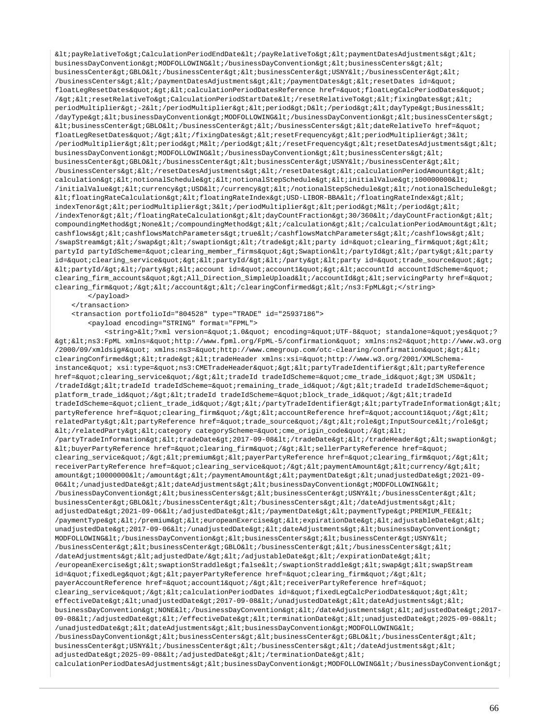$klt:payRelationerO\>Pdx$ businessDayConvention&qt;MODFOLLOWING</businessDayConvention&qt;&lt;businessCenters&qt;&lt; businessCenter&qt;GBLO</businessCenter&qt;&lt;businessCenter&qt;USNY&lt;/businessCenter&qt;&lt; /businessCenters></paymentDatesAdjustments&gt;&lt;/paymentDates&gt;&lt;resetDates id=&quot; floatLegResetDates"&qt;<calculationPeriodDatesReference href=&quot;floatLegCalcPeriodDates&quot; /&gti&ltiresetRelativeTo&gtiCalculationPeriodStartDate&lti/resetRelativeTo&gti&ltifixingDates&gti&lti periodMultiplier>-2</periodMultiplier&gt;&lt;period&gt;D&lt;/period&gt;&lt;dayType&gt;Business&lt; /dayType&qt;<businessDayConvention&qt;MODFOLLOWING&lt;/businessDayConvention&qt;&lt;businessCenters&qt;  $k$ lt; businessCenter> GBLO< /businessCenter&gt; &lt; /businessCenters&gt; &lt; dateRelativeTo href=&quot; floatLegResetDates"/></fixingDates&gt;&lt;resetFrequency&gt;&lt;periodMultiplier&gt;3&lt; /periodMultiplier><period&gt;M&lt;/period&gt;&lt;/resetFrequency&gt;&lt;resetDatesAdjustments&gt;&lt; businessDayConvention&qt;MODFOLLOWING</businessDayConvention&qt;&lt;businessCenters&qt;&lt; businessCenter>GBLO</businessCenter&gt;&lt;businessCenter&gt;USNY&lt;/businessCenter&gt;&lt;  $/$ businessCenters></resetDatesAdjustments&gt;&lt;/resetDates&gt;&lt;calculationPeriodAmount&gt;&lt; calculation><notionalSchedule&gt;&lt;notionalStepSchedule&gt;&lt;initialValue&gt;100000000&lt;  $/$ initialValue><currency&gt;USD&lt;/currency&gt;&lt;/notionalStepSchedule&gt;&lt;/notionalSchedule&gt;  $klt$ :floatingRateCalculation><floatingRateIndex&gt;USD-LIBOR-BBA&lt;/floatingRateIndex&gt;&lt; indexTenor><periodMultiplier&gt;3&lt;/periodMultiplier&gt;&lt;period&gt;M&lt;/period&gt;&lt; /indexTenor></floatingRateCalculation&gt;&lt;dayCountFraction&gt;30/360&lt;/dayCountFraction&gt;&lt;  $\verb|compoundingMethod\>; None \< i \verb|compoundingMethod\> (xlt; i / calculation \> t \< i / calculation \> (xlt; i / calculation \> (xlt; i / calculation \> t \> t \> (xlt; i / account \> t \> (xlt; i / account \> t \> t \> (xlt; i / account \> t \> (xlt; i / account \> t \> (xlt; i / account \> t \> (xlt; i / account \> t \> (xlt; i / account \> t \> (xlt; i / account \> (xlt; i / account \$ cashflows><cashflowsMatchParameters&gt;true&lt;/cashflowsMatchParameters&gt;&lt;/cashflows&gt;&lt; /swapStream&qt;</swap&qt;&lt;/swaption&qt;&lt;/trade&qt;&lt;party\_id=&quot;clearing\_firm&quot;&qt;&lt; partyId partyIdScheme="clearing\_member\_firms">Swaption</partyId&gt;&lt;/party&gt;&lt;party id="clearing\_service"><partyId/&gt;&lt;/party&gt;&lt;party id=&quot;trade\_source&quot;&gt;  $k$ lt;partyId/&qt;</party&qt;&lt;account id=&quot;account1&quot;&lt;accountId accountIdScheme=&quot; clearing\_firm\_accounts">All\_Direction\_SimpleUpload</accountId&gt;&lt;servicingParty href=&quot; clearing\_firm"/></account&gt;&lt;/clearingConfirmed&gt;&lt;/ns3:FpML&gt;</string> </payload>

</transaction>

<transaction portfolioId="804528" type="TRADE" id="25937186">

<payload encoding="STRING" format="FPML">

<string>&lt;?xml version=&quot;1.0&quot; encoding=&quot;UTF-8&quot; standalone=&quot;yes&quot;?  $\texttt{kg}$ t;  $\texttt{kl}$ t ; ns3:FpML xmlns="http://www.fpml.org/FpML-5/confirmation " xmlns:ns2="http://www.w3.org /2000/09/xmldsig#" xmlns:ns3="http://www.cmegroup.com/otc-clearing/confirmation">< clearingConfirmed&qt;<trade&qt;&lt;tradeHeader xmlns:xsi=&quot;http://www.w3.org/2001/XMLSchemainstance" xsi:type="ns3:CMETradeHeader"&qt;<partyTradeIdentifier&qt;&lt;partyReference href="clearing\_service"/><tradeId tradeIdScheme=&quot;cme\_trade\_id&quot;&qt;3M USD&lt; /tradeId&qt;<tradeId tradeIdScheme=&quot;remaining trade id&quot;/&qt;&lt;tradeId tradeIdScheme=&quot; platform\_trade\_id"/><tradeId tradeIdScheme=&quot;block\_trade\_id&quot;/&gt;&lt;tradeId tradeIdScheme="client\_trade\_id"/></partyTradeIdentifier&gt;&lt;partyTradeInformation&gt;&lt; partyReference href="clearing firm"/&qt;<accountReference href=&quot;account1&quot;/&qt;&lt; relatedParty><partyReference href=&quot;trade\_source&quot;/&gt;&lt;role&gt;InputSource&lt;/role&gt; </relatedParty&gt;&lt;category categoryScheme=&quot;cme\_origin\_code&quot;/&gt;&lt; /partyTradeInformation&qt;<tradeDate&qt;2017-09-08&lt;/tradeDate&qt;&lt;/tradeHeader&qt;&lt;swaption&qt;  $\< l$ tibuyerPartyReference href=&quoticlearing firm&quoti/&qti&ltisellerPartyReference href=&quoti clearing\_service"/><premium&gt;&lt;payerPartyReference href=&quot;clearing\_firm&quot;/&gt;&lt; receiverPartyReference href="clearing\_service"/><paymentAmount&gt;&lt;currency/&gt;&lt; amount>10000000</amount&gt;&lt;/paymentAmount&gt;&lt;paymentDate&gt;&lt;unadjustedDate&gt;2021-09-06</unadjustedDate&gt;&lt;dateAdjustments&gt;&lt;businessDayConvention&gt;MODFOLLOWING&lt; /businessDayConvention><businessCenters&gt;&lt;businessCenter&gt;USNY&lt;/businessCenter&gt;&lt;  $businesCenter&qtGBLO$ adjustedDate>2021-09-06</adjustedDate&gt;&lt;/paymentDate&gt;&lt;paymentType&gt;PREMIUM\_FEE&lt; /paymentType></premium&gt;&lt;europeanExercise&gt;&lt;expirationDate&gt;&lt;adjustableDate&gt;&lt; unadjustedDate>2017-09-06</unadjustedDate&gt;&lt;dateAdjustments&gt;&lt;businessDayConvention&gt; MODFOLLOWING</businessDayConvention&qt;&lt;businessCenters&qt;&lt;businessCenter&qt;USNY&lt;  $/b$ usinessCenter><businessCenter&gt;GBLO&lt;/businessCenter&gt;&lt;/businessCenters&gt;&lt; /dateAdjustments><adjustedDate/&gt;&lt;/adjustableDate&gt;&lt;/expirationDate&gt;&lt;  $/$ europeanExercise&qt;<swaptionStraddle&qt;false&lt;/swaptionStraddle&qt;&lt;swap&qt;&lt;swapStream id="fixedLeg"><payerPartyReference href=&quot;clearing\_firm&quot;/&gt;&lt; payerAccountReference href="account1"/><receiverPartyReference href=&quot; clearing\_service"/&qt;<calculationPeriodDates id=&quot;fixedLegCalcPeriodDates&quot;&qt;&lt; effectiveDate><unadjustedDate&gt;2017-09-08&lt;/unadjustedDate&gt;&lt;dateAdjustments&gt;&lt; businessDayConvention>NONE</businessDayConvention&gt;&lt;/dateAdjustments&gt;&lt;adjustedDate&gt;2017-09-08</adjustedDate&qt;&lt;/effectiveDate&qt;&lt;terminationDate&qt;&lt;unadjustedDate&qt;2025-09-08&lt; /unadjustedDate&qt; <dateAdjustments&qt; &lt;businessDayConvention&qt;MODFOLLOWING&lt; /businessDayConvention><businessCenters&gt;&lt;businessCenter&gt;GBLO&lt;/businessCenter&gt;&lt; businessCenter>USNY</businessCenter&gt;&lt;/businessCenters&gt;&lt;/dateAdjustments&gt;&lt; adjustedDate&qt;2025-09-08</adjustedDate&qt;&lt;/terminationDate&qt;&lt; calculationPeriodDatesAdjustments&qt;<businessDayConvention&qt;MODFOLLOWING&lt;/businessDayConvention&qt;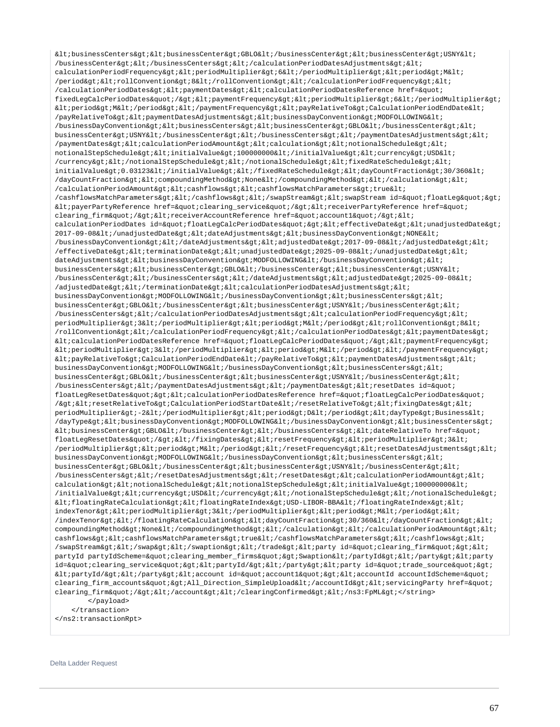$k$ lt; businessCenters&qt;  $k$ lt; businessCenter&qt; GBLO $k$ lt; /businessCenter&qt; < businessCenter&qt; USNY&lt; /businessCenter&qt;</businessCenters&qt;&lt;/calculationPeriodDatesAdjustments&qt;&lt; calculationPeriodFrequency&qt;<periodMultiplier&qt;6&lt;/periodMultiplier&qt;&lt;period&qt;M&lt; /period><rollConvention&gt;8&lt;/rollConvention&gt;&lt;/calculationPeriodFrequency&gt;&lt; /calculationPeriodDates> < paymentDates&gt; &lt; calculationPeriodDatesReference href=&quot; fixedLegCalcPeriodDates"/><paymentFrequency&gt;&lt;periodMultiplier&gt;6&lt;/periodMultiplier&gt;  $k$ lt; period> M< /period&gt; &lt; /paymentFrequency&gt; &lt; payRelativeTo&gt; CalculationPeriodEndDate&lt; /payRelativeTo> < paymentDatesAdjustments&gt; &lt; businessDayConvention&gt; MODFOLLOWING&lt; /businessDayConvention><businessCenters&gt;&lt;businessCenter&gt;GBLO&lt;/businessCenter&gt;&lt; businessCenter>USNY</businessCenter&gt;&lt;/businessCenters&gt;&lt;/paymentDatesAdjustments&gt;&lt; /paymentDates&qt;<calculationPeriodAmount&qt;&lt;calculation&qt;&lt;notionalSchedule&qt;&lt; notionalStepSchedule&qt;<initialValue&qt;100000000&lt;/initialValue&qt;&lt;currency&qt;USD&lt; /currency></notionalStepSchedule&gt;&lt;/notionalSchedule&gt;&lt;fixedRateSchedule&gt;&lt; initialValue>0.03123</initialValue&gt;&lt;/fixedRateSchedule&gt;&lt;dayCountFraction&gt;30/360&lt; /dayCountFraction&qt;<compoundingMethod&qt;None&lt;/compoundingMethod&qt;&lt;/calculation&qt;&lt; /calculationPeriodAmount><cashflows&gt;&lt;cashflowsMatchParameters&gt;true&lt; /cashflowsMatchParameters></cashflows&gt;&lt;/swapStream&gt;&lt;swapStream id=&quot;floatLeg&quot;&gt; <payerPartyReference href=&quot;clearing\_service&quot;/&qt;&lt;receiverPartyReference href=&quot; clearing\_firm"/><receiverAccountReference href=&quot;account1&quot;/&gt;&lt; calculationPeriodDates id="floatLegCalcPeriodDates"><effectiveDate&gt;&lt;unadjustedDate&gt; 2017-09-08</unadjustedDate&gt;&lt;dateAdjustments&gt;&lt;businessDayConvention&gt;NONE&lt; /businessDayConvention&qt;</dateAdjustments&qt;&lt;adjustedDate&qt;2017-09-08&lt;/adjustedDate&qt;&lt; /effectiveDate><terminationDate&gt;&lt;unadjustedDate&gt;2025-09-08&lt;/unadjustedDate&gt;&lt; dateAdjustments><businessDayConvention&gt;MODFOLLOWING&lt;/businessDayConvention&gt;&lt; businessCenters&qt;<businessCenter&qt;GBLO&lt;/businessCenter&qt;&lt;businessCenter&qt;USNY&lt; /businessCenter&qt;</businessCenters&qt;&lt;/dateAdjustments&qt;&lt;adjustedDate&qt;2025-09-08&lt;  $/$ adjustedDate></terminationDate&gt;&lt;calculationPeriodDatesAdjustments&gt;&lt; businessDayConvention&qt;MODFOLLOWING</businessDayConvention&qt;&lt;businessCenters&qt;&lt; businessCenter>GBLO</businessCenter&gt;&lt;businessCenter&gt;USNY&lt;/businessCenter&gt;&lt;  $/b$ usinessCenters></calculationPeriodDatesAdjustments&gt;&lt;calculationPeriodFrequency&gt;&lt; periodMultiplier>3</periodMultiplier&gt;&lt;period&gt;M&lt;/period&gt;&lt;rollConvention&gt;8&lt; /rollConvention></calculationPeriodFrequency&gt;&lt;/calculationPeriodDates&gt;&lt;paymentDates&gt;  $klt$ icalculationPeriodDatesReference href="floatLegCalcPeriodDates"/><paymentFrequency&gt;  $k$ lt; periodMultiplier> 3< /periodMultiplier&gt; &lt; period&gt; &lt; /period&gt; &lt; /paymentFrequency&gt;  $\<1$ tipayRelativeTo&qtiCalculationPeriodEndDate&lti/payRelativeTo&qti&ltipaymentDatesAdjustments&qti&lti businessDayConvention&qt;MODFOLLOWING</businessDayConvention&qt;&lt;businessCenters&qt;&lt; businessCenter>GBLO</businessCenter&gt;&lt;businessCenter&gt;USNY&lt;/businessCenter&gt;&lt; /businessCenters&qt;</paymentDatesAdjustments&qt;&lt;/paymentDates&qt;&lt;resetDates id=&quot; floatLegResetDates" > < calculationPeriodDatesReference href=&quot; floatLegCalcPeriodDates&quot; /><resetRelativeTo&gt;CalculationPeriodStartDate&lt;/resetRelativeTo&gt;&lt;fixingDates&gt;&lt; periodMultiplier&qt;-2</periodMultiplier&qt;&lt;period&qt;D&lt;/period&qt;&lt;dayType&qt;Business&lt; /dayType><businessDayConvention&gt;MODFOLLOWING&lt;/businessDayConvention&gt;&lt;businessCenters&gt;  $klt:busing the \texttt{SSCenter}\$  : GBLO</businessCenter&gt;&lt;/businessCenters&gt;&lt;dateRelativeTo href=&quot; floatLegResetDates"/&qt;</fixingDates&qt;&lt;resetFrequency&qt;&lt;periodMultiplier&qt;3&lt; /periodMultiplier&qt;<period&qt;M&lt;/period&qt;&lt;/resetFrequency&qt;&lt;resetDatesAdjustments&qt;&lt; businessDayConvention>MODFOLLOWING</businessDayConvention&gt;&lt;businessCenters&gt;&lt; businessCenter>GBLO</businessCenter&gt;&lt;businessCenter&gt;USNY&lt;/businessCenter&gt;&lt;  $/b$ usinessCenters&qt;</resetDatesAdjustments&qt;&lt;/resetDates&qt;&lt;calculationPeriodAmount&qt;&lt; calculation&qt;<notionalSchedule&qt;&lt;notionalStepSchedule&qt;&lt;initialValue&qt;100000000&lt; /initialValue><currency&gt;USD&lt;/currency&gt;&lt;/notionalStepSchedule&gt;&lt;/notionalSchedule&gt;  $klt$ ;floatingRateCalculation&qt;<floatingRateIndex&qt;USD-LIBOR-BBA&lt;/floatingRateIndex&qt;&lt; indexTenor><periodMultiplier&gt;3&lt;/periodMultiplier&gt;&lt;period&gt;M&lt;/period&gt;&lt; /indexTenor></floatingRateCalculation&gt;&lt;dayCountFraction&gt;30/360&lt;/dayCountFraction&gt;&lt; compoundingMethod>None</compoundingMethod&gt;&lt;/calculation&gt;&lt;/calculationPeriodAmount&gt;&lt; cashflows&qt;<cashflowsMatchParameters&qt;true&lt;/cashflowsMatchParameters&qt;&lt;/cashflows&qt;&lt; /swapStream></swap&gt;&lt;/swaption&gt;&lt;/trade&gt;&lt;party id=&quot;clearing\_firm&quot;&gt;&lt; partyId partyIdScheme="clearing\_member\_firms"&qt;Swaption</partyId&qt;&lt;/party&qt;&lt;party id=&guot;clearing\_service&guot;><partyId/&gt;&lt;/party&gt;&lt;party\_id=&guot;trade\_source&guot;&gt;  $k$ lt;partyId/></party&gt;&lt;account id=&quot;account1&quot;&lt;accountId accountIdScheme=&quot; clearing\_firm\_accounts">All\_Direction\_SimpleUpload</accountId&gt;&lt;servicingParty href=&quot; clearing\_firm"/></account&gt;&lt;/clearingConfirmed&gt;&lt;/ns3:FpML&gt;</string> </payload> </transaction>

</ns2:transactionRpt>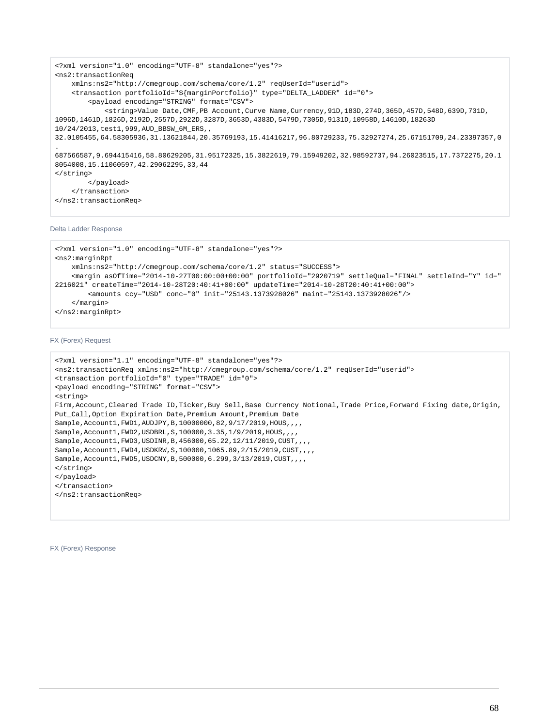```
<?xml version="1.0" encoding="UTF-8" standalone="yes"?>
<ns2:transactionReq
     xmlns:ns2="http://cmegroup.com/schema/core/1.2" reqUserId="userid">
     <transaction portfolioId="${marginPortfolio}" type="DELTA_LADDER" id="0">
         <payload encoding="STRING" format="CSV">
             <string>Value Date,CMF,PB Account,Curve Name,Currency,91D,183D,274D,365D,457D,548D,639D,731D,
1096D,1461D,1826D,2192D,2557D,2922D,3287D,3653D,4383D,5479D,7305D,9131D,10958D,14610D,18263D
10/24/2013,test1,999,AUD_BBSW_6M_ERS,,
32.0105455,64.58305936,31.13621844,20.35769193,15.41416217,96.80729233,75.32927274,25.67151709,24.23397357,0
.
687566587,9.694415416,58.80629205,31.95172325,15.3822619,79.15949202,32.98592737,94.26023515,17.7372275,20.1
8054008,15.11060597,42.29062295,33,44
</string>
         </payload>
     </transaction>
</ns2:transactionReq>
```
Delta Ladder Response

```
<?xml version="1.0" encoding="UTF-8" standalone="yes"?>
<ns2:marginRpt
     xmlns:ns2="http://cmegroup.com/schema/core/1.2" status="SUCCESS">
     <margin asOfTime="2014-10-27T00:00:00+00:00" portfolioId="2920719" settleQual="FINAL" settleInd="Y" id="
2216021" createTime="2014-10-28T20:40:41+00:00" updateTime="2014-10-28T20:40:41+00:00">
         <amounts ccy="USD" conc="0" init="25143.1373928026" maint="25143.1373928026"/>
     </margin>
</ns2:marginRpt>
```
FX (Forex) Request

```
<?xml version="1.1" encoding="UTF-8" standalone="yes"?>
<ns2:transactionReq xmlns:ns2="http://cmegroup.com/schema/core/1.2" reqUserId="userid">
<transaction portfolioId="0" type="TRADE" id="0">
<payload encoding="STRING" format="CSV">
<string>
Firm,Account,Cleared Trade ID,Ticker,Buy Sell,Base Currency Notional,Trade Price,Forward Fixing date,Origin,
Put_Call, Option Expiration Date, Premium Amount, Premium Date
Sample,Account1,FWD1,AUDJPY,B,10000000,82,9/17/2019,HOUS,,,,
Sample,Account1,FWD2,USDBRL,S,100000,3.35,1/9/2019,HOUS,,,,
Sample,Account1,FWD3,USDINR,B,456000,65.22,12/11/2019,CUST,,,,
Sample,Account1,FWD4,USDKRW,S,100000,1065.89,2/15/2019,CUST,,,,
Sample,Account1,FWD5,USDCNY,B,500000,6.299,3/13/2019,CUST,,,,
</string>
</payload>
</transaction>
</ns2:transactionReq>
```
FX (Forex) Response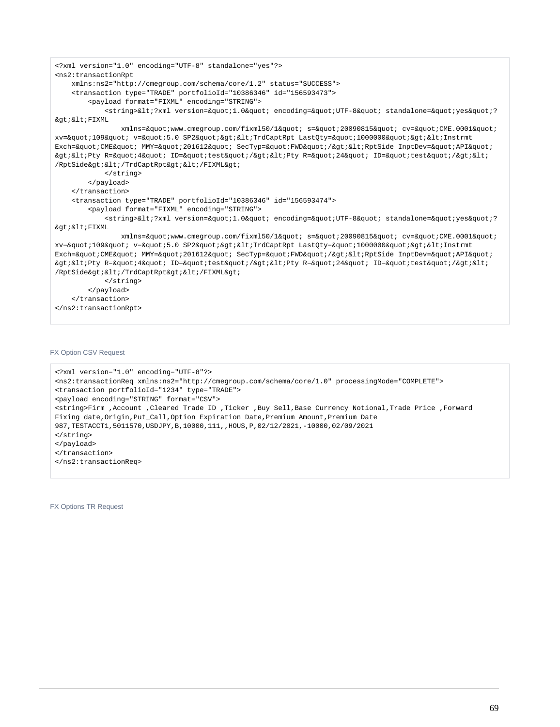```
<?xml version="1.0" encoding="UTF-8" standalone="yes"?>
<ns2:transactionRpt 
    xmlns:ns2="http://cmegroup.com/schema/core/1.2" status="SUCCESS">
    <transaction type="TRADE" portfolioId="10386346" id="156593473">
        <payload format="FIXML" encoding="STRING">
           <string>&lt;?xml version=&quot;1.0&quot; encoding=&quot;UTF-8&quot; standalone=&quot;yes&quot;?
>i>FIXML
              xmlns=\&quot:www.cmegroup.com/fixml50/l" s=\"20090815" cv=\"CME.0001"xv="109" v="5.0 SP2"><TrdCaptRpt LastQty=&quot;100000&quot;&gt;&lt;Instrmt
Exch="CME" MMY="201612" SecTyp="FWD"/><RptSide InptDev=&quot;API&quot;
xgt; < Pty R=&quot; 4&quot; ID=&quot; test&quot; /&gt; &lt; Pty R=&quot; 24&quot; ID=&quot; test&quot; /&gt; &lt;
/RptSide> < /TrdCaptRpt&gt; &lt; /FIXML&gt;
            </string>
        </payload>
    </transaction>
    <transaction type="TRADE" portfolioId="10386346" id="156593474">
        <payload format="FIXML" encoding="STRING">
           <string>&lt;?xml version=&quot;1.0&quot; encoding=&quot;UTF-8&quot; standalone=&quot;yes&quot;?
> < FIXML
              xmlns="www.cmegroup.com/fixml50/1" s="20090815" cv="CME.0001"
xv="109" v="5.0 SP2"&qt;<TrdCaptRpt LastOty=&quot;100000&quot;&qt;&lt;Instrmt
Exch="CME" MMY="201612" SecTyp="FWD"/><RptSide InptDev=&quot;API&quot;
\texttt{kg}t;<Pty R=&quot;4&quot; ID=&quot;test&quot;/&gt;&lt;Pty R=&quot;24&quot; ID=&quot;test&quot;/&gt;&lt;
/RptSide> < /TrdCaptRpt&gt; &lt; /FIXML&gt;
            </string>
        </payload>
    </transaction>
</ns2:transactionRpt>
```
# FX Option CSV Request

```
<?xml version="1.0" encoding="UTF-8"?>
<ns2:transactionReq xmlns:ns2="http://cmegroup.com/schema/core/1.0" processingMode="COMPLETE">
<transaction portfolioId="1234" type="TRADE">
<payload encoding="STRING" format="CSV">
<string>Firm ,Account ,Cleared Trade ID ,Ticker ,Buy Sell,Base Currency Notional,Trade Price ,Forward 
Fixing date,Origin,Put_Call,Option Expiration Date,Premium Amount,Premium Date
987,TESTACCT1,5011570,USDJPY,B,10000,111,,HOUS,P,02/12/2021,-10000,02/09/2021
</string>
</payload>
</transaction>
</ns2:transactionReq>
```
FX Options TR Request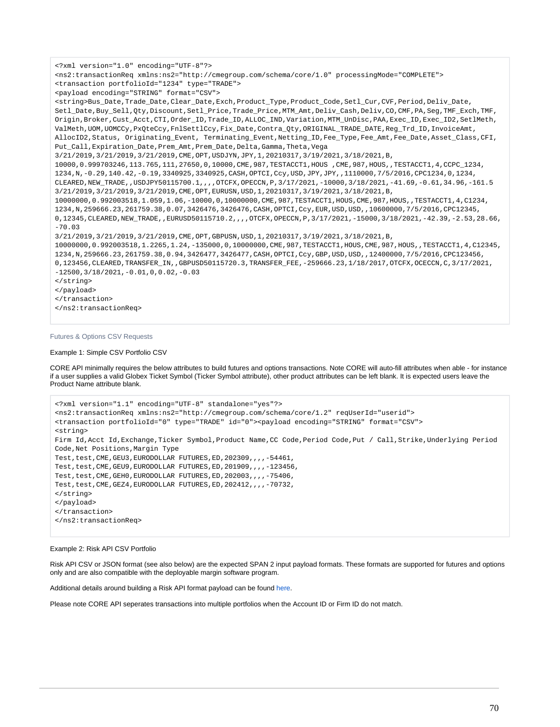```
<?xml version="1.0" encoding="UTF-8"?>
<ns2:transactionReq xmlns:ns2="http://cmegroup.com/schema/core/1.0" processingMode="COMPLETE">
<transaction portfolioId="1234" type="TRADE">
<payload encoding="STRING" format="CSV">
<string>Bus_Date,Trade_Date,Clear_Date,Exch,Product_Type,Product_Code,Setl_Cur,CVF,Period,Deliv_Date,
Setl_Date,Buy_Sell,Qty,Discount,Setl_Price,Trade_Price,MTM_Amt,Deliv_Cash,Deliv,CO,CMF,PA,Seg,TMF_Exch,TMF,
Origin,Broker,Cust_Acct,CTI,Order_ID,Trade_ID,ALLOC_IND,Variation,MTM_UnDisc,PAA,Exec_ID,Exec_ID2,SetlMeth,
ValMeth, UOM, UOMCCy, PxOteCcy, FnlSettlCcy, Fix_Date, Contra_Oty, ORIGINAL_TRADE_DATE, Reg_Trd_ID, InvoiceAmt,
AllocID2,Status, Originating_Event, Terminating_Event,Netting_ID,Fee_Type,Fee_Amt,Fee_Date,Asset_Class,CFI,
Put_Call,Expiration_Date,Prem_Amt,Prem_Date,Delta,Gamma,Theta,Vega
3/21/2019,3/21/2019,3/21/2019,CME,OPT,USDJYN,JPY,1,20210317,3/19/2021,3/18/2021,B,
10000,0.999703246,113.765,111,27650,0,10000,CME,987,TESTACCT1,HOUS ,CME,987,HOUS,,TESTACCT1,4,CCPC_1234,
1234,N,-0.29,140.42,-0.19,3340925,3340925,CASH,OPTCI,Ccy,USD,JPY,JPY,,1110000,7/5/2016,CPC1234,0,1234,
CLEARED,NEW_TRADE,,USDJPY50115700.1,,,,OTCFX,OPECCN,P,3/17/2021,-10000,3/18/2021,-41.69,-0.61,34.96,-161.5
3/21/2019,3/21/2019,3/21/2019,CME,OPT,EURUSN,USD,1,20210317,3/19/2021,3/18/2021,B,
10000000,0.992003518,1.059,1.06,-10000,0,10000000,CME,987,TESTACCT1,HOUS,CME,987,HOUS,,TESTACCT1,4,C1234,
1234,N,259666.23,261759.38,0.07,3426476,3426476,CASH,OPTCI,Ccy,EUR,USD,USD,,10600000,7/5/2016,CPC12345,
0,12345,CLEARED,NEW_TRADE,,EURUSD50115710.2,,,,OTCFX,OPECCN,P,3/17/2021,-15000,3/18/2021,-42.39,-2.53,28.66,
-70.03
3/21/2019,3/21/2019,3/21/2019,CME,OPT,GBPUSN,USD,1,20210317,3/19/2021,3/18/2021,B,
10000000,0.992003518,1.2265,1.24,-135000,0,10000000,CME,987,TESTACCT1,HOUS,CME,987,HOUS,,TESTACCT1,4,C12345,
1234,N,259666.23,261759.38,0.94,3426477,3426477,CASH,OPTCI,Ccy,GBP,USD,USD,,12400000,7/5/2016,CPC123456,
0,123456,CLEARED,TRANSFER_IN,,GBPUSD50115720.3,TRANSFER_FEE,-259666.23,1/18/2017,OTCFX,OCECCN,C,3/17/2021,
-12500,3/18/2021,-0.01,0,0.02,-0.03
</string>
</payload>
</transaction>
</ns2:transactionReq>
```
# Futures & Options CSV Requests

#### Example 1: Simple CSV Portfolio CSV

CORE API minimally requires the below attributes to build futures and options transactions. Note CORE will auto-fill attributes when able - for instance if a user supplies a valid Globex Ticket Symbol (Ticker Symbol attribute), other product attributes can be left blank. It is expected users leave the Product Name attribute blank.

```
<?xml version="1.1" encoding="UTF-8" standalone="yes"?>
<ns2:transactionReq xmlns:ns2="http://cmegroup.com/schema/core/1.2" reqUserId="userid">
<transaction portfolioId="0" type="TRADE" id="0"><payload encoding="STRING" format="CSV">
<string>
Firm Id,Acct Id,Exchange,Ticker Symbol,Product Name,CC Code,Period Code,Put / Call,Strike,Underlying Period 
Code,Net Positions,Margin Type
Test,test, CME, GEU3, EURODOLLAR FUTURES, ED, 202309, ,,, -54461,
Test,test, CME, GEU9, EURODOLLAR FUTURES, ED, 201909, ,,,,-123456,
Test,test, CME, GEH0, EURODOLLAR FUTURES, ED, 202003,,,,-75406,
Test,test, CME, GEZ4, EURODOLLAR FUTURES, ED, 202412,,,,-70732,
</string>
</payload>
</transaction>
</ns2:transactionReq>
```
## Example 2: Risk API CSV Portfolio

Risk API CSV or JSON format (see also below) are the expected SPAN 2 input payload formats. These formats are supported for futures and options only and are also compatible with the deployable margin software program.

Additional details around building a Risk API format payload can be found [here.](https://www.cmegroup.com/confluence/display/EPICSANDBOX/SPAN+2+Risk+Analysis+Framework)

Please note CORE API seperates transactions into multiple portfolios when the Account ID or Firm ID do not match.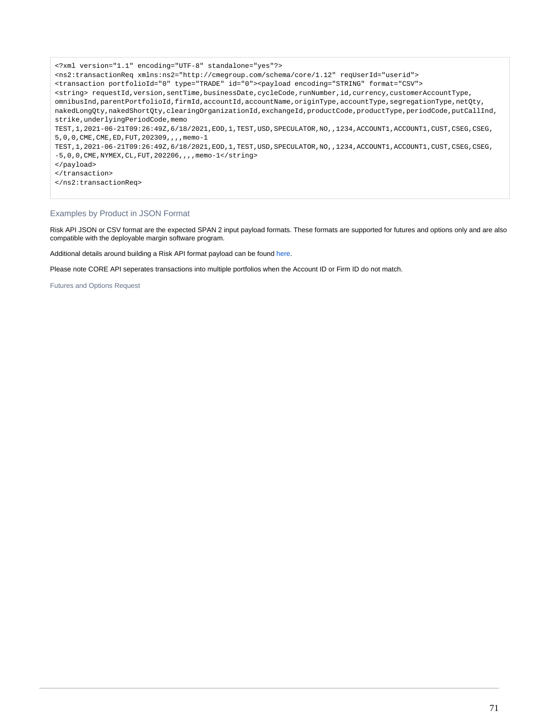<?xml version="1.1" encoding="UTF-8" standalone="yes"?> <ns2:transactionReq xmlns:ns2="http://cmegroup.com/schema/core/1.12" reqUserId="userid"> <transaction portfolioId="0" type="TRADE" id="0"><payload encoding="STRING" format="CSV"> <string> requestId,version,sentTime,businessDate,cycleCode,runNumber,id,currency,customerAccountType, omnibusInd,parentPortfolioId,firmId,accountId,accountName,originType,accountType,segregationType,netQty, nakedLongQty,nakedShortQty,clearingOrganizationId,exchangeId,productCode,productType,periodCode,putCallInd, strike,underlyingPeriodCode,memo TEST,1,2021-06-21T09:26:49Z,6/18/2021,EOD,1,TEST,USD,SPECULATOR,NO,,1234,ACCOUNT1,ACCOUNT1,CUST,CSEG,CSEG, 5,0,0,CME,CME,ED,FUT,202309,,,,memo-1 TEST,1,2021-06-21T09:26:49Z,6/18/2021,EOD,1,TEST,USD,SPECULATOR,NO,,1234,ACCOUNT1,ACCOUNT1,CUST,CSEG,CSEG, -5,0,0,CME,NYMEX,CL,FUT,202206,,,,memo-1</string> </payload> </transaction> </ns2:transactionReq>

# Examples by Product in JSON Format

Risk API JSON or CSV format are the expected SPAN 2 input payload formats. These formats are supported for futures and options only and are also compatible with the deployable margin software program.

Additional details around building a Risk API format payload can be found [here.](https://www.cmegroup.com/confluence/display/EPICSANDBOX/SPAN+2+Risk+Analysis+Framework)

Please note CORE API seperates transactions into multiple portfolios when the Account ID or Firm ID do not match.

Futures and Options Request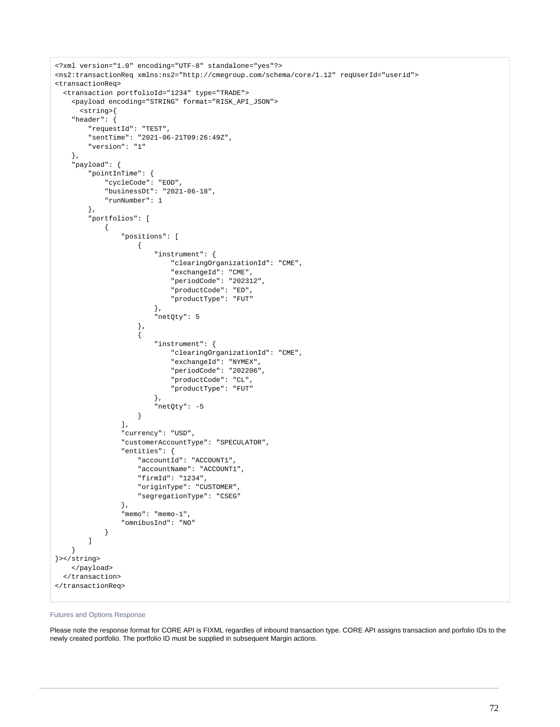```
<?xml version="1.0" encoding="UTF-8" standalone="yes"?>
<ns2:transactionReq xmlns:ns2="http://cmegroup.com/schema/core/1.12" reqUserId="userid">
<transactionReq>
    <transaction portfolioId="1234" type="TRADE">
      <payload encoding="STRING" format="RISK_API_JSON">
         <string>{
      "header": {
            "requestId": "TEST",
            "sentTime": "2021-06-21T09:26:49Z",
            "version": "1"
      },
      "payload": {
            "pointInTime": {
                  "cycleCode": "EOD",
                  "businessDt": "2021-06-18",
                  "runNumber": 1
            },
            "portfolios": [
\{ "positions": [
{1 \over 2} (b) {1 \over 2} (c) {1 \over 2} (c) {1 \over 2} (c) {1 \over 2} (c) {1 \over 2} (c) {1 \over 2} (c) {1 \over 2} (c) {1 \over 2} (c) {1 \over 2} (c) {1 \over 2} (c) {1 \over 2} (c) {1 \over 2} (c) {1 \over 2} (c) {1 \over 2} (c) {1 \over 2} (
                                   "instrument": {
                                        "clearingOrganizationId": "CME",
                                        "exchangeId": "CME",
                                        "periodCode": "202312",
                                         "productCode": "ED",
                                        "productType": "FUT"
\}, \{ "netQty": 5
                             },
{1 \over 2} (b) {1 \over 2} (c) {1 \over 2} (c) {1 \over 2} (c) {1 \over 2} (c) {1 \over 2} (c) {1 \over 2} (c) {1 \over 2} (c) {1 \over 2} (c) {1 \over 2} (c) {1 \over 2} (c) {1 \over 2} (c) {1 \over 2} (c) {1 \over 2} (c) {1 \over 2} (c) {1 \over 2} (
                                   "instrument": {
                                        "clearingOrganizationId": "CME",
                                        "exchangeId": "NYMEX",
                                        "periodCode": "202206",
                                        "productCode": "CL",
                                        "productType": "FUT"
, and the contract of \{ \} , \{ \} "netQty": -5
 }
                       ],
                       "currency": "USD",
                       "customerAccountType": "SPECULATOR",
                        "entities": {
                             "accountId": "ACCOUNT1",
                             "accountName": "ACCOUNT1",
                             "firmId": "1234",
                             "originType": "CUSTOMER",
                             "segregationType": "CSEG"
                       },
                        "memo": "memo-1",
                       "omnibusInd": "NO"
 }
           \overline{1} }
}></string>
      </payload>
    </transaction>
</transactionReq>
```
### Futures and Options Response

Please note the response format for CORE API is FIXML regardles of inbound transaction type. CORE API assigns transaction and porfolio IDs to the newly created portfolio. The portfolio ID must be supplied in subsequent Margin actions.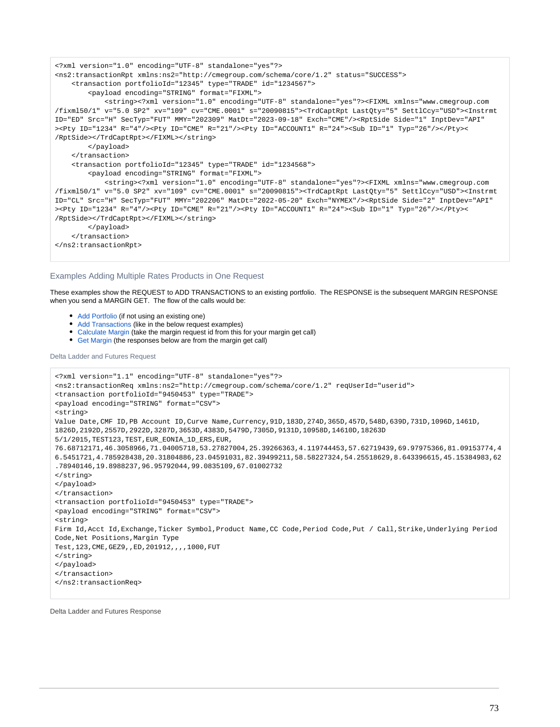```
<?xml version="1.0" encoding="UTF-8" standalone="yes"?>
<ns2:transactionRpt xmlns:ns2="http://cmegroup.com/schema/core/1.2" status="SUCCESS">
     <transaction portfolioId="12345" type="TRADE" id="1234567">
         <payload encoding="STRING" format="FIXML">
             <string><?xml version="1.0" encoding="UTF-8" standalone="yes"?><FIXML xmlns="www.cmegroup.com
/fixml50/1" v="5.0 SP2" xv="109" cv="CME.0001" s="20090815"><TrdCaptRpt LastQty="5" SettlCcy="USD"><Instrmt 
ID="ED" Src="H" SecTyp="FUT" MMY="202309" MatDt="2023-09-18" Exch="CME"/><RptSide Side="1" InptDev="API"
><Pty ID="1234" R="4"/><Pty ID="CME" R="21"/><Pty ID="ACCOUNT1" R="24"><Sub ID="1" Typ="26"/></Pty><
/RptSide></TrdCaptRpt></FIXML></string>
         </payload>
     </transaction>
     <transaction portfolioId="12345" type="TRADE" id="1234568">
         <payload encoding="STRING" format="FIXML">
             <string><?xml version="1.0" encoding="UTF-8" standalone="yes"?><FIXML xmlns="www.cmegroup.com
/fixml50/1" v="5.0 SP2" xv="109" cv="CME.0001" s="20090815"><TrdCaptRpt LastQty="5" SettlCcy="USD"><Instrmt 
ID="CL" Src="H" SecTyp="FUT" MMY="202206" MatDt="2022-05-20" Exch="NYMEX"/><RptSide Side="2" InptDev="API"
><Pty ID="1234" R="4"/><Pty ID="CME" R="21"/><Pty ID="ACCOUNT1" R="24"><Sub ID="1" Typ="26"/></Pty><
/RptSide></TrdCaptRpt></FIXML></string>
         </payload>
     </transaction>
</ns2:transactionRpt>
```
## Examples Adding Multiple Rates Products in One Request

These examples show the REQUEST to ADD TRANSACTIONS to an existing portfolio. The RESPONSE is the subsequent MARGIN RESPONSE when you send a MARGIN GET. The flow of the calls would be:

- [Add Portfolio](https://wiki.chicago.cme.com/confluence/display/EPICSANDBOX/Margin+Service+API+-+Portfolio+-+Add) (if not using an existing one)
- [Add Transactions](https://wiki.chicago.cme.com/confluence/display/EPICSANDBOX/Margin+Service+API+-+Transaction+-+Add) (like in the below request examples)
- [Calculate Margin](https://wiki.chicago.cme.com/confluence/display/EPICSANDBOX/Margin+Service+API+-+Margin+-+Calculate) (take the margin request id from this for your margin get call)
- [Get Margin](https://wiki.chicago.cme.com/confluence/display/EPICSANDBOX/Margin+Service+API+-+Margin+-+Get) (the responses below are from the margin get call)

Delta Ladder and Futures Request

```
<?xml version="1.1" encoding="UTF-8" standalone="yes"?>
<ns2:transactionReq xmlns:ns2="http://cmegroup.com/schema/core/1.2" reqUserId="userid">
<transaction portfolioId="9450453" type="TRADE">
<payload encoding="STRING" format="CSV">
<string>
Value Date,CMF ID,PB Account ID,Curve Name,Currency,91D,183D,274D,365D,457D,548D,639D,731D,1096D,1461D,
1826D,2192D,2557D,2922D,3287D,3653D,4383D,5479D,7305D,9131D,10958D,14610D,18263D
5/1/2015,TEST123,TEST,EUR_EONIA_1D_ERS,EUR,
76.68712171,46.3058966,71.04005718,53.27827004,25.39266363,4.119744453,57.62719439,69.97975366,81.09153774,4
6.5451721,4.785928438,20.31804886,23.04591031,82.39499211,58.58227324,54.25518629,8.643396615,45.15384983,62
.78940146,19.8988237,96.95792044,99.0835109,67.01002732
</string>
</payload>
</transaction>
<transaction portfolioId="9450453" type="TRADE">
<payload encoding="STRING" format="CSV">
<string>
Firm Id,Acct Id,Exchange,Ticker Symbol,Product Name,CC Code,Period Code,Put / Call,Strike,Underlying Period 
Code,Net Positions,Margin Type
Test,123,CME,GEZ9,,ED,201912,,,,1000,FUT
</string>
</payload>
</transaction>
</ns2:transactionReq>
```
Delta Ladder and Futures Response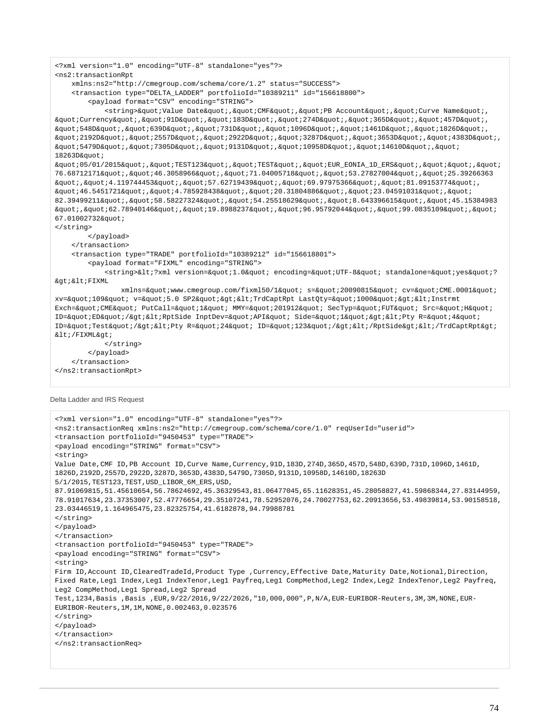```
<?xml version="1.0" encoding="UTF-8" standalone="yes"?>
<ns2:transactionRpt 
    xmlns:ns2="http://cmegroup.com/schema/core/1.2" status="SUCCESS">
    <transaction type="DELTA_LADDER" portfolioId="10389211" id="156618800">
        <payload format="CSV" encoding="STRING">
           <string>&quot;Value Date&quot;, &quot;CMF&quot;, &quot;PB Account&quot;, &quot;Curve Name&quot;,
\alphaquot; Currency" , " 91D" , " 183D" , " 274D" , " 365D" , " 457D" ,
\alphaquot;548D","639D","731D","1096D","1461D","1826D",
\alphaquot;2192D","2557D","2922D","3287D","3653D","4383D",
\&quot;5479D","7305D","9131D","10958D","14610D","
18263D%quoti\texttt{@quot105/01/2015\&quot}; \texttt{@quot17EST123\&quot}; \texttt{@quot17EST\&quot}; \texttt{@quot18}\" \texttt{EUR\_EONIA}\_\texttt{1D\_ERS\&quot}; \texttt{@quot}; \texttt{@quot}; \texttt{@quot};76.68712171", "46.3058966", "71.04005718", "53.27827004", "25.39266363
\alphaquot;,\alphaquot;4.119744453\alphaquot;,\alphaquot;57.62719439\alphaquot;,\alphaquot;69.97975366\alphaquot;,\alphaquot;81.09153774\alphaquot;
\alphaquot; 46.5451721\alphaquot; ,\alphaquot; 4.785928438\alphaquot; ,\alphaquot; 20.31804886\alphaquot; ,\alphaquot; 23.04591031\alphaquot; ,\alphaquot;
82.39499211", "58.58227324", "54.25518629", "8.643396615", "45.15384983
\&quot;, \&quot;62.78940146\&quot;, \&quot;19.8988237\&quot;, \&quot;96.95792044\&quot;, \&quot;99.0835109\&quot;, \&quot;
67.01002732"
</string>
        </payload>
    </transaction>
    <transaction type="TRADE" portfolioId="10389212" id="156618801">
        <payload format="FIXML" encoding="STRING">
           <string>&lt;?xml version=&quot;1.0&quot; encoding=&quot;UTF-8&quot; standalone=&quot;yes&quot;?
&qt;<FIXML
              xmlns="www.cmegroup.com/fixml50/1" s="20090815" cv="CME.0001"
xv="109" v="5.0 SP2"&qt;<TrdCaptRpt LastOty=&quot;1000&quot;&qt;&lt;Instrmt
Exch="CME" PutCall="1" MMY="201912" SecTyp="FUT" Src="H"
ID="ED"/><RptSide InptDev=&quot;API&quot; Side=&quot;1&quot;&gt;&lt;Pty R=&quot;4&quot;
ID="Test"/><Pty R=&quot;24&quot; ID=&quot;123&quot;/&gt;&lt;/RptSide&gt;&lt;/TrdCaptRpt&gt;
</FIXML&qt;
            </string>
        </payload>
    </transaction>
</ns2:transactionRpt>
```
Delta Ladder and IRS Request

```
<?xml version="1.0" encoding="UTF-8" standalone="yes"?>
<ns2:transactionReq xmlns:ns2="http://cmegroup.com/schema/core/1.0" reqUserId="userid">
<transaction portfolioId="9450453" type="TRADE">
<payload encoding="STRING" format="CSV">
<string>
Value Date,CMF ID,PB Account ID,Curve Name,Currency,91D,183D,274D,365D,457D,548D,639D,731D,1096D,1461D,
1826D,2192D,2557D,2922D,3287D,3653D,4383D,5479D,7305D,9131D,10958D,14610D,18263D
5/1/2015,TEST123,TEST,USD_LIBOR_6M_ERS,USD,
87.91069815,51.45610654,56.78624692,45.36329543,81.06477045,65.11628351,45.28058827,41.59868344,27.83144959,
78.91017634,23.37353007,52.47776654,29.35107241,78.52952076,24.70027753,62.20913656,53.49839814,53.90158518,
23.03446519,1.164965475,23.82325754,41.6182878,94.79988781
</string>
</payload>
</transaction>
<transaction portfolioId="9450453" type="TRADE">
<payload encoding="STRING" format="CSV">
<string>
Firm ID,Account ID,ClearedTradeId,Product Type ,Currency,Effective Date,Maturity Date,Notional,Direction,
Fixed Rate,Leg1 Index,Leg1 IndexTenor,Leg1 Payfreq,Leg1 CompMethod,Leg2 Index,Leg2 IndexTenor,Leg2 Payfreq,
Leg2 CompMethod,Leg1 Spread,Leg2 Spread
Test,1234,Basis ,Basis ,EUR,9/22/2016,9/22/2026,"10,000,000",P,N/A,EUR-EURIBOR-Reuters,3M,3M,NONE,EUR-
EURIBOR-Reuters,1M,1M,NONE,0.002463,0.023576
</string>
</payload>
</transaction>
</ns2:transactionReq>
```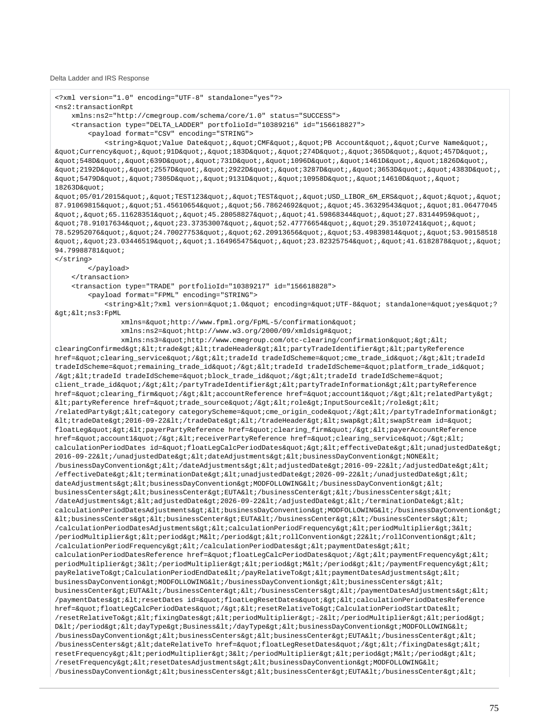Delta Ladder and IRS Response

```
<?xml version="1.0" encoding="UTF-8" standalone="yes"?>
<ns2:transactionRpt 
    xmlns:ns2="http://cmegroup.com/schema/core/1.0" status="SUCCESS">
    <transaction type="DELTA_LADDER" portfolioId="10389216" id="156618827">
        <payload format="CSV" encoding="STRING">
           <string>&quot;Value Date&quot;,&quot;CMF&quot;,&quot;PB Account&quot;,&quot;Curve Name&quot;,
\alphaquot; Currency" , " 91D" , " 183D" , " 274D" , " 365D" , " 457D" ,
\verb|@quot1548D@quot1548D@quot1639D@quot11639D@quot1731D@quot1780wt11096D@quot17630pt1161D@quot1760pt1610;\texttt{Equot:2192D\&quot}; \texttt{Equot:2557D\&quot}; \texttt{Equot:2922D\&quot}; \texttt{Equot:3287D\&quot}; \texttt{Equot:3653D\&quot}; \texttt{Equot:4383D\&quot};\&quot;5479D","7305D","9131D","10958D","14610D","
18263D"
\alphaquot;05/01/2015","TEST123","TEST","USD_LIBOR_6M_ERS","","
87.91069815", "51.45610654", "56.78624692", "45.36329543", "81.06477045
\alphaquot;,\alphaquot;65.11628351\alphaquot;,\alphaquot;45.28058827\alphaquot;,\alphaquot;41.59868344\alphaquot;,\alphaquot;27.83144959\alphaquot;,
\&quot;78.91017634","23.37353007","52.47776654","29.35107241","
78.52952076", "24.70027753", "62.20913656", "53.49839814", "53.90158518
\&quot;,\&quot;23.03446519",\&quot;1.164965475",\&quot;23.82325754",\&quot;41.6182878",\&quot;
94.79988781"
</string>
        </payload>
    </transaction>
    <transaction type="TRADE" portfolioId="10389217" id="156618828">
        <payload format="FPML" encoding="STRING">
           <string>&lt;?xml version=&quot;1.0&quot; encoding=&quot;UTF-8&quot; standalone=&quot;yes&quot;?
><ns3:FpML 
              xmlns="http://www.fpml.org/FpML-5/confirmation"
              xmlns:ns2="http://www.w3.org/2000/09/xmldsig#"
              xmlns:ns3="http://www.cmegroup.com/otc-clearing/confirmation"><
clearingConfirmed><trade&gt;&lt;tradeHeader&gt;&lt;partyTradeIdentifier&gt;&lt;partyReference
href="clearing_service"/><tradeId tradeIdScheme=&quot;cme_trade_id&quot;/&gt;&lt;tradeId
tradeIdScheme="remaining_trade_id"/><tradeId tradeIdScheme=&quot;platform_trade_id&quot;
/><tradeId tradeIdScheme=&quot;block_trade_id&quot;/&gt;&lt;tradeId tradeIdScheme=&quot;
client_trade_id"/></partyTradeIdentifier&gt;&lt;partyTradeInformation&gt;&lt;partyReference
href="clearing_firm"/><accountReference href=&quot;account1&quot;/&gt;&lt;relatedParty&gt;
<partyReference href=&quot;trade_source&quot;/&qt;&lt;role&qt;InputSource&lt;/role&qt;&lt;
/relatedParty><category categoryScheme=&quot;cme_origin_code&quot;/&gt;&lt;/partyTradeInformation&gt;
kltitradeDatekgti2016-09-22klti/tradeDatekgtiklti/tradeHeaderkgtikltiswapkgtikltiswapStream id=kquoti
floatLeg"><payerPartyReference href=&quot;clearing_firm&quot;/&gt;&lt;payerAccountReference
href="account1"/><receiverPartyReference href=&quot;clearing_service&quot;/&gt;&lt;
calculationPeriodDates id="floatLegCalcPeriodDates"><effectiveDate&gt;&lt;unadjustedDate&gt;
2016-09-22</unadjustedDate&gt;&lt;dateAdjustments&gt;&lt;businessDayConvention&gt;NONE&lt;
/businessDayConvention></dateAdjustments&gt;&lt;adjustedDate&gt;2016-09-22&lt;/adjustedDate&gt;&lt;
/effectiveDate> < terminationDate&gt; &lt; unadjustedDate&gt; 2026-09-22&lt; /unadjustedDate&gt; &lt;
\verb|dateAdjustments@gt;iklt;iktsspsyConvention@gt;iMDFOLLOWING@lt;/businessDayConvention@gt;iklt;jML1"businessCenters><businessCenter&gt;EUTA&lt;/businessCenter&gt;&lt;/businessCenters&gt;&lt;
/dateAdjustments><adjustedDate&gt;2026-09-22&lt;/adjustedDate&gt;&lt;/terminationDate&gt;&lt;
calculationPeriodDatesAdjustments><businessDayConvention&gt;MODFOLLOWING&lt;/businessDayConvention&gt;
klt; businessCenters> klt; businessCenter> EUTA< businessCenter&gt; klt; businessCenters> klt;
/calculationPeriodDatesAdjustments><calculationPeriodFrequency&gt;&lt;periodMultiplier&gt;3&lt;
/periodMultiplier><period&gt;M&lt;/period&gt;&lt;rollConvention&gt;22&lt;/rollConvention&gt;&lt;
/calculationPeriodFrequency></calculationPeriodDates&gt;&lt;paymentDates&gt;&lt;
calculationPeriodDatesReference href="floatLegCalcPeriodDates"/&qt;<paymentFrequency&qt;&lt;
periodMultiplier>3</periodMultiplier&gt;&lt;period&gt;M&lt;/period&gt;&lt;/paymentFrequency&gt;&lt;
payRelativeTo>CalculationPeriodEndDate</payRelativeTo&gt;&lt;paymentDatesAdjustments&gt;&lt;
businessDayConvention&qt;MODFOLLOWING</businessDayConvention&qt;&lt;businessCenters&qt;&lt;
businessCenter>EUTA</businessCenter&gt;&lt;/businessCenters&gt;&lt;/paymentDatesAdjustments&gt;&lt;
/paymentDates><resetDates id=&quot;floatLegResetDates&quot;&gt;&lt;calculationPeriodDatesReference
href="floatLeqCalcPeriodDates"/&qt;<resetRelativeTo&qt;CalculationPeriodStartDate&lt;
/resetRelativeTo><fixingDates&gt;&lt;periodMultiplier&gt;-2&lt;/periodMultiplier&gt;&lt;period&gt;
D</period&gt;&lt;dayType&gt;Business&lt;/dayType&gt;&lt;businessDayConvention&gt;MODFOLLOWING&lt;
/businessDayConvention><businessCenters&gt;&lt;businessCenter&gt;EUTA&lt;/businessCenter&gt;&lt;
/businessCenters&qt;<dateRelativeTo href=&quot;floatLeqResetDates&quot;/&qt;&lt;/fixingDates&qt;&lt;
resetFrequency&qt;<periodMultiplier&qt;3&lt;/periodMultiplier&qt;&lt;period&qt;M&lt;/period&qt;&lt;
/resetFrequency><resetDatesAdjustments&gt;&lt;businessDayConvention&gt;MODFOLLOWING&lt;
/businessDayConvention><businessCenters&gt;&lt;businessCenter&gt;EUTA&lt;/businessCenter&gt;&lt;
```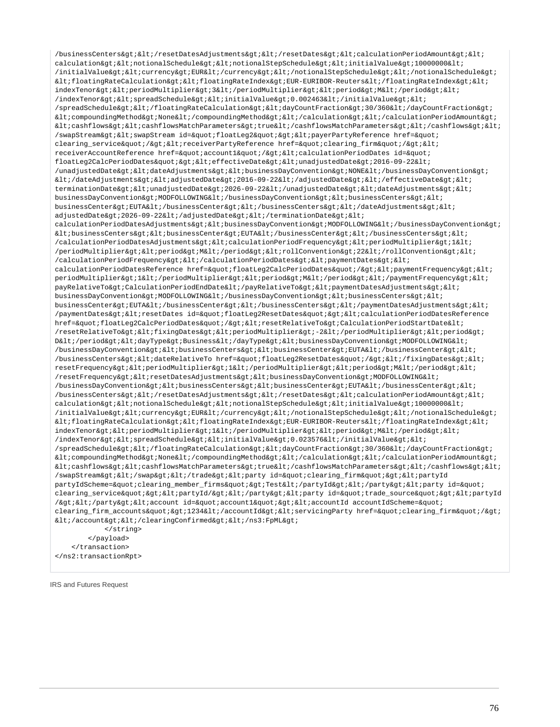/businessCenters></resetDatesAdjustments&gt;&lt;/resetDates&gt;&lt;calculationPeriodAmount&gt;&lt; calculation&qt;<notionalSchedule&qt;&lt;notionalStepSchedule&qt;&lt;initialValue&qt;10000000&lt; /initialValue&qt;<currency&qt;EUR&lt;/currency&qt;&lt;/notionalStepSchedule&qt;&lt;/notionalSchedule&qt;  $klt$ :floatingRateCalculation><floatingRateIndex&gt;EUR-EURIBOR-Reuters&lt;/floatingRateIndex&gt;&lt; indexTenor&qt;<periodMultiplier&qt;3&lt;/periodDultiplier&qt;&lt;period&qt;M&lt;/period&qt;&lt;  $/$ indexTenor><spreadSchedule&gt;&lt;initialValue&gt;0.002463&lt;/initialValue&gt;&lt; /spreadSchedule></floatingRateCalculation&gt;&lt;dayCountFraction&gt;30/360&lt;/dayCountFraction&gt;  $klt$ ; compoundingMethod&qt; None</compoundingMethod&qt;&lt;/calculation&qt;&lt;/calculationPeriodAmount&qt;  $klt: cashflows\>l$ : $klt: cashflows\>kl$ t; cashflowsMatchParameters&ut; /cashflowsMatchParameters> < /cashflows&gt; &lt; /swapStream> < swapStream id=&quot; floatLeg2&quot; &gt; &lt; payerPartyReference href=&quot; clearing service"/&qt;<receiverPartyReference href=&quot;clearing firm&quot;/&qt;&lt; receiverAccountReference href="account1"/&qt;<calculationPeriodDates id=&quot; floatLeg2CalcPeriodDates"><effectiveDate&gt;&lt;unadjustedDate&gt;2016-09-22&lt; /unadjustedDate><dateAdjustments&gt;&lt;businessDayConvention&gt;NONE&lt;/businessDayConvention&gt;  $klt$ ;/dateAdjustments&qt;<adjustedDate&qt;2016-09-22&lt;/adjustedDate&qt;&lt;/effectiveDate&qt;&lt; terminationDate> < unadjustedDate&gt; 2026-09-22&lt; /unadjustedDate&gt; &lt; dateAdjustments&gt; &lt; businessDayConvention&qt;MODFOLLOWING</businessDayConvention&qt;&lt;businessCenters&qt;&lt; businessCenter&qt;EUTA</businessCenter&qt;&lt;/businessCenters&qt;&lt;/dateAdjustments&qt;&lt;  $adjustedDate\>12026-09-22<1$ ;/adjustedDate $>2$ klt;/terminationDate $>1$ ; calculationPeriodDatesAdjustments><businessDayConvention&gt;MODFOLLOWING&lt;/businessDayConvention&gt;  $k$ tt; businessCenters&qt; < businessCenter&qt; EUTA&lt; /businessCenter&qt; &lt; /businessCenters&qt; &lt; /calculationPeriodDatesAdjustments&qt;<calculationPeriodFrequency&qt;&lt;periodMultiplier&qt;1&lt; /periodMultiplier><period&gt;M&lt;/period&gt;&lt;rollConvention&gt;22&lt;/rollConvention&gt;&lt; /calculationPeriodFrequency></calculationPeriodDates&gt;&lt;paymentDates&gt;&lt; calculationPeriodDatesReference href="floatLeg2CalcPeriodDates"/&qt;<paymentFrequency&qt;&lt; periodMultiplier>1</periodMultiplier&gt;&lt;period&gt;M&lt;/period&gt;&lt;/paymentFrequency&gt;&lt; payRelativeTo>CalculationPeriodEndDate</payRelativeTo&gt;&lt;paymentDatesAdjustments&gt;&lt; businessDayConvention&qt;MODFOLLOWING</businessDayConvention&qt;&lt;businessCenters&qt;&lt; businessCenter>EUTA</businessCenter&gt;&lt;/businessCenters&gt;&lt;/paymentDatesAdjustments&gt;&lt; /paymentDates><resetDates id=&quot;floatLeg2ResetDates&quot;&gt;&lt;calculationPeriodDatesReference href="floatLeg2CalcPeriodDates"/><resetRelativeTo&gt;CalculationPeriodStartDate&lt; /resetRelativeTo><fixingDates&gt;&lt;periodMultiplier&gt;-2&lt;/periodMultiplier&gt;&lt;period&gt; D</period&gt;&lt;dayType&gt;Business&lt;/dayType&gt;&lt;businessDayConvention&gt;MODFOLLOWING&lt; /businessDayConvention><businessCenters&gt;&lt;businessCenter&gt;EUTA&lt;/businessCenter&gt;&lt; /businessCenters&qt;<dateRelativeTo href=&quot;floatLeq2ResetDates&quot;/&qt;&lt;/fixinqDates&qt;&lt; resetFrequency&qt;<periodMultiplier&qt;1&lt;/periodMultiplier&qt;&lt;period&qt;M&lt;/period&qt;&lt; /resetFrequency><resetDatesAdjustments&gt;&lt;businessDayConvention&gt;MODFOLLOWING&lt;  $/b$ usinessDayConvention&qt;<businessCenters&qt;&lt;businessCenter&qt;EUTA&lt;/businessCenter&qt;&lt; /businessCenters></resetDatesAdjustments&gt;&lt;/resetDates&gt;&lt;calculationPeriodAmount&gt;&lt; calculation><notionalSchedule&gt;&lt;notionalStepSchedule&gt;&lt;initialValue&gt;10000000&lt;  $\int$ initialValue&qt;<currency&qt;EUR&lt;/currency&qt;&lt;/notionalStepSchedule&qt;&lt;/notionalSchedule&qt;  $klt$ ;floatingRateCalculation><floatingRateIndex&gt;EUR-EURIBOR-Reuters&lt;/floatingRateIndex&gt;&lt; indexTenor><periodMultiplier&gt;1&lt;/periodMultiplier&gt;&lt;period&gt;M&lt;/period&gt;&lt;  $/$ indexTenor&qt;<spreadSchedule&qt;&lt;initialValue&qt;0.023576&lt;/initialValue&qt;&lt; /spreadSchedule&qt;</floatingRateCalculation&qt;&lt;dayCountFraction&qt;30/360&lt;/dayCountFraction&qt;  $klt$ icompoundingMethod>None</compoundingMethod&gt;&lt;/calculation&gt;&lt;/calculationPeriodAmount&gt;  $\cashflows $\>t:$ i $\cashflowsMatchParameters $\>t:$ cashflowsMatchParameters $\>t:$ i $\cashflows $\>t:$ i $\$$$$ /swapStream&qt;</swap&qt;&lt;/trade&qt;&lt;party id=&quot;clearing firm&quot;&qt;&lt;partyId partyIdScheme="clearing\_member\_firms"&qt;Test</partyId&qt;&lt;/party&qt;&lt;party id=&quot; clearing\_service"><partyId/&gt;&lt;/party&gt;&lt;party id=&quot;trade\_source&quot;&gt;&lt;partyId /></party&gt;&lt;account id=&quot;account1&quot;&gt;&lt;accountId accountIdScheme=&quot; clearing\_firm\_accounts">1234</accountId&gt;&lt;servicingParty href=&quot;clearing\_firm&quot;/&gt;  $dt$ ;/account></clearingConfirmed&gt;&lt;/ns3:FpML&gt; </string> </payload>

 </transaction> </ns2:transactionRpt>

IRS and Futures Request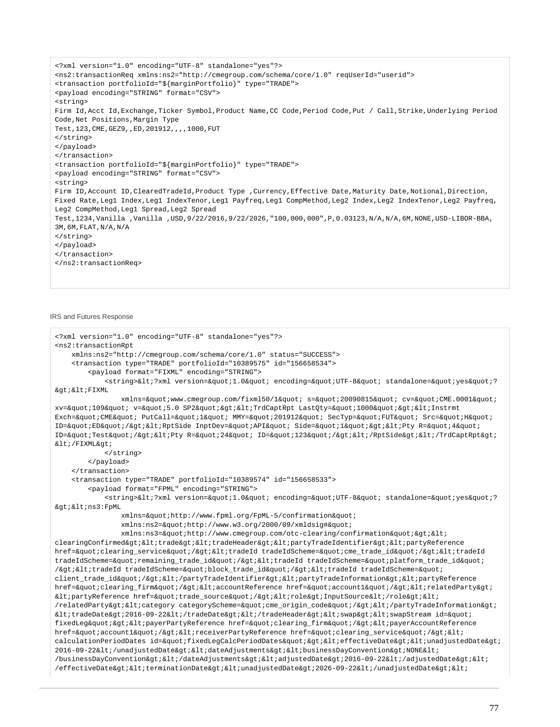```
<?xml version="1.0" encoding="UTF-8" standalone="yes"?>
<ns2:transactionReq xmlns:ns2="http://cmegroup.com/schema/core/1.0" reqUserId="userid">
<transaction portfolioId="${marginPortfolio}" type="TRADE">
<payload encoding="STRING" format="CSV">
<string>
Firm Id,Acct Id,Exchange,Ticker Symbol,Product Name,CC Code,Period Code,Put / Call,Strike,Underlying Period 
Code,Net Positions,Margin Type
Test,123,CME,GEZ9,,ED,201912,,,,1000,FUT
</string>
</payload>
</transaction>
<transaction portfolioId="${marginPortfolio}" type="TRADE">
<payload encoding="STRING" format="CSV">
<string>
Firm ID,Account ID,ClearedTradeId,Product Type ,Currency,Effective Date,Maturity Date,Notional,Direction,
Fixed Rate,Leg1 Index,Leg1 IndexTenor,Leg1 Payfreq,Leg1 CompMethod,Leg2 Index,Leg2 IndexTenor,Leg2 Payfreq,
Leg2 CompMethod,Leg1 Spread,Leg2 Spread
Test,1234,Vanilla ,Vanilla ,USD,9/22/2016,9/22/2026,"100,000,000",P,0.03123,N/A,N/A,6M,NONE,USD-LIBOR-BBA,
3M,6M,FLAT,N/A,N/A
</string>
</payload>
</transaction>
</ns2:transactionReq>
```
IRS and Futures Response

```
<?xml version="1.0" encoding="UTF-8" standalone="yes"?>
<ns2:transactionRpt 
    xmlns:ns2="http://cmegroup.com/schema/core/1.0" status="SUCCESS">
    <transaction type="TRADE" portfolioId="10389575" id="156658534">
        <payload format="FIXML" encoding="STRING">
           <string>&lt;?xml version=&quot;1.0&quot; encoding=&quot;UTF-8&quot; standalone=&quot;yes&quot;?
> < FIXML
              xmlns="www.cmegroup.com/fixml50/1" s="20090815" cv="CME.0001"
xv="109" v="5.0 SP2"><TrdCaptRpt LastQty=&quot;1000&quot;&gt;&lt;Instrmt
Exch="CME" PutCall="1" MMY="201912" SecTyp="FUT" Src="H"
ID="ED"/><RptSide InptDev=&quot;API&quot; Side=&quot;1&quot;&gt;&lt;Pty R=&quot;4&quot;
ID="Test"/><Pty R=&quot;24&quot; ID=&quot;123&quot;/&gt;&lt;/RptSide&gt;&lt;/TrdCaptRpt&gt;
</FIXML&gt;
            </string>
        </payload>
    </transaction>
    <transaction type="TRADE" portfolioId="10389574" id="156658533">
        <payload format="FPML" encoding="STRING">
           <string>&lt;?xml version=&quot;1.0&quot; encoding=&quot;UTF-8&quot; standalone=&quot;yes&quot;?
><ns3:FpML 
              xmlns="http://www.fpml.org/FpML-5/confirmation"
              xmlns:ns2="http://www.w3.org/2000/09/xmldsig#"
              xmlns:ns3="http://www.cmegroup.com/otc-clearing/confirmation"><
clearingConfirmed><trade&gt;&lt;tradeHeader&gt;&lt;partyTradeIdentifier&gt;&lt;partyReference
href="clearing_service"/><tradeId tradeIdScheme=&quot;cme_trade_id&quot;/&gt;&lt;tradeId
tradeIdScheme="remaining_trade_id"/><tradeId tradeIdScheme=&quot;platform_trade_id&quot;
/><tradeId tradeIdScheme=&quot;block_trade_id&quot;/&gt;&lt;tradeId tradeIdScheme=&quot;
client_trade_id"/&qt;</partyTradeIdentifier&qt;&lt;partyTradeInformation&qt;&lt;partyReference
href="clearing_firm"/><accountReference href=&quot;account1&quot;/&gt;&lt;relatedParty&gt;
<partyReference href=&quot;trade_source&quot;/&qt;&lt;role&qt;InputSource&lt;/role&qt;&lt;
/relatedParty><category categoryScheme=&quot;cme_origin_code&quot;/&gt;&lt;/partyTradeInformation&gt;
kltitradeDate>2016-09-22</tradeDate&gt;&lt;/tradeHeader&gt;&lt;swap&gt;&lt;swapStream id=&quot;
fixedLeg"&qt;<payerPartyReference href=&quot;clearing firm&quot;/&qt;&lt;payerAccountReference
href="account1"/><receiverPartyReference href=&quot;clearing_service&quot;/&gt;&lt;
calculationPeriodDates id="fixedLegCalcPeriodDates"><effectiveDate&gt;&lt;unadjustedDate&gt;
2016-09-22\<1; \verb|\unadd|ustedDate\>\<lat\verb|edd|ustments\>\verb|til|ibusinesDayConvention\>\verb|NOREal|,/businessDayConvention&qt;</dateAdjustments&qt;&lt;adjustedDate&qt;2016-09-22&lt;/adjustedDate&qt;&lt;
/effectiveDate><terminationDate&gt;&lt;unadjustedDate&gt;2026-09-22&lt;/unadjustedDate&gt;&lt;
```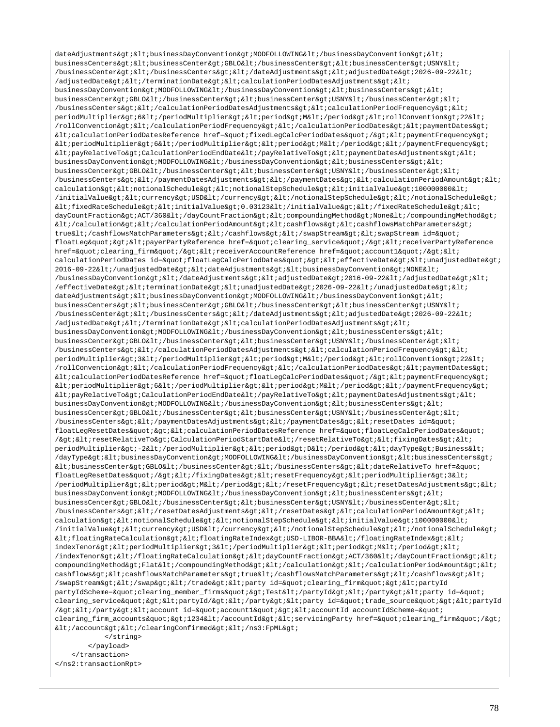dateAdjustments&qt;<businessDayConvention&qt;MODFOLLOWING&lt;/businessDayConvention&qt;&lt; businessCenters&qt;<businessCenter&qt;GBLO&lt;/businessCenter&qt;&lt;businessCenter&qt;USNY&lt; /businessCenter&qt;</businessCenters&qt;&lt;/dateAdjustments&qt;&lt;adjustedDate&qt;2026-09-22&lt;  $/$ adjustedDate> < /terminationDate&gt; &lt; calculationPeriodDatesAdjustments&gt; &lt; businessDayConvention&qt;MODFOLLOWING</businessDayConvention&qt;&lt;businessCenters&qt;&lt;  $\texttt{businessCenterSet}: \texttt{GBLO8lt} \texttt{; /}{\tt{businessCenterSet}}: \texttt{8lt} \texttt{; } \texttt{8lt} \texttt{; } \texttt{8lt} \texttt{; } \texttt{8lt} \texttt{; } \texttt{8lt} \texttt{; } \texttt{8lt} \texttt{; } \texttt{8lt} \texttt{; } \texttt{8lt} \texttt{; } \texttt{8lt} \texttt{; } \texttt{8lt} \texttt{; } \texttt{8lt} \texttt{; } \texttt{8lt} \texttt{; } \texttt{8lt} \texttt{; } \texttt{8lt} \texttt{; } \texttt{8lt$ /businessCenters></calculationPeriodDatesAdjustments&gt;&lt;calculationPeriodFrequency&gt;&lt; periodMultiplier&qt;6</periodMultiplier&qt;&lt;period&qt;M&lt;/period&qt;&lt;rollConvention&qt;22&lt; /rollConvention></calculationPeriodFrequency&gt;&lt;/calculationPeriodDates&gt;&lt;paymentDates&gt; <calculationPeriodDatesReference href=&quot;fixedLegCalcPeriodDates&quot;/&gt;&lt;paymentFrequency&gt;  $klt:periodMultiplier\>6klt; /periodMultiplier\>4klt; %$  $\<1$ tipayRelativeTo&qtiCalculationPeriodEndDate&lti/payRelativeTo&qti&ltipaymentDatesAdjustments&qti&lti businessDayConvention>MODFOLLOWING</businessDayConvention&gt;&lt;businessCenters&gt;&lt; businessCenter>GBLO</businessCenter&gt;&lt;businessCenter&gt;USNY&lt;/businessCenter&gt;&lt; /businessCenters></paymentDatesAdjustments&gt;&lt;/paymentDates&gt;&lt;calculationPeriodAmount&gt;&lt; calculation><notionalSchedule&gt;&lt;notionalStepSchedule&gt;&lt;initialValue&gt;100000000&lt;  $/$ initialValue><currency&gt;USD&lt;/currency&gt;&lt;/notionalStepSchedule&gt;&lt;/notionalSchedule&gt;  $\verb| alt| if \verb|ixedRateSchedule\> field \verb|1| if \verb|1| then \verb|1| then \verb|1| then \verb|1| then \verb|1| then \verb|1| then \verb|1| then \verb|1| then \verb|1| then \verb|1| then \verb|1| then \verb|1| then \verb|1| then \verb|1| then \verb|1| then \verb|1| then \verb|1| then \verb|1| then \verb|1| then \verb|1| then \verb|1| then \verb|1| then \verb|1| then \verb|1| then \verb|1| then \verb|1| then \verb|1| then \verb|1| then \verb|1| then \verb|1| then \verb|1| then \verb|1| then \verb|1$ dayCountFraction>ACT/360</dayCountFraction&gt;&lt;compoundingMethod&gt;None&lt;/compoundingMethod&gt;  $\$ true</cashflowsMatchParameters&gt;&lt;/cashflows&gt;&lt;/swapStream&gt;&lt;swapStream id=&quot; floatLeq"&qt;<payerPartyReference href=&quot;clearing service&quot;/&qt;&lt;receiverPartyReference href="clearing\_firm"/><receiverAccountReference href=&quot;account1&quot;/&gt;&lt; calculationPeriodDates id="floatLegCalcPeriodDates"><effectiveDate&gt;&lt;unadjustedDate&gt; 2016-09-22</unadjustedDate&gt;&lt;dateAdjustments&gt;&lt;businessDayConvention&gt;NONE&lt;  $/b$ usinessDayConvention></dateAdjustments&gt;&lt;adjustedDate&gt;2016-09-22&lt;/adjustedDate&gt;&lt;  $/ \texttt{effectiveDate} \& \texttt{bit} \emph{iterminationDate} \& \texttt{bit} \emph{i} \& \texttt{bit} \emph{i} \emph{undjustedDate} \& \texttt{plot} \emph{iz1} \emph{2026-09-22} \& \texttt{lt} \emph{i} \emph{}' \emph{unadjustedDate} \& \texttt{gt} \emph{i} \& \texttt{lt} \emph{i}$ dateAdjustments&qt;<businessDayConvention&qt;MODFOLLOWING&lt;/businessDayConvention&qt;&lt; businessCenters><businessCenter&gt;GBLO&lt;/businessCenter&gt;&lt;businessCenter&gt;USNY&lt;  $/b$ usinessCenter></businessCenters&gt;&lt;/dateAdjustments&gt;&lt;adjustedDate&gt;2026-09-22&lt;  $\lambda$ ddjustedDate></terminationDate&gt;&lt;calculationPeriodDatesAdjustments&gt;&lt;  $\texttt{businessDayConvention\>i} \verb"MDFOLLOWING\< i\verb"businessDayConvention\> i\< i\verb"businessCenters\> i\< i\verb"t" is a new version of the program.}$ businessCenter>GBLO</businessCenter&gt;&lt;businessCenter&gt;USNY&lt;/businessCenter&gt;&lt;  $\verb|/businessCenters>iklt;/calc|\\calationPeriodDatesAdjustments>iklt;ialculationPeriodFrequency>iklt;;lldc)\\calright>klldodF.$ periodMultiplier&qt;3</periodMultiplier&qt;&lt;period&qt;M&lt;/period&qt;&lt;rollConvention&qt;22&lt; /rollConvention&qt;</calculationPeriodFrequency&qt;&lt;/calculationPeriodDates&qt;&lt;paymentDates&qt; <calculationPeriodDatesReference href=&quot;floatLegCalcPeriodDates&quot;/&gt;&lt;paymentFrequency&gt;  $k$ lt; periodMultiplier&qt; 6< / periodMultiplier&qt; &lt; period&qt; &lt; / paymentFrequency&qt;  $klt$ ipayRelativeTo&gt:CalculationPeriodEndDate&lt:/payRelativeTo&gt:&lt:paymentDatesAdjustments&gt:&lt: businessDayConvention&qt;MODFOLLOWING</businessDayConvention&qt;&lt;businessCenters&qt;&lt; businessCenter&qt;GBLO</businessCenter&qt;&lt;businessCenter&qt;USNY&lt;/businessCenter&qt;&lt; /businessCenters></paymentDatesAdjustments&gt;&lt;/paymentDates&gt;&lt;resetDates id=&quot; floatLegResetDates" > < calculationPeriodDatesReference href=&quot; floatLegCalcPeriodDates&quot; /&qt;<resetRelativeTo&qt;CalculationPeriodStartDate&lt;/resetRelativeTo&qt;&lt;fixinqDates&qt;&lt; periodMultiplier&qt;-2</periodMultiplier&qt;&lt;period&qt;D&lt;/period&qt;&lt;dayType&qt;Business&lt; /dayType><businessDayConvention&gt;MODFOLLOWING&lt;/businessDayConvention&gt;&lt;businessCenters&gt;  $klt:busing the \texttt{SSCenter}\$  : GBLO</businessCenter&gt;&lt;/businessCenters&gt;&lt;dateRelativeTo href=&quot; floatLegResetDates"/&qt;</fixingDates&qt;&lt;resetFrequency&qt;&lt;periodMultiplier&qt;3&lt; /periodMultiplier><period&gt;M&lt;/period&gt;&lt;/resetFrequency&gt;&lt;resetDatesAdjustments&gt;&lt; businessDayConvention>MODFOLLOWING</businessDayConvention&gt;&lt;businessCenters&gt;&lt; businessCenter&at;GBLO</businessCenter&at;&lt;businessCenter&at;USNY&lt;/businessCenter&at;&lt; /businessCenters></resetDatesAdjustments&gt;&lt;/resetDates&gt;&lt;calculationPeriodAmount&gt;&lt; calculation><notionalSchedule&gt;&lt;notionalStepSchedule&gt;&lt;initialValue&gt;1000000000&lt; /initialValue><currency&gt;USD&lt;/currency&gt;&lt;/notionalStepSchedule&gt;&lt;/notionalSchedule&gt;  $klt$ ;floatingRateCalculation&qt;<floatingRateIndex&qt;USD-LIBOR-BBA&lt;/floatingRateIndex&qt;&lt; indexTenor><periodMultiplier&gt;3&lt;/periodMultiplier&gt;&lt;period&gt;M&lt;/period&gt;&lt; /indexTenor></floatingRateCalculation&gt;&lt;dayCountFraction&gt;ACT/360&lt;/dayCountFraction&gt;&lt; compoundingMethod>Flat</compoundingMethod&gt;&lt;/calculation&gt;&lt;/calculationPeriodAmount&gt;&lt; cashflows&qt;<cashflowsMatchParameters&qt;true&lt;/cashflowsMatchParameters&qt;&lt;/cashflows&qt;&lt; /swapStream></swap&gt;&lt;/trade&gt;&lt;party id=&quot;clearing\_firm&quot;&gt;&lt;partyId partyIdScheme="clearing\_member\_firms"&qt;Test</partyId&gt;&lt;/party&gt;&lt;party id=&quot; clearing\_service"&qt;<partyId/&qt;&lt;/party&qt;&lt;party id=&quot;trade\_source&quot;&qt;&lt;partyId /></party&gt;&lt;account id=&quot;account1&quot;&gt;&lt;accountId accountIdScheme=&quot; clearing firm accounts"&qt;1234</accountId&qt;&lt;servicingParty href=&quot;clearing firm&quot;/&qt;  $dt$ ;/account></clearingConfirmed&gt;&lt;/ns3:FpML&gt; </string>

 </payload> </transaction> </ns2:transactionRpt>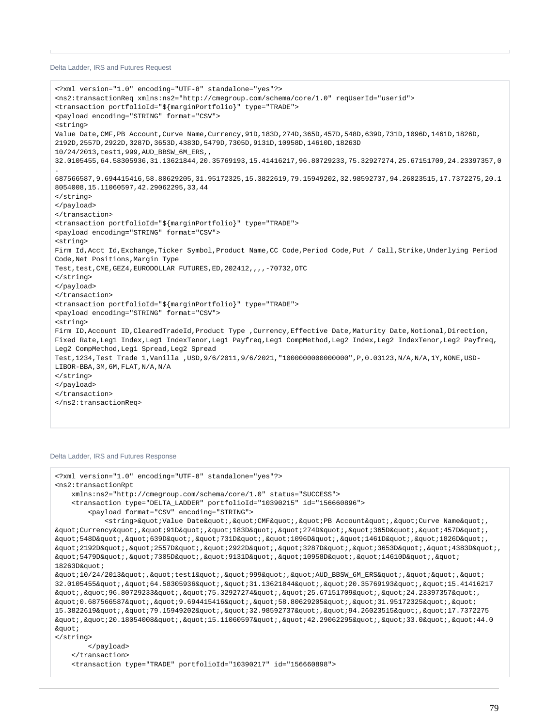Delta Ladder, IRS and Futures Request

```
<?xml version="1.0" encoding="UTF-8" standalone="yes"?>
<ns2:transactionReq xmlns:ns2="http://cmegroup.com/schema/core/1.0" reqUserId="userid">
<transaction portfolioId="${marginPortfolio}" type="TRADE">
<payload encoding="STRING" format="CSV">
<string>
Value Date,CMF,PB Account,Curve Name,Currency,91D,183D,274D,365D,457D,548D,639D,731D,1096D,1461D,1826D,
2192D,2557D,2922D,3287D,3653D,4383D,5479D,7305D,9131D,10958D,14610D,18263D
10/24/2013,test1,999,AUD_BBSW_6M_ERS,,
32.0105455,64.58305936,31.13621844,20.35769193,15.41416217,96.80729233,75.32927274,25.67151709,24.23397357,0
.
687566587,9.694415416,58.80629205,31.95172325,15.3822619,79.15949202,32.98592737,94.26023515,17.7372275,20.1
8054008,15.11060597,42.29062295,33,44
</string>
</payload>
</transaction>
<transaction portfolioId="${marginPortfolio}" type="TRADE">
<payload encoding="STRING" format="CSV">
<string>
Firm Id,Acct Id,Exchange,Ticker Symbol,Product Name,CC Code,Period Code,Put / Call,Strike,Underlying Period 
Code,Net Positions,Margin Type
Test,test, CME, GEZ4, EURODOLLAR FUTURES, ED, 202412, , , , -70732, OTC
</string>
</payload>
</transaction>
<transaction portfolioId="${marginPortfolio}" type="TRADE">
<payload encoding="STRING" format="CSV">
<string>
Firm ID, Account ID, ClearedTradeId, Product Type , Currency, Effective Date, Maturity Date, Notional, Direction,
Fixed Rate,Leg1 Index,Leg1 IndexTenor,Leg1 Payfreq,Leg1 CompMethod,Leg2 Index,Leg2 IndexTenor,Leg2 Payfreq,
Leg2 CompMethod,Leg1 Spread,Leg2 Spread
Test,1234,Test Trade 1,Vanilla ,USD,9/6/2011,9/6/2021,"1000000000000000",P,0.03123,N/A,N/A,1Y,NONE,USD-
LIBOR-BBA,3M,6M,FLAT,N/A,N/A
</string>
</payload>
</transaction>
</ns2:transactionReq>
```
## Delta Ladder, IRS and Futures Response

```
<?xml version="1.0" encoding="UTF-8" standalone="yes"?>
<ns2:transactionRpt 
    xmlns:ns2="http://cmegroup.com/schema/core/1.0" status="SUCCESS">
    <transaction type="DELTA_LADDER" portfolioId="10390215" id="156660896">
       <payload format="CSV" encoding="STRING">
          <string>&quot;Value Date&quot;,&quot;CMF&quot;,&quot;PB Account&quot;,&quot;Curve Name&quot;,
\alphaquot; Currency" , " 91D" , " 183D" , " 274D" , " 365D" , " 457D" ,
\alphaquot;548D","639D","731D","1096D","1461D","1826D",
\frac{1}{2}2192D","2557D","2922D","3287D","3653D","4383D",
\alphaquot;5479D","7305D","9131D","10958D","14610D","
18263D cmot:\alphaquot;10/24/2013","test1","999","AUD BBSW 6M ERS","","
32.0105455", "64.58305936", "31.13621844", "20.35769193", "15.41416217
\alphaquot;,\alphaquot;96.80729233\alphaquot;,\alphaquot;75.32927274\alphaquot;,\alphaquot;25.67151709\alphaquot;,\alphaquot;24.23397357\alphaquot;,
squot; 0.687566587squot; , squot; 9.694415416squot; , squot; 58.80629205squot; , squot; 31.95172325squot; , squot;
15.3822619", "79.15949202", "32.98592737", "94.26023515", "17.7372275
squot;, squot;20.18054008", squot;15.11060597", squot;42.29062295", squot;33.0", squot;44.0
&quot:
</string>
       </payload>
    </transaction>
    <transaction type="TRADE" portfolioId="10390217" id="156660898">
```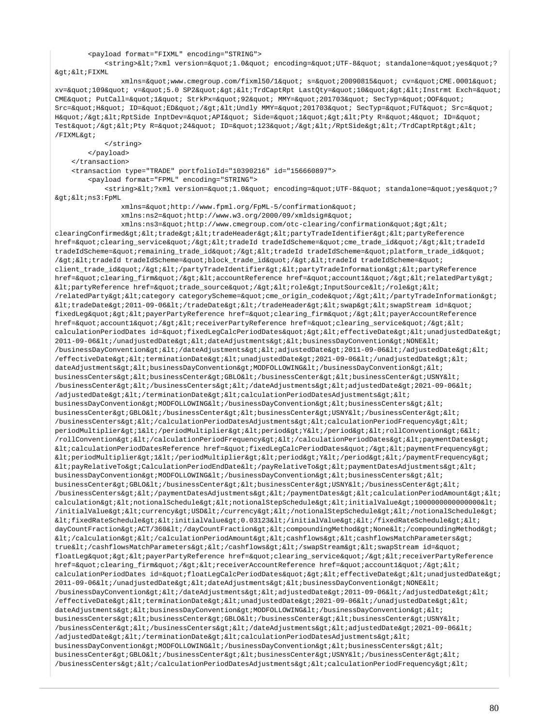## <payload format="FIXML" encoding="STRING">

<string>&lt;?xml version=&quot;1.0&quot; encoding=&quot;UTF-8&quot; standalone=&quot;yes&quot;? &qt; < FIXML

xmlns="www.cmegroup.com/fixml50/1" s="20090815" cv="CME.0001" xv="109" v="5.0 SP2"&qt;<TrdCaptRpt LastQty=&quot;10&quot;&qt;&lt;Instrmt Exch=&quot; CME" PutCall=" 1" StrkPx=" 92" MMY=" 201703" SecTyp=" OOF" Src=" H" ID=" ED" / > < Undly MMY=&quot; 201703&quot; SecTyp=&quot; FUT&quot; Src=&quot; H"/&qt;<RptSide InptDev=&quot;API&quot; Side=&quot;1&quot;&qt;&lt;Pty R=&quot;4&quot; ID=&quot; Test"/><Pty R=&quot;24&quot; ID=&quot;123&quot;/&gt;&lt;/RptSide&gt;&lt;/TrdCaptRpt&gt;&lt; /FIXML>

</string>

</payload>

</transaction>

<transaction type="TRADE" portfolioId="10390216" id="156660897">

<payload format="FPML" encoding="STRING">

<string>&lt;?xml version=&quot;1.0&quot; encoding=&quot;UTF-8&quot; standalone=&quot;yes&quot;? ><ns3:FpML

xmlns="http://www.fpml.org/FpML-5/confirmation"

xmlns:ns2="http://www.w3.org/2000/09/xmldsig#"

 $xmlns:ns3=\&quotihttp://www.cmegroup.com/oto-clearing/confirmation&quoti>k1$ clearingConfirmed><trade&gt;&lt;tradeHeader&gt;&lt;partyTradeIdentifier&gt;&lt;partyReference href="clearing\_service"/&qt;<tradeId tradeIdScheme=&quot;cme\_trade\_id&quot;/&qt;&lt;tradeId tradeIdScheme="remaining\_trade\_id"/><tradeId tradeIdScheme=&quot;platform\_trade\_id&quot; /><tradeId tradeIdScheme=&quot;block\_trade\_id&quot;/&gt;&lt;tradeId tradeIdScheme=&quot; client\_trade\_id"/></partyTradeIdentifier&gt;&lt;partyTradeInformation&gt;&lt;partyReference href="clearing\_firm"/><accountReference href=&quot;account1&quot;/&gt;&lt;relatedParty&gt; <partyReference href=&quot;trade\_source&quot;/&gt;&lt;role&gt;InputSource&lt;/role&gt;&lt; /relatedParty><category categoryScheme=&quot;cme\_origin\_code&quot;/&gt;&lt;/partyTradeInformation&gt;  $klt$ itradeDate>2011-09-06</tradeDate&gt;&lt;/tradeHeader&gt;&lt;swap&gt;&lt;swapStream id=&quot; fixedLeg" > < payerPartyReference href=&quot; clearing\_firm&quot; / &gt; &lt; payerAccountReference href="account1"/><receiverPartyReference href=&quot;clearing\_service&quot;/&gt;&lt; calculationPeriodDates id="fixedLegCalcPeriodDates"><effectiveDate&gt;&lt;unadjustedDate&gt;  $2011-09-06$ </unadjustedDate&gt;&lt;dateAdjustments&gt;&lt;businessDayConvention&gt;NONE&lt; /businessDayConvention></dateAdjustments&gt;&lt;adjustedDate&gt;2011-09-06&lt;/adjustedDate&gt;&lt;  $/$ effectiveDate&qt;<terminationDate&qt;&lt;unadjustedDate&qt;2021-09-06&lt;/unadjustedDate&qt;&lt; dateAdjustments&qt;<businessDayConvention&qt;MODFOLLOWING&lt;/businessDayConvention&qt;&lt; businessCenters><businessCenter&gt;GBLO&lt;/businessCenter&gt;&lt;businessCenter&gt;USNY&lt; /businessCenter&qt;</businessCenters&qt;&lt;/dateAdjustments&qt;&lt;adjustedDate&qt;2021-09-06&lt;  $/$ adjustedDate&gt $i$ &lt $i$ /terminationDate&gt $i$ &lt $i$ calculationPeriodDatesAdjustments&gt $i$ &lt $i$ businessDayConvention&qt;MODFOLLOWING</businessDayConvention&qt;&lt;businessCenters&qt;&lt; businessCenter&qt;GBLO</businessCenter&qt;&lt;businessCenter&qt;USNY&lt;/businessCenter&qt;&lt; /businessCenters></calculationPeriodDatesAdjustments&gt;&lt;calculationPeriodFrequency&gt;&lt; periodMultiplier>1</periodMultiplier&gt;&lt;period&gt;Y&lt;/period&gt;&lt;rollConvention&gt;6&lt; /rollConvention&qt;</calculationPeriodFrequency&qt;&lt;/calculationPeriodDates&qt;&lt;paymentDates&qt;  $klt$ icalculationPeriodDatesReference href="fixedLeqCalcPeriodDates"/&qt;<paymentFrequency&qt;  $k$ lt; periodMultiplier> 1&1t; /periodMultiplier> &1t; period> &1t; /period> &1t; /paymentFrequency>  $\verb|http://payRelativeTo>?Calculate a list of a list of the text to get a list of the text to get a list of the text to get a list of the text to get a list of the text to get a list of the text to get a list of the text to get a list of the text to get a list of the text to get a list of the text to get a list of the text to get a list of the text to get a list of the text to get a list of the text to get a list of the text to get a list of the text to get a list of the text to get a list of the text to get a list of the text to get a list of the text to get a list of the text to get a list of the text to get a list of the text to get a list of the text to get a list of the text to get a list of the text to get a list of the text to get a list of the text to get a list of the text to$ businessDayConvention&qt;MODFOLLOWING</businessDayConvention&qt;&lt;businessCenters&qt;&lt; businessCenter>GBLO</businessCenter&gt;&lt;businessCenter&gt;USNY&lt;/businessCenter&gt;&lt; /businessCenters></paymentDatesAdjustments&gt;&lt;/paymentDates&gt;&lt;calculationPeriodAmount&gt;&lt;  $\verb|calulation@gt|; \verb|all|; not \verb|ionalschedule@gt|; \verb|all|; not \verb|ionalsdegot|; \verb|allexgt|; \verb|initialValue@gt|; \verb|1000000000000000|; \verb|1|; \verb|1|: \verb|1|: \verb|1|: \verb|1|: \verb|1|: \verb|1|: \verb|1|: \verb|1|: \verb|1|: \verb|1|: \verb|1|: \verb|1|: \verb|1|: \verb|1|: \verb|1|: \verb|1|: \verb|1|: \verb|1|: \verb|1|: \verb|1|: \verb|1|: \verb|$ /initialValue><currency&gt;USD&lt;/currency&gt;&lt;/notionalStepSchedule&gt;&lt;/notionalSchedule&gt;  $k$ lt;fixedRateSchedule><initialValue&gt;0.03123&lt;/initialValue&gt;&lt;/fixedRateSchedule&gt;&lt; dayCountFraction> ACT/360</dayCountFraction&gt;&lt;compoundingMethod&gt;None&lt;/compoundingMethod&gt;  $klti$ /calculation&qt;  $klti$ /calculationPeriodAmount &qt;  $klti$ cashflows&qt;  $klti$ cashflowsMatchParameters&qt; true</cashflowsMatchParameters&gt;&lt;/cashflows&gt;&lt;/swapStream&gt;&lt;swapStream id=&quot; floatLeg" &qt; < payerPartyReference href=&quot; clearing\_service&quot; / &qt; &lt; receiverPartyReference href="clearing\_firm"/&qt;<receiverAccountReference href=&quot;account1&quot;/&qt;&lt; calculationPeriodDates id="floatLegCalcPeriodDates"><effectiveDate&gt;&lt;unadjustedDate&gt; 2011-09-06</unadjustedDate&gt;&lt;dateAdjustments&gt;&lt;businessDayConvention&gt;NONE&lt;  $/b$ usinessDayConvention&qt;</dateAdjustments&qt;&lt;adjustedDate&qt;2011-09-06&lt;/adjustedDate&qt;&lt; /effectiveDate><terminationDate&gt;&lt;unadjustedDate&gt;2021-09-06&lt;/unadjustedDate&gt;&lt; dateAdjustments> < businessDayConvention&gt; MODFOLLOWING&lt; /businessDayConvention&gt; &lt; businessCenters&qt;<businessCenter&qt;GBLO&lt;/businessCenter&qt;&lt;businessCenter&qt;USNY&lt; /businessCenter></businessCenters&gt;&lt;/dateAdjustments&gt;&lt;adjustedDate&gt;2021-09-06&lt;  $/$ adjustedDate&qt;</terminationDate&qt;&lt;calculationPeriodDatesAdjustments&qt;&lt;  $\texttt{businessDayConvention}\&\texttt{qt}~\texttt{?MOPOLLOWING}\&\texttt{lt}~\texttt{?}/\texttt{businessDayConvention}\&\texttt{gt}~\texttt{?}~\texttt{let}~\texttt{?}~\texttt{but}~\texttt{...}~\texttt{...}~\texttt{...}~\texttt{...}~\texttt{...}~\texttt{...}~\texttt{...}~\texttt{...}~\texttt{...}~\texttt{...}~\texttt{...}~\texttt{...}~\texttt{...}~\texttt{...}~\texttt{...}~\texttt{...}~\texttt{...}~\texttt{...}~\texttt{...}~$ businessCenter&qt;GBLO</businessCenter&qt;&lt;businessCenter&qt;USNY&lt;/businessCenter&qt;&lt; /businessCenters&qt;</calculationPeriodDatesAdjustments&qt;&lt;calculationPeriodFrequency&qt;&lt;